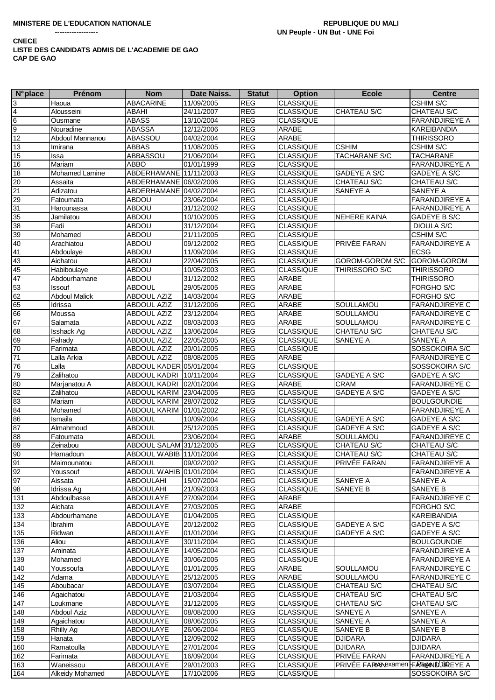| <b>N°</b> place | Prénom               | <b>Nom</b>              | Date Naiss. | <b>Statut</b> | <b>Option</b>    | <b>Ecole</b>                            | <b>Centre</b>         |
|-----------------|----------------------|-------------------------|-------------|---------------|------------------|-----------------------------------------|-----------------------|
| 3               | Haoua                | ABACARINE               | 11/09/2005  | <b>REG</b>    | <b>CLASSIQUE</b> |                                         | <b>CSHIM S/C</b>      |
| 4               | Alousseini           | ABAHI                   | 24/11/2007  | <b>REG</b>    | <b>CLASSIQUE</b> | CHATEAU S/C                             | CHATEAU S/C           |
| $6\overline{6}$ | Ousmane              | <b>ABASS</b>            | 13/10/2004  | <b>REG</b>    | <b>CLASSIQUE</b> |                                         | <b>FARANDJIREYE A</b> |
| $\overline{9}$  | Nouradine            | <b>ABASSA</b>           | 12/12/2006  | <b>REG</b>    | <b>ARABE</b>     |                                         | <b>KAREIBANDIA</b>    |
| $\overline{12}$ | Abdoul Mannanou      | ABASSOU                 | 04/02/2004  | <b>REG</b>    | ARABE            |                                         | <b>THIRISSORO</b>     |
|                 |                      |                         |             |               |                  | <b>CSHIM</b>                            |                       |
| 13              | Imirana              | <b>ABBAS</b>            | 11/08/2005  | <b>REG</b>    | <b>CLASSIQUE</b> |                                         | <b>CSHIM S/C</b>      |
| 15              | Issa                 | ABBASSOU                | 21/06/2004  | <b>REG</b>    | <b>CLASSIQUE</b> | <b>TACHARANE S/C</b>                    | <b>TACHARANE</b>      |
| 16              | Mariam               | <b>ABBO</b>             | 01/01/1999  | <b>REG</b>    | <b>CLASSIQUE</b> |                                         | <b>FARANDJIREYE A</b> |
| 18              | Mohamed Lamine       | ABDERHAMANE             | 11/11/2003  | <b>REG</b>    | <b>CLASSIQUE</b> | GADEYE A S/C                            | <b>GADEYE A S/C</b>   |
| 20              | Assaita              | ABDERHAMANE 06/02/2006  |             | <b>REG</b>    | <b>CLASSIQUE</b> | CHATEAU S/C                             | CHATEAU S/C           |
| $\overline{21}$ | Adizatou             | ABDERHAMANE 04/02/2004  |             | <b>REG</b>    | <b>CLASSIQUE</b> | SANEYE A                                | SANEYE A              |
| 29              | Fatoumata            | <b>ABDOU</b>            | 23/06/2004  | <b>REG</b>    | <b>CLASSIQUE</b> |                                         | <b>FARANDJIREYE A</b> |
| $\overline{31}$ | Harounassa           | <b>ABDOU</b>            | 31/12/2002  | <b>REG</b>    | <b>CLASSIQUE</b> |                                         | <b>FARANDJIREYE A</b> |
| 35              | Jamilatou            | <b>ABDOU</b>            | 10/10/2005  | <b>REG</b>    | <b>CLASSIQUE</b> | NEHERE KAINA                            | GADEYE B S/C          |
| $\overline{38}$ | Fadi                 | <b>ABDOU</b>            | 31/12/2004  | <b>REG</b>    | <b>CLASSIQUE</b> |                                         | DIOULA S/C            |
| 39              | Mohamed              | <b>ABDOU</b>            | 21/11/2005  | <b>REG</b>    | <b>CLASSIQUE</b> |                                         | <b>CSHIM S/C</b>      |
| 40              | Arachiatou           | ABDOU                   | 09/12/2002  | <b>REG</b>    | <b>CLASSIQUE</b> | PRIVÉE FARAN                            | <b>FARANDJIREYE A</b> |
| 41              | Abdoulaye            | <b>ABDOU</b>            | 11/09/2004  | <b>REG</b>    | <b>CLASSIQUE</b> |                                         | <b>ECSG</b>           |
| 43              | Aichatou             | <b>ABDOU</b>            | 22/04/2005  | <b>REG</b>    | <b>CLASSIQUE</b> | GOROM-GOROM S/C                         | GOROM-GOROM           |
|                 |                      |                         |             |               |                  |                                         |                       |
| 45              | Habiboulaye          | <b>ABDOU</b>            | 10/05/2003  | <b>REG</b>    | <b>CLASSIQUE</b> | <b>THIRISSORO S/C</b>                   | <b>THIRISSORO</b>     |
| 47              | Abdourhamane         | <b>ABDOU</b>            | 31/12/2002  | <b>REG</b>    | <b>ARABE</b>     |                                         | <b>THIRISSORO</b>     |
| 53              | Issouf               | <b>ABDOUL</b>           | 29/05/2005  | <b>REG</b>    | ARABE            |                                         | <b>FORGHO S/C</b>     |
| 62              | <b>Abdoul Malick</b> | <b>ABDOUL AZIZ</b>      | 14/03/2004  | <b>REG</b>    | ARABE            |                                         | FORGHO S/C            |
| 65              | Idrissa              | <b>ABDOUL AZIZ</b>      | 31/12/2006  | <b>REG</b>    | ARABE            | SOULLAMOU                               | <b>FARANDJIREYE C</b> |
| 66              | Moussa               | <b>ABDOUL AZIZ</b>      | 23/12/2004  | <b>REG</b>    | <b>ARABE</b>     | SOULLAMOU                               | <b>FARANDJIREYE C</b> |
| 67              | Salamata             | <b>ABDOUL AZIZ</b>      | 08/03/2003  | <b>REG</b>    | ARABE            | SOULLAMOU                               | <b>FARANDJIREYE C</b> |
| 68              | <b>Isshack Ag</b>    | <b>ABDOUL AZIZ</b>      | 13/06/2004  | <b>REG</b>    | <b>CLASSIQUE</b> | CHATEAU S/C                             | CHATEAU S/C           |
| 69              | Fahady               | <b>ABDOUL AZIZ</b>      | 22/05/2005  | <b>REG</b>    | <b>CLASSIQUE</b> | SANEYE A                                | SANEYE A              |
| 70              | Farimata             | <b>ABDOUL AZIZ</b>      | 20/01/2005  | <b>REG</b>    | <b>CLASSIQUE</b> |                                         | SOSSOKOIRA S/C        |
| 71              | Lalla Arkia          | <b>ABDOUL AZIZ</b>      | 08/08/2005  | <b>REG</b>    | ARABE            |                                         | <b>FARANDJIREYE C</b> |
| 76              | Lalla                | ABDOUL KADER 05/01/2004 |             | <b>REG</b>    | <b>CLASSIQUE</b> |                                         | SOSSOKOIRA S/C        |
| 79              | Zalihatou            | ABDOUL KADRI            | 10/11/2004  | <b>REG</b>    | <b>CLASSIQUE</b> | GADEYE A S/C                            | GADEYE A S/C          |
| 80              |                      | ABDOUL KADRI            | 02/01/2004  | <b>REG</b>    | <b>ARABE</b>     | <b>CRAM</b>                             | <b>FARANDJIREYE C</b> |
|                 | Marjanatou A         |                         |             |               |                  | <b>GADEYE A S/C</b>                     |                       |
| $\overline{82}$ | Zalihatou            | ABDOUL KARIM            | 23/04/2005  | <b>REG</b>    | <b>CLASSIQUE</b> |                                         | <b>GADEYE A S/C</b>   |
| 83              | Mariam               | <b>ABDOUL KARIM</b>     | 28/07/2002  | <b>REG</b>    | <b>CLASSIQUE</b> |                                         | <b>BOULGOUNDIE</b>    |
| 84              | Mohamed              | ABDOUL KARIM            | 01/01/2002  | <b>REG</b>    | <b>CLASSIQUE</b> |                                         | <b>FARANDJIREYE A</b> |
| 86              | Ismaila              | <b>ABDOUL</b>           | 10/09/2004  | <b>REG</b>    | <b>CLASSIQUE</b> | GADEYE A S/C                            | <b>GADEYE A S/C</b>   |
| 87              | Almahmoud            | <b>ABDOUL</b>           | 25/12/2005  | <b>REG</b>    | <b>CLASSIQUE</b> | <b>GADEYE A S/C</b>                     | GADEYE A S/C          |
| $\overline{88}$ | Fatoumata            | <b>ABDOUL</b>           | 23/06/2004  | <b>REG</b>    | <b>ARABE</b>     | SOULLAMOU                               | <b>FARANDJIREYE C</b> |
| 89              | Zeinabou             | ABDOUL SALAM 31/12/2005 |             | <b>REG</b>    | <b>CLASSIQUE</b> | CHATEAU S/C                             | CHATEAU S/C           |
| 90              | Hamadoun             | ABDOUL WABIB 11/01/2004 |             | <b>REG</b>    | <b>CLASSIQUE</b> | CHATEAU S/C                             | <b>CHATEAU S/C</b>    |
| 91              | Maimounatou          | ABDOUL                  | 09/02/2002  | REG           | <b>CLASSIQUE</b> | PRIVÉE FARAN                            | <b>FARANDJIREYE A</b> |
| 92              | Youssouf             | ABDOUL WAHIB 01/01/2004 |             | REG           | <b>CLASSIQUE</b> |                                         | <b>FARANDJIREYE A</b> |
| 97              | Aissata              | <b>ABDOULAHI</b>        | 15/07/2004  | <b>REG</b>    | <b>CLASSIQUE</b> | SANEYE A                                | SANEYE A              |
| 98              | Idrissa Ag           | <b>ABDOULAHI</b>        | 21/09/2003  | <b>REG</b>    | <b>CLASSIQUE</b> | SANEYE B                                | <b>SANEYE B</b>       |
| 131             | Abdoulbasse          | ABDOULAYE               | 27/09/2004  | <b>REG</b>    | <b>ARABE</b>     |                                         | <b>FARANDJIREYE C</b> |
| 132             | Aichata              | ABDOULAYE               | 27/03/2005  | <b>REG</b>    | ARABE            |                                         | <b>FORGHO S/C</b>     |
|                 |                      |                         |             |               |                  |                                         |                       |
| 133             | Abdourhamane         | <b>ABDOULAYE</b>        | 01/04/2005  | <b>REG</b>    | <b>CLASSIQUE</b> |                                         | <b>KAREIBANDIA</b>    |
| 134             | Ibrahim              | ABDOULAYE               | 20/12/2002  | <b>REG</b>    | <b>CLASSIQUE</b> | GADEYE A S/C                            | <b>GADEYE A S/C</b>   |
| 135             | Ridwan               | ABDOULAYE               | 01/01/2004  | <b>REG</b>    | <b>CLASSIQUE</b> | GADEYE A S/C                            | <b>GADEYE A S/C</b>   |
| 136             | Aliou                | ABDOULAYE               | 30/11/2004  | <b>REG</b>    | <b>CLASSIQUE</b> |                                         | <b>BOULGOUNDIE</b>    |
| 137             | Aminata              | ABDOULAYE               | 14/05/2004  | <b>REG</b>    | <b>CLASSIQUE</b> |                                         | <b>FARANDJIREYE A</b> |
| 139             | Mohamed              | ABDOULAYE               | 30/06/2005  | <b>REG</b>    | <b>CLASSIQUE</b> |                                         | <b>FARANDJIREYE A</b> |
| 140             | Youssoufa            | <b>ABDOULAYE</b>        | 01/01/2005  | <b>REG</b>    | <b>ARABE</b>     | SOULLAMOU                               | <b>FARANDJIREYE C</b> |
| 142             | Adama                | ABDOULAYE               | 25/12/2005  | <b>REG</b>    | ARABE            | SOULLAMOU                               | <b>FARANDJIREYE C</b> |
| 145             | Aboubacar            | ABDOULAYE               | 03/07/2004  | <b>REG</b>    | <b>CLASSIQUE</b> | CHATEAU S/C                             | CHATEAU S/C           |
| 146             | Agaichatou           | ABDOULAYE               | 21/03/2004  | <b>REG</b>    | <b>CLASSIQUE</b> | CHATEAU S/C                             | CHATEAU S/C           |
| 147             | Loukmane             | ABDOULAYE               | 31/12/2005  | <b>REG</b>    | <b>CLASSIQUE</b> | CHATEAU S/C                             | CHATEAU S/C           |
| 148             | <b>Abdoul Aziz</b>   | ABDOULAYE               | 08/08/2000  | <b>REG</b>    | <b>CLASSIQUE</b> | SANEYE A                                | <b>SANEYE A</b>       |
| 149             | Agaichatou           | ABDOULAYE               | 08/06/2005  | <b>REG</b>    | <b>CLASSIQUE</b> | SANEYE A                                | SANEYE A              |
|                 |                      |                         |             |               |                  |                                         |                       |
| 158             | Rhilly Ag            | ABDOULAYE               | 26/06/2004  | <b>REG</b>    | <b>CLASSIQUE</b> | SANEYE B                                | SANEYE B              |
| 159             | Hanata               | ABDOULAYE               | 12/09/2002  | <b>REG</b>    | <b>CLASSIQUE</b> | <b>DJIDARA</b>                          | <b>DJIDARA</b>        |
| 160             | Ramatoulla           | ABDOULAYE               | 27/01/2004  | <b>REG</b>    | <b>CLASSIQUE</b> | <b>DJIDARA</b>                          | <b>DJIDARA</b>        |
| 162             | Farimata             | ABDOULAYE               | 16/09/2004  | <b>REG</b>    | <b>CLASSIQUE</b> | PRIVÉE FARAN                            | <b>FARANDJIREYE A</b> |
| 163             | Waneissou            | ABDOULAYE               | 29/01/2003  | <b>REG</b>    | <b>CLASSIQUE</b> | PRIVÉE FARMEN bexamen FARAGANDUSAREYE A |                       |
| 164             | Alkeidy Mohamed      | ABDOULAYE               | 17/10/2006  | <b>REG</b>    | <b>CLASSIQUE</b> |                                         | SOSSOKOIRA S/C        |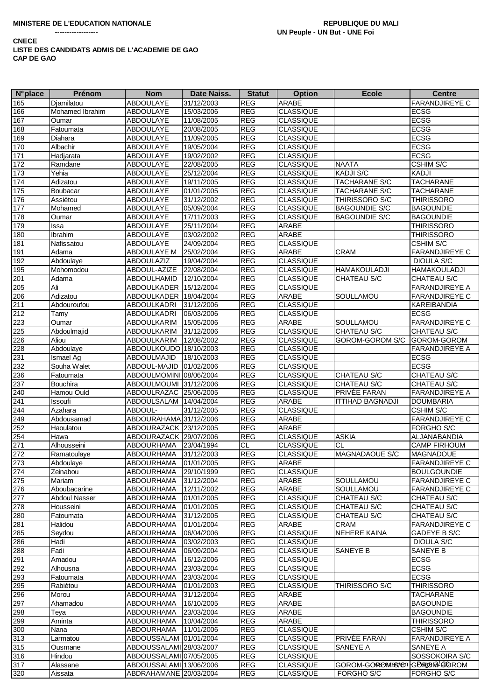--------

| <b>N°</b> place | <b>Prénom</b>        | <b>Nom</b>              | Date Naiss. | <b>Statut</b>  | <b>Option</b>    | <b>Ecole</b>            | <b>Centre</b>         |
|-----------------|----------------------|-------------------------|-------------|----------------|------------------|-------------------------|-----------------------|
| 165             | Djamilatou           | <b>ABDOULAYE</b>        | 31/12/2003  | <b>REG</b>     | <b>ARABE</b>     |                         | <b>FARANDJIREYE C</b> |
| 166             | Mohamed Ibrahim      | <b>ABDOULAYE</b>        | 15/03/2006  | <b>REG</b>     | <b>CLASSIQUE</b> |                         | <b>ECSG</b>           |
| 167             | Oumar                | <b>ABDOULAYE</b>        | 11/08/2005  | <b>REG</b>     | <b>CLASSIQUE</b> |                         | <b>ECSG</b>           |
| 168             | Fatoumata            | <b>ABDOULAYE</b>        | 20/08/2005  | <b>REG</b>     | <b>CLASSIQUE</b> |                         | <b>ECSG</b>           |
| 169             | Diahara              | ABDOULAYE               | 11/09/2005  | <b>REG</b>     | <b>CLASSIQUE</b> |                         | <b>ECSG</b>           |
| 170             | Albachir             | ABDOULAYE               | 19/05/2004  | <b>REG</b>     | <b>CLASSIQUE</b> |                         | <b>ECSG</b>           |
| 171             | Hadjarata            | <b>ABDOULAYE</b>        | 19/02/2002  | <b>REG</b>     | <b>CLASSIQUE</b> |                         | <b>ECSG</b>           |
| 172             | Ramdane              | ABDOULAYE               | 22/08/2005  | <b>REG</b>     | <b>CLASSIQUE</b> | <b>NAATA</b>            | <b>CSHIM S/C</b>      |
| 173             | Yehia                | <b>ABDOULAYE</b>        | 25/12/2004  | <b>REG</b>     | <b>CLASSIQUE</b> | <b>KADJI S/C</b>        | <b>KADJI</b>          |
| 174             | Adizatou             | ABDOULAYE               | 19/11/2005  | <b>REG</b>     | <b>CLASSIQUE</b> | <b>TACHARANE S/C</b>    | <b>TACHARANE</b>      |
| 175             | Boubacar             | <b>ABDOULAYE</b>        | 01/01/2005  | REG            | <b>CLASSIQUE</b> | TACHARANE S/C           | <b>TACHARANE</b>      |
|                 |                      |                         |             | <b>REG</b>     | <b>CLASSIQUE</b> |                         | <b>THIRISSORO</b>     |
| 176             | Assiétou             | <b>ABDOULAYE</b>        | 31/12/2002  |                |                  | THIRISSORO S/C          |                       |
| 177             | Mohamed              | <b>ABDOULAYE</b>        | 05/09/2004  | <b>REG</b>     | <b>CLASSIQUE</b> | <b>BAGOUNDIE S/C</b>    | <b>BAGOUNDIE</b>      |
| 178             | Oumar                | <b>ABDOULAYE</b>        | 17/11/2003  | <b>REG</b>     | <b>CLASSIQUE</b> | <b>BAGOUNDIE S/C</b>    | <b>BAGOUNDIE</b>      |
| 179             | Issa                 | <b>ABDOULAYE</b>        | 25/11/2004  | <b>REG</b>     | ARABE            |                         | <b>THIRISSORO</b>     |
| 180             | <b>Ibrahim</b>       | <b>ABDOULAYE</b>        | 03/02/2002  | <b>REG</b>     | ARABE            |                         | <b>THIRISSORO</b>     |
| 181             | Nafissatou           | <b>ABDOULAYE</b>        | 24/09/2004  | <b>REG</b>     | <b>CLASSIQUE</b> |                         | <b>CSHIM S/C</b>      |
| 191             | Adama                | ABDOULAYE M             | 25/02/2004  | <b>REG</b>     | ARABE            | <b>CRAM</b>             | <b>FARANDJIREYE C</b> |
| 192             | Abdoulaye            | <b>ABDOULAZIZ</b>       | 19/04/2004  | REG            | <b>CLASSIQUE</b> |                         | DIOULA S/C            |
| 195             | Mohomodou            | ABDOUL-AZIZE            | 22/08/2004  | <b>REG</b>     | <b>CLASSIQUE</b> | <b>HAMAKOULADJI</b>     | <b>HAMAKOULADJI</b>   |
| 201             | Adama                | ABDOULHAMID             | 12/10/2004  | <b>REG</b>     | <b>CLASSIQUE</b> | CHATEAU S/C             | CHATEAU S/C           |
| 205             | Ali                  | ABDOULKADER             | 15/12/2004  | <b>REG</b>     | <b>CLASSIQUE</b> |                         | FARANDJIREYE A        |
| 206             | Adizatou             | ABDOULKADER             | 18/04/2004  | REG            | ARABE            | SOULLAMOU               | FARANDJIREYE C        |
| 211             | Abdouroufou          | ABDOULKADRI             | 31/12/2006  | <b>REG</b>     | <b>CLASSIQUE</b> |                         | KAREIBANDIA           |
| 212             | Tamy                 | ABDOULKADRI             | 06/03/2006  | <b>REG</b>     | <b>CLASSIQUE</b> |                         | <b>ECSG</b>           |
| 223             | Oumar                | ABDOULKARIM             | 15/05/2006  | <b>REG</b>     | <b>ARABE</b>     | SOULLAMOU               | FARANDJIREYE C        |
| 225             | Abdoulmajid          | ABDOULKARIM             | 31/12/2006  | <b>REG</b>     | <b>CLASSIQUE</b> | CHATEAU S/C             | CHATEAU S/C           |
| 226             | Aliou                | ABDOULKARIM             | 12/08/2002  | <b>REG</b>     | <b>CLASSIQUE</b> | GOROM-GOROM S/C         | GOROM-GOROM           |
| 228             | Abdoulaye            | ABDOULKOUDO 18/10/2003  |             | <b>REG</b>     | <b>CLASSIQUE</b> |                         | <b>FARANDJIREYE A</b> |
| 231             | Ismael Ag            | ABDOULMAJID             | 18/10/2003  | <b>REG</b>     | <b>CLASSIQUE</b> |                         | <b>ECSG</b>           |
| 232             | Souha Walet          | ABDOUL-MAJID            | 01/02/2006  | <b>REG</b>     | <b>CLASSIQUE</b> |                         | <b>ECSG</b>           |
| 236             | Fatoumata            | ABDOULMOMINI 08/06/2004 |             | <b>REG</b>     | <b>CLASSIQUE</b> | CHATEAU S/C             | CHATEAU S/C           |
| 237             | Bouchira             | ABDOULMOUMI 31/12/2006  |             | <b>REG</b>     | <b>CLASSIQUE</b> | CHATEAU S/C             | CHATEAU S/C           |
| 240             | Hamou Ould           | ABDOULRAZAC             | 25/06/2005  | REG            | <b>CLASSIQUE</b> | PRIVÉE FARAN            | <b>FARANDJIREYE A</b> |
| 241             | <b>Issoufi</b>       | ABDOULSALAM             | 14/04/2004  | <b>REG</b>     | <b>ARABE</b>     | <b>ITTIHAD BAGNADJI</b> | <b>DOUMBARIA</b>      |
| 244             | Azahara              | ABDOUL-                 | 31/12/2005  | <b>REG</b>     | <b>CLASSIQUE</b> |                         | CSHIM S/C             |
| 249             | Abdousamad           | ABDOURAHAMA 31/12/2006  |             | <b>REG</b>     | <b>ARABE</b>     |                         | FARANDJIREYE C        |
| 252             | Haoulatou            | ABDOURAZACK 23/12/2005  |             | <b>REG</b>     | ARABE            |                         | FORGHO <sub>S/C</sub> |
| 254             | Hawa                 | ABDOURAZACK 29/07/2006  |             | <b>REG</b>     | CLASSIQUE        | <b>ASKIA</b>            | ALJANABANDIA          |
| 271             |                      |                         | 23/04/1994  | $\overline{c}$ | <b>CLASSIQUE</b> | <b>CL</b>               | <b>CAMP FIRHOUM</b>   |
|                 | Alhousseini          | ABDOURHAMA              | 31/12/2003  | REG            |                  | MAGNADAOUE S/C          |                       |
| 272             | Ramatoulaye          | <b>ABDOURHAMA</b>       |             |                | <b>CLASSIQUE</b> |                         | <b>MAGNADOUE</b>      |
| 273             | Abdoulaye            | ABDOURHAMA              | 01/01/2005  | <b>REG</b>     | <b>ARABE</b>     |                         | <b>FARANDJIREYE C</b> |
| 274             | Zeinabou             | ABDOURHAMA 29/10/1999   |             | <b>REG</b>     | <b>CLASSIQUE</b> |                         | <b>BOULGOUNDIE</b>    |
| 275             | Mariam               | ABDOURHAMA              | 31/12/2004  | <b>REG</b>     | ARABE            | SOULLAMOU               | <b>FARANDJIREYE C</b> |
| 276             | Aboubacarine         | ABDOURHAMA              | 12/11/2002  | <b>REG</b>     | <b>ARABE</b>     | SOULLAMOU               | <b>FARANDJIREYE C</b> |
| 277             | <b>Abdoul Nasser</b> | ABDOURHAMA              | 01/01/2005  | <b>REG</b>     | <b>CLASSIQUE</b> | CHATEAU S/C             | CHATEAU S/C           |
| 278             | Housseini            | ABDOURHAMA              | 01/01/2005  | <b>REG</b>     | <b>CLASSIQUE</b> | CHATEAU S/C             | CHATEAU S/C           |
| 280             | Fatoumata            | <b>ABDOURHAMA</b>       | 31/12/2005  | <b>REG</b>     | <b>CLASSIQUE</b> | CHATEAU S/C             | CHATEAU S/C           |
| 281             | Halidou              | ABDOURHAMA              | 01/01/2004  | REG            | ARABE            | CRAM                    | <b>FARANDJIREYE C</b> |
| 285             | Seydou               | ABDOURHAMA              | 06/04/2006  | <b>REG</b>     | <b>CLASSIQUE</b> | NEHERE KAINA            | GADEYE B S/C          |
| 286             | Hadi                 | ABDOURHAMA              | 03/02/2003  | <b>REG</b>     | <b>CLASSIQUE</b> |                         | DIOULA S/C            |
| 288             | Fadi                 | <b>ABDOURHAMA</b>       | 06/09/2004  | REG            | <b>CLASSIQUE</b> | SANEYE B                | SANEYE B              |
| 291             | Amadou               | <b>ABDOURHAMA</b>       | 16/12/2006  | <b>REG</b>     | <b>CLASSIQUE</b> |                         | <b>ECSG</b>           |
| 292             | Alhousna             | ABDOURHAMA              | 23/03/2004  | <b>REG</b>     | <b>CLASSIQUE</b> |                         | <b>ECSG</b>           |
| 293             | Fatoumata            | ABDOURHAMA              | 23/03/2004  | <b>REG</b>     | <b>CLASSIQUE</b> |                         | <b>ECSG</b>           |
| 295             | Rabiétou             | ABDOURHAMA              | 01/01/2003  | <b>REG</b>     | <b>CLASSIQUE</b> | <b>THIRISSORO S/C</b>   | <b>THIRISSORO</b>     |
| 296             | Morou                | <b>ABDOURHAMA</b>       | 31/12/2004  | <b>REG</b>     | ARABE            |                         | <b>TACHARANE</b>      |
| 297             | Ahamadou             | ABDOURHAMA              | 16/10/2005  | <b>REG</b>     | ARABE            |                         | <b>BAGOUNDIE</b>      |
| 298             | Teya                 | ABDOURHAMA              | 23/03/2004  | <b>REG</b>     | ARABE            |                         | <b>BAGOUNDIE</b>      |
| 299             | Aminta               | ABDOURHAMA              | 10/04/2004  | REG            | ARABE            |                         | <b>THIRISSORO</b>     |
| 300             | Nana                 | ABDOURHAMA              | 11/01/2006  | <b>REG</b>     | <b>CLASSIQUE</b> |                         | CSHIM S/C             |
| 313             | Larmatou             | ABDOUSSALAM 01/01/2004  |             | <b>REG</b>     | <b>CLASSIQUE</b> | PRIVÉE FARAN            | <b>FARANDJIREYE A</b> |
| 315             | Ousmane              | ABDOUSSALAMI 28/03/2007 |             | <b>REG</b>     | <b>CLASSIQUE</b> | SANEYE A                | <b>SANEYE A</b>       |
| 316             | Hindou               | ABDOUSSALAMI 07/05/2005 |             | REG            | <b>CLASSIQUE</b> |                         | SOSSOKOIRA S/C        |
| 317             | Alassane             | ABDOUSSALAMI 13/06/2006 |             | <b>REG</b>     | <b>CLASSIQUE</b> | GOROM-GORGAMaBMEn       | GPARGONA/GOROM        |
| 320             | Aissata              | ABDRAHAMANE 20/03/2004  |             | <b>REG</b>     | <b>CLASSIQUE</b> | FORGHO S/C              | <b>FORGHO S/C</b>     |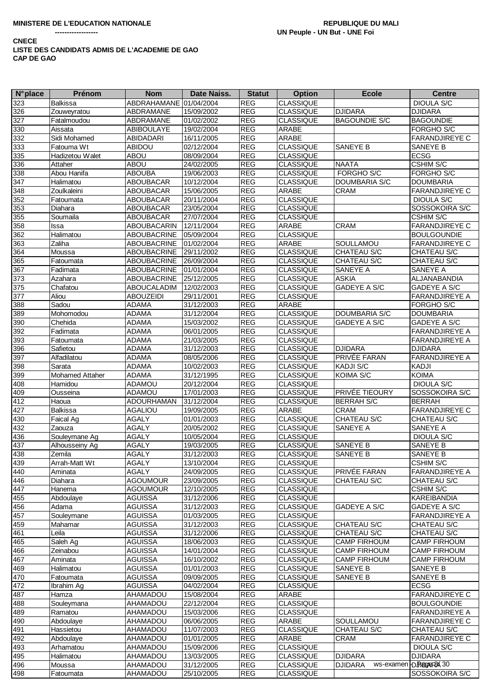| <b>N°</b> place | Prénom                 | <b>Nom</b>             | Date Naiss. | <b>Statut</b> | <b>Option</b>    | <b>Ecole</b>         | <b>Centre</b>            |
|-----------------|------------------------|------------------------|-------------|---------------|------------------|----------------------|--------------------------|
| 323             | <b>Balkissa</b>        | ABDRAHAMANE 01/04/2004 |             | <b>REG</b>    | <b>CLASSIQUE</b> |                      | <b>DIOULA S/C</b>        |
| 326             | Zouweyratou            | ABDRAMANE              | 15/09/2002  | <b>REG</b>    | <b>CLASSIQUE</b> | <b>DJIDARA</b>       | <b>DJIDARA</b>           |
| 327             | Fatalmoudou            | ABDRAMANE              | 01/02/2002  | <b>REG</b>    | <b>CLASSIQUE</b> | <b>BAGOUNDIE S/C</b> | <b>BAGOUNDIE</b>         |
| 330             | Aissata                | <b>ABIBOULAYE</b>      | 19/02/2004  | REG           | <b>ARABE</b>     |                      | FORGHO S/C               |
| 332             | Sidi Mohamed           | ABIDADARI              | 16/11/2005  | REG           | <b>ARABE</b>     |                      | FARANDJIREYE C           |
| 333             | Fatouma Wt             | <b>ABIDOU</b>          | 02/12/2004  | <b>REG</b>    | <b>CLASSIQUE</b> | SANEYE B             | SANEYE B                 |
| 335             | Hadizetou Walet        | ABOU                   | 08/09/2004  | REG           | <b>CLASSIQUE</b> |                      | <b>ECSG</b>              |
| 336             | Attaher                | ABOU                   | 24/02/2005  | REG           | <b>CLASSIQUE</b> | <b>NAATA</b>         | CSHIM S/C                |
| 338             | Abou Hanifa            | <b>ABOUBA</b>          | 19/06/2003  | <b>REG</b>    | <b>CLASSIQUE</b> | <b>FORGHO S/C</b>    | FORGHO S/C               |
| 347             | Halimatou              | <b>ABOUBACAR</b>       | 10/12/2004  | REG           | <b>CLASSIQUE</b> | DOUMBARIA S/C        | <b>DOUMBARIA</b>         |
| 348             | Zoulkaleini            | ABOUBACAR              | 15/06/2005  | REG           | ARABE            | <b>CRAM</b>          | FARANDJIREYE C           |
| 352             | Fatoumata              | ABOUBACAR              | 20/11/2004  | <b>REG</b>    | <b>CLASSIQUE</b> |                      | <b>DIOULA S/C</b>        |
| 353             | Diahara                | <b>ABOUBACAR</b>       | 23/05/2004  | <b>REG</b>    | <b>CLASSIQUE</b> |                      | SOSSOKOIRA S/C           |
| 355             | Soumaila               | <b>ABOUBACAR</b>       | 27/07/2004  | REG           | <b>CLASSIQUE</b> |                      | <b>CSHIM S/C</b>         |
| 358             | Issa                   | ABOUBACARIN            | 12/11/2004  | <b>REG</b>    | <b>ARABE</b>     | <b>CRAM</b>          | <b>FARANDJIREYE C</b>    |
| 362             | Halimatou              | ABOUBACRINE            | 05/09/2004  | <b>REG</b>    | <b>CLASSIQUE</b> |                      | <b>BOULGOUNDIE</b>       |
| 363             | Zaliha                 | ABOUBACRINE            | 01/02/2004  | REG           | <b>ARABE</b>     | SOULLAMOU            | <b>FARANDJIREYE C</b>    |
| 364             | Moussa                 | <b>ABOUBACRINE</b>     | 29/11/2002  | <b>REG</b>    | <b>CLASSIQUE</b> | CHATEAU S/C          | CHATEAU S/C              |
| 365             | Fatoumata              | ABOUBACRINE            | 26/09/2004  | <b>REG</b>    | <b>CLASSIQUE</b> | CHATEAU S/C          | CHATEAU S/C              |
| 367             | Fadimata               | ABOUBACRINE 01/01/2004 |             | REG           | <b>CLASSIQUE</b> | SANEYE A             | SANEYE A                 |
| 373             | Azahara                | ABOUBACRINE            | 25/12/2005  | REG           | <b>CLASSIQUE</b> | <b>ASKIA</b>         | ALJANABANDIA             |
| 375             | Chafatou               | <b>ABOUCALADIM</b>     | 12/02/2003  | REG           | <b>CLASSIQUE</b> | <b>GADEYE A S/C</b>  | <b>GADEYE A S/C</b>      |
| 377             | Aliou                  | <b>ABOUZEIDI</b>       | 29/11/2001  | <b>REG</b>    | <b>CLASSIQUE</b> |                      | <b>FARANDJIREYE A</b>    |
| 388             | Sadou                  | <b>ADAMA</b>           | 31/12/2003  | <b>REG</b>    | <b>ARABE</b>     |                      | FORGHO S/C               |
| 389             | Mohomodou              | <b>ADAMA</b>           | 31/12/2004  | REG           | <b>CLASSIQUE</b> | <b>DOUMBARIA S/C</b> | <b>DOUMBARIA</b>         |
| 390             | Chehida                | <b>ADAMA</b>           | 15/03/2002  | REG           | <b>CLASSIQUE</b> | <b>GADEYE A S/C</b>  | GADEYE A S/C             |
| 392             | Fadimata               | <b>ADAMA</b>           | 06/01/2005  | REG           | <b>CLASSIQUE</b> |                      | FARANDJIREYE A           |
| 393             | Fatoumata              | <b>ADAMA</b>           | 21/03/2005  | REG           | <b>CLASSIQUE</b> |                      | FARANDJIREYE A           |
| 396             | Safietou               | <b>ADAMA</b>           | 31/12/2003  | REG           | <b>CLASSIQUE</b> | <b>DJIDARA</b>       | <b>DJIDARA</b>           |
| 397             | Alfadilatou            | <b>ADAMA</b>           | 08/05/2006  | <b>REG</b>    | <b>CLASSIQUE</b> | PRIVÉE FARAN         | <b>FARANDJIREYE A</b>    |
| 398             | Sarata                 | <b>ADAMA</b>           | 10/02/2003  | REG           | <b>CLASSIQUE</b> | KADJI S/C            | KADJI                    |
| 399             | <b>Mohamed Attaher</b> | <b>ADAMA</b>           | 31/12/1995  | <b>REG</b>    | <b>CLASSIQUE</b> | KOIMA S/C            | <b>KOIMA</b>             |
| 408             | Hamidou                | <b>ADAMOU</b>          | 20/12/2004  | REG           | <b>CLASSIQUE</b> |                      | <b>DIOULA S/C</b>        |
| 409             | Ousseina               | ADAMOU                 | 17/01/2003  | <b>REG</b>    | <b>CLASSIQUE</b> | PRIVÉE TIEOURY       | SOSSOKOIRA S/C           |
| 412             | Haoua                  | <b>ADOURHAMAN</b>      | 31/12/2004  | <b>REG</b>    | <b>CLASSIQUE</b> | <b>BERRAH S/C</b>    | <b>BERRAH</b>            |
| 427             | Balkissa               | <b>AGALIOU</b>         | 19/09/2005  | <b>REG</b>    | <b>ARABE</b>     | <b>CRAM</b>          | <b>FARANDJIREYE C</b>    |
| 430             | Faical Ag              | <b>AGALY</b>           | 01/01/2003  | <b>REG</b>    | <b>CLASSIQUE</b> | CHATEAU S/C          | <b>CHATEAU S/C</b>       |
| 432             | Zaouza                 | <b>AGALY</b>           | 20/05/2002  | REG           | <b>CLASSIQUE</b> | SANEYE A             | SANEYE A                 |
| 436             | Souleymane Ag          | <b>AGALY</b>           | 10/05/2004  | <b>REG</b>    | <b>CLASSIQUE</b> |                      | <b>DIOULA S/C</b>        |
| 437             | Alhousseiny Ag         | <b>AGALY</b>           | 19/03/2005  | <b>REG</b>    | <b>CLASSIQUE</b> | SANEYE B             | SANEYE B                 |
| 438             | Zemila                 | <b>AGALY</b>           | 31/12/2003  | <b>REG</b>    | <b>CLASSIQUE</b> | SANEYE B             | SANEYE B                 |
| 439             | Arrah-Matt Wt          | <b>AGALY</b>           | 13/10/2004  | <b>REG</b>    | <b>CLASSIQUE</b> |                      | <b>CSHIM S/C</b>         |
| 440             | Aminata                | <b>AGALY</b>           | 24/09/2005  | <b>REG</b>    | <b>CLASSIQUE</b> | PRIVÉE FARAN         | <b>FARANDJIREYE A</b>    |
| 446             | Diahara                | <b>AGOUMOUR</b>        | 23/09/2005  | <b>REG</b>    | <b>CLASSIQUE</b> | CHATEAU S/C          | CHATEAU S/C              |
| 447             | Hanema                 | <b>AGOUMOUR</b>        | 12/10/2005  | <b>REG</b>    | <b>CLASSIQUE</b> |                      | CSHIM S/C                |
| 455             | Abdoulaye              | <b>AGUISSA</b>         | 31/12/2006  | <b>REG</b>    | <b>CLASSIQUE</b> |                      | KAREIBANDIA              |
| 456             | Adama                  | <b>AGUISSA</b>         | 31/12/2003  | <b>REG</b>    | <b>CLASSIQUE</b> | <b>GADEYE A S/C</b>  | GADEYE A S/C             |
| 457             | Souleymane             | <b>AGUISSA</b>         | 01/03/2005  | <b>REG</b>    | <b>CLASSIQUE</b> |                      | FARANDJIREYE A           |
| 459             | Mahamar                | <b>AGUISSA</b>         | 31/12/2003  | <b>REG</b>    | <b>CLASSIQUE</b> | CHATEAU S/C          | CHATEAU S/C              |
| 461             | Leila                  | <b>AGUISSA</b>         | 31/12/2006  | <b>REG</b>    | <b>CLASSIQUE</b> | CHATEAU S/C          | CHATEAU S/C              |
| 465             | Saleh Ag               | <b>AGUISSA</b>         | 18/06/2003  | <b>REG</b>    | <b>CLASSIQUE</b> | <b>CAMP FIRHOUM</b>  | <b>CAMP FIRHOUM</b>      |
| 466             | Zeinabou               | <b>AGUISSA</b>         | 14/01/2004  | <b>REG</b>    | <b>CLASSIQUE</b> | <b>CAMP FIRHOUM</b>  | <b>CAMP FIRHOUM</b>      |
| 467             | Aminata                | <b>AGUISSA</b>         | 16/10/2002  | <b>REG</b>    | <b>CLASSIQUE</b> | <b>CAMP FIRHOUM</b>  | <b>CAMP FIRHOUM</b>      |
| 469             | Halimatou              | <b>AGUISSA</b>         | 01/01/2003  | <b>REG</b>    | <b>CLASSIQUE</b> | SANEYE B             | SANEYE B                 |
| 470             | Fatoumata              | <b>AGUISSA</b>         | 09/09/2005  | <b>REG</b>    | <b>CLASSIQUE</b> | SANEYE B             | SANEYE B                 |
| 472             | Ibrahim Ag             | <b>AGUISSA</b>         | 04/02/2004  | <b>REG</b>    | <b>CLASSIQUE</b> |                      | <b>ECSG</b>              |
|                 | Hamza                  | AHAMADOU               | 15/08/2004  | <b>REG</b>    | <b>ARABE</b>     |                      | <b>FARANDJIREYE C</b>    |
| 487<br>488      |                        | AHAMADOU               | 22/12/2004  | <b>REG</b>    | <b>CLASSIQUE</b> |                      | <b>BOULGOUNDIE</b>       |
| 489             | Souleymana<br>Ramatou  | AHAMADOU               | 15/03/2006  | <b>REG</b>    | <b>CLASSIQUE</b> |                      | <b>FARANDJIREYE A</b>    |
|                 |                        |                        |             |               |                  |                      |                          |
| 490             | Abdoulaye              | AHAMADOU               | 06/06/2005  | <b>REG</b>    | <b>ARABE</b>     | SOULLAMOU            | FARANDJIREYE C           |
| 491             | Hassietou              | AHAMADOU               | 11/07/2003  | <b>REG</b>    | <b>CLASSIQUE</b> | CHATEAU S/C          | CHATEAU S/C              |
| 492             | Abdoulaye              | AHAMADOU               | 01/01/2005  | <b>REG</b>    | ARABE            | <b>CRAM</b>          | <b>FARANDJIREYE C</b>    |
| 493             | Arhamatou              | AHAMADOU               | 15/09/2006  | <b>REG</b>    | <b>CLASSIQUE</b> |                      | DIOULA S/C               |
| 495             | Halimatou              | AHAMADOU               | 13/03/2005  | <b>REG</b>    | <b>CLASSIQUE</b> | <b>DJIDARA</b>       | <b>DJIDARA</b>           |
| 496             | Moussa                 | AHAMADOU               | 31/12/2005  | <b>REG</b>    | <b>CLASSIQUE</b> | <b>DJIDARA</b>       | ws-examen D. PlageRXX 30 |
| 498             | Fatoumata              | AHAMADOU               | 25/10/2005  | <b>REG</b>    | <b>CLASSIQUE</b> |                      | SOSSOKOIRA S/C           |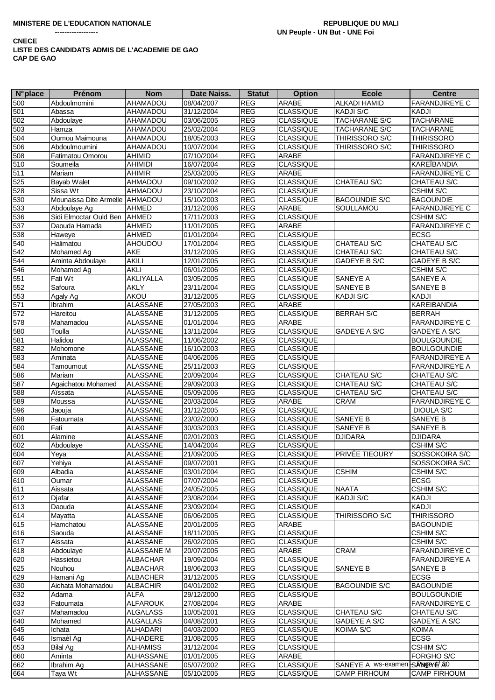| $N^{\circ}$ place | Prénom                         | <b>Nom</b>       | Date Naiss. | <b>Statut</b> | <b>Option</b>    | <b>Ecole</b>                 | <b>Centre</b>         |
|-------------------|--------------------------------|------------------|-------------|---------------|------------------|------------------------------|-----------------------|
| 500               | Abdoulmomini                   | <b>AHAMADOU</b>  | 08/04/2007  | <b>REG</b>    | <b>ARABE</b>     | <b>ALKADI HAMID</b>          | <b>FARANDJIREYE C</b> |
| 501               | Abassa                         | AHAMADOU         | 31/12/2004  | <b>REG</b>    | <b>CLASSIQUE</b> | KADJI S/C                    | <b>KADJI</b>          |
| 502               | Abdoulaye                      | <b>AHAMADOU</b>  | 03/06/2005  | <b>REG</b>    | <b>CLASSIQUE</b> | <b>TACHARANE S/C</b>         | <b>TACHARANE</b>      |
| 503               | Hamza                          | AHAMADOU         | 25/02/2004  | <b>REG</b>    | <b>CLASSIQUE</b> | <b>TACHARANE S/C</b>         | <b>TACHARANE</b>      |
| 504               | Oumou Maimouna                 | <b>AHAMADOU</b>  | 18/05/2003  | <b>REG</b>    | <b>CLASSIQUE</b> | THIRISSORO S/C               | <b>THIRISSORO</b>     |
|                   |                                |                  |             |               |                  |                              |                       |
| 506               | Abdoulmoumini                  | <b>AHAMADOU</b>  | 10/07/2004  | <b>REG</b>    | <b>CLASSIQUE</b> | THIRISSORO S/C               | <b>THIRISSORO</b>     |
| 508               | Fatimatou Omorou               | AHIMID           | 07/10/2004  | <b>REG</b>    | <b>ARABE</b>     |                              | <b>FARANDJIREYE C</b> |
| 510               | Soumeila                       | <b>AHIMIDI</b>   | 16/07/2004  | <b>REG</b>    | <b>CLASSIQUE</b> |                              | <b>KAREÏBANDIA</b>    |
| 511               | Mariam                         | <b>AHIMIR</b>    | 25/03/2005  | <b>REG</b>    | <b>ARABE</b>     |                              | <b>FARANDJIREYE C</b> |
| 525               | Bayab Walet                    | AHMADOU          | 09/10/2002  | <b>REG</b>    | <b>CLASSIQUE</b> | <b>CHATEAU S/C</b>           | CHATEAU S/C           |
| 528               | Sissa Wt                       | AHMADOU          | 23/10/2004  | REG           | <b>CLASSIQUE</b> |                              | <b>CSHIM S/C</b>      |
| 530               | Mounaissa Dite Armelle AHMADOU |                  | 15/10/2003  | <b>REG</b>    | <b>CLASSIQUE</b> | <b>BAGOUNDIE S/C</b>         | <b>BAGOUNDIE</b>      |
| 533               | Abdoulaye Ag                   | <b>AHMED</b>     | 31/12/2006  | <b>REG</b>    | ARABE            | SOULLAMOU                    | <b>FARANDJIREYE C</b> |
| 536               | Sidi Elmoctar Ould Ben AHMED   |                  | 17/11/2003  | <b>REG</b>    | <b>CLASSIQUE</b> |                              | <b>CSHIM S/C</b>      |
| 537               | Daouda Hamada                  | <b>AHMED</b>     | 11/01/2005  | <b>REG</b>    | ARABE            |                              | <b>FARANDJIREYE C</b> |
| 538               | Haweye                         | AHMED            | 01/01/2004  | <b>REG</b>    | <b>CLASSIQUE</b> |                              | <b>ECSG</b>           |
| 540               | Halimatou                      | <b>AHOUDOU</b>   | 17/01/2004  | <b>REG</b>    | <b>CLASSIQUE</b> | CHATEAU S/C                  | CHATEAU S/C           |
| 542               | Mohamed Ag                     | AKE              | 31/12/2005  | <b>REG</b>    | <b>CLASSIQUE</b> | CHATEAU S/C                  | CHATEAU S/C           |
| 544               | Aminta Abdoulaye               | <b>AKILI</b>     | 12/01/2005  | REG           | <b>CLASSIQUE</b> | GADEYE B S/C                 | GADEYE B S/C          |
| 546               |                                | <b>AKLI</b>      |             | REG           |                  |                              |                       |
|                   | Mohamed Ag                     |                  | 06/01/2006  |               | <b>CLASSIQUE</b> |                              | CSHIM S/C             |
| 551               | Fati Wt                        | <b>AKLIYALLA</b> | 03/05/2005  | REG           | <b>CLASSIQUE</b> | <b>SANEYE A</b>              | <b>SANEYE A</b>       |
| 552               | Safoura                        | AKLY             | 23/11/2004  | <b>REG</b>    | <b>CLASSIQUE</b> | SANEYE B                     | SANEYE B              |
| 553               | Agaly Ag                       | AKOU             | 31/12/2005  | REG           | <b>CLASSIQUE</b> | <b>KADJI S/C</b>             | <b>KADJI</b>          |
| 571               | Ibrahim                        | <b>ALASSANE</b>  | 27/05/2003  | <b>REG</b>    | ARABE            |                              | <b>KAREIBANDIA</b>    |
| 572               | Hareitou                       | <b>ALASSANE</b>  | 31/12/2005  | <b>REG</b>    | <b>CLASSIQUE</b> | <b>BERRAH S/C</b>            | <b>BERRAH</b>         |
| 578               | Mahamadou                      | <b>ALASSANE</b>  | 01/01/2004  | <b>REG</b>    | <b>ARABE</b>     |                              | <b>FARANDJIREYE C</b> |
| 580               | Toulla                         | <b>ALASSANE</b>  | 13/11/2004  | <b>REG</b>    | <b>CLASSIQUE</b> | <b>GADEYE A S/C</b>          | GADEYE A S/C          |
| 581               | Halidou                        | <b>ALASSANE</b>  | 11/06/2002  | <b>REG</b>    | <b>CLASSIQUE</b> |                              | <b>BOULGOUNDIE</b>    |
| 582               | Mohomone                       | <b>ALASSANE</b>  | 16/10/2003  | REG           | <b>CLASSIQUE</b> |                              | <b>BOULGOUNDIE</b>    |
| 583               | Aminata                        | <b>ALASSANE</b>  | 04/06/2006  | <b>REG</b>    | <b>CLASSIQUE</b> |                              | <b>FARANDJIREYE A</b> |
| 584               | Tamoumout                      | <b>ALASSANE</b>  | 25/11/2003  | REG           | <b>CLASSIQUE</b> |                              | <b>FARANDJIREYE A</b> |
| 586               | Mariam                         | ALASSANE         | 20/09/2004  | REG           | <b>CLASSIQUE</b> | CHATEAU S/C                  | CHATEAU S/C           |
| 587               | Agaichatou Mohamed             | <b>ALASSANE</b>  | 29/09/2003  | <b>REG</b>    | <b>CLASSIQUE</b> | CHATEAU S/C                  | CHATEAU S/C           |
| 588               | Aïssata                        | <b>ALASSANE</b>  | 05/09/2006  | <b>REG</b>    | <b>CLASSIQUE</b> | CHATEAU S/C                  | CHATEAU S/C           |
|                   |                                |                  |             |               |                  |                              |                       |
| 589               | Moussa                         | <b>ALASSANE</b>  | 20/03/2004  | <b>REG</b>    | <b>ARABE</b>     | <b>CRAM</b>                  | <b>FARANDJIREYE C</b> |
| 596               | Jaouja                         | <b>ALASSANE</b>  | 31/12/2005  | <b>REG</b>    | <b>CLASSIQUE</b> |                              | <b>DIOULA S/C</b>     |
| 598               | Fatoumata                      | <b>ALASSANE</b>  | 23/02/2000  | <b>REG</b>    | <b>CLASSIQUE</b> | SANEYE B                     | SANEYE B              |
| 600               | Fati                           | <b>ALASSANE</b>  | 30/03/2003  | <b>REG</b>    | <b>CLASSIQUE</b> | SANEYE B                     | SANEYE B              |
| 601               | Alamine                        | <b>ALASSANE</b>  | 02/01/2003  | <b>REG</b>    | <b>CLASSIQUE</b> | <b>DJIDARA</b>               | <b>DJIDARA</b>        |
| 602               | Abdoulaye                      | <b>ALASSANE</b>  | 14/04/2004  | <b>REG</b>    | <b>CLASSIQUE</b> |                              | CSHIM S/C             |
| 604               | Yeya                           | <b>ALASSANE</b>  | 21/09/2005  | <b>REG</b>    | <b>CLASSIQUE</b> | PRIVÉE TIEOURY               | SOSSOKOIRA S/C        |
| 607               | Yehiya                         | <b>ALASSANE</b>  | 09/07/2001  | <b>REG</b>    | <b>CLASSIQUE</b> |                              | SOSSOKOIRA S/C        |
| 609               | Albadia                        | <b>ALASSANE</b>  | 03/01/2004  | <b>REG</b>    | <b>CLASSIQUE</b> | <b>CSHIM</b>                 | <b>CSHIM S/C</b>      |
| 610               | Oumar                          | <b>ALASSANE</b>  | 07/07/2004  | <b>REG</b>    | <b>CLASSIQUE</b> |                              | <b>ECSG</b>           |
| 611               | Aissata                        | <b>ALASSANE</b>  | 24/05/2005  | <b>REG</b>    | <b>CLASSIQUE</b> | <b>NAATA</b>                 | <b>CSHIM S/C</b>      |
| 612               | Djafar                         | <b>ALASSANE</b>  | 23/08/2004  | <b>REG</b>    | <b>CLASSIQUE</b> | <b>KADJI S/C</b>             | <b>KADJI</b>          |
| 613               | Daouda                         | <b>ALASSANE</b>  | 23/09/2004  | <b>REG</b>    | <b>CLASSIQUE</b> |                              | <b>KADJI</b>          |
| 614               | Mayatta                        | <b>ALASSANE</b>  | 06/06/2005  | <b>REG</b>    | <b>CLASSIQUE</b> | THIRISSORO S/C               | <b>THIRISSORO</b>     |
| 615               | Hamchatou                      | <b>ALASSANE</b>  | 20/01/2005  | <b>REG</b>    | ARABE            |                              | <b>BAGOUNDIE</b>      |
| 616               | Saouda                         | <b>ALASSANE</b>  | 18/11/2005  | <b>REG</b>    | <b>CLASSIQUE</b> |                              | <b>CSHIM S/C</b>      |
|                   |                                |                  |             |               |                  |                              |                       |
| 617               | Aissata                        | <b>ALASSANE</b>  | 26/02/2005  | <b>REG</b>    | <b>CLASSIQUE</b> |                              | <b>CSHIM S/C</b>      |
| 618               | Abdoulaye                      | ALASSANE M       | 20/07/2005  | REG           | ARABE            | <b>CRAM</b>                  | <b>FARANDJIREYE C</b> |
| 620               | Hassietou                      | <b>ALBACHAR</b>  | 19/09/2004  | <b>REG</b>    | <b>CLASSIQUE</b> |                              | <b>FARANDJIREYE A</b> |
| 625               | Nouhou                         | <b>ALBACHAR</b>  | 18/06/2003  | <b>REG</b>    | <b>CLASSIQUE</b> | <b>SANEYE B</b>              | SANEYE B              |
| 629               | Hamani Ag                      | <b>ALBACHER</b>  | 31/12/2005  | <b>REG</b>    | <b>CLASSIQUE</b> |                              | <b>ECSG</b>           |
| 630               | Aichata Mohamadou              | <b>ALBACHIR</b>  | 04/01/2002  | <b>REG</b>    | <b>CLASSIQUE</b> | <b>BAGOUNDIE S/C</b>         | <b>BAGOUNDIE</b>      |
| 632               | Adama                          | <b>ALFA</b>      | 29/12/2000  | <b>REG</b>    | <b>CLASSIQUE</b> |                              | <b>BOULGOUNDIE</b>    |
| 633               | Fatoumata                      | <b>ALFAROUK</b>  | 27/08/2004  | <b>REG</b>    | ARABE            |                              | <b>FARANDJIREYE C</b> |
| 637               | Mahamadou                      | <b>ALGALASS</b>  | 10/05/2001  | <b>REG</b>    | <b>CLASSIQUE</b> | <b>CHATEAU S/C</b>           | CHATEAU S/C           |
| 640               | Mohamed                        | <b>ALGALLAS</b>  | 04/08/2001  | REG           | <b>CLASSIQUE</b> | GADEYE A S/C                 | GADEYE A S/C          |
| 645               | Ichata                         | ALHADARI         | 04/03/2000  | <b>REG</b>    | <b>CLASSIQUE</b> | KOIMA S/C                    | <b>KOIMA</b>          |
| 646               | Ismaèl Ag                      | <b>ALHADERE</b>  | 31/08/2005  | <b>REG</b>    | <b>CLASSIQUE</b> |                              | <b>ECSG</b>           |
| 653               | Bilal Aq                       | <b>ALHAMISS</b>  | 31/12/2004  | <b>REG</b>    | <b>CLASSIQUE</b> |                              | <b>CSHIM S/C</b>      |
| 660               | Aminta                         | ALHASSANE        | 01/01/2005  | <b>REG</b>    | ARABE            |                              | <b>FORGHO S/C</b>     |
|                   |                                |                  |             |               |                  |                              |                       |
| 662               | Ibrahim Ag                     | ALHASSANE        | 05/07/2002  | REG           | <b>CLASSIQUE</b> | SANEYE A ws-examen SRNGYE A0 |                       |
| 664               | Taya Wt                        | ALHASSANE        | 05/10/2005  | <b>REG</b>    | <b>CLASSIQUE</b> | <b>CAMP FIRHOUM</b>          | <b>CAMP FIRHOUM</b>   |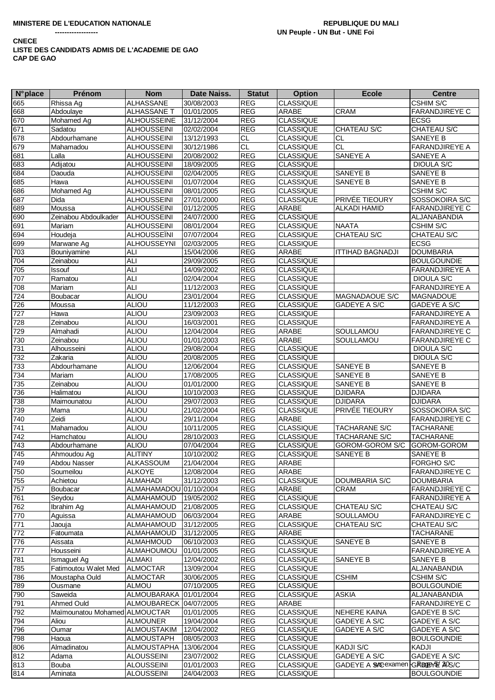| <b>N°</b> place | <b>Prénom</b>                 | <b>Nom</b>             | Date Naiss. | <b>Statut</b> | <b>Option</b>    | <b>Ecole</b>                       | <b>Centre</b>         |
|-----------------|-------------------------------|------------------------|-------------|---------------|------------------|------------------------------------|-----------------------|
| 665             | Rhissa Ag                     | <b>ALHASSANE</b>       | 30/08/2003  | <b>REG</b>    | <b>CLASSIQUE</b> |                                    | <b>CSHIM S/C</b>      |
| 668             | Abdoulaye                     | ALHASSANE T            | 01/01/2005  | <b>REG</b>    | <b>ARABE</b>     | <b>CRAM</b>                        | <b>FARANDJIREYE C</b> |
| 670             | Mohamed Ag                    | <b>ALHOUSSEINE</b>     | 31/12/2004  | <b>REG</b>    | <b>CLASSIQUE</b> |                                    | <b>ECSG</b>           |
| 671             | Sadatou                       | <b>ALHOUSSEINI</b>     | 02/02/2004  | REG           | <b>CLASSIQUE</b> | CHATEAU S/C                        | <b>CHATEAU S/C</b>    |
| 678             | Abdourhamane                  | <b>ALHOUSSEINI</b>     | 13/12/1993  | CL            | <b>CLASSIQUE</b> | <b>CL</b>                          | SANEYE B              |
| 679             | Mahamadou                     | ALHOUSSEINI            | 30/12/1986  | <b>CL</b>     | <b>CLASSIQUE</b> | <b>CL</b>                          | <b>FARANDJIREYE A</b> |
| 681             | Lalla                         | <b>ALHOUSSEINI</b>     | 20/08/2002  | <b>REG</b>    | <b>CLASSIQUE</b> | SANEYE A                           | SANEYE A              |
|                 | Adijatou                      | <b>ALHOUSSEINI</b>     |             | <b>REG</b>    | <b>CLASSIQUE</b> |                                    | <b>DIOULA S/C</b>     |
| 683             |                               |                        | 18/09/2005  |               |                  |                                    |                       |
| 684             | Daouda                        | <b>ALHOUSSEINI</b>     | 02/04/2005  | <b>REG</b>    | <b>CLASSIQUE</b> | SANEYE B                           | SANEYE B              |
| 685             | Hawa                          | <b>ALHOUSSEINI</b>     | 01/07/2004  | <b>REG</b>    | <b>CLASSIQUE</b> | SANEYE B                           | SANEYE B              |
| 686             | Mohamed Ag                    | <b>ALHOUSSEINI</b>     | 08/01/2005  | <b>REG</b>    | <b>CLASSIQUE</b> |                                    | CSHIM S/C             |
| 687             | Dida                          | <b>ALHOUSSEINI</b>     | 27/01/2000  | <b>REG</b>    | <b>CLASSIQUE</b> | PRIVÉE TIEOURY                     | SOSSOKOIRA S/C        |
| 689             | Moussa                        | <b>ALHOUSSEINI</b>     | 01/12/2005  | REG           | ARABE            | <b>ALKADI HAMID</b>                | <b>FARANDJIREYE C</b> |
| 690             | Zeinabou Abdoulkader          | <b>ALHOUSSEINI</b>     | 24/07/2000  | <b>REG</b>    | <b>CLASSIQUE</b> |                                    | ALJANABANDIA          |
| 691             | Mariam                        | <b>ALHOUSSEINI</b>     | 08/01/2004  | <b>REG</b>    | <b>CLASSIQUE</b> | <b>NAATA</b>                       | CSHIM S/C             |
| 694             | Houdeja                       | <b>ALHOUSSEINI</b>     | 07/07/2004  | REG           | <b>CLASSIQUE</b> | <b>CHATEAU S/C</b>                 | CHATEAU S/C           |
| 699             | Marwane Ag                    | <b>ALHOUSSEYNI</b>     | 02/03/2005  | <b>REG</b>    | <b>CLASSIQUE</b> |                                    | <b>ECSG</b>           |
| 703             | Bouniyamine                   | <b>ALI</b>             | 15/04/2006  | <b>REG</b>    | ARABE            | <b>ITTIHAD BAGNADJI</b>            | <b>DOUMBARIA</b>      |
| 704             | Zeinabou                      | <b>ALI</b>             | 29/09/2005  | <b>REG</b>    | <b>CLASSIQUE</b> |                                    | <b>BOULGOUNDIE</b>    |
| 705             | Issouf                        | <b>ALI</b>             | 14/09/2002  | <b>REG</b>    | <b>CLASSIQUE</b> |                                    | <b>FARANDJIREYE A</b> |
| 707             | Ramatou                       | <b>ALI</b>             | 02/04/2004  | <b>REG</b>    | <b>CLASSIQUE</b> |                                    | <b>DIOULA S/C</b>     |
| 708             | Mariam                        | <b>ALI</b>             | 11/12/2003  | <b>REG</b>    | <b>CLASSIQUE</b> |                                    | <b>FARANDJIREYE A</b> |
| 724             | Boubacar                      | ALIOU                  | 23/01/2004  | <b>REG</b>    | CLASSIQUE        | MAGNADAOUE S/C                     | MAGNADOUE             |
| 726             | Moussa                        | <b>ALIOU</b>           | 11/12/2003  | <b>REG</b>    | <b>CLASSIQUE</b> | GADEYE A S/C                       | GADEYE A S/C          |
| 727             | Hawa                          | <b>ALIOU</b>           | 23/09/2003  | <b>REG</b>    | <b>CLASSIQUE</b> |                                    | <b>FARANDJIREYE A</b> |
| 728             | Zeinabou                      | <b>ALIOU</b>           | 16/03/2001  | <b>REG</b>    | <b>CLASSIQUE</b> |                                    | <b>FARANDJIREYE A</b> |
| 729             | Almahadi                      | <b>ALIOU</b>           | 12/04/2004  | <b>REG</b>    | ARABE            | SOULLAMOU                          | <b>FARANDJIREYE C</b> |
| 730             | Zeinabou                      | <b>ALIOU</b>           | 01/01/2003  | <b>REG</b>    | ARABE            | SOULLAMOU                          | <b>FARANDJIREYE C</b> |
| 731             | Alhousseini                   | <b>ALIOU</b>           | 29/08/2004  | <b>REG</b>    | <b>CLASSIQUE</b> |                                    | <b>DIOULA S/C</b>     |
|                 | Zakaria                       |                        |             | <b>REG</b>    |                  |                                    |                       |
| 732             |                               | <b>ALIOU</b>           | 20/08/2005  |               | <b>CLASSIQUE</b> |                                    | DIOULA S/C            |
| 733             | Abdourhamane                  | ALIOU                  | 12/06/2004  | <b>REG</b>    | <b>CLASSIQUE</b> | SANEYE B                           | SANEYE B              |
| 734             | Mariam                        | ALIOU                  | 17/08/2005  | <b>REG</b>    | <b>CLASSIQUE</b> | SANEYE B                           | SANEYE B              |
| 735             | Zeinabou                      | <b>ALIOU</b>           | 01/01/2000  | <b>REG</b>    | <b>CLASSIQUE</b> | SANEYE B                           | SANEYE B              |
| 736             | Halimatou                     | <b>ALIOU</b>           | 10/10/2003  | <b>REG</b>    | <b>CLASSIQUE</b> | <b>DJIDARA</b>                     | <b>DJIDARA</b>        |
| 738             | Maimounatou                   | <b>ALIOU</b>           | 29/07/2003  | <b>REG</b>    | <b>CLASSIQUE</b> | <b>DJIDARA</b>                     | <b>DJIDARA</b>        |
| 739             | Mama                          | ALIOU                  | 21/02/2004  | <b>REG</b>    | <b>CLASSIQUE</b> | PRIVÉE TIEOURY                     | SOSSOKOIRA S/C        |
| 740             | Zeidi                         | <b>ALIOU</b>           | 29/11/2004  | <b>REG</b>    | ARABE            |                                    | <b>FARANDJIREYE C</b> |
| 741             | Mahamadou                     | <b>ALIOU</b>           | 10/11/2005  | <b>REG</b>    | <b>CLASSIQUE</b> | TACHARANE S/C                      | <b>TACHARANE</b>      |
| 742             | Hamchatou                     | <b>ALIOU</b>           | 28/10/2003  | <b>REG</b>    | <b>CLASSIQUE</b> | <b>TACHARANE S/C</b>               | <b>TACHARANE</b>      |
| 743             | Abdourhamane                  | ALIOU                  | 07/04/2004  | REG           | <b>CLASSIQUE</b> | GOROM-GOROM S/C                    | GOROM-GOROM           |
| 745             | Ahmoudou Ag                   | <b>ALITINY</b>         | 10/10/2002  | <b>REG</b>    | <b>CLASSIQUE</b> | SANEYE B                           | <b>SANEYE B</b>       |
| 749             | Abdou Nasser                  | ALKASSOUM              | 21/04/2004  | <b>REG</b>    | ARABE            |                                    | FORGHO S/C            |
| 750             | Soumeilou                     | ALKOYE                 | 12/08/2004  | <b>REG</b>    | ARABE            |                                    | <b>FARANDJIREYE C</b> |
| 755             | Achietou                      | ALMAHADI               | 31/12/2003  | <b>REG</b>    | <b>CLASSIQUE</b> | DOUMBARIA S/C                      | <b>DOUMBARIA</b>      |
| 757             | Boubacar                      | ALMAHAMADOU 01/10/2004 |             | <b>REG</b>    | <b>ARABE</b>     | <b>CRAM</b>                        | <b>FARANDJIREYE C</b> |
| 761             | Seydou                        | ALMAHAMOUD             | 19/05/2002  | <b>REG</b>    | <b>CLASSIQUE</b> |                                    | <b>FARANDJIREYE A</b> |
| 762             | Ibrahim Ag                    | ALMAHAMOUD             | 21/08/2005  | REG           | <b>CLASSIQUE</b> | CHATEAU S/C                        | CHATEAU S/C           |
| 770             | Aguissa                       | ALMAHAMOUD             | 06/03/2004  | REG           | ARABE            | SOULLAMOU                          | <b>FARANDJIREYE C</b> |
| 771             | Jaouja                        | ALMAHAMOUD             | 31/12/2005  | <b>REG</b>    | <b>CLASSIQUE</b> | CHATEAU S/C                        | CHATEAU S/C           |
| 772             | Fatoumata                     | <b>ALMAHAMOUD</b>      | 31/12/2005  | <b>REG</b>    | <b>ARABE</b>     |                                    | <b>TACHARANE</b>      |
| 776             | Aissata                       | ALMAHMOUD              | 06/10/2003  | REG           | <b>CLASSIQUE</b> | SANEYE B                           | <b>SANEYE B</b>       |
| 777             | Housseini                     | ALMAHOUMOU             | 01/01/2005  | <b>REG</b>    | <b>CLASSIQUE</b> |                                    | <b>FARANDJIREYE A</b> |
| 781             | Ismaguel Ag                   | <b>ALMAKI</b>          | 12/04/2002  | <b>REG</b>    | <b>CLASSIQUE</b> | <b>SANEYE B</b>                    | SANEYE B              |
|                 | Fatimoutou Walet Med          |                        |             | <b>REG</b>    |                  |                                    | ALJANABANDIA          |
| 785             |                               | <b>ALMOCTAR</b>        | 13/09/2004  |               | <b>CLASSIQUE</b> |                                    |                       |
| 786             | Moustapha Ould                | <b>ALMOCTAR</b>        | 30/06/2005  | <b>REG</b>    | <b>CLASSIQUE</b> | <b>CSHIM</b>                       | <b>CSHIM S/C</b>      |
| 789             | Ousmane                       | ALMOU                  | 07/10/2005  | <b>REG</b>    | <b>CLASSIQUE</b> |                                    | <b>BOULGOUNDIE</b>    |
| 790             | Saweida                       | ALMOUBARAKA 01/01/2004 |             | REG           | <b>CLASSIQUE</b> | <b>ASKIA</b>                       | ALJANABANDIA          |
| 791             | Ahmed Ould                    | ALMOUBARECK 04/07/2005 |             | REG           | ARABE            |                                    | <b>FARANDJIREYE C</b> |
| 792             | Maïmounatou Mohamed ALMOUCTAR |                        | 01/01/2005  | <b>REG</b>    | <b>CLASSIQUE</b> | NEHERE KAINA                       | <b>GADEYE B S/C</b>   |
| 794             | Aliou                         | <b>ALMOUNER</b>        | 19/04/2004  | <b>REG</b>    | <b>CLASSIQUE</b> | GADEYE A S/C                       | GADEYE A S/C          |
| 796             | Oumar                         | ALMOUSTAKIM            | 12/04/2002  | <b>REG</b>    | <b>CLASSIQUE</b> | GADEYE A S/C                       | GADEYE A S/C          |
| 798             | Haoua                         | ALMOUSTAPH             | 08/05/2003  | <b>REG</b>    | <b>CLASSIQUE</b> |                                    | <b>BOULGOUNDIE</b>    |
| 806             | Almadinatou                   | ALMOUSTAPHA            | 13/06/2004  | <b>REG</b>    | <b>CLASSIQUE</b> | <b>KADJI S/C</b>                   | <b>KADJI</b>          |
| 812             | Adama                         | <b>ALOUSSEINI</b>      | 23/07/2002  | REG           | <b>CLASSIQUE</b> | GADEYE A S/C                       | <b>GADEYE A S/C</b>   |
| 813             | Bouba                         | <b>ALOUSSEINI</b>      | 01/01/2003  | <b>REG</b>    | <b>CLASSIQUE</b> | GADEYE A SUSGexamen GREEN TE AOS/C |                       |
| 814             | Aminata                       | <b>ALOUSSEINI</b>      | 24/04/2003  | <b>REG</b>    | <b>CLASSIQUE</b> |                                    | <b>BOULGOUNDIE</b>    |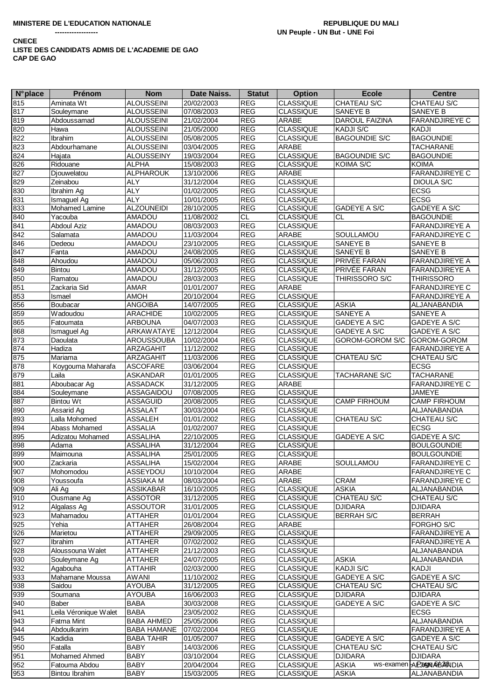| <b>N°</b> place | Prénom                | <b>Nom</b>         | Date Naiss. | <b>Statut</b> | <b>Option</b>    | <b>Ecole</b>         | <b>Centre</b>          |
|-----------------|-----------------------|--------------------|-------------|---------------|------------------|----------------------|------------------------|
| 815             | Aminata Wt            | <b>ALOUSSEINI</b>  | 20/02/2003  | <b>REG</b>    | <b>CLASSIQUE</b> | CHATEAU S/C          | CHATEAU S/C            |
| 817             | Souleymane            | <b>ALOUSSEINI</b>  | 07/08/2003  | <b>REG</b>    | <b>CLASSIQUE</b> | SANEYE B             | SANEYE B               |
| 819             | Abdoussamad           | <b>ALOUSSEINI</b>  | 21/02/2004  | <b>REG</b>    | ARABE            | DAROUL FAIZINA       | <b>FARANDJIREYE C</b>  |
| 820             | Hawa                  | <b>ALOUSSEINI</b>  | 21/05/2000  | <b>REG</b>    | <b>CLASSIQUE</b> | <b>KADJI S/C</b>     | KADJI                  |
| 822             | <b>Ibrahim</b>        | <b>ALOUSSEINI</b>  | 05/08/2005  | <b>REG</b>    | <b>CLASSIQUE</b> | <b>BAGOUNDIE S/C</b> | <b>BAGOUNDIE</b>       |
| 823             | Abdourhamane          | <b>ALOUSSEINI</b>  | 03/04/2005  | <b>REG</b>    | ARABE            |                      | <b>TACHARANE</b>       |
| 824             | Hajata                | <b>ALOUSSEINY</b>  | 19/03/2004  | <b>REG</b>    | <b>CLASSIQUE</b> | <b>BAGOUNDIE S/C</b> | <b>BAGOUNDIE</b>       |
| 826             | Ridouane              | <b>ALPHA</b>       | 15/08/2003  | <b>REG</b>    | CLASSIQUE        | KOIMA S/C            | <b>KOIMA</b>           |
| 827             | Djouwelatou           | <b>ALPHAROUK</b>   |             | <b>REG</b>    | ARABE            |                      | <b>FARANDJIREYE C</b>  |
|                 |                       |                    | 13/10/2006  |               |                  |                      |                        |
| 829             | Zeinabou              | <b>ALY</b>         | 31/12/2004  | <b>REG</b>    | <b>CLASSIQUE</b> |                      | DIOULA S/C             |
| 830             | Ibrahim Ag            | <b>ALY</b>         | 01/02/2005  | <b>REG</b>    | <b>CLASSIQUE</b> |                      | <b>ECSG</b>            |
| 831             | Ismaguel Ag           | ALY                | 10/01/2005  | <b>REG</b>    | <b>CLASSIQUE</b> |                      | <b>ECSG</b>            |
| 833             | Mohamed Lamine        | <b>ALZOUNEIDI</b>  | 28/10/2005  | <b>REG</b>    | <b>CLASSIQUE</b> | <b>GADEYE A S/C</b>  | <b>GADEYE A S/C</b>    |
| 840             | Yacouba               | <b>AMADOU</b>      | 11/08/2002  | <b>CL</b>     | <b>CLASSIQUE</b> | <b>CL</b>            | <b>BAGOUNDIE</b>       |
| 841             | <b>Abdoul Aziz</b>    | AMADOU             | 08/03/2003  | <b>REG</b>    | <b>CLASSIQUE</b> |                      | FARANDJIREYE A         |
| 842             | Salamata              | <b>AMADOU</b>      | 11/03/2004  | <b>REG</b>    | ARABE            | SOULLAMOU            | <b>FARANDJIREYE C</b>  |
| 846             | Dedeou                | <b>AMADOU</b>      | 23/10/2005  | <b>REG</b>    | <b>CLASSIQUE</b> | SANEYE B             | SANEYE B               |
| 847             | Fanta                 | <b>AMADOU</b>      | 24/08/2005  | <b>REG</b>    | <b>CLASSIQUE</b> | SANEYE B             | SANEYE B               |
| 848             | Ahoudou               | <b>AMADOU</b>      | 05/06/2003  | <b>REG</b>    | <b>CLASSIQUE</b> | PRIVÉE FARAN         | <b>FARANDJIREYE A</b>  |
| 849             | Bintou                | <b>AMADOU</b>      | 31/12/2005  | <b>REG</b>    | <b>CLASSIQUE</b> | PRIVÉE FARAN         | <b>FARANDJIREYE A</b>  |
| 850             | Ramatou               | <b>AMADOU</b>      | 28/03/2003  | <b>REG</b>    | <b>CLASSIQUE</b> | THIRISSORO S/C       | <b>THIRISSORO</b>      |
| 851             | Zackaria Sid          | AMAR               | 01/01/2007  | <b>REG</b>    | <b>ARABE</b>     |                      | FARANDJIREYE C         |
| 853             |                       | <b>AMOH</b>        | 20/10/2004  | <b>REG</b>    | CLASSIQUE        |                      | <b>FARANDJIREYE A</b>  |
|                 | Ismael                |                    |             |               |                  |                      |                        |
| 856             | Boubacar              | <b>ANGOIBA</b>     | 14/07/2005  | <b>REG</b>    | <b>CLASSIQUE</b> | <b>ASKIA</b>         | ALJANABANDIA           |
| 859             | Wadoudou              | <b>ARACHIDE</b>    | 10/02/2005  | <b>REG</b>    | <b>CLASSIQUE</b> | <b>SANEYE A</b>      | SANEYE A               |
| 865             | Fatoumata             | <b>ARBOUNA</b>     | 04/07/2003  | <b>REG</b>    | <b>CLASSIQUE</b> | GADEYE A S/C         | <b>GADEYE A S/C</b>    |
| 868             | Ismaguel Ag           | <b>ARKAWATAYE</b>  | 12/12/2004  | <b>REG</b>    | <b>CLASSIQUE</b> | GADEYE A S/C         | GADEYE A S/C           |
| 873             | Daoulata              | AROUSSOUBA         | 10/02/2004  | <b>REG</b>    | CLASSIQUE        | GOROM-GOROM S/C      | GOROM-GOROM            |
| 874             | Hadiza                | <b>ARZAGAHIT</b>   | 11/12/2002  | <b>REG</b>    | <b>CLASSIQUE</b> |                      | <b>FARANDJIREYE A</b>  |
| 875             | Mariama               | ARZAGAHIT          | 11/03/2006  | <b>REG</b>    | <b>CLASSIQUE</b> | CHATEAU S/C          | CHATEAU S/C            |
| 878             | Koygouma Maharafa     | <b>ASCOFARE</b>    | 03/06/2004  | <b>REG</b>    | <b>CLASSIQUE</b> |                      | <b>ECSG</b>            |
| 879             | Laila                 | <b>ASKANDAR</b>    | 01/01/2005  | <b>REG</b>    | <b>CLASSIQUE</b> | <b>TACHARANE S/C</b> | <b>TACHARANE</b>       |
| 881             | Aboubacar Ag          | <b>ASSADACK</b>    | 31/12/2005  | <b>REG</b>    | <b>ARABE</b>     |                      | FARANDJIREYE C         |
| 884             | Souleymane            | ASSAGAIDOU         | 07/08/2005  | <b>REG</b>    | <b>CLASSIQUE</b> |                      | <b>JAMEYE</b>          |
| 887             | <b>Bintou Wt</b>      | <b>ASSAGUID</b>    | 20/08/2005  | <b>REG</b>    | <b>CLASSIQUE</b> | <b>CAMP FIRHOUM</b>  | <b>CAMP FIRHOUM</b>    |
| 890             | Assarid Ag            | <b>ASSALAT</b>     | 30/03/2004  | <b>REG</b>    | <b>CLASSIQUE</b> |                      | ALJANABANDIA           |
| 893             | Lalla Mohomed         |                    |             | <b>REG</b>    | <b>CLASSIQUE</b> | <b>CHATEAU S/C</b>   | CHATEAU S/C            |
|                 |                       | ASSALEH            | 01/01/2002  |               |                  |                      | <b>ECSG</b>            |
| 894             | Abass Mohamed         | <b>ASSALIA</b>     | 01/02/2007  | <b>REG</b>    | <b>CLASSIQUE</b> |                      |                        |
| 895             | Adizatou Mohamed      | <b>ASSALIHA</b>    | 22/10/2005  | <b>REG</b>    | <b>CLASSIQUE</b> | GADEYE A S/C         | GADEYE A S/C           |
| 898             | Adama                 | <b>ASSALIHA</b>    | 31/12/2004  | <b>REG</b>    | <b>CLASSIQUE</b> |                      | <b>BOULGOUNDIE</b>     |
| 899             | Maimouna              | <b>ASSALIHA</b>    | 25/01/2005  | <b>REG</b>    | CLASSIQUE        |                      | <b>BOULGOUNDIE</b>     |
| 900             | Zackaria              | <b>ASSALIHA</b>    | 15/02/2004  | <b>REG</b>    | ARABE            | SOULLAMOU            | <b>FARANDJIREYE C</b>  |
| 907             | Mohomodou             | ASSEYDOU           | 10/10/2004  | <b>REG</b>    | ARABE            |                      | <b>FARANDJIREYE C</b>  |
| 908             | Youssoufa             | ASSIAKA M          | 08/03/2004  | <b>REG</b>    | ARABE            | <b>CRAM</b>          | <b>FARANDJIREYE C</b>  |
| 909             | Ali Ag                | <b>ASSIKABAR</b>   | 16/10/2005  | <b>REG</b>    | <b>CLASSIQUE</b> | <b>ASKIA</b>         | ALJANABANDIA           |
| 910             | Ousmane Ag            | <b>ASSOTOR</b>     | 31/12/2005  | <b>REG</b>    | <b>CLASSIQUE</b> | CHATEAU S/C          | CHATEAU S/C            |
| 912             | Algalass Ag           | <b>ASSOUTOR</b>    | 31/01/2005  | <b>REG</b>    | <b>CLASSIQUE</b> | <b>DJIDARA</b>       | <b>DJIDARA</b>         |
| 923             | Mahamadou             | ATTAHER            | 01/01/2004  | <b>REG</b>    | <b>CLASSIQUE</b> | <b>BERRAH S/C</b>    | <b>BERRAH</b>          |
| 925             | Yehia                 | <b>ATTAHER</b>     | 26/08/2004  | <b>REG</b>    | ARABE            |                      | FORGHO S/C             |
| 926             | Marietou              | <b>ATTAHER</b>     | 29/09/2005  | <b>REG</b>    | <b>CLASSIQUE</b> |                      | <b>FARANDJIREYE A</b>  |
| 927             | Ibrahim               | <b>ATTAHER</b>     | 07/02/2002  | <b>REG</b>    | <b>CLASSIQUE</b> |                      | <b>FARANDJIREYE A</b>  |
|                 | Aloussouna Walet      |                    |             | <b>REG</b>    |                  |                      |                        |
| 928             |                       | <b>ATTAHER</b>     | 21/12/2003  |               | <b>CLASSIQUE</b> |                      | ALJANABANDIA           |
| 930             | Souleymane Ag         | <b>ATTAHER</b>     | 24/07/2005  | <b>REG</b>    | <b>CLASSIQUE</b> | <b>ASKIA</b>         | ALJANABANDIA           |
| 932             | Agabouha              | <b>ATTAHIR</b>     | 02/03/2000  | <b>REG</b>    | <b>CLASSIQUE</b> | <b>KADJI S/C</b>     | KADJI                  |
| 933             | Mahamane Moussa       | <b>AWANI</b>       | 11/10/2002  | <b>REG</b>    | <b>CLASSIQUE</b> | <b>GADEYE A S/C</b>  | GADEYE A S/C           |
| 938             | Saidou                | <b>AYOUBA</b>      | 31/12/2005  | <b>REG</b>    | <b>CLASSIQUE</b> | CHATEAU S/C          | CHATEAU S/C            |
| 939             | Soumana               | <b>AYOUBA</b>      | 16/06/2003  | <b>REG</b>    | <b>CLASSIQUE</b> | <b>DJIDARA</b>       | <b>DJIDARA</b>         |
| 940             | Baber                 | <b>BABA</b>        | 30/03/2008  | <b>REG</b>    | <b>CLASSIQUE</b> | <b>GADEYE A S/C</b>  | GADEYE A S/C           |
| 941             | Leila Véronique Walet | <b>BABA</b>        | 23/05/2002  | <b>REG</b>    | <b>CLASSIQUE</b> |                      | <b>ECSG</b>            |
| 943             | Fatma Mint            | <b>BABA AHMED</b>  | 25/05/2006  | <b>REG</b>    | <b>CLASSIQUE</b> |                      | ALJANABANDIA           |
| 944             | Abdoulkarim           | <b>BABA HAMANE</b> | 07/02/2004  | <b>REG</b>    | <b>CLASSIQUE</b> |                      | <b>FARANDJIREYE A</b>  |
| 945             | Kadidia               | <b>BABA TAHIR</b>  | 01/05/2007  | <b>REG</b>    | <b>CLASSIQUE</b> | GADEYE A S/C         | GADEYE A S/C           |
| 950             | Fatalla               | <b>BABY</b>        | 14/03/2006  | <b>REG</b>    | <b>CLASSIQUE</b> | CHATEAU S/C          | CHATEAU S/C            |
|                 |                       |                    |             |               |                  |                      |                        |
| 951             | Mohamed Ahmed         | <b>BABY</b>        | 03/10/2004  | <b>REG</b>    | <b>CLASSIQUE</b> | <b>DJIDARA</b>       | <b>DJIDARA</b>         |
| 952             | Fatouma Abdou         | BABY               | 20/04/2004  | <b>REG</b>    | <b>CLASSIQUE</b> | ASKIA                | ws-examen ARANGABANDIA |
| 953             | Bintou Ibrahim        | <b>BABY</b>        | 15/03/2005  | <b>REG</b>    | <b>CLASSIQUE</b> | <b>ASKIA</b>         | ALJANABANDIA           |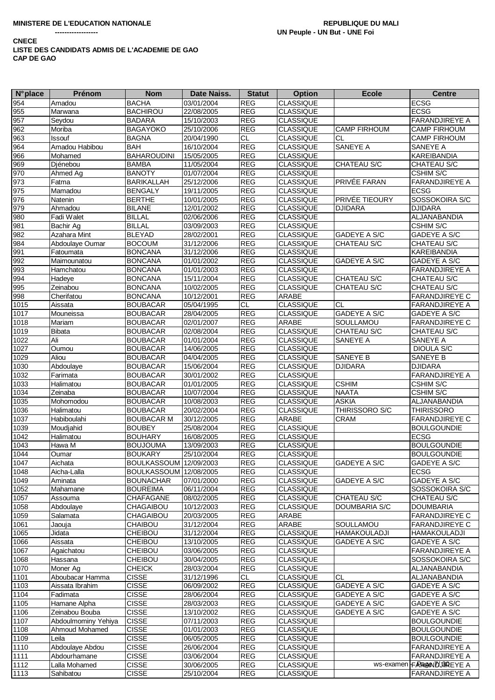| $N^{\circ}$ place | <b>Prénom</b>       | <b>Nom</b>                    | Date Naiss. | <b>Statut</b> | <b>Option</b>    | <b>Ecole</b>         | <b>Centre</b>             |
|-------------------|---------------------|-------------------------------|-------------|---------------|------------------|----------------------|---------------------------|
| 954               | Amadou              | <b>BACHA</b>                  | 03/01/2004  | <b>REG</b>    | <b>CLASSIQUE</b> |                      | <b>ECSG</b>               |
| 955               | Marwana             | <b>BACHIROU</b>               | 22/08/2005  | <b>REG</b>    | <b>CLASSIQUE</b> |                      | <b>ECSG</b>               |
| 957               | Seydou              | <b>BADARA</b>                 | 15/10/2003  | <b>REG</b>    | <b>CLASSIQUE</b> |                      | <b>FARANDJIREYE A</b>     |
| 962               | Moriba              | <b>BAGAYOKO</b>               | 25/10/2006  | <b>REG</b>    | <b>CLASSIQUE</b> | <b>CAMP FIRHOUM</b>  | <b>CAMP FIRHOUM</b>       |
| 963               | <b>Issouf</b>       | <b>BAGNA</b>                  | 20/04/1990  | CL            | <b>CLASSIQUE</b> | СL                   | <b>CAMP FIRHOUM</b>       |
| 964               | Amadou Habibou      | <b>BAH</b>                    | 16/10/2004  | <b>REG</b>    | <b>CLASSIQUE</b> | SANEYE A             | SANEYE A                  |
| 966               | Mohamed             | <b>BAHAROUDINI</b>            | 15/05/2005  | <b>REG</b>    | <b>CLASSIQUE</b> |                      | <b>KAREIBANDIA</b>        |
| 969               | Diénebou            | <b>BAMBA</b>                  | 11/05/2004  | REG           | <b>CLASSIQUE</b> | CHATEAU S/C          | CHATEAU S/C               |
| 970               |                     | <b>BANOTY</b>                 | 01/07/2004  | <b>REG</b>    | <b>CLASSIQUE</b> |                      | <b>CSHIM S/C</b>          |
| 973               | Ahmed Ag            |                               |             |               |                  | PRIVÉE FARAN         | <b>FARANDJIREYE A</b>     |
|                   | Fatma               | <b>BARIKALLAH</b>             | 25/12/2006  | <b>REG</b>    | <b>CLASSIQUE</b> |                      |                           |
| 975               | Mamadou             | <b>BENGALY</b>                | 19/11/2005  | REG           | <b>CLASSIQUE</b> |                      | <b>ECSG</b>               |
| 976               | Natenin             | <b>BERTHE</b>                 | 10/01/2005  | <b>REG</b>    | <b>CLASSIQUE</b> | PRIVÉE TIEOURY       | SOSSOKOIRA S/C            |
| 979               | Ahmadou             | <b>BILANE</b>                 | 12/01/2002  | REG           | <b>CLASSIQUE</b> | <b>DJIDARA</b>       | <b>DJIDARA</b>            |
| 980               | Fadi Walet          | <b>BILLAL</b>                 | 02/06/2006  | <b>REG</b>    | <b>CLASSIQUE</b> |                      | ALJANABANDIA              |
| 981               | Bachir Ag           | <b>BILLAL</b>                 | 03/09/2003  | <b>REG</b>    | <b>CLASSIQUE</b> |                      | CSHIM S/C                 |
| 982               | Azahara Mint        | <b>BLEYAD</b>                 | 28/02/2001  | <b>REG</b>    | <b>CLASSIQUE</b> | GADEYE A S/C         | GADEYE A S/C              |
| 984               | Abdoulaye Oumar     | <b>BOCOUM</b>                 | 31/12/2006  | <b>REG</b>    | <b>CLASSIQUE</b> | CHATEAU S/C          | CHATEAU S/C               |
| 991               | Fatoumata           | <b>BONCANA</b>                | 31/12/2006  | <b>REG</b>    | <b>CLASSIQUE</b> |                      | <b>KAREIBANDIA</b>        |
| 992               | Maimounatou         | <b>BONCANA</b>                | 01/01/2002  | REG           | <b>CLASSIQUE</b> | GADEYE A S/C         | GADEYE A S/C              |
| 993               | Hamchatou           | <b>BONCANA</b>                | 01/01/2003  | <b>REG</b>    | <b>CLASSIQUE</b> |                      | <b>FARANDJIREYE A</b>     |
| 994               | Hadeye              | <b>BONCANA</b>                | 15/11/2004  | <b>REG</b>    | <b>CLASSIQUE</b> | CHATEAU S/C          | CHATEAU S/C               |
| 995               | Zeinabou            | <b>BONCANA</b>                | 10/02/2005  | <b>REG</b>    | <b>CLASSIQUE</b> | CHATEAU S/C          | CHATEAU S/C               |
| 998               | Cherifatou          | <b>BONCANA</b>                | 10/12/2001  | <b>REG</b>    | ARABE            |                      | <b>FARANDJIREYE C</b>     |
| 1015              | Aissata             | <b>BOUBACAR</b>               | 05/04/1995  | CL            | <b>CLASSIQUE</b> | <b>CL</b>            | <b>FARANDJIREYE A</b>     |
| 1017              | Mouneissa           | <b>BOUBACAR</b>               | 28/04/2005  | <b>REG</b>    | <b>CLASSIQUE</b> | <b>GADEYE A S/C</b>  | GADEYE A S/C              |
| 1018              | Mariam              | <b>BOUBACAR</b>               | 02/01/2007  | <b>REG</b>    | ARABE            | <b>SOULLAMOU</b>     | <b>FARANDJIREYE C</b>     |
| 1019              | <b>Bibata</b>       | <b>BOUBACAR</b>               | 02/08/2004  | <b>REG</b>    | <b>CLASSIQUE</b> | CHATEAU S/C          | CHATEAU S/C               |
| 1022              | Ali                 | <b>BOUBACAR</b>               | 01/01/2004  | <b>REG</b>    | <b>CLASSIQUE</b> | SANEYE A             | SANEYE A                  |
| 1027              | Oumou               | <b>BOUBACAR</b>               | 14/06/2005  | <b>REG</b>    | <b>CLASSIQUE</b> |                      | <b>DIOULA S/C</b>         |
| 1029              | Aliou               | <b>BOUBACAR</b>               | 04/04/2005  | <b>REG</b>    | <b>CLASSIQUE</b> | SANEYE B             | <b>SANEYE B</b>           |
| 1030              | Abdoulaye           |                               |             | <b>REG</b>    |                  | <b>DJIDARA</b>       | <b>DJIDARA</b>            |
|                   |                     | <b>BOUBACAR</b>               | 15/06/2004  | <b>REG</b>    | <b>CLASSIQUE</b> |                      |                           |
| 1032              | Farimata            | <b>BOUBACAR</b>               | 30/01/2002  | REG           | <b>CLASSIQUE</b> | <b>CSHIM</b>         | <b>FARANDJIREYE A</b>     |
| 1033              | Halimatou           | <b>BOUBACAR</b>               | 01/01/2005  |               | <b>CLASSIQUE</b> |                      | <b>CSHIM S/C</b>          |
| 1034              | Zeinaba             | <b>BOUBACAR</b>               | 10/07/2004  | <b>REG</b>    | <b>CLASSIQUE</b> | <b>NAATA</b>         | <b>CSHIM S/C</b>          |
| 1035              | Mohomodou           | <b>BOUBACAR</b>               | 10/08/2003  | <b>REG</b>    | <b>CLASSIQUE</b> | <b>ASKIA</b>         | ALJANABANDIA              |
| 1036              | Halimatou           | <b>BOUBACAR</b>               | 20/02/2004  | <b>REG</b>    | <b>CLASSIQUE</b> | THIRISSORO S/C       | <b>THIRISSORO</b>         |
| 1037              | Habiboulahi         | <b>BOUBACAR M</b>             | 30/12/2005  | <b>REG</b>    | ARABE            | <b>CRAM</b>          | <b>FARANDJIREYE C</b>     |
| 1039              | Moudjahid           | <b>BOUBEY</b>                 | 25/08/2004  | <b>REG</b>    | <b>CLASSIQUE</b> |                      | <b>BOULGOUNDIE</b>        |
| 1042              | Halimatou           | <b>BOUHARY</b>                | 16/08/2005  | <b>REG</b>    | <b>CLASSIQUE</b> |                      | <b>ECSG</b>               |
| 1043              | Hawa M              | <b>BOUJOUMA</b>               | 13/09/2003  | <b>REG</b>    | <b>CLASSIQUE</b> |                      | <b>BOULGOUNDIE</b>        |
| 1044              | Oumar               | <b>BOUKARY</b>                | 25/10/2004  | <b>REG</b>    | <b>CLASSIQUE</b> |                      | <b>BOULGOUNDIE</b>        |
| 1047              | Aichata             | <b>BOULKASSOUM 12/09/2003</b> |             | REG           | <b>CLASSIQUE</b> | <b>GADEYE A S/C</b>  | GADEYE A S/C              |
| 1048              | Aicha-Lalla         | BOULKASSOUM 12/08/2005        |             | REG           | <b>CLASSIQUE</b> |                      | <b>ECSG</b>               |
| 1049              | Aminata             | <b>BOUNACHAR</b>              | 07/01/2000  | <b>REG</b>    | <b>CLASSIQUE</b> | GADEYE A S/C         | GADEYE A S/C              |
| 1052              | Mahamane            | <b>BOUREIMA</b>               | 06/11/2004  | <b>REG</b>    | <b>CLASSIQUE</b> |                      | SOSSOKOIRA S/C            |
| 1057              | Assouma             | CHAFAGANE                     | 08/02/2005  | <b>REG</b>    | <b>CLASSIQUE</b> | CHATEAU S/C          | CHATEAU S/C               |
| 1058              | Abdoulaye           | CHAGAIBOU                     | 10/12/2003  | <b>REG</b>    | <b>CLASSIQUE</b> | <b>DOUMBARIA S/C</b> | <b>DOUMBARIA</b>          |
| 1059              | Salamata            | <b>CHAGAIBOU</b>              | 20/03/2005  | REG           | ARABE            |                      | <b>FARANDJIREYE C</b>     |
| 1061              | Jaouja              | CHAIBOU                       | 31/12/2004  | <b>REG</b>    | ARABE            | SOULLAMOU            | <b>FARANDJIREYE C</b>     |
| 1065              | Jidata              | CHEIBOU                       | 31/12/2004  | REG           | <b>CLASSIQUE</b> | <b>HAMAKOULADJI</b>  | <b>HAMAKOULADJI</b>       |
| 1066              | Aissata             | CHEIBOU                       | 13/10/2005  | REG           | <b>CLASSIQUE</b> | GADEYE A S/C         | GADEYE A S/C              |
| 1067              | Agaichatou          | CHEIBOU                       | 03/06/2005  | REG           | <b>CLASSIQUE</b> |                      | FARANDJIREYE A            |
| 1068              | Hassana             | CHEIBOU                       | 30/04/2005  | <b>REG</b>    | <b>CLASSIQUE</b> |                      | SOSSOKOIRA S/C            |
| 1070              | Moner Ag            | <b>CHEICK</b>                 | 28/03/2004  | <b>REG</b>    | <b>CLASSIQUE</b> |                      | ALJANABANDIA              |
| 1101              | Aboubacar Hamma     | <b>CISSE</b>                  | 31/12/1996  | CL            | <b>CLASSIQUE</b> | <b>CL</b>            | ALJANABANDIA              |
| 1103              | Aissata Ibrahim     | <b>CISSE</b>                  | 06/09/2002  | <b>REG</b>    | <b>CLASSIQUE</b> | GADEYE A S/C         | GADEYE A S/C              |
| 1104              | Fadimata            | <b>CISSE</b>                  | 28/06/2004  | <b>REG</b>    | <b>CLASSIQUE</b> | GADEYE A S/C         | GADEYE A S/C              |
| 1105              | Hamane Alpha        | <b>CISSE</b>                  | 28/03/2003  | <b>REG</b>    | <b>CLASSIQUE</b> | GADEYE A S/C         | GADEYE A S/C              |
|                   | Zeinabou Bouba      | <b>CISSE</b>                  |             | REG           | <b>CLASSIQUE</b> |                      |                           |
| 1106              |                     |                               | 13/10/2002  |               |                  | GADEYE A S/C         | GADEYE A S/C              |
| 1107              | Abdoulmominy Yehiya | <b>CISSE</b>                  | 07/11/2003  | REG           | CLASSIQUE        |                      | <b>BOULGOUNDIE</b>        |
| 1108              | Ahmoud Mohamed      | <b>CISSE</b>                  | 01/01/2003  | REG           | <b>CLASSIQUE</b> |                      | <b>BOULGOUNDIE</b>        |
| 1109              | Leila               | <b>CISSE</b>                  | 06/05/2005  | REG           | <b>CLASSIQUE</b> |                      | <b>BOULGOUNDIE</b>        |
| 1110              | Abdoulaye Abdou     | <b>CISSE</b>                  | 26/06/2004  | REG           | <b>CLASSIQUE</b> |                      | <b>FARANDJIREYE A</b>     |
| 1111              | Abdourhamane        | <b>CISSE</b>                  | 03/06/2004  | REG           | <b>CLASSIQUE</b> |                      | <b>FARANDJIREYE A</b>     |
| 1112              | Lalla Mohamed       | <b>CISSE</b>                  | 30/06/2005  | <b>REG</b>    | <b>CLASSIQUE</b> |                      | WS-examen FARA@NDUBREYE A |
| 1113              | Sahibatou           | <b>CISSE</b>                  | 25/10/2004  | <b>REG</b>    | <b>CLASSIQUE</b> |                      | <b>FARANDJIREYE A</b>     |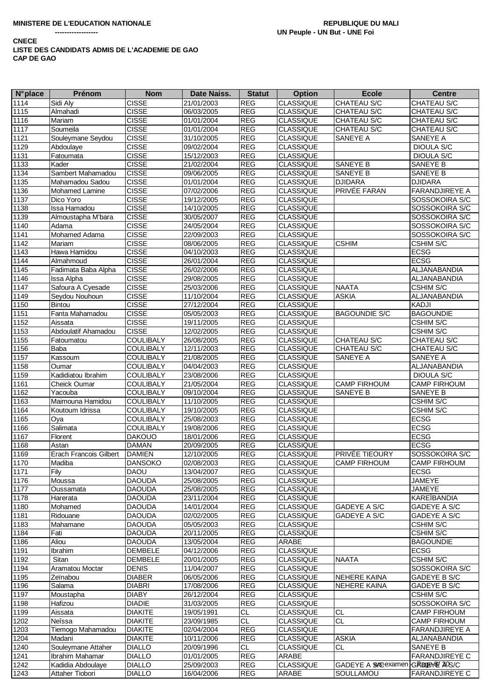| <b>N°</b> place     | <b>Prénom</b>                 | <b>Nom</b>       | Date Naiss. | <b>Statut</b> | <b>Option</b>    | <b>Ecole</b>                    | <b>Centre</b>         |
|---------------------|-------------------------------|------------------|-------------|---------------|------------------|---------------------------------|-----------------------|
| 1114                | Sidi Aly                      | <b>CISSE</b>     | 21/01/2003  | <b>REG</b>    | <b>CLASSIQUE</b> | CHATEAU S/C                     | CHATEAU S/C           |
| 1115                | Almahadi                      | <b>CISSE</b>     | 06/03/2005  | <b>REG</b>    | <b>CLASSIQUE</b> | CHATEAU S/C                     | CHATEAU S/C           |
| 1116                | Mariam                        | <b>CISSE</b>     | 01/01/2004  | <b>REG</b>    | <b>CLASSIQUE</b> | CHATEAU S/C                     | CHATEAU S/C           |
| 1117                | Soumeila                      | <b>CISSE</b>     | 01/01/2004  | <b>REG</b>    | <b>CLASSIQUE</b> | CHATEAU S/C                     | CHATEAU S/C           |
| 1121                | Souleymane Seydou             | <b>CISSE</b>     | 31/10/2005  | <b>REG</b>    | <b>CLASSIQUE</b> | SANEYE A                        | SANEYE A              |
| 1129                | Abdoulaye                     | <b>CISSE</b>     | 09/02/2004  | <b>REG</b>    | <b>CLASSIQUE</b> |                                 | <b>DIOULA S/C</b>     |
| 1131                | Fatoumata                     | <b>CISSE</b>     | 15/12/2003  | <b>REG</b>    | CLASSIQUE        |                                 | <b>DIOULA S/C</b>     |
| 1133                | Kader                         | <b>CISSE</b>     | 21/02/2004  | <b>REG</b>    | <b>CLASSIQUE</b> | SANEYE B                        | SANEYE B              |
| 1134                | Sambert Mahamadou             | <b>CISSE</b>     | 09/06/2005  | <b>REG</b>    | <b>CLASSIQUE</b> | SANEYE B                        | SANEYE B              |
| 1135                | Mahamadou Sadou               | <b>CISSE</b>     | 01/01/2004  | <b>REG</b>    | <b>CLASSIQUE</b> | <b>DJIDARA</b>                  | <b>DJIDARA</b>        |
| 1136                | Mohamed Lamine                | <b>CISSE</b>     | 07/02/2006  | <b>REG</b>    | <b>CLASSIQUE</b> | PRIVÉE FARAN                    | <b>FARANDJIREYE A</b> |
| 1137                | Dico Yoro                     | <b>CISSE</b>     | 19/12/2005  | <b>REG</b>    | <b>CLASSIQUE</b> |                                 | SOSSOKOIRA S/C        |
| 1138                | Issa Hamadou                  | <b>CISSE</b>     | 14/10/2005  | <b>REG</b>    | <b>CLASSIQUE</b> |                                 | SOSSOKOIRA S/C        |
| 1139                | Almoustapha M'bara            | <b>CISSE</b>     | 30/05/2007  | <b>REG</b>    | <b>CLASSIQUE</b> |                                 | SOSSOKOIRA S/C        |
| 1140                | Adama                         | <b>CISSE</b>     | 24/05/2004  | <b>REG</b>    | <b>CLASSIQUE</b> |                                 | SOSSOKOIRA S/C        |
| 1141                | Mohamed Adama                 | <b>CISSE</b>     | 22/09/2003  | <b>REG</b>    | <b>CLASSIQUE</b> |                                 | SOSSOKOIRA S/C        |
| 1142                | Mariam                        | <b>CISSE</b>     | 08/06/2005  | <b>REG</b>    | <b>CLASSIQUE</b> | <b>CSHIM</b>                    | <b>CSHIM S/C</b>      |
| 1143                | Hawa Hamidou                  | <b>CISSE</b>     | 04/10/2003  | <b>REG</b>    | <b>CLASSIQUE</b> |                                 | ECSG                  |
| 1144                | Almahmoud                     | <b>CISSE</b>     | 26/01/2004  | <b>REG</b>    | CLASSIQUE        |                                 | <b>ECSG</b>           |
| 1145                | Fadimata Baba Alpha           | <b>CISSE</b>     | 26/02/2006  | <b>REG</b>    | <b>CLASSIQUE</b> |                                 | ALJANABANDIA          |
| 1146                | Issa Alpha                    | <b>CISSE</b>     | 29/08/2005  | <b>REG</b>    | <b>CLASSIQUE</b> |                                 | ALJANABANDIA          |
| 1147                | Safoura A Cyesade             | <b>CISSE</b>     | 25/03/2006  | <b>REG</b>    | <b>CLASSIQUE</b> | <b>NAATA</b>                    | <b>CSHIM S/C</b>      |
| 1149                | Seydou Nouhoun                | <b>CISSE</b>     | 11/10/2004  | <b>REG</b>    | CLASSIQUE        | <b>ASKIA</b>                    | ALJANABANDIA          |
| 1150                | Bintou                        | <b>CISSE</b>     | 27/12/2004  | <b>REG</b>    | CLASSIQUE        |                                 | KADJI                 |
| 1151                | Fanta Mahamadou               | <b>CISSE</b>     | 05/05/2003  | <b>REG</b>    | <b>CLASSIQUE</b> | <b>BAGOUNDIE S/C</b>            | <b>BAGOUNDIE</b>      |
| $\frac{1152}{2}$    | Aissata                       | <b>CISSE</b>     | 19/11/2005  | <b>REG</b>    | <b>CLASSIQUE</b> |                                 | CSHIM S/C             |
| 1153                | Abdoulatif Ahamadou           | <b>CISSE</b>     | 12/02/2005  | <b>REG</b>    | <b>CLASSIQUE</b> |                                 | <b>CSHIM S/C</b>      |
| $\frac{1155}{1155}$ | Fatoumatou                    | <b>COULIBALY</b> | 26/08/2005  | <b>REG</b>    | <b>CLASSIQUE</b> | CHATEAU S/C                     | CHATEAU S/C           |
| 1156                | Baba                          | COULIBALY        | 12/11/2003  | <b>REG</b>    | <b>CLASSIQUE</b> | <b>CHATEAU S/C</b>              | CHATEAU S/C           |
| 1157                | Kassoum                       | <b>COULIBALY</b> | 21/08/2005  | <b>REG</b>    | <b>CLASSIQUE</b> | SANEYE A                        | SANEYE A              |
| 1158                | Oumar                         | <b>COULIBALY</b> | 04/04/2003  | <b>REG</b>    | <b>CLASSIQUE</b> |                                 | ALJANABANDIA          |
| 1159                | Kadidiatou Ibrahim            | <b>COULIBALY</b> | 23/08/2006  | <b>REG</b>    | <b>CLASSIQUE</b> |                                 | <b>DIOULA S/C</b>     |
| 1161                | Cheick Oumar                  | <b>COULIBALY</b> | 21/05/2004  | <b>REG</b>    | <b>CLASSIQUE</b> | <b>CAMP FIRHOUM</b>             | <b>CAMP FIRHOUM</b>   |
| 1162                | Yacouba                       | <b>COULIBALY</b> | 09/10/2004  | <b>REG</b>    | <b>CLASSIQUE</b> | <b>SANEYE B</b>                 | SANEYE B              |
| 1163                | Maimouna Hamidou              | COULIBALY        | 11/10/2005  | <b>REG</b>    | <b>CLASSIQUE</b> |                                 | <b>CSHIM S/C</b>      |
| 1164                | Koutoum Idrissa               | <b>COULIBALY</b> | 19/10/2005  | <b>REG</b>    | <b>CLASSIQUE</b> |                                 | <b>CSHIM S/C</b>      |
| 1165                | Oya                           | <b>COULIBALY</b> | 25/08/2003  | <b>REG</b>    | <b>CLASSIQUE</b> |                                 | <b>ECSG</b>           |
| 1166                | Salimata                      | <b>COULIBALY</b> | 19/08/2006  | <b>REG</b>    | <b>CLASSIQUE</b> |                                 | <b>ECSG</b>           |
| 1167                | Florent                       | <b>DAKOUO</b>    | 18/01/2006  | <b>REG</b>    | <b>CLASSIQUE</b> |                                 | <b>ECSG</b>           |
| 1168                | Astan                         | <b>DAMAN</b>     | 20/09/2005  | <b>REG</b>    | <b>CLASSIQUE</b> |                                 | <b>ECSG</b>           |
| 1169                | <b>Erach Francois Gilbert</b> | <b>DAMIEN</b>    | 12/10/2005  | <b>REG</b>    | <b>CLASSIQUE</b> | PRIVÉE TIEOURY                  | SOSSOKOIRA S/C        |
| 1170                | Madiba                        | <b>DANSOKO</b>   | 02/08/2003  | <b>REG</b>    | <b>CLASSIQUE</b> | <b>CAMP FIRHOUM</b>             | <b>CAMP FIRHOUM</b>   |
| 1171                | Fily                          | <b>DAOU</b>      | 13/04/2007  | <b>REG</b>    | <b>CLASSIQUE</b> |                                 | <b>ECSG</b>           |
| 1176                | Moussa                        | <b>DAOUDA</b>    | 25/08/2005  | <b>REG</b>    | <b>CLASSIQUE</b> |                                 | JAMEYE                |
| 1177                | Oussamata                     | <b>DAOUDA</b>    | 25/08/2005  | <b>REG</b>    | <b>CLASSIQUE</b> |                                 | <b>JAMEYE</b>         |
| 1178                | Harerata                      | <b>DAOUDA</b>    | 23/11/2004  | <b>REG</b>    | <b>CLASSIQUE</b> |                                 | <b>KAREÏBANDIA</b>    |
| 1180                | Mohamed                       | <b>DAOUDA</b>    | 14/01/2004  | <b>REG</b>    | <b>CLASSIQUE</b> | GADEYE A S/C                    | <b>GADEYE A S/C</b>   |
| 1181                | Ridouane                      | <b>DAOUDA</b>    | 02/02/2005  | <b>REG</b>    | <b>CLASSIQUE</b> | GADEYE A S/C                    | GADEYE A S/C          |
| 1183                | Mahamane                      | <b>DAOUDA</b>    | 05/05/2003  | <b>REG</b>    | <b>CLASSIQUE</b> |                                 | CSHIM S/C             |
| 1184                | Fati                          | <b>DAOUDA</b>    | 20/11/2005  | <b>REG</b>    | <b>CLASSIQUE</b> |                                 | <b>CSHIM S/C</b>      |
| 1186                | Aliou                         | <b>DAOUDA</b>    | 13/05/2004  | <b>REG</b>    | <b>ARABE</b>     |                                 | <b>BAGOUNDIE</b>      |
| 1191                | Ibrahim                       | DEMBELE          | 04/12/2006  | <b>REG</b>    | <b>CLASSIQUE</b> |                                 | ECSG                  |
| 1192                | Sitan                         | <b>DEMBELE</b>   | 20/01/2005  | <b>REG</b>    | <b>CLASSIQUE</b> | <b>NAATA</b>                    | CSHIM S/C             |
| 1194                | Aramatou Moctar               | <b>DENIS</b>     | 11/04/2007  | <b>REG</b>    | <b>CLASSIQUE</b> |                                 | SOSSOKOIRA S/C        |
| 1195                | Zeïnabou                      | <b>DIABER</b>    | 06/05/2006  | <b>REG</b>    | <b>CLASSIQUE</b> | <b>NEHERE KAINA</b>             | <b>GADEYE B S/C</b>   |
| 1196                | Salama                        | <b>DIABRI</b>    | 17/08/2006  | <b>REG</b>    | <b>CLASSIQUE</b> | <b>NEHERE KAINA</b>             | GADEYE B S/C          |
| 1197                | Moustapha                     | <b>DIABY</b>     | 26/12/2004  | <b>REG</b>    | <b>CLASSIQUE</b> |                                 | CSHIM S/C             |
| 1198                | Hafizou                       | <b>DIADIE</b>    | 31/03/2005  | <b>REG</b>    | <b>CLASSIQUE</b> |                                 | SOSSOKOIRA S/C        |
| 1199                | Aissata                       | <b>DIAKITE</b>   | 19/05/1991  | <b>CL</b>     | <b>CLASSIQUE</b> | <b>CL</b>                       | <b>CAMP FIRHOUM</b>   |
| 1202                | Neîssa                        | <b>DIAKITE</b>   | 23/09/1985  | CL            | <b>CLASSIQUE</b> | <b>CL</b>                       | <b>CAMP FIRHOUM</b>   |
| 1203                | Tiemogo Mahamadou             | <b>DIAKITE</b>   | 02/04/2004  | <b>REG</b>    | <b>CLASSIQUE</b> |                                 | FARANDJIREYE A        |
| 1204                | Madani                        | <b>DIAKITE</b>   | 10/11/2006  | <b>REG</b>    | CLASSIQUE        | <b>ASKIA</b>                    | ALJANABANDIA          |
| 1240                | Souleymane Attaher            | <b>DIALLO</b>    | 20/09/1996  | CL.           | <b>CLASSIQUE</b> | CL.                             | SANEYE B              |
| 1241                | Ibrahim Mahamar               | <b>DIALLO</b>    | 01/01/2005  | <b>REG</b>    | ARABE            |                                 | FARANDJIREYE C        |
| 1242                | Kadidia Abdoulaye             | <b>DIALLO</b>    | 25/09/2003  | <b>REG</b>    | <b>CLASSIQUE</b> | GADEYE A SUS examen GREEN BOS/C |                       |
| 1243                | Attaher Tiobori               | <b>DIALLO</b>    | 16/04/2006  | <b>REG</b>    | ARABE            | SOULLAMOU                       | <b>FARANDJIREYE C</b> |
|                     |                               |                  |             |               |                  |                                 |                       |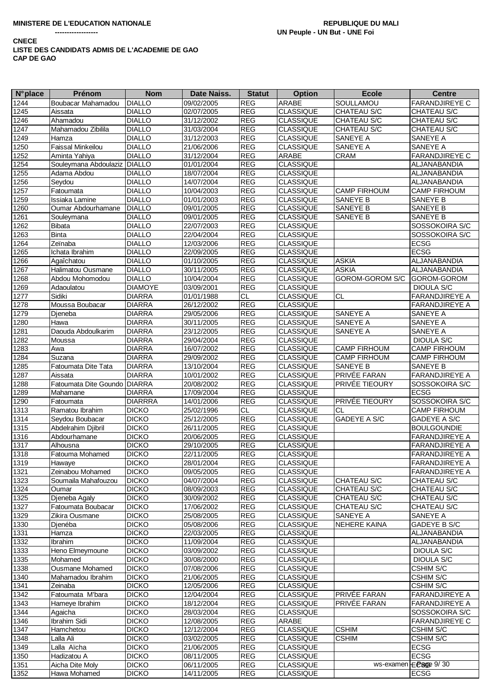| <b>N°</b> place | Prénom                         | <b>Nom</b>     | Date Naiss. | <b>Statut</b> | <b>Option</b>    | <b>Ecole</b>        | <b>Centre</b>                              |
|-----------------|--------------------------------|----------------|-------------|---------------|------------------|---------------------|--------------------------------------------|
| 1244            | Boubacar Mahamadou             | <b>DIALLO</b>  | 09/02/2005  | <b>REG</b>    | <b>ARABE</b>     | SOULLAMOU           | <b>FARANDJIREYE C</b>                      |
| 1245            | Aissata                        | <b>DIALLO</b>  | 02/07/2005  | <b>REG</b>    | <b>CLASSIQUE</b> | <b>CHATEAU S/C</b>  | CHATEAU S/C                                |
| 1246            | Ahamadou                       | <b>DIALLO</b>  | 31/12/2002  | <b>REG</b>    | <b>CLASSIQUE</b> | CHATEAU S/C         | CHATEAU S/C                                |
| 1247            | Mahamadou Zibilila             | <b>DIALLO</b>  | 31/03/2004  | REG           | <b>CLASSIQUE</b> | CHATEAU S/C         | CHATEAU S/C                                |
| 1249            | Hamza                          | <b>DIALLO</b>  | 31/12/2003  | REG           | <b>CLASSIQUE</b> | <b>SANEYE A</b>     | SANEYE A                                   |
| 1250            | Faissal Minkeilou              | <b>DIALLO</b>  | 21/06/2006  | <b>REG</b>    | <b>CLASSIQUE</b> | SANEYE A            | <b>SANEYE A</b>                            |
| 1252            | Aminta Yahiya                  | <b>DIALLO</b>  | 31/12/2004  | <b>REG</b>    | ARABE            | <b>CRAM</b>         | <b>FARANDJIREYE C</b>                      |
| 1254            | Souleymana Abdoulaziz DIALLO   |                | 01/01/2004  | <b>REG</b>    | <b>CLASSIQUE</b> |                     | ALJANABANDIA                               |
| 1255            | Adama Abdou                    | <b>DIALLO</b>  | 18/07/2004  | <b>REG</b>    | <b>CLASSIQUE</b> |                     | <b>ALJANABANDIA</b>                        |
| 1256            | Seydou                         | <b>DIALLO</b>  | 14/07/2004  | <b>REG</b>    | <b>CLASSIQUE</b> |                     | ALJANABANDIA                               |
| 1257            | Fatoumata                      | <b>DIALLO</b>  | 10/04/2003  | <b>REG</b>    | <b>CLASSIQUE</b> | <b>CAMP FIRHOUM</b> | <b>CAMP FIRHOUM</b>                        |
| 1259            | Issiaka Lamine                 | <b>DIALLO</b>  | 01/01/2003  | <b>REG</b>    | <b>CLASSIQUE</b> | <b>SANEYE B</b>     | <b>SANEYE B</b>                            |
| 1260            | Oumar Abdourhamane             | <b>DIALLO</b>  | 09/01/2005  | REG           | <b>CLASSIQUE</b> | <b>SANEYE B</b>     | <b>SANEYE B</b>                            |
| 1261            | Souleymana                     | <b>DIALLO</b>  | 09/01/2005  | REG           | <b>CLASSIQUE</b> | <b>SANEYE B</b>     | <b>SANEYE B</b>                            |
| 1262            | <b>Bibata</b>                  | <b>DIALLO</b>  | 22/07/2003  | REG           | <b>CLASSIQUE</b> |                     | SOSSOKOIRA S/C                             |
| 1263            | <b>Binta</b>                   | <b>DIALLO</b>  | 22/04/2004  | REG           | <b>CLASSIQUE</b> |                     | SOSSOKOIRA S/C                             |
| 1264            | Zeïnaba                        | <b>DIALLO</b>  | 12/03/2006  | REG           | <b>CLASSIQUE</b> |                     | <b>ECSG</b>                                |
| 1265            | Ichata Ibrahim                 | <b>DIALLO</b>  | 22/09/2005  | <b>REG</b>    | <b>CLASSIQUE</b> |                     | <b>ECSG</b>                                |
| 1266            | Agaîchatou                     | <b>DIALLO</b>  | 01/10/2005  | <b>REG</b>    | <b>CLASSIQUE</b> | <b>ASKIA</b>        | ALJANABANDIA                               |
| 1267            | Halimatou Ousmane              | <b>DIALLO</b>  | 30/11/2005  | REG           | <b>CLASSIQUE</b> | <b>ASKIA</b>        | ALJANABANDIA                               |
| 1268            | Abdou Mohomodou                | <b>DIALLO</b>  | 10/04/2004  | <b>REG</b>    | <b>CLASSIQUE</b> | GOROM-GOROM S/C     | GOROM-GOROM                                |
| 1269            |                                | <b>DIAMOYE</b> |             | <b>REG</b>    | <b>CLASSIQUE</b> |                     |                                            |
|                 | Adaoulatou<br>Sidiki           |                | 03/09/2001  |               |                  |                     | <b>DIOULA S/C</b><br><b>FARANDJIREYE A</b> |
| 1277            |                                | <b>DIARRA</b>  | 01/01/1988  | <b>CL</b>     | <b>CLASSIQUE</b> | <b>CL</b>           |                                            |
| 1278            | Moussa Boubacar                | <b>DIARRA</b>  | 26/12/2002  | <b>REG</b>    | <b>CLASSIQUE</b> |                     | <b>FARANDJIREYE A</b>                      |
| 1279            | Dieneba                        | <b>DIARRA</b>  | 29/05/2006  | REG           | <b>CLASSIQUE</b> | <b>SANEYE A</b>     | <b>SANEYE A</b>                            |
| 1280            | Hawa                           | <b>DIARRA</b>  | 30/11/2005  | <b>REG</b>    | <b>CLASSIQUE</b> | <b>SANEYE A</b>     | SANEYE A                                   |
| 1281            | Daouda Abdoulkarim             | <b>DIARRA</b>  | 23/12/2005  | <b>REG</b>    | <b>CLASSIQUE</b> | <b>SANEYE A</b>     | SANEYE A                                   |
| 1282            | Moussa                         | <b>DIARRA</b>  | 29/04/2004  | REG           | <b>CLASSIQUE</b> |                     | <b>DIOULA S/C</b>                          |
| 1283            | Awa                            | <b>DIARRA</b>  | 16/07/2002  | REG           | <b>CLASSIQUE</b> | <b>CAMP FIRHOUM</b> | <b>CAMP FIRHOUM</b>                        |
| 1284            | Suzana                         | <b>DIARRA</b>  | 29/09/2002  | <b>REG</b>    | <b>CLASSIQUE</b> | <b>CAMP FIRHOUM</b> | <b>CAMP FIRHOUM</b>                        |
| 1285            | Fatoumata Dite Tata            | <b>DIARRA</b>  | 13/10/2004  | <b>REG</b>    | <b>CLASSIQUE</b> | <b>SANEYE B</b>     | <b>SANEYE B</b>                            |
| 1287            | Aissata                        | <b>DIARRA</b>  | 10/01/2002  | <b>REG</b>    | <b>CLASSIQUE</b> | PRIVÉE FARAN        | <b>FARANDJIREYE A</b>                      |
| 1288            | Fatoumata Dite Goundo   DIARRA |                | 20/08/2002  | <b>REG</b>    | <b>CLASSIQUE</b> | PRIVÉE TIEOURY      | SOSSOKOIRA S/C                             |
| 1289            | Mahamane                       | <b>DIARRA</b>  | 17/09/2004  | <b>REG</b>    | <b>CLASSIQUE</b> |                     | <b>ECSG</b>                                |
| 1290            | Fatoumata                      | <b>DIARRRA</b> | 14/01/2006  | <b>REG</b>    | <b>CLASSIQUE</b> | PRIVÉE TIEOURY      | SOSSOKOIRA S/C                             |
| 1313            | Ramatou Ibrahim                | <b>DICKO</b>   | 25/02/1996  | <b>CL</b>     | <b>CLASSIQUE</b> | <b>CL</b>           | <b>CAMP FIRHOUM</b>                        |
| 1314            | Seydou Boubacar                | <b>DICKO</b>   | 25/12/2005  | REG           | <b>CLASSIQUE</b> | <b>GADEYE A S/C</b> | GADEYE A S/C                               |
| $1315$          | Abdelrahim Djibril             | <b>DICKO</b>   | 26/11/2005  | <b>REG</b>    | <b>CLASSIQUE</b> |                     | <b>BOULGOUNDIE</b>                         |
| 1316            | Abdourhamane                   | <b>DICKO</b>   | 20/06/2005  | REG           | <b>CLASSIQUE</b> |                     | <b>FARANDJIREYE A</b>                      |
| 1317            | Alhousna                       | <b>DICKO</b>   | 29/10/2005  | REG           | <b>CLASSIQUE</b> |                     | <b>FARANDJIREYE A</b>                      |
| 1318            | Fatouma Mohamed                | <b>DICKO</b>   | 22/11/2005  | <b>REG</b>    | <b>CLASSIQUE</b> |                     | <b>FARANDJIREYE A</b>                      |
| 1319            | Hawaye                         | <b>DICKO</b>   | 28/01/2004  | <b>REG</b>    | <b>CLASSIQUE</b> |                     | FARANDJIREYE A                             |
| 1321            | Zeinabou Mohamed               | <b>DICKO</b>   | 09/05/2005  | <b>REG</b>    | <b>CLASSIQUE</b> |                     | <b>FARANDJIREYE A</b>                      |
| 1323            | Soumaila Mahafouzou            | <b>DICKO</b>   | 04/07/2004  | <b>REG</b>    | <b>CLASSIQUE</b> | CHATEAU S/C         | CHATEAU S/C                                |
| 1324            | Oumar                          | <b>DICKO</b>   | 08/09/2003  | <b>REG</b>    | <b>CLASSIQUE</b> | CHATEAU S/C         | CHATEAU S/C                                |
| 1325            | Djeneba Agaly                  | <b>DICKO</b>   | 30/09/2002  | <b>REG</b>    | <b>CLASSIQUE</b> | CHATEAU S/C         | CHATEAU S/C                                |
| 1327            | Fatoumata Boubacar             | <b>DICKO</b>   | 17/06/2002  | <b>REG</b>    | <b>CLASSIQUE</b> | CHATEAU S/C         | CHATEAU S/C                                |
| 1329            | Zikira Ousmane                 | <b>DICKO</b>   | 25/08/2005  | <b>REG</b>    | <b>CLASSIQUE</b> | SANEYE A            | SANEYE A                                   |
| 1330            | Dienéba                        | <b>DICKO</b>   | 05/08/2006  | <b>REG</b>    | <b>CLASSIQUE</b> | <b>NEHERE KAINA</b> | GADEYE B S/C                               |
| 1331            | Hamza                          | <b>DICKO</b>   | 22/03/2005  | <b>REG</b>    | <b>CLASSIQUE</b> |                     | ALJANABANDIA                               |
| 1332            | Ibrahim                        | <b>DICKO</b>   | 11/09/2004  | <b>REG</b>    | <b>CLASSIQUE</b> |                     | ALJANABANDIA                               |
| 1333            | Heno Elmeymoune                | <b>DICKO</b>   | 03/09/2002  | <b>REG</b>    | <b>CLASSIQUE</b> |                     | DIOULA S/C                                 |
| 1335            | Mohamed                        | <b>DICKO</b>   | 30/08/2000  | <b>REG</b>    | <b>CLASSIQUE</b> |                     | <b>DIOULA S/C</b>                          |
| 1338            | Ousmane Mohamed                | <b>DICKO</b>   | 07/08/2006  | <b>REG</b>    | <b>CLASSIQUE</b> |                     | CSHIM S/C                                  |
| 1340            | Mahamadou Ibrahim              | <b>DICKO</b>   | 21/06/2005  | <b>REG</b>    | <b>CLASSIQUE</b> |                     | <b>CSHIM S/C</b>                           |
| 1341            | Zeinaba                        | <b>DICKO</b>   | 12/05/2006  | <b>REG</b>    | <b>CLASSIQUE</b> |                     | <b>CSHIM S/C</b>                           |
| 1342            | Fatoumata M'bara               | <b>DICKO</b>   | 12/04/2004  | <b>REG</b>    | <b>CLASSIQUE</b> | PRIVÉE FARAN        | <b>FARANDJIREYE A</b>                      |
| 1343            | Hameye Ibrahim                 | <b>DICKO</b>   | 18/12/2004  | <b>REG</b>    | <b>CLASSIQUE</b> | PRIVÉE FARAN        | <b>FARANDJIREYE A</b>                      |
| 1344            | Agaicha                        | <b>DICKO</b>   | 28/03/2004  | <b>REG</b>    | <b>CLASSIQUE</b> |                     | SOSSOKOIRA S/C                             |
| 1346            | Ibrahim Sidi                   | <b>DICKO</b>   | 12/08/2005  | <b>REG</b>    | <b>ARABE</b>     |                     | <b>FARANDJIREYE C</b>                      |
| 1347            | Hamchetou                      | <b>DICKO</b>   | 12/12/2004  | <b>REG</b>    | <b>CLASSIQUE</b> | <b>CSHIM</b>        | <b>CSHIM S/C</b>                           |
| 1348            | Lalla Ali                      | <b>DICKO</b>   | 03/02/2005  | <b>REG</b>    | <b>CLASSIQUE</b> | <b>CSHIM</b>        | <b>CSHIM S/C</b>                           |
| 1349            | Lalla Aïcha                    | <b>DICKO</b>   | 21/06/2005  | <b>REG</b>    | <b>CLASSIQUE</b> |                     | <b>ECSG</b>                                |
| 1350            | Hadizatou A                    | <b>DICKO</b>   | 08/11/2005  | <b>REG</b>    | <b>CLASSIQUE</b> |                     | <b>ECSG</b>                                |
| 1351            | Aicha Dite Moly                | <b>DICKO</b>   | 06/11/2005  | <b>REG</b>    | <b>CLASSIQUE</b> |                     | ws-examen ECSGE 9/30                       |
| 1352            | Hawa Mohamed                   | <b>DICKO</b>   | 14/11/2005  | <b>REG</b>    | <b>CLASSIQUE</b> |                     | <b>ECSG</b>                                |
|                 |                                |                |             |               |                  |                     |                                            |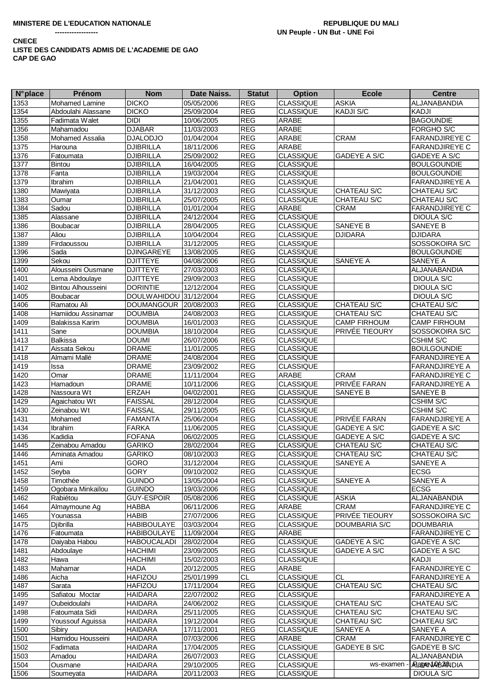| <b>N°</b> place | Prénom                 | <b>Nom</b>             | Date Naiss. | <b>Statut</b>         | <b>Option</b>    | <b>Ecole</b>        | <b>Centre</b>         |
|-----------------|------------------------|------------------------|-------------|-----------------------|------------------|---------------------|-----------------------|
| 1353            | <b>Mohamed Lamine</b>  | <b>DICKO</b>           | 05/05/2006  | <b>REG</b>            | <b>CLASSIQUE</b> | <b>ASKIA</b>        | ALJANABANDIA          |
| 1354            | Abdoulahi Alassane     | <b>DICKO</b>           | 25/09/2004  | <b>REG</b>            | <b>CLASSIQUE</b> | KADJI S/C           | <b>KADJI</b>          |
| 1355            | Fadimata Walet         | <b>DIDI</b>            | 10/06/2005  | <b>REG</b>            | ARABE            |                     | <b>BAGOUNDIE</b>      |
| 1356            | Mahamadou              | <b>DJABAR</b>          | 11/03/2003  | <b>REG</b>            | ARABE            |                     | FORGHO S/C            |
| 1358            | <b>Mohamed Assalia</b> | <b>DJALODJO</b>        | 01/04/2004  | <b>REG</b>            | ARABE            | <b>CRAM</b>         | <b>FARANDJIREYE C</b> |
| 1375            | Harouna                | <b>DJIBRILLA</b>       | 18/11/2006  | <b>REG</b>            | ARABE            |                     | <b>FARANDJIREYE C</b> |
| 1376            | Fatoumata              | <b>DJIBRILLA</b>       | 25/09/2002  | REG                   | <b>CLASSIQUE</b> | GADEYE A S/C        | GADEYE A S/C          |
| 1377            | Bintou                 | <b>DJIBRILLA</b>       | 16/04/2005  | <b>REG</b>            | <b>CLASSIQUE</b> |                     | <b>BOULGOUNDIE</b>    |
| 1378            | Fanta                  | <b>DJIBRILLA</b>       | 19/03/2004  | <b>REG</b>            | <b>CLASSIQUE</b> |                     | <b>BOULGOUNDIE</b>    |
| 1379            | <b>Ibrahim</b>         | <b>DJIBRILLA</b>       | 21/04/2001  | <b>REG</b>            | <b>CLASSIQUE</b> |                     | <b>FARANDJIREYE A</b> |
| 1380            | Mawiyata               | <b>DJIBRILLA</b>       | 31/12/2003  | <b>REG</b>            | <b>CLASSIQUE</b> | CHATEAU S/C         | CHATEAU S/C           |
| 1383            | Oumar                  | <b>DJIBRILLA</b>       | 25/07/2005  | <b>REG</b>            | <b>CLASSIQUE</b> | CHATEAU S/C         | CHATEAU S/C           |
| 1384            | Sadou                  | <b>DJIBRILLA</b>       | 01/01/2004  | <b>REG</b>            | ARABE            | CRAM                | <b>FARANDJIREYE C</b> |
| 1385            | Alassane               | <b>DJIBRILLA</b>       | 24/12/2004  | <b>REG</b>            | <b>CLASSIQUE</b> |                     | <b>DIOULA S/C</b>     |
| 1386            | Boubacar               | <b>DJIBRILLA</b>       | 28/04/2005  | <b>REG</b>            | CLASSIQUE        | SANEYE B            | SANEYE B              |
| 1387            | Aliou                  | <b>DJIBRILLA</b>       | 10/04/2004  | <b>REG</b>            | <b>CLASSIQUE</b> | <b>DJIDARA</b>      | <b>DJIDARA</b>        |
| 1389            | Firdaoussou            | <b>DJIBRILLA</b>       | 31/12/2005  | <b>REG</b>            | <b>CLASSIQUE</b> |                     | SOSSOKOIRA S/C        |
| 1396            | Sada                   | <b>DJINGAREYE</b>      | 13/08/2005  | <b>REG</b>            | <b>CLASSIQUE</b> |                     | <b>BOULGOUNDIE</b>    |
| 1399            | Sekou                  | <b>DJITTEYE</b>        | 04/08/2006  | <b>REG</b>            | <b>CLASSIQUE</b> | SANEYE A            | SANEYE A              |
| 1400            | Alousseini Ousmane     | <b>DJITTEYE</b>        | 27/03/2003  | REG                   | <b>CLASSIQUE</b> |                     | ALJANABANDIA          |
| 1401            | Lema Abdoulaye         | <b>DJITTEYE</b>        | 29/09/2003  | REG                   | <b>CLASSIQUE</b> |                     | <b>DIOULA S/C</b>     |
| 1402            | Bintou Alhousseini     | <b>DORINTIE</b>        | 12/12/2004  | <b>REG</b>            | <b>CLASSIQUE</b> |                     | DIOULA S/C            |
| 1405            | Boubacar               | DOULWAHIDOU 31/12/2004 |             | <b>REG</b>            | <b>CLASSIQUE</b> |                     | DIOULA S/C            |
| 1406            | Ramatou Ali            | DOUMANGOUR 20/08/2003  |             | <b>REG</b>            | <b>CLASSIQUE</b> | CHATEAU S/C         | CHATEAU S/C           |
| 1408            | Hamiidou Assinamar     | <b>DOUMBIA</b>         | 24/08/2003  | <b>REG</b>            | <b>CLASSIQUE</b> | CHATEAU S/C         | CHATEAU S/C           |
| 1409            | Balakissa Karim        | <b>DOUMBIA</b>         | 16/01/2003  | <b>REG</b>            | <b>CLASSIQUE</b> | <b>CAMP FIRHOUM</b> | <b>CAMP FIRHOUM</b>   |
| 1411            | Sane                   | <b>DOUMBIA</b>         | 18/10/2004  | <b>REG</b>            | <b>CLASSIQUE</b> | PRIVÉE TIEOURY      | SOSSOKOIRA S/C        |
| 1413            | <b>Balkissa</b>        | <b>DOUMI</b>           | 26/07/2006  | <b>REG</b>            | <b>CLASSIQUE</b> |                     | <b>CSHIM S/C</b>      |
| 1417            | Aissata Sekou          | <b>DRAME</b>           | 11/01/2005  | <b>REG</b>            | <b>CLASSIQUE</b> |                     | <b>BOULGOUNDIE</b>    |
| 1418            | Almami Mallé           | <b>DRAME</b>           | 24/08/2004  | <b>REG</b>            | <b>CLASSIQUE</b> |                     | <b>FARANDJIREYE A</b> |
| 1419            | Issa                   | <b>DRAME</b>           | 23/09/2002  | <b>REG</b>            | <b>CLASSIQUE</b> |                     | <b>FARANDJIREYE A</b> |
| 1420            | Omar                   | <b>DRAME</b>           | 11/11/2004  | REG                   | ARABE            | <b>CRAM</b>         | <b>FARANDJIREYE C</b> |
| 1423            | Hamadoun               | <b>DRAME</b>           | 10/11/2006  | REG                   | <b>CLASSIQUE</b> | PRIVÉE FARAN        | <b>FARANDJIREYE A</b> |
| 1428            | Nassoura Wt            | <b>ERZAH</b>           | 04/02/2001  | <b>REG</b>            | <b>CLASSIQUE</b> | SANEYE B            | SANEYE B              |
| 1429            | Agaichatou Wt          | <b>FAISSAL</b>         | 28/12/2004  | <b>REG</b>            | <b>CLASSIQUE</b> |                     | CSHIM S/C             |
| 1430            | Zeinabou Wt            | <b>FAISSAL</b>         | 29/11/2005  | <b>REG</b>            | <b>CLASSIQUE</b> |                     | CSHIM S/C             |
| 1431            | Mohamed                | <b>FAMANTA</b>         | 25/06/2004  | <b>REG</b>            | <b>CLASSIQUE</b> | PRIVÉE FARAN        | <b>FARANDJIREYE A</b> |
| 1434            | Ibrahim                | <b>FARKA</b>           | 11/06/2005  | <b>REG</b>            | <b>CLASSIQUE</b> | GADEYE A S/C        | <b>GADEYE A S/C</b>   |
| 1436            | Kadidia                | <b>FOFANA</b>          | 06/02/2005  | <b>REG</b>            | <b>CLASSIQUE</b> | GADEYE A S/C        | GADEYE A S/C          |
| 1445            | Zeinabou Amadou        | <b>GARIKO</b>          | 28/02/2004  | <b>REG</b>            | <b>CLASSIQUE</b> | CHATEAU S/C         | CHATEAU S/C           |
| 1446            | Aminata Amadou         | <b>GARIKO</b>          | 08/10/2003  | <b>REG</b>            | CLASSIQUE        | CHATEAU S/C         | CHATEAU S/C           |
| 1451            | Ami                    | GORO                   | 31/12/2004  | $\mathsf{REG}\xspace$ | <b>CLASSIQUE</b> | SANEYE A            | SANEYE A              |
| 1452            | Seyba                  | <b>GORY</b>            | 09/10/2002  | <b>REG</b>            | <b>CLASSIQUE</b> |                     | <b>ECSG</b>           |
| 1458            | Timothée               | <b>GUINDO</b>          | 13/05/2004  | REG                   | <b>CLASSIQUE</b> | SANEYE A            | SANEYE A              |
| 1459            | Ogobara Minkaïlou      | <b>GUINDO</b>          | 19/03/2006  | <b>REG</b>            | <b>CLASSIQUE</b> |                     | <b>ECSG</b>           |
| 1462            | Rabiétou               | <b>GUY-ESPOIR</b>      | 05/08/2006  | <b>REG</b>            | <b>CLASSIQUE</b> | <b>ASKIA</b>        | ALJANABANDIA          |
| 1464            | Almaymoune Ag          | <b>HABBA</b>           | 06/11/2006  | <b>REG</b>            | <b>ARABE</b>     | CRAM                | <b>FARANDJIREYE C</b> |
| 1465            | Younassa               | <b>HABIB</b>           | 27/07/2006  | REG                   | <b>CLASSIQUE</b> | PRIVÉE TIEOURY      | SOSSOKOIRA S/C        |
| 1475            | Djibrilla              | <b>HABIBOULAYE</b>     | 03/03/2004  | <b>REG</b>            | <b>CLASSIQUE</b> | DOUMBARIA S/C       | <b>DOUMBARIA</b>      |
| 1476            | Fatoumata              | <b>HABIBOULAYE</b>     | 11/09/2004  | <b>REG</b>            | ARABE            |                     | <b>FARANDJIREYE C</b> |
| 1478            | Daiyaba Habou          | <b>HABOUCALADI</b>     | 28/02/2004  | REG                   | <b>CLASSIQUE</b> | GADEYE A S/C        | GADEYE A S/C          |
| 1481            | Abdoulaye              | <b>HACHIMI</b>         | 23/09/2005  | REG                   | <b>CLASSIQUE</b> | GADEYE A S/C        | <b>GADEYE A S/C</b>   |
| 1482            | Hawa                   | <b>HACHIMI</b>         | 15/02/2003  | <b>REG</b>            | <b>CLASSIQUE</b> |                     | <b>KADJI</b>          |
| 1483            | Mahamar                | <b>HADA</b>            | 20/12/2005  | <b>REG</b>            | ARABE            |                     | <b>FARANDJIREYE C</b> |
| 1486            | Aicha                  | <b>HAFIZOU</b>         | 25/01/1999  | CL                    | <b>CLASSIQUE</b> | <b>CL</b>           | <b>FARANDJIREYE A</b> |
| 1487            | Sarata                 | <b>HAFIZOU</b>         | 17/11/2004  | <b>REG</b>            | <b>CLASSIQUE</b> | CHATEAU S/C         | CHATEAU S/C           |
| 1495            | Safiatou Moctar        | <b>HAIDARA</b>         | 22/07/2002  | <b>REG</b>            | <b>CLASSIQUE</b> |                     | <b>FARANDJIREYE A</b> |
| 1497            | Oubeidoulahi           | <b>HAIDARA</b>         | 24/06/2002  | <b>REG</b>            | <b>CLASSIQUE</b> | CHATEAU S/C         | CHATEAU S/C           |
| 1498            | Fatoumata Sidi         | <b>HAIDARA</b>         | 25/11/2005  | <b>REG</b>            | <b>CLASSIQUE</b> | CHATEAU S/C         | CHATEAU S/C           |
| 1499            | Youssouf Aguissa       | <b>HAIDARA</b>         | 19/12/2004  | REG                   | <b>CLASSIQUE</b> | CHATEAU S/C         | CHATEAU S/C           |
| 1500            | Sibiry                 | <b>HAIDARA</b>         | 17/11/2001  | REG                   | <b>CLASSIQUE</b> | SANEYE A            | SANEYE A              |
| 1501            | Hamidou Housseini      | <b>HAIDARA</b>         | 07/03/2006  | REG                   | ARABE            | CRAM                | <b>FARANDJIREYE C</b> |
| 1502            | Fadimata               | <b>HAIDARA</b>         | 17/04/2005  | REG                   | <b>CLASSIQUE</b> | GADEYE B S/C        | <b>GADEYE B S/C</b>   |
| 1503            | Amadou                 | <b>HAIDARA</b>         | 26/07/2003  | REG                   | <b>CLASSIQUE</b> |                     | ALJANABANDIA          |
| 1504            | Ousmane                | <b>HAIDARA</b>         | 29/10/2005  | REG                   | <b>CLASSIQUE</b> | ws-examen           | <b>ARageNABBANDIA</b> |
| 1506            | Soumeyata              | <b>HAIDARA</b>         | 20/11/2003  | REG                   | <b>CLASSIQUE</b> |                     | DIOULA S/C            |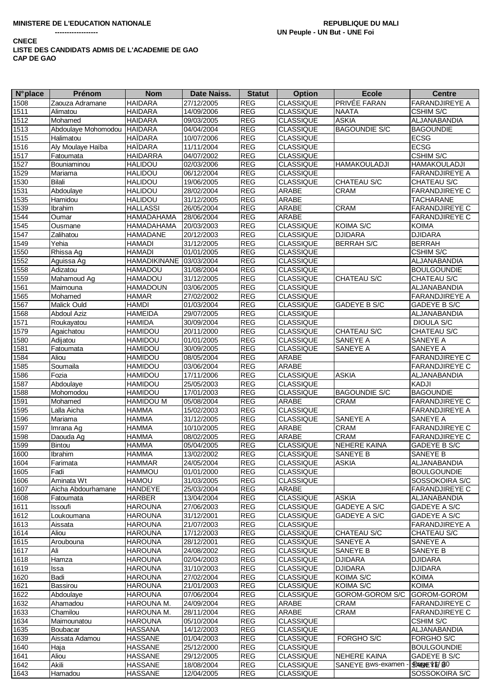| <b>N°</b> place | Prénom              | <b>Nom</b>       | Date Naiss. | <b>Statut</b> | <b>Option</b>    | <b>Ecole</b>         | <b>Centre</b>         |
|-----------------|---------------------|------------------|-------------|---------------|------------------|----------------------|-----------------------|
| 1508            | Zaouza Adramane     | <b>HAIDARA</b>   | 27/12/2005  | <b>REG</b>    | <b>CLASSIQUE</b> | <b>PRIVÉE FARAN</b>  | <b>FARANDJIREYE A</b> |
| 1511            | Alimatou            | <b>HAIDARA</b>   | 14/09/2006  | <b>REG</b>    | <b>CLASSIQUE</b> | <b>NAATA</b>         | CSHIM S/C             |
| 1512            | Mohamed             | <b>HAIDARA</b>   | 09/03/2005  | <b>REG</b>    | <b>CLASSIQUE</b> | <b>ASKIA</b>         | ALJANABANDIA          |
| 1513            | Abdoulaye Mohomodou | <b>HAIDARA</b>   | 04/04/2004  | <b>REG</b>    | <b>CLASSIQUE</b> | <b>BAGOUNDIE S/C</b> | <b>BAGOUNDIE</b>      |
| 1515            | Halimatou           | <b>HAÏDARA</b>   | 10/07/2006  | <b>REG</b>    | <b>CLASSIQUE</b> |                      | <b>ECSG</b>           |
| 1516            | Aly Moulaye Haïba   | <b>HAÏDARA</b>   | 11/11/2004  | <b>REG</b>    | <b>CLASSIQUE</b> |                      | <b>ECSG</b>           |
| 1517            | Fatoumata           | <b>HAIDARRA</b>  | 04/07/2002  | <b>REG</b>    | <b>CLASSIQUE</b> |                      | <b>CSHIM S/C</b>      |
| 1527            | Bouniaminou         | <b>HALIDOU</b>   | 02/03/2006  | REG           | <b>CLASSIQUE</b> | <b>HAMAKOULADJI</b>  | <b>HAMAKOULADJI</b>   |
| 1529            | Mariama             | <b>HALIDOU</b>   | 06/12/2004  | <b>REG</b>    | <b>CLASSIQUE</b> |                      | <b>FARANDJIREYE A</b> |
|                 | Bilali              |                  |             | <b>REG</b>    | <b>CLASSIQUE</b> | CHATEAU S/C          |                       |
| 1530            |                     | <b>HALIDOU</b>   | 19/06/2005  | <b>REG</b>    |                  |                      | CHATEAU S/C           |
| 1531            | Abdoulaye           | <b>HALIDOU</b>   | 28/02/2004  |               | ARABE            | CRAM                 | <b>FARANDJIREYE C</b> |
| 1535            | Hamidou             | <b>HALIDOU</b>   | 31/12/2005  | <b>REG</b>    | ARABE            |                      | <b>TACHARANE</b>      |
| 1539            | <b>Ibrahim</b>      | <b>HALLASSI</b>  | 26/05/2004  | REG           | ARABE            | CRAM                 | <b>FARANDJIREYE C</b> |
| 1544            | Oumar               | HAMADAHAMA       | 28/06/2004  | <b>REG</b>    | ARABE            |                      | <b>FARANDJIREYE C</b> |
| 1545            | Ousmane             | HAMADAHAMA       | 20/03/2003  | <b>REG</b>    | <b>CLASSIQUE</b> | KOIMA S/C            | <b>KOIMA</b>          |
| 1547            | Zalihatou           | <b>HAMADANE</b>  | 20/12/2003  | <b>REG</b>    | <b>CLASSIQUE</b> | <b>DJIDARA</b>       | <b>DJIDARA</b>        |
| 1549            | Yehia               | <b>HAMADI</b>    | 31/12/2005  | REG           | <b>CLASSIQUE</b> | <b>BERRAH S/C</b>    | <b>BERRAH</b>         |
| 1550            | Rhissa Ag           | <b>HAMADI</b>    | 01/01/2005  | <b>REG</b>    | <b>CLASSIQUE</b> |                      | CSHIM S/C             |
| 1552            | Aguissa Ag          | HAMADIKINANE     | 03/03/2004  | <b>REG</b>    | <b>CLASSIQUE</b> |                      | ALJANABANDIA          |
| 1558            | Adizatou            | <b>HAMADOU</b>   | 31/08/2004  | <b>REG</b>    | <b>CLASSIQUE</b> |                      | <b>BOULGOUNDIE</b>    |
| 1559            | Mahamoud Ag         | <b>HAMADOU</b>   | 31/12/2005  | <b>REG</b>    | <b>CLASSIQUE</b> | CHATEAU S/C          | CHATEAU S/C           |
| 1561            | Maimouna            | <b>HAMADOUN</b>  | 03/06/2005  | <b>REG</b>    | <b>CLASSIQUE</b> |                      | ALJANABANDIA          |
| 1565            | Mohamed             | <b>HAMAR</b>     | 27/02/2002  | <b>REG</b>    | <b>CLASSIQUE</b> |                      | <b>FARANDJIREYE A</b> |
| 1567            | Malick Ould         | <b>HAMDI</b>     | 01/03/2004  | <b>REG</b>    | <b>CLASSIQUE</b> | <b>GADEYE B S/C</b>  | GADEYE B S/C          |
| 1568            | <b>Abdoul Aziz</b>  | <b>HAMEIDA</b>   | 29/07/2005  | <b>REG</b>    | <b>CLASSIQUE</b> |                      | ALJANABANDIA          |
| 1571            | Roukayatou          | <b>HAMIDA</b>    | 30/09/2004  | <b>REG</b>    | <b>CLASSIQUE</b> |                      | <b>DIOULA S/C</b>     |
| 1579            | Agaichatou          | HAMIDOU          | 20/11/2000  | <b>REG</b>    | <b>CLASSIQUE</b> | CHATEAU S/C          | CHATEAU S/C           |
| 1580            | Adijatou            | <b>HAMIDOU</b>   | 01/01/2005  | <b>REG</b>    | <b>CLASSIQUE</b> | SANEYE A             | SANEYE A              |
| 1581            | Fatoumata           | HAMIDOU          | 30/09/2005  | <b>REG</b>    | <b>CLASSIQUE</b> | SANEYE A             | SANEYE A              |
| 1584            | Aliou               | <b>HAMIDOU</b>   | 08/05/2004  | <b>REG</b>    | ARABE            |                      | <b>FARANDJIREYE C</b> |
| 1585            | Soumaila            |                  |             | <b>REG</b>    |                  |                      |                       |
|                 |                     | HAMIDOU          | 03/06/2004  | <b>REG</b>    | ARABE            | <b>ASKIA</b>         | <b>FARANDJIREYE C</b> |
| 1586            | Fozia               | HAMIDOU          | 17/11/2006  | REG           | <b>CLASSIQUE</b> |                      | ALJANABANDIA<br>KADJI |
| $1587$          | Abdoulaye           | <b>HAMIDOU</b>   | 25/05/2003  |               | <b>CLASSIQUE</b> |                      |                       |
| 1588            | Mohomodou           | HAMIDOU          | 17/01/2003  | <b>REG</b>    | <b>CLASSIQUE</b> | <b>BAGOUNDIE S/C</b> | <b>BAGOUNDIE</b>      |
| 1591            | Mohamed             | <b>HAMIDOU M</b> | 05/08/2004  | <b>REG</b>    | ARABE            | <b>CRAM</b>          | <b>FARANDJIREYE C</b> |
| 1595            | Lalla Aicha         | <b>HAMMA</b>     | 15/02/2003  | <b>REG</b>    | <b>CLASSIQUE</b> |                      | <b>FARANDJIREYE A</b> |
| 1596            | Mariama             | <b>HAMMA</b>     | 31/12/2005  | <b>REG</b>    | <b>CLASSIQUE</b> | SANEYE A             | SANEYE A              |
| 1597            | Imrana Ag           | <b>HAMMA</b>     | 10/10/2005  | <b>REG</b>    | ARABE            | CRAM                 | <b>FARANDJIREYE C</b> |
| 1598            | Daouda Ag           | <b>HAMMA</b>     | 08/02/2005  | <b>REG</b>    | <b>ARABE</b>     | CRAM                 | <b>FARANDJIREYE C</b> |
| 1599            | <b>Bintou</b>       | <b>HAMMA</b>     | 05/04/2005  | <b>REG</b>    | <b>CLASSIQUE</b> | <b>NEHERE KAINA</b>  | GADEYE B S/C          |
| 1600            | Ibrahim             | <b>HAMMA</b>     | 13/02/2002  | <b>REG</b>    | <b>CLASSIQUE</b> | SANEYE B             | SANEYE B              |
| 1604            | Farimata            | <b>HAMMAR</b>    | 24/05/2004  | REG           | <b>CLASSIQUE</b> | <b>ASKIA</b>         | ALJANABANDIA          |
| 1605            | Fadi                | <b>HAMMOU</b>    | 01/01/2000  | <b>REG</b>    | <b>CLASSIQUE</b> |                      | <b>BOULGOUNDIE</b>    |
| 1606            | Aminata Wt          | <b>HAMOU</b>     | 31/03/2005  | <b>REG</b>    | <b>CLASSIQUE</b> |                      | SOSSOKOIRA S/C        |
| 1607            | Aicha Abdourhamane  | <b>HANDEYE</b>   | 25/03/2004  | <b>REG</b>    | <b>ARABE</b>     |                      | <b>FARANDJIREYE C</b> |
| 1608            | Fatoumata           | <b>HARBER</b>    | 13/04/2004  | <b>REG</b>    | <b>CLASSIQUE</b> | <b>ASKIA</b>         | ALJANABANDIA          |
| 1611            | Issoufi             | <b>HAROUNA</b>   | 27/06/2003  | <b>REG</b>    | <b>CLASSIQUE</b> | <b>GADEYE A S/C</b>  | GADEYE A S/C          |
| 1612            | Loukoumana          | <b>HAROUNA</b>   | 31/12/2001  | REG           | <b>CLASSIQUE</b> | <b>GADEYE A S/C</b>  | GADEYE A S/C          |
| 1613            | Aissata             | <b>HAROUNA</b>   | 21/07/2003  | <b>REG</b>    | <b>CLASSIQUE</b> |                      | <b>FARANDJIREYE A</b> |
| 1614            | Aliou               | <b>HAROUNA</b>   | 17/12/2003  | REG           | <b>CLASSIQUE</b> | CHATEAU S/C          | CHATEAU S/C           |
| 1615            | Aroubouna           | <b>HAROUNA</b>   | 28/12/2001  | <b>REG</b>    | <b>CLASSIQUE</b> | SANEYE A             | SANEYE A              |
| 1617            | Ali                 | <b>HAROUNA</b>   | 24/08/2002  | <b>REG</b>    | <b>CLASSIQUE</b> | SANEYE B             | SANEYE B              |
| 1618            | Hamza               | <b>HAROUNA</b>   | 02/04/2003  | <b>REG</b>    | <b>CLASSIQUE</b> | <b>DJIDARA</b>       | <b>DJIDARA</b>        |
| 1619            | Issa                | <b>HAROUNA</b>   | 31/10/2003  | <b>REG</b>    | <b>CLASSIQUE</b> | <b>DJIDARA</b>       | <b>DJIDARA</b>        |
| 1620            | Badi                | <b>HAROUNA</b>   | 27/02/2004  | <b>REG</b>    | <b>CLASSIQUE</b> | KOIMA S/C            | <b>KOIMA</b>          |
| 1621            | Bassirou            | <b>HAROUNA</b>   | 21/01/2003  | <b>REG</b>    | <b>CLASSIQUE</b> | KOIMA S/C            | <b>KOIMA</b>          |
| 1622            | Abdoulaye           | <b>HAROUNA</b>   | 07/06/2004  | <b>REG</b>    | <b>CLASSIQUE</b> | GOROM-GOROM S/C      | GOROM-GOROM           |
|                 |                     |                  |             |               |                  | <b>CRAM</b>          | <b>FARANDJIREYE C</b> |
| 1632            | Ahamadou            | HAROUNA M.       | 24/09/2004  | <b>REG</b>    | ARABE            |                      |                       |
| 1633            | Chamilou            | HAROUNA M.       | 28/11/2004  | <b>REG</b>    | <b>ARABE</b>     | CRAM                 | <b>FARANDJIREYE C</b> |
| 1634            | Maimounatou         | <b>HAROUNA</b>   | 05/10/2004  | REG           | <b>CLASSIQUE</b> |                      | <b>CSHIM S/C</b>      |
| 1635            | Boubacar            | <b>HASSANA</b>   | 14/12/2003  | <b>REG</b>    | <b>CLASSIQUE</b> |                      | ALJANABANDIA          |
| 1639            | Aissata Adamou      | <b>HASSANE</b>   | 01/04/2003  | <b>REG</b>    | <b>CLASSIQUE</b> | FORGHO S/C           | <b>FORGHO S/C</b>     |
| 1640            | Haja                | <b>HASSANE</b>   | 25/12/2000  | REG           | <b>CLASSIQUE</b> |                      | <b>BOULGOUNDIE</b>    |
| 1641            | Aliou               | <b>HASSANE</b>   | 29/12/2005  | REG           | <b>CLASSIQUE</b> | <b>NEHERE KAINA</b>  | GADEYE B S/C          |
| 1642            | Akili               | <b>HASSANE</b>   | 18/08/2004  | <b>REG</b>    | <b>CLASSIQUE</b> | SANEYE Bws-examen    | <b>SPANGE YE/BO</b>   |
| 1643            | Hamadou             | <b>HASSANE</b>   | 12/04/2005  | <b>REG</b>    | <b>CLASSIQUE</b> |                      | SOSSOKOIRA S/C        |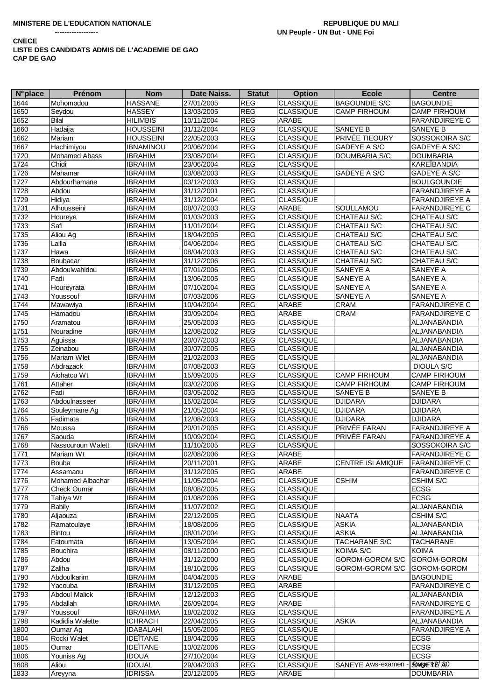| <b>N°</b> place | Prénom               | <b>Nom</b>       | <b>Date Naiss.</b> | <b>Statut</b> | <b>Option</b>    | <b>Ecole</b>         | <b>Centre</b>         |
|-----------------|----------------------|------------------|--------------------|---------------|------------------|----------------------|-----------------------|
| 1644            | Mohomodou            | <b>HASSANE</b>   | 27/01/2005         | <b>REG</b>    | <b>CLASSIQUE</b> | <b>BAGOUNDIE S/C</b> | <b>BAGOUNDIE</b>      |
| 1650            | Seydou               | <b>HASSEY</b>    | 13/03/2005         | <b>REG</b>    | <b>CLASSIQUE</b> | <b>CAMP FIRHOUM</b>  | <b>CAMP FIRHOUM</b>   |
| 1652            | <b>Bilal</b>         | <b>HILIMBIS</b>  | 10/11/2004         | <b>REG</b>    | ARABE            |                      | <b>FARANDJIREYE C</b> |
| 1660            | Hadaija              | <b>HOUSSEINI</b> | 31/12/2004         | <b>REG</b>    | <b>CLASSIQUE</b> | <b>SANEYE B</b>      | <b>SANEYE B</b>       |
| 1662            | Mariam               | <b>HOUSSEINI</b> | 22/05/2003         | REG           | <b>CLASSIQUE</b> | PRIVÉE TIEOURY       | SOSSOKOIRA S/C        |
| 1667            | Hachimiyou           | <b>IBNAMINOU</b> | 20/06/2004         | <b>REG</b>    | <b>CLASSIQUE</b> | <b>GADEYE A S/C</b>  | <b>GADEYE A S/C</b>   |
| 1720            | <b>Mohamed Abass</b> | <b>IBRAHIM</b>   | 23/08/2004         | <b>REG</b>    | <b>CLASSIQUE</b> | <b>DOUMBARIA S/C</b> | <b>DOUMBARIA</b>      |
| 1724            | Chidi                | <b>IBRAHIM</b>   | 23/06/2004         | REG           | <b>CLASSIQUE</b> |                      | <b>KAREÏBANDIA</b>    |
| 1726            | Mahamar              | <b>IBRAHIM</b>   | 03/08/2003         | REG           | <b>CLASSIQUE</b> | GADEYE A S/C         | <b>GADEYE A S/C</b>   |
| 1727            | Abdourhamane         | <b>IBRAHIM</b>   | 03/12/2003         | REG           | <b>CLASSIQUE</b> |                      | <b>BOULGOUNDIE</b>    |
| 1728            | Abdou                | <b>IBRAHIM</b>   | 31/12/2001         | REG           | <b>CLASSIQUE</b> |                      | <b>FARANDJIREYE A</b> |
| 1729            | Hidiya               | <b>IBRAHIM</b>   | 31/12/2004         | <b>REG</b>    | <b>CLASSIQUE</b> |                      | <b>FARANDJIREYE A</b> |
| 1731            | Alhousseini          | <b>IBRAHIM</b>   | 08/07/2003         | REG           | ARABE            | SOULLAMOU            | <b>FARANDJIREYE C</b> |
| 1732            | Houreye              | <b>IBRAHIM</b>   | 01/03/2003         | REG           | <b>CLASSIQUE</b> | <b>CHATEAU S/C</b>   | CHATEAU S/C           |
| 1733            | Safi                 | <b>IBRAHIM</b>   | 11/01/2004         | <b>REG</b>    | <b>CLASSIQUE</b> | <b>CHATEAU S/C</b>   | CHATEAU S/C           |
| 1735            | Aliou Ag             | <b>IBRAHIM</b>   | 18/04/2005         | REG           | <b>CLASSIQUE</b> | CHATEAU S/C          | CHATEAU S/C           |
| 1736            | Lailla               | <b>IBRAHIM</b>   | 04/06/2004         | REG           | <b>CLASSIQUE</b> | CHATEAU S/C          | CHATEAU S/C           |
| 1737            | Hawa                 | <b>IBRAHIM</b>   | 08/04/2003         | <b>REG</b>    | <b>CLASSIQUE</b> | <b>CHATEAU S/C</b>   | CHATEAU S/C           |
|                 |                      |                  |                    |               |                  |                      |                       |
| 1738            | Boubacar             | <b>IBRAHIM</b>   | 31/12/2006         | <b>REG</b>    | <b>CLASSIQUE</b> | CHATEAU S/C          | CHATEAU S/C           |
| 1739            | Abdoulwahidou        | <b>IBRAHIM</b>   | 07/01/2006         | REG           | <b>CLASSIQUE</b> | <b>SANEYE A</b>      | SANEYE A              |
| 1740            | Fadi                 | <b>IBRAHIM</b>   | 13/06/2005         | REG           | <b>CLASSIQUE</b> | <b>SANEYE A</b>      | <b>SANEYE A</b>       |
| 1741            | Houreyrata           | <b>IBRAHIM</b>   | 07/10/2004         | REG           | <b>CLASSIQUE</b> | <b>SANEYE A</b>      | SANEYE A              |
| 1743            | Youssouf             | <b>IBRAHIM</b>   | 07/03/2006         | <b>REG</b>    | <b>CLASSIQUE</b> | SANEYE A             | SANEYE A              |
| 1744            | Mawawiya             | <b>IBRAHIM</b>   | 10/04/2004         | <b>REG</b>    | ARABE            | <b>CRAM</b>          | <b>FARANDJIREYE C</b> |
| 1745            | Hamadou              | <b>IBRAHIM</b>   | 30/09/2004         | <b>REG</b>    | <b>ARABE</b>     | <b>CRAM</b>          | <b>FARANDJIREYE C</b> |
| 1750            | Aramatou             | <b>IBRAHIM</b>   | 25/05/2003         | <b>REG</b>    | <b>CLASSIQUE</b> |                      | ALJANABANDIA          |
| 1751            | Nouradine            | <b>IBRAHIM</b>   | 12/08/2002         | <b>REG</b>    | <b>CLASSIQUE</b> |                      | ALJANABANDIA          |
| 1753            | Aguissa              | <b>IBRAHIM</b>   | 20/07/2003         | <b>REG</b>    | <b>CLASSIQUE</b> |                      | ALJANABANDIA          |
| 1755            | Zeinabou             | <b>IBRAHIM</b>   | 30/07/2005         | <b>REG</b>    | <b>CLASSIQUE</b> |                      | ALJANABANDIA          |
| 1756            | Mariam Wlet          | <b>IBRAHIM</b>   | 21/02/2003         | <b>REG</b>    | <b>CLASSIQUE</b> |                      | ALJANABANDIA          |
| 1758            | Abdrazack            | <b>IBRAHIM</b>   | 07/08/2003         | REG           | <b>CLASSIQUE</b> |                      | <b>DIOULA S/C</b>     |
| 1759            | Aichatou Wt          | <b>IBRAHIM</b>   | 15/09/2005         | <b>REG</b>    | <b>CLASSIQUE</b> | <b>CAMP FIRHOUM</b>  | <b>CAMP FIRHOUM</b>   |
| 1761            | Attaher              | <b>IBRAHIM</b>   | 03/02/2006         | REG           | <b>CLASSIQUE</b> | <b>CAMP FIRHOUM</b>  | <b>CAMP FIRHOUM</b>   |
| 1762            | Fadi                 | <b>IBRAHIM</b>   | 03/05/2002         | REG           | <b>CLASSIQUE</b> | <b>SANEYE B</b>      | <b>SANEYE B</b>       |
| 1763            | Abdoulnasseer        | <b>IBRAHIM</b>   | 15/02/2004         | <b>REG</b>    | <b>CLASSIQUE</b> | <b>DJIDARA</b>       | <b>DJIDARA</b>        |
| 1764            | Souleymane Ag        | <b>IBRAHIM</b>   | 21/05/2004         | <b>REG</b>    | <b>CLASSIQUE</b> | <b>DJIDARA</b>       | <b>DJIDARA</b>        |
| 1765            | Fadimata             | <b>IBRAHIM</b>   | 12/08/2003         | <b>REG</b>    | <b>CLASSIQUE</b> | <b>DJIDARA</b>       | <b>DJIDARA</b>        |
| 1766            | Moussa               | <b>IBRAHIM</b>   | 20/01/2005         | <b>REG</b>    | <b>CLASSIQUE</b> | PRIVÉE FARAN         | <b>FARANDJIREYE A</b> |
| 1767            | Saouda               | <b>IBRAHIM</b>   | 10/09/2004         | <b>REG</b>    | <b>CLASSIQUE</b> | PRIVÉE FARAN         | <b>FARANDJIREYE A</b> |
| 1768            | Nassouroun Walett    | <b>IBRAHIM</b>   | 11/10/2005         | <b>REG</b>    | <b>CLASSIQUE</b> |                      | SOSSOKOIRA S/C        |
| 1771            | Mariam Wt            | <b>IBRAHIM</b>   | 02/08/2006         | <b>REG</b>    | <b>ARABE</b>     |                      | <b>FARANDJIREYE C</b> |
| 1773            | Bouba                | <b>IBRAHIM</b>   | 20/11/2001         | <b>REG</b>    | ARABE            | CENTRE ISLAMIQUE     | <b>FARANDJIREYE C</b> |
| 1774            | Assamaou             | <b>IBRAHIM</b>   | 31/12/2005         | <b>REG</b>    | ARABE            |                      | <b>FARANDJIREYE C</b> |
| 1776            | Mohamed Albachar     | <b>IBRAHIM</b>   | 11/05/2004         | <b>REG</b>    | <b>CLASSIQUE</b> | <b>CSHIM</b>         | <b>CSHIM S/C</b>      |
| 1777            | <b>Check Oumar</b>   | <b>IBRAHIM</b>   | 08/08/2005         | <b>REG</b>    | <b>CLASSIQUE</b> |                      | <b>ECSG</b>           |
| 1778            | Tahiya Wt            | <b>IBRAHIM</b>   | 01/08/2006         | <b>REG</b>    | <b>CLASSIQUE</b> |                      | <b>ECSG</b>           |
| 1779            | <b>Babily</b>        | <b>IBRAHIM</b>   | 11/07/2002         | <b>REG</b>    | <b>CLASSIQUE</b> |                      | <b>ALJANABANDIA</b>   |
| 1780            | Aljaouza             | <b>IBRAHIM</b>   | 22/12/2005         | <b>REG</b>    | <b>CLASSIQUE</b> | <b>NAATA</b>         | CSHIM S/C             |
| 1782            | Ramatoulaye          | <b>IBRAHIM</b>   | 18/08/2006         | <b>REG</b>    | <b>CLASSIQUE</b> | <b>ASKIA</b>         | ALJANABANDIA          |
| 1783            | Bintou               | <b>IBRAHIM</b>   | 08/01/2004         | <b>REG</b>    | <b>CLASSIQUE</b> | <b>ASKIA</b>         | ALJANABANDIA          |
| 1784            | Fatoumata            | <b>IBRAHIM</b>   | 13/05/2004         | <b>REG</b>    | <b>CLASSIQUE</b> | <b>TACHARANE S/C</b> | <b>TACHARANE</b>      |
| 1785            | Bouchira             | <b>IBRAHIM</b>   | 08/11/2000         | <b>REG</b>    | <b>CLASSIQUE</b> | KOIMA S/C            | <b>KOIMA</b>          |
| 1786            | Abdou                | <b>IBRAHIM</b>   | 31/12/2000         | <b>REG</b>    | <b>CLASSIQUE</b> | GOROM-GOROM S/C      | GOROM-GOROM           |
| 1787            | Zaliha               | <b>IBRAHIM</b>   | 18/10/2006         | <b>REG</b>    | <b>CLASSIQUE</b> | GOROM-GOROM S/C      | GOROM-GOROM           |
| 1790            | Abdoulkarim          | <b>IBRAHIM</b>   | 04/04/2005         | <b>REG</b>    | ARABE            |                      | <b>BAGOUNDIE</b>      |
| 1792            | Yacouba              | <b>IBRAHIM</b>   | 31/12/2005         | <b>REG</b>    | ARABE            |                      | <b>FARANDJIREYE C</b> |
| 1793            | <b>Abdoul Malick</b> | <b>IBRAHIM</b>   | 12/12/2003         | <b>REG</b>    | <b>CLASSIQUE</b> |                      | ALJANABANDIA          |
| 1795            | Abdallah             | <b>IBRAHIMA</b>  | 26/09/2004         | <b>REG</b>    | ARABE            |                      | <b>FARANDJIREYE C</b> |
| 1797            | Youssouf             | <b>IBRAHIMA</b>  | 18/02/2002         | <b>REG</b>    | <b>CLASSIQUE</b> |                      | FARANDJIREYE A        |
|                 |                      |                  |                    |               |                  |                      |                       |
| 1798            | Kadidia Walette      | <b>ICHRACH</b>   | 22/04/2005         | <b>REG</b>    | <b>CLASSIQUE</b> | <b>ASKIA</b>         | ALJANABANDIA          |
| 1800            | Oumar Ag             | <b>IDABALAHI</b> | 15/05/2006         | <b>REG</b>    | <b>CLASSIQUE</b> |                      | <b>FARANDJIREYE A</b> |
| 1804            | Rocki Walet          | <b>IDEITANE</b>  | 18/04/2006         | <b>REG</b>    | <b>CLASSIQUE</b> |                      | <b>ECSG</b>           |
| 1805            | Oumar                | <b>IDEITANE</b>  | 10/02/2006         | <b>REG</b>    | <b>CLASSIQUE</b> |                      | <b>ECSG</b>           |
| 1806            | Youniss Ag           | <b>IDOUA</b>     | 27/10/2004         | <b>REG</b>    | <b>CLASSIQUE</b> |                      | <b>ECSG</b>           |
| 1808            | Aliou                | <b>IDOUAL</b>    | 29/04/2003         | <b>REG</b>    | <b>CLASSIQUE</b> | SANEYE Aws-examen -  | SPANE YE/ AO          |
| 1833            | Areyyna              | <b>IDRISSA</b>   | 20/12/2005         | <b>REG</b>    | ARABE            |                      | <b>DOUMBARIA</b>      |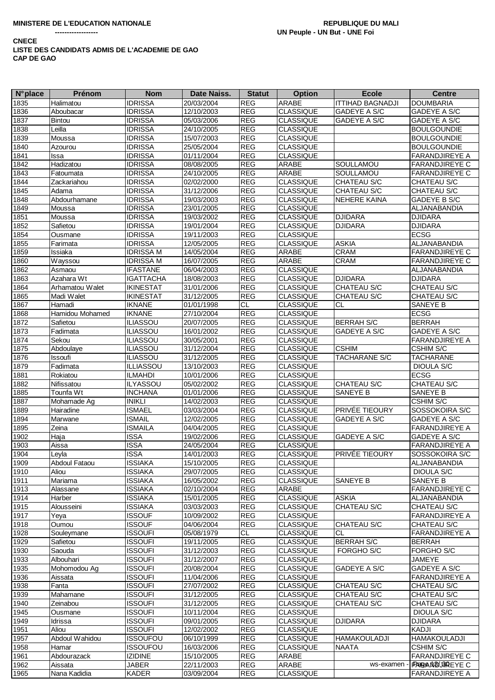| <b>N°</b> place | Prénom                           | <b>Nom</b>                         | Date Naiss. | <b>Statut</b> | <b>Option</b>                        | <b>Ecole</b>            | <b>Centre</b>                    |
|-----------------|----------------------------------|------------------------------------|-------------|---------------|--------------------------------------|-------------------------|----------------------------------|
| 1835            | Halimatou                        | <b>IDRISSA</b>                     | 20/03/2004  | <b>REG</b>    | ARABE                                | <b>ITTIHAD BAGNADJI</b> | <b>DOUMBARIA</b>                 |
| 1836            | Aboubacar                        | <b>IDRISSA</b>                     | 12/10/2003  | <b>REG</b>    | <b>CLASSIQUE</b>                     | GADEYE A S/C            | GADEYE A S/C                     |
| 1837            | Bintou                           | <b>IDRISSA</b>                     | 05/03/2006  | <b>REG</b>    | <b>CLASSIQUE</b>                     | GADEYE A S/C            | GADEYE A S/C                     |
| 1838            | Leilla                           | <b>IDRISSA</b>                     | 24/10/2005  | <b>REG</b>    | <b>CLASSIQUE</b>                     |                         | <b>BOULGOUNDIE</b>               |
| 1839            | Moussa                           | <b>IDRISSA</b>                     | 15/07/2003  | <b>REG</b>    | <b>CLASSIQUE</b>                     |                         | <b>BOULGOUNDIE</b>               |
| 1840            | Azourou                          | <b>IDRISSA</b>                     | 25/05/2004  | <b>REG</b>    | <b>CLASSIQUE</b>                     |                         | <b>BOULGOUNDIE</b>               |
| 1841            | Issa                             | <b>IDRISSA</b>                     | 01/11/2004  | <b>REG</b>    | <b>CLASSIQUE</b>                     |                         | <b>FARANDJIREYE A</b>            |
| 1842            | Hadizatou                        | <b>IDRISSA</b>                     | 08/08/2005  | <b>REG</b>    | ARABE                                | SOULLAMOU               | <b>FARANDJIREYE C</b>            |
| 1843            | $\overline{\mathsf{F}}$ atoumata | <b>IDRISSA</b>                     | 24/10/2005  | <b>REG</b>    | ARABE                                | SOULLAMOU               | <b>FARANDJIREYE C</b>            |
|                 | Zackariahou                      | <b>IDRISSA</b>                     |             | <b>REG</b>    | <b>CLASSIQUE</b>                     |                         |                                  |
| 1844            |                                  |                                    | 02/02/2000  |               |                                      | <b>CHATEAU S/C</b>      | CHATEAU S/C                      |
| 1845            | Adama                            | <b>IDRISSA</b>                     | 31/12/2006  | <b>REG</b>    | <b>CLASSIQUE</b>                     | CHATEAU S/C             | CHATEAU S/C                      |
| 1848            | Abdourhamane                     | <b>IDRISSA</b>                     | 19/03/2003  | <b>REG</b>    | <b>CLASSIQUE</b>                     | <b>NEHERE KAINA</b>     | GADEYE B S/C                     |
| 1849            | Moussa                           | <b>IDRISSA</b>                     | 23/01/2005  | <b>REG</b>    | <b>CLASSIQUE</b>                     |                         | ALJANABANDIA                     |
| 1851            | Moussa                           | <b>IDRISSA</b>                     | 19/03/2002  | <b>REG</b>    | <b>CLASSIQUE</b>                     | <b>DJIDARA</b>          | <b>DJIDARA</b>                   |
| 1852            | Safietou                         | <b>IDRISSA</b>                     | 19/01/2004  | <b>REG</b>    | <b>CLASSIQUE</b>                     | <b>DJIDARA</b>          | <b>DJIDARA</b>                   |
| 1854            | Ousmane                          | <b>IDRISSA</b>                     | 19/11/2003  | <b>REG</b>    | <b>CLASSIQUE</b>                     |                         | <b>ECSG</b>                      |
| 1855            | Farimata                         | <b>IDRISSA</b>                     | 12/05/2005  | <b>REG</b>    | <b>CLASSIQUE</b>                     | <b>ASKIA</b>            | ALJANABANDIA                     |
| 1859            | Issiaka                          | <b>IDRISSA M</b>                   | 14/05/2004  | <b>REG</b>    | ARABE                                | <b>CRAM</b>             | <b>FARANDJIREYE C</b>            |
| 1860            | Wayssou                          | <b>IDRISSA M</b>                   | 16/07/2005  | REG           | ARABE                                | <b>CRAM</b>             | <b>FARANDJIREYE C</b>            |
| 1862            | Asmaou                           | <b>IFASTANE</b>                    | 06/04/2003  | <b>REG</b>    | <b>CLASSIQUE</b>                     |                         | <b>ALJANABANDIA</b>              |
| 1863            | Azahara Wt                       | <b>IGATTACHA</b>                   | 18/08/2003  | <b>REG</b>    | <b>CLASSIQUE</b>                     | <b>DJIDARA</b>          | <b>DJIDARA</b>                   |
| 1864            | Arhamatou Walet                  | <b>IKINESTAT</b>                   | 31/01/2006  | <b>REG</b>    | <b>CLASSIQUE</b>                     | CHATEAU S/C             | CHATEAU S/C                      |
| 1865            | Madi Walet                       | <b>IKINESTAT</b>                   | 31/12/2005  | <b>REG</b>    | CLASSIQUE                            | CHATEAU S/C             | CHATEAU S/C                      |
| 1867            | Hamadi                           | <b>IKNANE</b>                      | 01/01/1998  | <b>CL</b>     | <b>CLASSIQUE</b>                     | СL                      | SANEYE B                         |
| 1868            | Hamidou Mohamed                  | <b>IKNANE</b>                      | 27/10/2004  | <b>REG</b>    | <b>CLASSIQUE</b>                     |                         | <b>ECSG</b>                      |
| 1872            | Safietou                         | <b>ILIASSOU</b>                    | 20/07/2005  | <b>REG</b>    | <b>CLASSIQUE</b>                     | <b>BERRAH S/C</b>       | <b>BERRAH</b>                    |
| 1873            | Fadimata                         | <b>ILIASSOU</b>                    | 16/01/2002  | <b>REG</b>    | <b>CLASSIQUE</b>                     | <b>GADEYE A S/C</b>     | GADEYE A S/C                     |
| 1874            | Sekou                            | <b>ILIASSOU</b>                    | 30/05/2001  | <b>REG</b>    | <b>CLASSIQUE</b>                     |                         | <b>FARANDJIREYE A</b>            |
| 1875            | Abdoulaye                        | <b>ILIASSOU</b>                    | 31/12/2004  | <b>REG</b>    | <b>CLASSIQUE</b>                     | <b>CSHIM</b>            | CSHIM S/C                        |
| 1876            | Issoufi                          | <b>ILIASSOU</b>                    | 31/12/2005  | <b>REG</b>    | <b>CLASSIQUE</b>                     | <b>TACHARANE S/C</b>    | <b>TACHARANE</b>                 |
| 1879            | Fadimata                         |                                    |             | <b>REG</b>    |                                      |                         |                                  |
| 1881            |                                  | <b>ILLIASSOU</b><br><b>ILMAHDI</b> | 13/10/2003  | <b>REG</b>    | <b>CLASSIQUE</b><br><b>CLASSIQUE</b> |                         | <b>DIOULA S/C</b><br><b>ECSG</b> |
|                 | Rokiatou                         |                                    | 10/01/2006  |               |                                      |                         | <b>CHATEAU S/C</b>               |
| 1882            | Nifissatou                       | <b>ILYASSOU</b>                    | 05/02/2002  | <b>REG</b>    | <b>CLASSIQUE</b>                     | <b>CHATEAU S/C</b>      |                                  |
| 1885            | Tounfa Wt                        | <b>INCHANA</b>                     | 01/01/2006  | <b>REG</b>    | <b>CLASSIQUE</b>                     | <b>SANEYE B</b>         | SANEYE B                         |
| 1887            | Mohamade Ag                      | <b>INIKLI</b>                      | 14/02/2003  | <b>REG</b>    | <b>CLASSIQUE</b>                     |                         | CSHIM S/C                        |
| 1889            | Hairadine                        | <b>ISMAEL</b>                      | 03/03/2004  | <b>REG</b>    | <b>CLASSIQUE</b>                     | PRIVÉE TIEOURY          | SOSSOKOIRA S/C                   |
| 1894            | Marwane                          | <b>ISMAIL</b>                      | 12/02/2005  | <b>REG</b>    | <b>CLASSIQUE</b>                     | <b>GADEYE A S/C</b>     | GADEYE A S/C                     |
| 1895            | Zeina                            | <b>ISMAILA</b>                     | 04/04/2005  | <b>REG</b>    | <b>CLASSIQUE</b>                     |                         | <b>FARANDJIREYE A</b>            |
| 1902            | Haja                             | <b>ISSA</b>                        | 19/02/2006  | <b>REG</b>    | <b>CLASSIQUE</b>                     | <b>GADEYE A S/C</b>     | GADEYE A S/C                     |
| 1903            | Aissa                            | <b>ISSA</b>                        | 24/05/2004  | <b>REG</b>    | <b>CLASSIQUE</b>                     |                         | <b>FARANDJIREYE A</b>            |
| 1904            | Levla                            | <b>ISSA</b>                        | 14/01/2003  | <b>REG</b>    | <b>CLASSIQUE</b>                     | PRIVÉE TIEOURY          | SOSSOKOIRA S/C                   |
| 1909            | Abdoul Fataou                    | <b>ISSIAKA</b>                     | 15/10/2005  | <b>REG</b>    | <b>CLASSIQUE</b>                     |                         | ALJANABANDIA                     |
| 1910            | Aliou                            | <b>ISSIAKA</b>                     | 29/07/2005  | <b>REG</b>    | <b>CLASSIQUE</b>                     |                         | <b>DIOULA S/C</b>                |
| 1911            | Mariama                          | <b>ISSIAKA</b>                     | 16/05/2002  | <b>REG</b>    | <b>CLASSIQUE</b>                     | <b>SANEYE B</b>         | SANEYE B                         |
| 1913            | Alassane                         | <b>ISSIAKA</b>                     | 02/10/2004  | <b>REG</b>    | ARABE                                |                         | <b>FARANDJIREYE C</b>            |
| 1914            | Harber                           | <b>ISSIAKA</b>                     | 15/01/2005  | <b>REG</b>    | <b>CLASSIQUE</b>                     | <b>ASKIA</b>            | ALJANABANDIA                     |
| 1915            | Alousseini                       | <b>ISSIAKA</b>                     | 03/03/2003  | <b>REG</b>    | <b>CLASSIQUE</b>                     | <b>CHATEAU S/C</b>      | CHATEAU S/C                      |
| 1917            | Yeya                             | <b>ISSOUF</b>                      | 10/09/2002  | <b>REG</b>    | <b>CLASSIQUE</b>                     |                         | <b>FARANDJIREYE A</b>            |
| 1918            | Oumou                            | <b>ISSOUF</b>                      | 04/06/2004  | <b>REG</b>    | <b>CLASSIQUE</b>                     | CHATEAU S/C             | CHATEAU S/C                      |
| 1928            | Souleymane                       | <b>ISSOUFI</b>                     | 05/08/1979  | CL            | <b>CLASSIQUE</b>                     | CL                      | <b>FARANDJIREYE A</b>            |
| 1929            | Safietou                         | <b>ISSOUFI</b>                     | 19/11/2005  | <b>REG</b>    | <b>CLASSIQUE</b>                     | <b>BERRAH S/C</b>       | <b>BERRAH</b>                    |
| 1930            | Saouda                           | <b>ISSOUFI</b>                     | 31/12/2003  | REG           | <b>CLASSIQUE</b>                     | FORGHO S/C              | FORGHO S/C                       |
| 1933            | Albouhari                        | <b>ISSOUFI</b>                     | 31/12/2007  | <b>REG</b>    | <b>CLASSIQUE</b>                     |                         | JAMEYE                           |
| 1935            | Mohomodou Ag                     | <b>ISSOUFI</b>                     | 20/08/2004  | <b>REG</b>    | <b>CLASSIQUE</b>                     | <b>GADEYE A S/C</b>     | GADEYE A S/C                     |
| 1936            | Aissata                          | <b>ISSOUFI</b>                     | 11/04/2006  | <b>REG</b>    | <b>CLASSIQUE</b>                     |                         | <b>FARANDJIREYE A</b>            |
| 1938            | Fanta                            | <b>ISSOUFI</b>                     | 27/07/2002  | <b>REG</b>    | <b>CLASSIQUE</b>                     | <b>CHATEAU S/C</b>      | CHATEAU S/C                      |
| 1939            | Mahamane                         | <b>ISSOUFI</b>                     | 31/12/2005  | <b>REG</b>    | <b>CLASSIQUE</b>                     | CHATEAU S/C             | CHATEAU S/C                      |
| 1940            | Zeinabou                         | <b>ISSOUFI</b>                     | 31/12/2005  | <b>REG</b>    | <b>CLASSIQUE</b>                     | <b>CHATEAU S/C</b>      | CHATEAU S/C                      |
| 1945            | Ousmane                          | <b>ISSOUFI</b>                     | 10/11/2004  | <b>REG</b>    | <b>CLASSIQUE</b>                     |                         | <b>DIOULA S/C</b>                |
| 1949            | Idrissa                          | issoufi                            | 09/01/2005  | <b>REG</b>    | <b>CLASSIQUE</b>                     | <b>DJIDARA</b>          | <b>DJIDARA</b>                   |
| 1951            | Aliou                            | <b>ISSOUFI</b>                     | 12/02/2002  | <b>REG</b>    | <b>CLASSIQUE</b>                     |                         | KADJI                            |
| 1957            | Abdoul Wahidou                   | <b>ISSOUFOU</b>                    | 06/10/1999  | <b>REG</b>    | <b>CLASSIQUE</b>                     | <b>HAMAKOULADJI</b>     | <b>HAMAKOULADJI</b>              |
| 1958            | Hamar                            | <b>ISSOUFOU</b>                    | 16/03/2006  | <b>REG</b>    | <b>CLASSIQUE</b>                     | <b>NAATA</b>            | CSHIM S/C                        |
| 1961            | Abdourazack                      | <b>IZIDINE</b>                     | 15/10/2005  | <b>REG</b>    | ARABE                                |                         | <b>FARANDJIREYE C</b>            |
| 1962            | Aissata                          | JABER                              | 22/11/2003  | <b>REG</b>    | ARABE                                | ws-examen               | FRAGAND UREYEC                   |
| 1965            | Nana Kadidia                     | KADER                              | 03/09/2004  | REG           | <b>CLASSIQUE</b>                     |                         | <b>FARANDJIREYE A</b>            |
|                 |                                  |                                    |             |               |                                      |                         |                                  |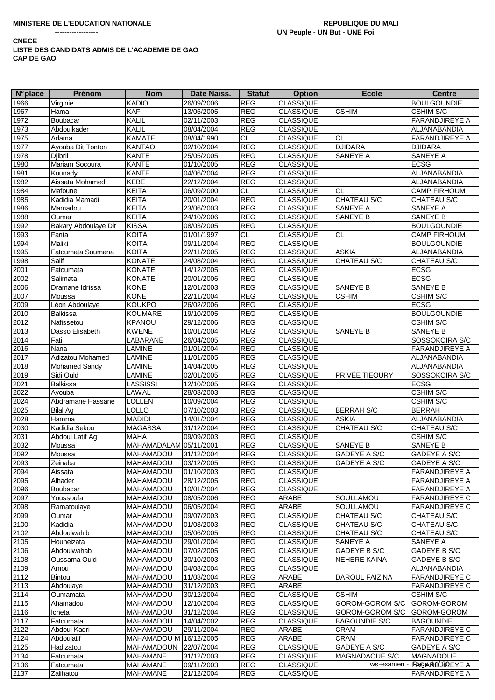| <b>N°</b> place | Prénom               | <b>Nom</b>             | Date Naiss.              | <b>Statut</b>            | <b>Option</b>                        | <b>Ecole</b>                    | <b>Centre</b>                   |
|-----------------|----------------------|------------------------|--------------------------|--------------------------|--------------------------------------|---------------------------------|---------------------------------|
| 1966            | Virginie             | <b>KADIO</b>           | 26/09/2006               | <b>REG</b>               | <b>CLASSIQUE</b>                     |                                 | <b>BOULGOUNDIE</b>              |
| 1967            | Hama                 | <b>KAFI</b>            | 13/05/2005               | <b>REG</b>               | <b>CLASSIQUE</b>                     | <b>CSHIM</b>                    | <b>CSHIM S/C</b>                |
| 1972            | Boubacar             | KALIL                  | 02/11/2003               | <b>REG</b>               | <b>CLASSIQUE</b>                     |                                 | <b>FARANDJIREYE A</b>           |
| 1973            | Abdoulkader          | KALIL                  | 08/04/2004               | <b>REG</b>               | <b>CLASSIQUE</b>                     |                                 | ALJANABANDIA                    |
| 1975            | Adama                | <b>KAMATE</b>          | 08/04/1990               | CL.                      | <b>CLASSIQUE</b>                     | <b>CL</b>                       | <b>FARANDJIREYE A</b>           |
| 1977            | Ayouba Dit Tonton    | <b>KANTAO</b>          | 02/10/2004               | <b>REG</b>               | <b>CLASSIQUE</b>                     | <b>DJIDARA</b>                  | <b>DJIDARA</b>                  |
| 1978            | Djibril              | <b>KANTE</b>           | 25/05/2005               | REG                      | <b>CLASSIQUE</b>                     | SANEYE A                        | SANEYE A                        |
| 1980            | Mariam Socoura       | <b>KANTE</b>           | 01/10/2005               | <b>REG</b>               | <b>CLASSIQUE</b>                     |                                 | <b>ECSG</b>                     |
| 1981            | Kounady              | <b>KANTE</b>           | 04/06/2004               | <b>REG</b>               | <b>CLASSIQUE</b>                     |                                 | ALJANABANDIA                    |
| 1982            | Aissata Mohamed      | KEBE                   | 22/12/2004               | <b>REG</b>               | <b>CLASSIQUE</b>                     |                                 | ALJANABANDIA                    |
| 1984            | Mafoune              | <b>KEITA</b>           | 06/09/2000               | <b>CL</b>                | <b>CLASSIQUE</b>                     | <b>CL</b>                       | <b>CAMP FIRHOUM</b>             |
| 1985            | Kadidia Mamadi       | <b>KEITA</b>           | 20/01/2004               | <b>REG</b>               | <b>CLASSIQUE</b>                     | CHATEAU S/C                     | CHATEAU S/C                     |
| 1986            | Mamadou              | <b>KEITA</b>           | 23/06/2003               | <b>REG</b>               | <b>CLASSIQUE</b>                     | SANEYE A                        | SANEYE A                        |
| 1988            | Oumar                | <b>KEITA</b>           | 24/10/2006               | <b>REG</b>               | <b>CLASSIQUE</b>                     | SANEYE B                        | SANEYE B                        |
| 1992            | Bakary Abdoulaye Dit | <b>KISSA</b>           | 08/03/2005               | <b>REG</b>               | CLASSIQUE                            |                                 | <b>BOULGOUNDIE</b>              |
| 1993            | Fanta                | <b>KOITA</b>           | 01/01/1997               | CL                       | <b>CLASSIQUE</b>                     | $\overline{c}$                  | <b>CAMP FIRHOUM</b>             |
| 1994            | Maliki               | <b>KOITA</b>           | 09/11/2004               | <b>REG</b>               | <b>CLASSIQUE</b>                     |                                 | <b>BOULGOUNDIE</b>              |
| 1995            | Fatoumata Soumana    | <b>KOITA</b>           | 22/11/2005               | <b>REG</b>               | <b>CLASSIQUE</b>                     | <b>ASKIA</b>                    | ALJANABANDIA                    |
| 1998            | Salif                | <b>KONATE</b>          | 24/08/2004               | <b>REG</b>               | <b>CLASSIQUE</b>                     | CHATEAU S/C                     | CHATEAU S/C                     |
| 2001            | Fatoumata            | <b>KONATE</b>          | 14/12/2005               | <b>REG</b>               | <b>CLASSIQUE</b>                     |                                 | <b>ECSG</b>                     |
| 2002            | Salimata             | <b>KONATE</b>          | 20/01/2006               | <b>REG</b>               | <b>CLASSIQUE</b>                     |                                 | <b>ECSG</b>                     |
| 2006            | Dramane Idrissa      | <b>KONE</b>            | 12/01/2003               | <b>REG</b>               | <b>CLASSIQUE</b>                     | SANEYE B                        | SANEYE B                        |
| 2007            | Moussa               | <b>KONE</b>            | 22/11/2004               | <b>REG</b>               | <b>CLASSIQUE</b>                     | <b>CSHIM</b>                    | <b>CSHIM S/C</b>                |
| 2009            | Léon Abdoulaye       | <b>KOUKPO</b>          | 26/02/2006               | <b>REG</b>               | <b>CLASSIQUE</b>                     |                                 | <b>ECSG</b>                     |
| 2010            | <b>Balkissa</b>      | <b>KOUMARE</b>         | 19/10/2005               | <b>REG</b>               | <b>CLASSIQUE</b>                     |                                 | <b>BOULGOUNDIE</b>              |
| 2012            | Nafissetou           | <b>KPANOU</b>          | 29/12/2006               | <b>REG</b>               | <b>CLASSIQUE</b>                     |                                 | <b>CSHIM S/C</b>                |
| 2013            | Dasso Elisabeth      | <b>KWENE</b>           | 10/01/2004               | <b>REG</b>               | <b>CLASSIQUE</b>                     | SANEYE B                        | SANEYE B                        |
| 2014            | Fati                 | LABARANE               | 26/04/2005               | <b>REG</b>               | <b>CLASSIQUE</b>                     |                                 | SOSSOKOIRA S/C                  |
| 2016            | Nana                 | <b>LAMINE</b>          | 01/01/2004               | <b>REG</b>               | <b>CLASSIQUE</b>                     |                                 | <b>FARANDJIREYE A</b>           |
| 2017            | Adizatou Mohamed     | LAMINE                 | 11/01/2005               | <b>REG</b>               | <b>CLASSIQUE</b>                     |                                 | ALJANABANDIA                    |
| 2018            | <b>Mohamed Sandy</b> | LAMINE                 | 14/04/2005               | <b>REG</b>               | <b>CLASSIQUE</b>                     |                                 | ALJANABANDIA                    |
| 2019            | Sidi Ould            | LAMINE                 | 02/01/2005               | <b>REG</b>               | <b>CLASSIQUE</b>                     | PRIVÉE TIEOURY                  | SOSSOKOIRA S/C                  |
| 2021            | <b>Balkissa</b>      | <b>LASSISSI</b>        | 12/10/2005               | <b>REG</b>               | <b>CLASSIQUE</b>                     |                                 | <b>ECSG</b>                     |
| 2022            | Ayouba               | <b>LAWAL</b>           | 28/03/2003               | <b>REG</b>               | <b>CLASSIQUE</b>                     |                                 | CSHIM S/C                       |
| 2024            | Abdramane Hassane    | <b>LOLLEN</b>          | 10/09/2004               | <b>REG</b>               | <b>CLASSIQUE</b>                     |                                 | CSHIM S/C                       |
| 2025            | <b>Bilal Ag</b>      | <b>LOLLO</b>           | 07/10/2003               | <b>REG</b>               | <b>CLASSIQUE</b>                     | <b>BERRAH S/C</b>               | <b>BERRAH</b>                   |
| 2028            | Hamma                | <b>MADIDI</b>          | 14/01/2004               | <b>REG</b>               | <b>CLASSIQUE</b>                     | <b>ASKIA</b>                    | ALJANABANDIA                    |
| 2030            | Kadidia Sekou        | <b>MAGASSA</b>         | 31/12/2004               | <b>REG</b>               | <b>CLASSIQUE</b>                     | <b>CHATEAU S/C</b>              | CHATEAU S/C                     |
| 2031            | Abdoul Latif Ag      | <b>MAHA</b>            | 09/09/2003               | <b>REG</b>               | <b>CLASSIQUE</b>                     |                                 | <b>CSHIM S/C</b>                |
| 2032            | Moussa               | MAHAMADALAM 05/11/2001 |                          | <b>REG</b>               | <b>CLASSIQUE</b>                     | SANEYE B                        | SANEYE B                        |
| 2092            | Moussa               | <b>MAHAMADOU</b>       | 31/12/2004               | <b>REG</b>               | <b>CLASSIQUE</b>                     | <b>GADEYE A S/C</b>             | <b>GADEYE A S/C</b>             |
| 2093            | Zeinaba              | MAHAMADOU              | 03/12/2005               | REG                      | <b>CLASSIQUE</b>                     | <b>GADEYE A S/C</b>             | <b>GADEYE A S/C</b>             |
| 2094            | Aissata              | <b>MAHAMADOU</b>       | 01/10/2003               | <b>REG</b>               | <b>CLASSIQUE</b>                     |                                 | <b>FARANDJIREYE A</b>           |
| 2095            | Alhader              | <b>MAHAMADOU</b>       | 28/12/2005               | REG                      | <b>CLASSIQUE</b>                     |                                 | <b>FARANDJIREYE A</b>           |
| 2096            | Boubacar             | MAHAMADOU              | 10/01/2004               | <b>REG</b>               | <b>CLASSIQUE</b>                     |                                 | <b>FARANDJIREYE A</b>           |
| 2097            | Youssoufa            | <b>MAHAMADOU</b>       | 08/05/2006               | <b>REG</b>               | <b>ARABE</b>                         | SOULLAMOU                       | <b>FARANDJIREYE C</b>           |
| 2098            | Ramatoulaye          | MAHAMADOU              | 06/05/2004               | <b>REG</b>               | <b>ARABE</b>                         | SOULLAMOU                       | <b>FARANDJIREYE C</b>           |
| 2099            | Oumar                | <b>MAHAMADOU</b>       | 09/07/2003               | REG                      | <b>CLASSIQUE</b>                     | CHATEAU S/C                     | CHATEAU S/C                     |
| 2100            | Kadidia              | MAHAMADOU              | 01/03/2003               | REG                      | <b>CLASSIQUE</b>                     | CHATEAU S/C                     | CHATEAU S/C                     |
| 2102            | Abdoulwahib          | MAHAMADOU              | 05/06/2005               | REG                      | <b>CLASSIQUE</b>                     | CHATEAU S/C                     | CHATEAU S/C                     |
| 2105            | Houneizata           | MAHAMADOU              | 29/01/2004               | REG                      | <b>CLASSIQUE</b>                     | SANEYE A                        | SANEYE A                        |
| 2106            | Abdoulwahab          | MAHAMADOU              | 07/02/2005               | REG                      | <b>CLASSIQUE</b>                     | GADEYE B S/C                    | GADEYE B S/C                    |
| 2108            | Oussama Ould         | MAHAMADOU              | 30/10/2003               | REG                      | <b>CLASSIQUE</b>                     | NEHERE KAINA                    | GADEYE B S/C                    |
| 2109            | Amou                 | MAHAMADOU              | 04/08/2004               | REG                      | <b>CLASSIQUE</b>                     |                                 | ALJANABANDIA                    |
| 2112            | Bintou               | MAHAMADOU              | 11/08/2004               | <b>REG</b>               | ARABE                                | <b>DAROUL FAIZINA</b>           | <b>FARANDJIREYE C</b>           |
| 2113            | Abdoulaye            | MAHAMADOU              | 31/12/2003               | <b>REG</b>               | ARABE                                |                                 | <b>FARANDJIREYE C</b>           |
|                 |                      |                        |                          |                          |                                      |                                 |                                 |
| 2114<br>2115    | Oumamata<br>Ahamadou | MAHAMADOU<br>MAHAMADOU | 30/12/2004<br>12/10/2004 | <b>REG</b><br><b>REG</b> | <b>CLASSIQUE</b><br><b>CLASSIQUE</b> | <b>CSHIM</b><br>GOROM-GOROM S/C | <b>CSHIM S/C</b><br>GOROM-GOROM |
|                 |                      |                        |                          |                          |                                      |                                 |                                 |
| 2116            | Icheta               | MAHAMADOU              | 31/12/2004               | <b>REG</b>               | <b>CLASSIQUE</b>                     | GOROM-GOROM S/C                 | GOROM-GOROM                     |
| 2117            | Fatoumata            | MAHAMADOU              | 14/04/2002               | REG                      | <b>CLASSIQUE</b>                     | <b>BAGOUNDIE S/C</b>            | <b>BAGOUNDIE</b>                |
| 2122            | Abdoul Kadri         | MAHAMADOU              | 29/11/2004               | <b>REG</b>               | ARABE                                | <b>CRAM</b>                     | <b>FARANDJIREYE C</b>           |
| 2124            | Abdoulatif           | MAHAMADOU M 16/12/2005 |                          | REG                      | ARABE                                | <b>CRAM</b>                     | <b>FARANDJIREYE C</b>           |
| 2125            | Hadizatou            | MAHAMADOUN             | 22/07/2004               | REG                      | <b>CLASSIQUE</b>                     | GADEYE A S/C                    | GADEYE A S/C                    |
| 2134            | Fatoumata            | MAHAMANE               | 31/12/2003               | REG                      | <b>CLASSIQUE</b>                     | MAGNADAOUE S/C                  | <b>MAGNADOUE</b>                |
| 2136            | Fatoumata            | <b>MAHAMANE</b>        | 09/11/2003               | <b>REG</b>               | <b>CLASSIQUE</b>                     | ws-examen                       | <b>FRAGAND JOREYEA</b>          |
| 2137            | Zalihatou            | <b>MAHAMANE</b>        | 21/12/2004               | <b>REG</b>               | <b>CLASSIQUE</b>                     |                                 | <b>FARANDJIREYE A</b>           |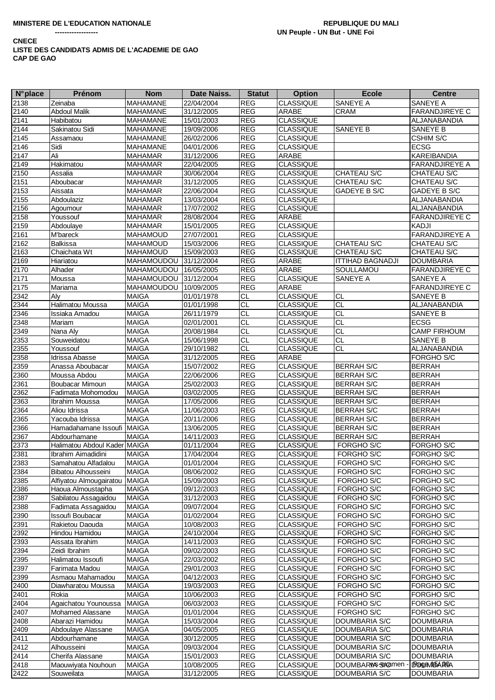| <b>N°</b> place   | Prénom                       | <b>Nom</b>            | Date Naiss. | <b>Statut</b>            | <b>Option</b>                        | <b>Ecole</b>            | <b>Centre</b>         |
|-------------------|------------------------------|-----------------------|-------------|--------------------------|--------------------------------------|-------------------------|-----------------------|
| 2138              | Zeinaba                      | <b>MAHAMANE</b>       | 22/04/2004  | <b>REG</b>               | <b>CLASSIQUE</b>                     | SANEYE A                | SANEYE A              |
| 2140              | <b>Abdoul Malik</b>          | MAHAMANE              | 31/12/2005  | <b>REG</b>               | <b>ARABE</b>                         | <b>CRAM</b>             | <b>FARANDJIREYE C</b> |
| 2141              | Habibatou                    | MAHAMANE              | 15/01/2003  | <b>REG</b>               | <b>CLASSIQUE</b>                     |                         | <b>ALJANABANDIA</b>   |
| $21\overline{44}$ | Sakinatou Sidi               | <b>MAHAMANE</b>       | 19/09/2006  | <b>REG</b>               | <b>CLASSIQUE</b>                     | SANEYE B                | <b>SANEYE B</b>       |
| 2145              | Assamaou                     | MAHAMANE              | 26/02/2006  | <b>REG</b>               | <b>CLASSIQUE</b>                     |                         | <b>CSHIM S/C</b>      |
| 2146              | Sidi                         | <b>MAHAMANE</b>       | 04/01/2006  | <b>REG</b>               | <b>CLASSIQUE</b>                     |                         | <b>ECSG</b>           |
| 2147              | Ali                          | MAHAMAR               | 31/12/2006  | <b>REG</b>               | ARABE                                |                         | KAREIBANDIA           |
| 2149              | Hakimatou                    | <b>MAHAMAR</b>        | 22/04/2005  | <b>REG</b>               | <b>CLASSIQUE</b>                     |                         | <b>FARANDJIREYE A</b> |
| 2150              | Assalia                      | <b>MAHAMAR</b>        | 30/06/2004  | <b>REG</b>               | <b>CLASSIQUE</b>                     | CHATEAU S/C             | CHATEAU S/C           |
|                   |                              | MAHAMAR               |             |                          | <b>CLASSIQUE</b>                     |                         |                       |
| 2151              | Aboubacar<br>Aissata         |                       | 31/12/2005  | <b>REG</b><br><b>REG</b> |                                      | CHATEAU S/C             | CHATEAU S/C           |
| 2153              |                              | MAHAMAR               | 22/06/2004  |                          | <b>CLASSIQUE</b>                     | GADEYE B S/C            | GADEYE B S/C          |
| 2155              | Abdoulaziz                   | <b>MAHAMAR</b>        | 13/03/2004  | <b>REG</b>               | <b>CLASSIQUE</b><br><b>CLASSIQUE</b> |                         | ALJANABANDIA          |
| 2156              | Agoumour                     | <b>MAHAMAR</b>        | 17/07/2002  | <b>REG</b>               |                                      |                         | ALJANABANDIA          |
| 2158              | Youssouf                     | <b>MAHAMAR</b>        | 28/08/2004  | <b>REG</b>               | ARABE                                |                         | <b>FARANDJIREYE C</b> |
| 2159              | Abdoulaye                    | <b>MAHAMAR</b>        | 15/01/2005  | <b>REG</b>               | <b>CLASSIQUE</b>                     |                         | KADJI                 |
| 2161              | M'bareck                     | MAHAMOUD              | 27/07/2001  | <b>REG</b>               | <b>CLASSIQUE</b>                     |                         | <b>FARANDJIREYE A</b> |
| 2162              | <b>Balkissa</b>              | <b>MAHAMOUD</b>       | 15/03/2006  | <b>REG</b>               | <b>CLASSIQUE</b>                     | CHATEAU S/C             | CHATEAU S/C           |
| 2163              | Chaichata Wt                 | <b>MAHAMOUD</b>       | 15/09/2003  | <b>REG</b>               | <b>CLASSIQUE</b>                     | CHATEAU S/C             | CHATEAU S/C           |
| 2169              | Hiariatou                    | MAHAMOUDOU            | 31/12/2004  | <b>REG</b>               | ARABE                                | <b>ITTIHAD BAGNADJI</b> | <b>DOUMBARIA</b>      |
| 2170              | Alhader                      | MAHAMOUDOU 16/05/2005 |             | <b>REG</b>               | ARABE                                | SOULLAMOU               | FARANDJIREYE C        |
| 2171              | Moussa                       | MAHAMOUDOU            | 31/12/2004  | <b>REG</b>               | <b>CLASSIQUE</b>                     | SANEYE A                | <b>SANEYE A</b>       |
| 2175              | Mariama                      | <b>MAHAMOUDOU</b>     | 10/09/2005  | <b>REG</b>               | <b>ARABE</b>                         |                         | FARANDJIREYE C        |
| 2342              | Alv                          | <b>MAIGA</b>          | 01/01/1978  | <b>CL</b>                | <b>CLASSIQUE</b>                     | <b>CL</b>               | <b>SANEYE B</b>       |
| 2344              | Halimatou Moussa             | <b>MAIGA</b>          | 01/01/1998  | $\overline{CL}$          | <b>CLASSIQUE</b>                     | $\overline{CL}$         | ALJANABANDIA          |
| 2346              | Issiaka Amadou               | <b>MAIGA</b>          | 26/11/1979  | CL                       | <b>CLASSIQUE</b>                     | СL                      | SANEYE B              |
| 2348              | Mariam                       | <b>MAIGA</b>          | 02/01/2001  | $\overline{CL}$          | <b>CLASSIQUE</b>                     | CL                      | <b>ECSG</b>           |
| 2349              | Nana Aly                     | <b>MAIGA</b>          | 20/08/1984  | CL                       | <b>CLASSIQUE</b>                     | <b>CL</b>               | <b>CAMP FIRHOUM</b>   |
| 2353              | Souweidatou                  | <b>MAIGA</b>          | 15/06/1998  | CL                       | <b>CLASSIQUE</b>                     | CL                      | SANEYE B              |
| 2355              | Youssouf                     | <b>MAIGA</b>          | 29/10/1982  | CL                       | <b>CLASSIQUE</b>                     | CL                      | ALJANABANDIA          |
| 2358              | Idrissa Abasse               | <b>MAIGA</b>          | 31/12/2005  | <b>REG</b>               | ARABE                                |                         | FORGHO S/C            |
| 2359              | Anassa Aboubacar             | <b>MAIGA</b>          | 15/07/2002  | <b>REG</b>               | <b>CLASSIQUE</b>                     | <b>BERRAH S/C</b>       | <b>BERRAH</b>         |
| 2360              | Moussa Abdou                 | <b>MAIGA</b>          | 22/06/2006  | <b>REG</b>               | <b>CLASSIQUE</b>                     | <b>BERRAH S/C</b>       | <b>BERRAH</b>         |
| 2361              | Boubacar Mimoun              | <b>MAIGA</b>          | 25/02/2003  | <b>REG</b>               | <b>CLASSIQUE</b>                     | <b>BERRAH S/C</b>       | <b>BERRAH</b>         |
| 2362              | Fadimata Mohomodou           | <b>MAIGA</b>          | 03/02/2005  | <b>REG</b>               | <b>CLASSIQUE</b>                     | <b>BERRAH S/C</b>       | <b>BERRAH</b>         |
| 2363              | Ibrahim Moussa               | <b>MAIGA</b>          | 17/05/2006  | <b>REG</b>               | <b>CLASSIQUE</b>                     | <b>BERRAH S/C</b>       | <b>BERRAH</b>         |
| 2364              | Aliou Idrissa                | <b>MAIGA</b>          | 11/06/2003  | <b>REG</b>               | <b>CLASSIQUE</b>                     | <b>BERRAH S/C</b>       | <b>BERRAH</b>         |
| 2365              | Yacouba Idrissa              | <b>MAIGA</b>          | 20/11/2006  | REG                      | <b>CLASSIQUE</b>                     | <b>BERRAH S/C</b>       | <b>BERRAH</b>         |
| 2366              | Hamadahamane Issoufi         | <b>MAIGA</b>          | 13/06/2005  | <b>REG</b>               | <b>CLASSIQUE</b>                     | <b>BERRAH S/C</b>       | <b>BERRAH</b>         |
| 2367              | Abdourhamane                 | <b>MAIGA</b>          | 14/11/2003  | <b>REG</b>               | <b>CLASSIQUE</b>                     | <b>BERRAH S/C</b>       | <b>BERRAH</b>         |
| 2373              | Halimatou Abdoul Kader MAIGA |                       | 01/11/2004  | <b>REG</b>               | <b>CLASSIQUE</b>                     | FORGHO S/C              | FORGHO S/C            |
| 2381              | Ibrahim Aimadidini           | <b>MAIGA</b>          | 17/04/2004  | <b>REG</b>               | <b>CLASSIQUE</b>                     | FORGHO S/C              | FORGHO S/C            |
| 2383              | Samahatou Alfadalou          | <b>MAIGA</b>          | 01/01/2004  | <b>REG</b>               | <b>CLASSIQUE</b>                     | FORGHO S/C              | FORGHO S/C            |
| 2384              | Bibatou Alhousseini          | <b>MAIGA</b>          | 08/06/2002  | REG                      | <b>CLASSIQUE</b>                     | FORGHO S/C              | FORGHO S/C            |
| 2385              | Alfiyatou Almougairatou      | <b>MAIGA</b>          | 15/09/2003  | <b>REG</b>               | <b>CLASSIQUE</b>                     | FORGHO S/C              | FORGHO S/C            |
| 2386              | Haoua Almoustapha            | <b>MAIGA</b>          | 09/12/2003  | <b>REG</b>               | <b>CLASSIQUE</b>                     | FORGHO S/C              | FORGHO S/C            |
| 2387              | Sabilatou Assagaidou         | <b>MAIGA</b>          | 31/12/2003  | <b>REG</b>               | <b>CLASSIQUE</b>                     | FORGHO S/C              | FORGHO S/C            |
| 2388              | Fadimata Assagaidou          | <b>MAIGA</b>          | 09/07/2004  | <b>REG</b>               | <b>CLASSIQUE</b>                     | FORGHO S/C              | FORGHO S/C            |
| 2390              | Issoufi Boubacar             | <b>MAIGA</b>          | 01/02/2004  | <b>REG</b>               | <b>CLASSIQUE</b>                     | FORGHO S/C              | FORGHO S/C            |
| 2391              | Rakietou Daouda              | <b>MAIGA</b>          | 10/08/2003  | <b>REG</b>               | <b>CLASSIQUE</b>                     | FORGHO S/C              | FORGHO S/C            |
| 2392              | Hindou Hamidou               | <b>MAIGA</b>          | 24/10/2004  | <b>REG</b>               | <b>CLASSIQUE</b>                     | FORGHO S/C              | FORGHO S/C            |
| 2393              | Aissata Ibrahim              | <b>MAIGA</b>          | 14/11/2003  | <b>REG</b>               | <b>CLASSIQUE</b>                     | FORGHO S/C              | FORGHO S/C            |
| 2394              | Zeidi Ibrahim                | <b>MAIGA</b>          | 09/02/2003  | <b>REG</b>               | <b>CLASSIQUE</b>                     | FORGHO S/C              | FORGHO S/C            |
| 2395              | Halimatou Issoufi            | <b>MAIGA</b>          | 22/03/2002  | <b>REG</b>               | <b>CLASSIQUE</b>                     | FORGHO S/C              | FORGHO S/C            |
| 2397              | Farimata Madou               | <b>MAIGA</b>          | 29/01/2003  | <b>REG</b>               | <b>CLASSIQUE</b>                     | FORGHO S/C              | FORGHO S/C            |
| 2399              | Asmaou Mahamadou             | <b>MAIGA</b>          | 04/12/2003  | <b>REG</b>               | <b>CLASSIQUE</b>                     | FORGHO S/C              | FORGHO S/C            |
| 2400              | Diawharatou Moussa           | <b>MAIGA</b>          | 19/03/2003  | <b>REG</b>               | <b>CLASSIQUE</b>                     | FORGHO S/C              | FORGHO S/C            |
| 2401              | Rokia                        | MAIGA                 | 10/06/2003  | <b>REG</b>               | <b>CLASSIQUE</b>                     | FORGHO S/C              | FORGHO S/C            |
| 2404              | Agaichatou Younoussa         |                       |             |                          |                                      | FORGHO S/C              |                       |
|                   |                              | <b>MAIGA</b>          | 06/03/2003  | <b>REG</b>               | <b>CLASSIQUE</b>                     |                         | FORGHO S/C            |
| 2407              | Mohamed Alassane             | <b>MAIGA</b>          | 01/01/2004  | <b>REG</b>               | <b>CLASSIQUE</b>                     | FORGHO S/C              | FORGHO S/C            |
| 2408              | Abarazi Hamidou              | <b>MAIGA</b>          | 15/03/2004  | <b>REG</b>               | <b>CLASSIQUE</b>                     | DOUMBARIA S/C           | <b>DOUMBARIA</b>      |
| 2409              | Abdoulaye Alassane           | <b>MAIGA</b>          | 04/05/2005  | <b>REG</b>               | <b>CLASSIQUE</b>                     | DOUMBARIA S/C           | <b>DOUMBARIA</b>      |
| 2411              | Abdourhamane                 | <b>MAIGA</b>          | 30/12/2005  | <b>REG</b>               | <b>CLASSIQUE</b>                     | DOUMBARIA S/C           | <b>DOUMBARIA</b>      |
| 2412              | Alhousseini                  | <b>MAIGA</b>          | 09/03/2004  | <b>REG</b>               | <b>CLASSIQUE</b>                     | DOUMBARIA S/C           | <b>DOUMBARIA</b>      |
| 2414              | Cherifa Alassane             | <b>MAIGA</b>          | 15/01/2003  | <b>REG</b>               | <b>CLASSIQUE</b>                     | DOUMBARIA S/C           | <b>DOUMBARIA</b>      |
| 2418              | Maouwiyata Nouhoun           | <b>MAIGA</b>          | 10/08/2005  | <b>REG</b>               | <b>CLASSIQUE</b>                     | DOUMBARWs-Sexamen       | <b>IBO GAMISA ROA</b> |
| 2422              | Souweilata                   | <b>MAIGA</b>          | 31/12/2005  | <b>REG</b>               | <b>CLASSIQUE</b>                     | DOUMBARIA S/C           | <b>DOUMBARIA</b>      |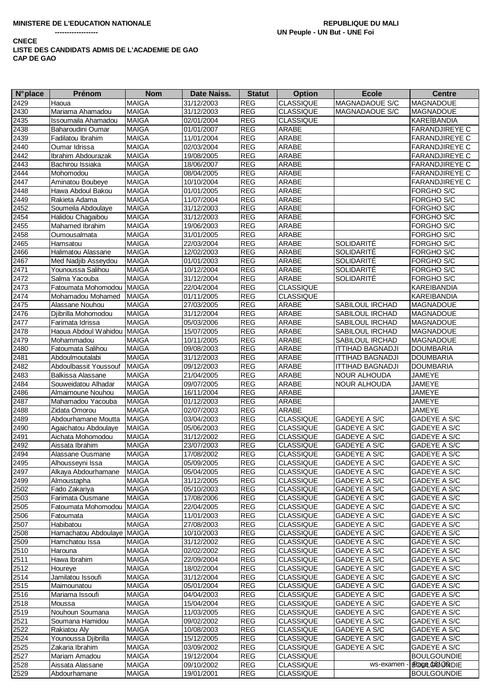| <b>N°</b> place | Prénom                     | <b>Nom</b>   | Date Naiss. | <b>Statut</b> | <b>Option</b>    | <b>Ecole</b>            | <b>Centre</b>         |
|-----------------|----------------------------|--------------|-------------|---------------|------------------|-------------------------|-----------------------|
| 2429            | Haoua                      | <b>MAIGA</b> | 31/12/2003  | <b>REG</b>    | <b>CLASSIQUE</b> | MAGNADAOUE S/C          | <b>MAGNADOUE</b>      |
| 2430            | Mariama Ahamadou           | <b>MAIGA</b> | 31/12/2003  | <b>REG</b>    | <b>CLASSIQUE</b> | MAGNADAOUE S/C          | <b>MAGNADOUE</b>      |
| 2435            | <b>Issoumaila Ahamadou</b> | <b>MAIGA</b> | 02/01/2004  | <b>REG</b>    | <b>CLASSIQUE</b> |                         | <b>KAREÏBANDIA</b>    |
| 2438            | Baharoudini Oumar          | <b>MAIGA</b> | 01/01/2007  | <b>REG</b>    | ARABE            |                         | <b>FARANDJIREYE C</b> |
| 2439            | Fadilatou Ibrahim          | <b>MAIGA</b> | 11/01/2004  | <b>REG</b>    | <b>ARABE</b>     |                         | <b>FARANDJIREYE C</b> |
|                 |                            |              |             |               |                  |                         |                       |
| 2440            | Oumar Idrissa              | <b>MAIGA</b> | 02/03/2004  | <b>REG</b>    | ARABE            |                         | <b>FARANDJIREYE C</b> |
| 2442            | Ibrahim Abdourazak         | <b>MAIGA</b> | 19/08/2005  | REG           | ARABE            |                         | <b>FARANDJIREYE C</b> |
| 2443            | Bachirou Issiaka           | <b>MAIGA</b> | 18/06/2007  | <b>REG</b>    | ARABE            |                         | <b>FARANDJIREYE C</b> |
| 2444            | Mohomodou                  | <b>MAIGA</b> | 08/04/2005  | <b>REG</b>    | ARABE            |                         | <b>FARANDJIREYE C</b> |
| 2447            | Aminatou Boubeye           | <b>MAIGA</b> | 10/10/2004  | <b>REG</b>    | ARABE            |                         | <b>FARANDJIREYE C</b> |
| 2448            | Hawa Abdoul Bakou          | <b>MAIGA</b> | 01/01/2005  | <b>REG</b>    | ARABE            |                         | FORGHO S/C            |
| 2449            | Rakieta Adama              | <b>MAIGA</b> | 11/07/2004  | <b>REG</b>    | ARABE            |                         | FORGHO S/C            |
| 2452            | Soumeila Abdoulaye         | <b>MAIGA</b> | 31/12/2003  | <b>REG</b>    | ARABE            |                         | FORGHO S/C            |
| 2454            | Halidou Chagaibou          | <b>MAIGA</b> | 31/12/2003  | <b>REG</b>    | ARABE            |                         | FORGHO S/C            |
| 2455            | Mahamed Ibrahim            | <b>MAIGA</b> | 19/06/2003  | <b>REG</b>    | ARABE            |                         | FORGHO S/C            |
| 2458            | Oumousalmata               | <b>MAIGA</b> | 31/01/2005  | <b>REG</b>    | ARABE            |                         | FORGHO S/C            |
| 2465            | Hamsatou                   | MAIGA        | 22/03/2004  | <b>REG</b>    | ARABE            | SOLIDARITÉ              | FORGHO S/C            |
| 2466            |                            | <b>MAIGA</b> |             | <b>REG</b>    | ARABE            | SOLIDARITÉ              | FORGHO S/C            |
|                 | Halimatou Alassane         |              | 12/02/2003  |               |                  |                         |                       |
| 2467            | Med Nadjib Asseydou        | <b>MAIGA</b> | 01/01/2003  | <b>REG</b>    | ARABE            | SOLIDARITÉ              | FORGHO S/C            |
| 2471            | Younoussa Salihou          | <b>MAIGA</b> | 10/12/2004  | <b>REG</b>    | ARABE            | SOLIDARITÉ              | FORGHO S/C            |
| 2472            | Salma Yacouba              | <b>MAIGA</b> | 31/12/2004  | <b>REG</b>    | ARABE            | SOLIDARITÉ              | FORGHO S/C            |
| 2473            | Fatoumata Mohomodou MAIGA  |              | 22/04/2004  | <b>REG</b>    | <b>CLASSIQUE</b> |                         | <b>KAREIBANDIA</b>    |
| 2474            | Mohamadou Mohamed          | <b>MAIGA</b> | 01/11/2005  | <b>REG</b>    | <b>CLASSIQUE</b> |                         | <b>KAREIBANDIA</b>    |
| 2475            | Alassane Nouhou            | <b>MAIGA</b> | 27/03/2005  | <b>REG</b>    | ARABE            | SABILOUL IRCHAD         | <b>MAGNADOUE</b>      |
| 2476            | Djibrilla Mohomodou        | <b>MAIGA</b> | 31/12/2004  | <b>REG</b>    | ARABE            | <b>SABILOUL IRCHAD</b>  | <b>MAGNADOUE</b>      |
| 2477            | Farimata Idrissa           | <b>MAIGA</b> | 05/03/2006  | <b>REG</b>    | ARABE            | SABILOUL IRCHAD         | <b>MAGNADOUE</b>      |
| 2478            | Haoua Abdoul Wahidou MAIGA |              | 15/07/2005  | <b>REG</b>    | ARABE            | <b>SABILOUL IRCHAD</b>  | <b>MAGNADOUE</b>      |
| 2479            | Mohammadou                 | <b>MAIGA</b> | 10/11/2005  | <b>REG</b>    | ARABE            | SABILOUL IRCHAD         | <b>MAGNADOUE</b>      |
| 2480            | Fatoumata Salihou          | <b>MAIGA</b> | 09/08/2003  | <b>REG</b>    | ARABE            | <b>ITTIHAD BAGNADJI</b> | <b>DOUMBARIA</b>      |
|                 | Abdoulmoutalabi            | <b>MAIGA</b> |             | <b>REG</b>    | ARABE            |                         | <b>DOUMBARIA</b>      |
| 2481            |                            |              | 31/12/2003  |               |                  | <b>ITTIHAD BAGNADJI</b> |                       |
| 2482            | Abdoulbassit Youssouf      | <b>MAIGA</b> | 09/12/2003  | <b>REG</b>    | ARABE            | <b>ITTIHAD BAGNADJI</b> | <b>DOUMBARIA</b>      |
| 2483            | Balkissa Alassane          | <b>MAIGA</b> | 21/04/2005  | <b>REG</b>    | ARABE            | NOUR ALHOUDA            | JAMEYE                |
| 2484            | Souweidatou Alhadar        | <b>MAIGA</b> | 09/07/2005  | <b>REG</b>    | ARABE            | <b>NOUR ALHOUDA</b>     | <b>JAMEYE</b>         |
| 2486            | Almaimoune Nouhou          | <b>MAIGA</b> | 16/11/2004  | <b>REG</b>    | ARABE            |                         | <b>JAMEYE</b>         |
| 2487            | Mahamadou Yacouba          | <b>MAIGA</b> | 01/12/2003  | <b>REG</b>    | ARABE            |                         | JAMEYE                |
| 2488            | Zidata Omorou              | <b>MAIGA</b> | 02/07/2003  | <b>REG</b>    | ARABE            |                         | JAMEYE                |
| 2489            | Abdourhamane Moutta        | <b>MAIGA</b> | 03/04/2003  | <b>REG</b>    | <b>CLASSIQUE</b> | <b>GADEYE A S/C</b>     | <b>GADEYE A S/C</b>   |
| 2490            | Agaichatou Abdoulaye       | <b>MAIGA</b> | 05/06/2003  | <b>REG</b>    | <b>CLASSIQUE</b> | GADEYE A S/C            | GADEYE A S/C          |
| 2491            | Aichata Mohomodou          | <b>MAIGA</b> | 31/12/2002  | <b>REG</b>    | <b>CLASSIQUE</b> | GADEYE A S/C            | GADEYE A S/C          |
| 2492            | Aissata Ibrahim            | <b>MAIGA</b> | 23/07/2003  | <b>REG</b>    | CLASSIQUE        | GADEYE A S/C            | GADEYE A S/C          |
| 2494            | Alassane Ousmane           | <b>MAIGA</b> | 17/08/2002  | <b>REG</b>    | <b>CLASSIQUE</b> | GADEYE A S/C            | GADEYE A S/C          |
| 2495            | Alhousseyni Issa           | <b>MAIGA</b> | 05/09/2005  | REG           | <b>CLASSIQUE</b> | GADEYE A S/C            | GADEYE A S/C          |
| 2497            | Alkaya Abdourhamane        | MAIGA        | 05/04/2005  | <b>REG</b>    | <b>CLASSIQUE</b> | GADEYE A S/C            | <b>GADEYE A S/C</b>   |
| 2499            | Almoustapha                | <b>MAIGA</b> | 31/12/2005  | <b>REG</b>    | <b>CLASSIQUE</b> |                         |                       |
|                 |                            |              |             |               | <b>CLASSIQUE</b> | GADEYE A S/C            | GADEYE A S/C          |
| 2502            | Fado Zakariya              | <b>MAIGA</b> | 05/10/2003  | <b>REG</b>    |                  | GADEYE A S/C            | GADEYE A S/C          |
| 2503            | Farimata Ousmane           | <b>MAIGA</b> | 17/08/2006  | <b>REG</b>    | <b>CLASSIQUE</b> | GADEYE A S/C            | GADEYE A S/C          |
| 2505            | Fatoumata Mohomodou MAIGA  |              | 22/04/2005  | <b>REG</b>    | <b>CLASSIQUE</b> | GADEYE A S/C            | GADEYE A S/C          |
| 2506            | Fatoumata                  | <b>MAIGA</b> | 11/01/2003  | REG           | <b>CLASSIQUE</b> | GADEYE A S/C            | GADEYE A S/C          |
| 2507            | Habibatou                  | <b>MAIGA</b> | 27/08/2003  | REG           | <b>CLASSIQUE</b> | GADEYE A S/C            | GADEYE A S/C          |
| 2508            | Hamachatou Abdoulaye MAIGA |              | 10/10/2003  | <b>REG</b>    | <b>CLASSIQUE</b> | GADEYE A S/C            | GADEYE A S/C          |
| 2509            | Hamchatou Issa             | <b>MAIGA</b> | 31/12/2002  | REG           | <b>CLASSIQUE</b> | GADEYE A S/C            | GADEYE A S/C          |
| 2510            | Harouna                    | <b>MAIGA</b> | 02/02/2002  | REG           | <b>CLASSIQUE</b> | GADEYE A S/C            | GADEYE A S/C          |
| 2511            | Hawa Ibrahim               | <b>MAIGA</b> | 22/09/2004  | REG           | <b>CLASSIQUE</b> | GADEYE A S/C            | GADEYE A S/C          |
| 2512            | Houreye                    | <b>MAIGA</b> | 18/02/2004  | <b>REG</b>    | <b>CLASSIQUE</b> | GADEYE A S/C            | GADEYE A S/C          |
| 2514            | Jamilatou Issoufi          | <b>MAIGA</b> | 31/12/2004  | <b>REG</b>    | <b>CLASSIQUE</b> | GADEYE A S/C            | GADEYE A S/C          |
| 2515            | Maimounatou                | <b>MAIGA</b> | 05/01/2004  | <b>REG</b>    | <b>CLASSIQUE</b> | GADEYE A S/C            | GADEYE A S/C          |
| 2516            | Mariama Issoufi            | <b>MAIGA</b> | 04/04/2003  | <b>REG</b>    | <b>CLASSIQUE</b> | GADEYE A S/C            | GADEYE A S/C          |
| 2518            | Moussa                     | <b>MAIGA</b> | 15/04/2004  | <b>REG</b>    | <b>CLASSIQUE</b> | GADEYE A S/C            | GADEYE A S/C          |
|                 |                            |              |             |               |                  |                         |                       |
| 2519            | Nouhoun Soumana            | <b>MAIGA</b> | 11/03/2005  | <b>REG</b>    | <b>CLASSIQUE</b> | GADEYE A S/C            | GADEYE A S/C          |
| 2521            | Soumana Hamidou            | <b>MAIGA</b> | 09/02/2002  | REG           | <b>CLASSIQUE</b> | GADEYE A S/C            | GADEYE A S/C          |
| 2522            | Rakiatou Aly               | <b>MAIGA</b> | 10/08/2003  | REG           | <b>CLASSIQUE</b> | GADEYE A S/C            | GADEYE A S/C          |
| 2524            | Younoussa Djibrilla        | <b>MAIGA</b> | 15/12/2005  | <b>REG</b>    | <b>CLASSIQUE</b> | GADEYE A S/C            | GADEYE A S/C          |
| 2525            | Zakaria Ibrahim            | <b>MAIGA</b> | 03/09/2002  | <b>REG</b>    | <b>CLASSIQUE</b> | GADEYE A S/C            | GADEYE A S/C          |
| 2527            | Mariam Amadou              | <b>MAIGA</b> | 19/12/2004  | <b>REG</b>    | <b>CLASSIQUE</b> |                         | <b>BOULGOUNDIE</b>    |
| 2528            | Aissata Alassane           | <b>MAIGA</b> | 09/10/2002  | REG           | <b>CLASSIQUE</b> | ws-examen               | BROOK GOOD SOUDIE     |
| 2529            | Abdourhamane               | <b>MAIGA</b> | 19/01/2001  | <b>REG</b>    | <b>CLASSIQUE</b> |                         | <b>BOULGOUNDIE</b>    |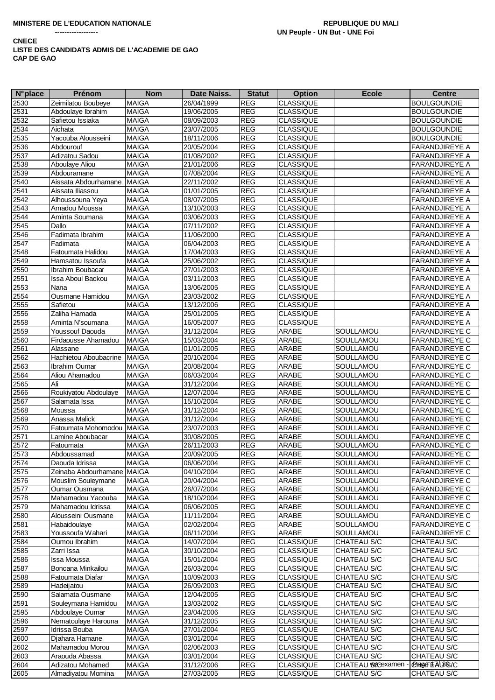| <b>N°</b> place | Prénom                     | <b>Nom</b>   | Date Naiss. | <b>Statut</b>         | <b>Option</b>    | <b>Ecole</b>      | <b>Centre</b>         |
|-----------------|----------------------------|--------------|-------------|-----------------------|------------------|-------------------|-----------------------|
| 2530            | Zeimilatou Boubeye         | <b>MAIGA</b> | 26/04/1999  | <b>REG</b>            | <b>CLASSIQUE</b> |                   | <b>BOULGOUNDIE</b>    |
| 2531            | Abdoulaye Ibrahim          | <b>MAIGA</b> | 19/06/2005  | <b>REG</b>            | <b>CLASSIQUE</b> |                   | <b>BOULGOUNDIE</b>    |
| 2532            | Safietou Issiaka           | <b>MAIGA</b> | 08/09/2003  | <b>REG</b>            | <b>CLASSIQUE</b> |                   | <b>BOULGOUNDIE</b>    |
| 2534            | Aichata                    | <b>MAIGA</b> | 23/07/2005  | <b>REG</b>            | <b>CLASSIQUE</b> |                   | <b>BOULGOUNDIE</b>    |
| 2535            | Yacouba Alousseini         | <b>MAIGA</b> | 18/11/2006  | <b>REG</b>            | <b>CLASSIQUE</b> |                   | <b>BOULGOUNDIE</b>    |
| 2536            | Abdourouf                  | <b>MAIGA</b> | 20/05/2004  | <b>REG</b>            | <b>CLASSIQUE</b> |                   | FARANDJIREYE A        |
| 2537            | Adizatou Sadou             | <b>MAIGA</b> | 01/08/2002  | REG                   | CLASSIQUE        |                   | FARANDJIREYE A        |
| 2538            | Aboulaye Aliou             | <b>MAIGA</b> | 21/01/2006  | <b>REG</b>            | <b>CLASSIQUE</b> |                   | FARANDJIREYE A        |
| 2539            | Abdouramane                | <b>MAIGA</b> | 07/08/2004  | <b>REG</b>            | <b>CLASSIQUE</b> |                   | FARANDJIREYE A        |
| 2540            | Aissata Abdourhamane       | <b>MAIGA</b> | 22/11/2002  | <b>REG</b>            | <b>CLASSIQUE</b> |                   | FARANDJIREYE A        |
| 2541            | Aissata Iliassou           | <b>MAIGA</b> | 01/01/2005  | <b>REG</b>            | <b>CLASSIQUE</b> |                   | FARANDJIREYE A        |
| 2542            | Alhoussouna Yeya           | <b>MAIGA</b> | 08/07/2005  | <b>REG</b>            | <b>CLASSIQUE</b> |                   | FARANDJIREYE A        |
| 2543            | Amadou Moussa              | <b>MAIGA</b> | 13/10/2003  | <b>REG</b>            | <b>CLASSIQUE</b> |                   | FARANDJIREYE A        |
| 2544            | Aminta Soumana             | <b>MAIGA</b> | 03/06/2003  | <b>REG</b>            | <b>CLASSIQUE</b> |                   | FARANDJIREYE A        |
| 2545            | Dallo                      | <b>MAIGA</b> | 07/11/2002  | <b>REG</b>            | <b>CLASSIQUE</b> |                   | <b>FARANDJIREYE A</b> |
| 2546            | Fadimata Ibrahim           | <b>MAIGA</b> | 11/06/2000  | <b>REG</b>            | <b>CLASSIQUE</b> |                   | FARANDJIREYE A        |
| 2547            | Fadimata                   | <b>MAIGA</b> | 06/04/2003  | <b>REG</b>            | <b>CLASSIQUE</b> |                   | FARANDJIREYE A        |
| 2548            | Fatoumata Halidou          | <b>MAIGA</b> | 17/04/2003  | <b>REG</b>            | <b>CLASSIQUE</b> |                   | FARANDJIREYE A        |
| 2549            | Hamsatou Issoufa           | <b>MAIGA</b> | 25/06/2002  | <b>REG</b>            | <b>CLASSIQUE</b> |                   | <b>FARANDJIREYE A</b> |
| 2550            | Ibrahim Boubacar           | <b>MAIGA</b> | 27/01/2003  | REG                   | <b>CLASSIQUE</b> |                   | FARANDJIREYE A        |
| 2551            | Issa Aboul Backou          | <b>MAIGA</b> | 03/11/2003  | <b>REG</b>            | <b>CLASSIQUE</b> |                   | <b>FARANDJIREYE A</b> |
| 2553            | Nana                       | <b>MAIGA</b> | 13/06/2005  | <b>REG</b>            | <b>CLASSIQUE</b> |                   | FARANDJIREYE A        |
| 2554            | <b>Ousmane Hamidou</b>     | <b>MAIGA</b> | 23/03/2002  | <b>REG</b>            | <b>CLASSIQUE</b> |                   | <b>FARANDJIREYE A</b> |
| 2555            | Safietou                   | <b>MAIGA</b> | 13/12/2006  | <b>REG</b>            | <b>CLASSIQUE</b> |                   | FARANDJIREYE A        |
| 2556            | Zaliha Hamada              | <b>MAIGA</b> | 25/01/2005  | <b>REG</b>            | <b>CLASSIQUE</b> |                   | <b>FARANDJIREYE A</b> |
| 2558            | Aminta N'soumana           | <b>MAIGA</b> | 16/05/2007  | <b>REG</b>            | <b>CLASSIQUE</b> |                   | FARANDJIREYE A        |
| 2559            | Youssouf Daouda            | <b>MAIGA</b> | 31/12/2004  | <b>REG</b>            | ARABE            | SOULLAMOU         | <b>FARANDJIREYE C</b> |
| 2560            | Firdaousse Ahamadou        | <b>MAIGA</b> | 15/03/2004  | <b>REG</b>            | ARABE            | SOULLAMOU         | <b>FARANDJIREYE C</b> |
| 2561            | Alassane                   | <b>MAIGA</b> | 01/01/2005  | <b>REG</b>            | ARABE            | SOULLAMOU         | <b>FARANDJIREYE C</b> |
| 2562            | Hachietou Aboubacrine      | <b>MAIGA</b> | 20/10/2004  | <b>REG</b>            | <b>ARABE</b>     | SOULLAMOU         | FARANDJIREYE C        |
| 2563            | <b>Ibrahim Oumar</b>       | <b>MAIGA</b> | 20/08/2004  | <b>REG</b>            | ARABE            | SOULLAMOU         | FARANDJIREYE C        |
| 2564            | Aliou Ahamadou             | <b>MAIGA</b> | 06/03/2004  | <b>REG</b>            | ARABE            | SOULLAMOU         | FARANDJIREYE C        |
| 2565            | Ali                        | <b>MAIGA</b> | 31/12/2004  | <b>REG</b>            | ARABE            | SOULLAMOU         | <b>FARANDJIREYE C</b> |
| 2566            | Roukiyatou Abdoulaye       | <b>MAIGA</b> | 12/07/2004  | <b>REG</b>            | ARABE            | SOULLAMOU         | FARANDJIREYE C        |
| 2567            | Salamata Issa              | <b>MAIGA</b> | 15/10/2004  | <b>REG</b>            | ARABE            | SOULLAMOU         | FARANDJIREYE C        |
| 2568            | Moussa                     | <b>MAIGA</b> | 31/12/2004  | <b>REG</b>            | ARABE            | SOULLAMOU         | FARANDJIREYE C        |
| 2569            | Anassa Malick              | <b>MAIGA</b> | 31/12/2004  | <b>REG</b>            | ARABE            | SOULLAMOU         | FARANDJIREYE C        |
| 2570            | Fatoumata Mohomodou        | <b>MAIGA</b> | 23/07/2003  | <b>REG</b>            | <b>ARABE</b>     | SOULLAMOU         | FARANDJIREYE C        |
| 2571            | Lamine Aboubacar           | <b>MAIGA</b> | 30/08/2005  | <b>REG</b>            | ARABE            | SOULLAMOU         | FARANDJIREYE C        |
| 2572            | Fatoumata                  | <b>MAIGA</b> | 26/11/2003  | <b>REG</b>            | ARABE            | SOULLAMOU         | FARANDJIREYE C        |
| 2573            | Abdoussamad                | <b>MAIGA</b> | 20/09/2005  | <b>REG</b>            | ARABE            | SOULLAMOU         | FARANDJIREYE C        |
| 2574            | Daouda Idrissa             | <b>MAIGA</b> | 06/06/2004  | $\mathsf{REG}\xspace$ | ARABE            | SOULLAMOU         | FARANDJIREYE C        |
| 2575            | Zeinaba Abdourhamane MAIGA |              | 04/10/2004  | <b>REG</b>            | ARABE            | SOULLAMOU         | <b>FARANDJIREYE C</b> |
| 2576            | Mouslim Souleymane         | MAIGA        | 20/04/2004  | <b>REG</b>            | ARABE            | SOULLAMOU         | <b>FARANDJIREYE C</b> |
| 2577            | Oumar Ousmana              | <b>MAIGA</b> | 26/07/2004  | <b>REG</b>            | ARABE            | SOULLAMOU         | FARANDJIREYE C        |
| 2578            | Mahamadou Yacouba          | <b>MAIGA</b> | 18/10/2004  | <b>REG</b>            | ARABE            | SOULLAMOU         | <b>FARANDJIREYE C</b> |
| 2579            | Mahamadou Idrissa          | <b>MAIGA</b> | 06/06/2005  | <b>REG</b>            | ARABE            | SOULLAMOU         | FARANDJIREYE C        |
| 2580            | Alousseini Ousmane         | <b>MAIGA</b> | 11/11/2004  | <b>REG</b>            | <b>ARABE</b>     | SOULLAMOU         | <b>FARANDJIREYE C</b> |
| 2581            | Habaidoulaye               | <b>MAIGA</b> | 02/02/2004  | <b>REG</b>            | ARABE            | SOULLAMOU         | <b>FARANDJIREYE C</b> |
| 2583            | Youssoufa Wahari           | <b>MAIGA</b> | 06/11/2004  | <b>REG</b>            | <b>ARABE</b>     | SOULLAMOU         | <b>FARANDJIREYE C</b> |
| 2584            | Oumou Ibrahim              | <b>MAIGA</b> | 14/07/2004  | <b>REG</b>            | <b>CLASSIQUE</b> | CHATEAU S/C       | CHATEAU S/C           |
| 2585            | Zarri Issa                 | <b>MAIGA</b> | 30/10/2004  | <b>REG</b>            | <b>CLASSIQUE</b> | CHATEAU S/C       | CHATEAU S/C           |
| 2586            | Issa Moussa                | <b>MAIGA</b> | 15/01/2004  | <b>REG</b>            | <b>CLASSIQUE</b> | CHATEAU S/C       | CHATEAU S/C           |
| 2587            | Boncana Minkailou          | <b>MAIGA</b> | 26/03/2004  | <b>REG</b>            | <b>CLASSIQUE</b> | CHATEAU S/C       | CHATEAU S/C           |
| 2588            | Fatoumata Diafar           | <b>MAIGA</b> | 10/09/2003  | <b>REG</b>            | <b>CLASSIQUE</b> | CHATEAU S/C       | CHATEAU S/C           |
| 2589            | Hadeijatou                 | <b>MAIGA</b> | 26/09/2003  | <b>REG</b>            | <b>CLASSIQUE</b> | CHATEAU S/C       | CHATEAU S/C           |
| 2590            | Salamata Ousmane           | <b>MAIGA</b> | 12/04/2005  | <b>REG</b>            | <b>CLASSIQUE</b> | CHATEAU S/C       | CHATEAU S/C           |
| 2591            | Souleymana Hamidou         | <b>MAIGA</b> | 13/03/2002  | <b>REG</b>            | <b>CLASSIQUE</b> | CHATEAU S/C       | CHATEAU S/C           |
| 2595            | Abdoulaye Oumar            | <b>MAIGA</b> | 23/04/2006  | <b>REG</b>            | <b>CLASSIQUE</b> | CHATEAU S/C       | CHATEAU S/C           |
| 2596            | Nematoulaye Harouna        | <b>MAIGA</b> | 31/12/2005  | <b>REG</b>            | <b>CLASSIQUE</b> | CHATEAU S/C       | CHATEAU S/C           |
| 2597            | Idrissa Bouba              | <b>MAIGA</b> | 27/01/2004  | <b>REG</b>            | <b>CLASSIQUE</b> | CHATEAU S/C       | CHATEAU S/C           |
| 2600            | Djahara Hamane             | <b>MAIGA</b> | 03/01/2004  | <b>REG</b>            | <b>CLASSIQUE</b> | CHATEAU S/C       | CHATEAU S/C           |
| 2602            | Mahamadou Morou            | <b>MAIGA</b> | 02/06/2003  | <b>REG</b>            | <b>CLASSIQUE</b> | CHATEAU S/C       | CHATEAU S/C           |
| 2603            | Araouda Abassa             | <b>MAIGA</b> | 03/01/2004  | <b>REG</b>            | <b>CLASSIQUE</b> | CHATEAU S/C       | CHATEAU S/C           |
| 2604            | Adizatou Mohamed           | <b>MAIGA</b> | 31/12/2006  | <b>REG</b>            | <b>CLASSIQUE</b> | CHATEAU ®&Gexamen | CHelgeTEALBG/C        |
| 2605            | Almadiyatou Momina         | <b>MAIGA</b> | 27/03/2005  | <b>REG</b>            | <b>CLASSIQUE</b> | CHATEAU S/C       | CHATEAU S/C           |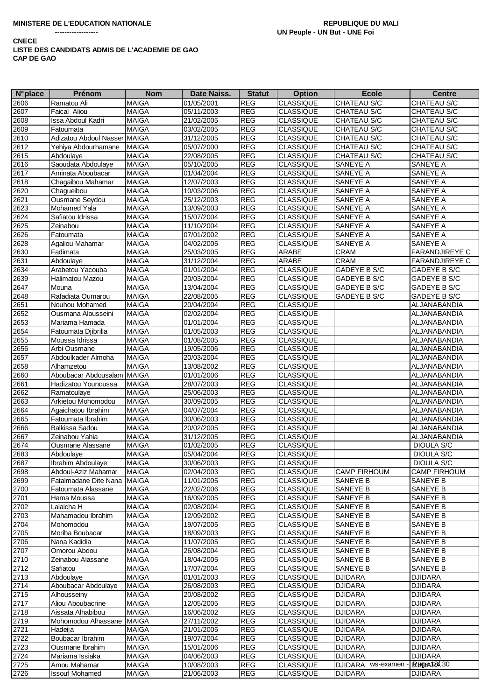| <b>N°</b> place | Prénom                       | <b>Nom</b>   | Date Naiss. | <b>Statut</b>               | <b>Option</b>    | <b>Ecole</b>        | <b>Centre</b>         |
|-----------------|------------------------------|--------------|-------------|-----------------------------|------------------|---------------------|-----------------------|
| 2606            | Ramatou Ali                  | <b>MAIGA</b> | 01/05/2001  | REG                         | <b>CLASSIQUE</b> | CHATEAU S/C         | CHATEAU S/C           |
| 2607            | Faical Aliou                 | <b>MAIGA</b> | 05/11/2003  | <b>REG</b>                  | <b>CLASSIQUE</b> | CHATEAU S/C         | CHATEAU S/C           |
| 2608            | Issa Abdoul Kadri            | <b>MAIGA</b> | 21/02/2005  | <b>REG</b>                  | <b>CLASSIQUE</b> | CHATEAU S/C         | CHATEAU S/C           |
| 2609            | Fatoumata                    | <b>MAIGA</b> | 03/02/2005  | <b>REG</b>                  | <b>CLASSIQUE</b> | CHATEAU S/C         | CHATEAU S/C           |
| 2610            | Adizatou Abdoul Nasser MAIGA |              | 31/12/2005  | <b>REG</b>                  | <b>CLASSIQUE</b> | CHATEAU S/C         | CHATEAU S/C           |
| 2612            | Yehiya Abdourhamane          | <b>MAIGA</b> | 05/07/2000  | <b>REG</b>                  | <b>CLASSIQUE</b> | CHATEAU S/C         | CHATEAU S/C           |
| 2615            | Abdoulaye                    | <b>MAIGA</b> | 22/08/2005  | <b>REG</b>                  | CLASSIQUE        | CHATEAU S/C         | CHATEAU S/C           |
| 2616            | Saoudata Abdoulaye           | <b>MAIGA</b> | 05/10/2005  | <b>REG</b>                  | <b>CLASSIQUE</b> | SANEYE A            | SANEYE A              |
| 2617            | Aminata Aboubacar            | <b>MAIGA</b> | 01/04/2004  | <b>REG</b>                  | <b>CLASSIQUE</b> | SANEYE A            | SANEYE A              |
| 2618            | Chagaibou Mahamar            | <b>MAIGA</b> | 12/07/2003  | <b>REG</b>                  | <b>CLASSIQUE</b> | SANEYE A            | SANEYE A              |
| 2620            | Chagueibou                   | <b>MAIGA</b> | 10/03/2006  | <b>REG</b>                  | <b>CLASSIQUE</b> | SANEYE A            | SANEYE A              |
| 2621            | Ousmane Seydou               | <b>MAIGA</b> | 25/12/2003  | <b>REG</b>                  | <b>CLASSIQUE</b> | SANEYE A            | SANEYE A              |
| 2623            | Mohamed Yala                 | <b>MAIGA</b> | 13/09/2003  | <b>REG</b>                  | <b>CLASSIQUE</b> | SANEYE A            | SANEYE A              |
| 2624            | Safiatou Idrissa             | <b>MAIGA</b> | 15/07/2004  | <b>REG</b>                  | <b>CLASSIQUE</b> | SANEYE A            | SANEYE A              |
| 2625            | Zeinabou                     | <b>MAIGA</b> | 11/10/2004  | <b>REG</b>                  | CLASSIQUE        | SANEYE A            | SANEYE A              |
| 2626            | Fatoumata                    | <b>MAIGA</b> | 07/01/2002  | <b>REG</b>                  | <b>CLASSIQUE</b> | SANEYE A            | SANEYE A              |
| 2628            | Agaliou Mahamar              | <b>MAIGA</b> | 04/02/2005  | <b>REG</b>                  | <b>CLASSIQUE</b> | SANEYE A            | SANEYE A              |
| 2630            | Fadimata                     | <b>MAIGA</b> | 25/03/2005  | <b>REG</b>                  | ARABE            | <b>CRAM</b>         | FARANDJIREYE C        |
| 2631            | Abdoulaye                    | <b>MAIGA</b> | 31/12/2004  | <b>REG</b>                  | ARABE            | <b>CRAM</b>         | <b>FARANDJIREYE C</b> |
| 2634            | Arabetou Yacouba             | <b>MAIGA</b> | 01/01/2004  | <b>REG</b>                  | <b>CLASSIQUE</b> | GADEYE B S/C        | GADEYE B S/C          |
| 2639            | Halimatou Mazou              | <b>MAIGA</b> | 20/03/2004  | <b>REG</b>                  | <b>CLASSIQUE</b> | GADEYE B S/C        | GADEYE B S/C          |
| 2647            | Mouna                        | <b>MAIGA</b> | 13/04/2004  | <b>REG</b>                  | <b>CLASSIQUE</b> | GADEYE B S/C        | GADEYE B S/C          |
| 2648            | Rafadiata Oumarou            | <b>MAIGA</b> | 22/08/2005  | <b>REG</b>                  | <b>CLASSIQUE</b> | <b>GADEYE B S/C</b> | GADEYE B S/C          |
| 2651            | Nouhou Mohamed               | <b>MAIGA</b> | 20/04/2004  | <b>REG</b>                  | <b>CLASSIQUE</b> |                     | ALJANABANDIA          |
| 2652            | Ousmana Alousseini           | <b>MAIGA</b> | 02/02/2004  | <b>REG</b>                  | <b>CLASSIQUE</b> |                     | ALJANABANDIA          |
| 2653            | Mariama Hamada               | <b>MAIGA</b> | 01/01/2004  | <b>REG</b>                  | <b>CLASSIQUE</b> |                     | ALJANABANDIA          |
| 2654            | Fatoumata Djibrilla          | <b>MAIGA</b> | 01/05/2003  | <b>REG</b>                  | CLASSIQUE        |                     | ALJANABANDIA          |
| 2655            | Moussa Idrissa               | <b>MAIGA</b> | 01/08/2005  | <b>REG</b>                  | CLASSIQUE        |                     | ALJANABANDIA          |
| 2656            | Arbi Ousmane                 | <b>MAIGA</b> | 19/05/2006  | <b>REG</b>                  | <b>CLASSIQUE</b> |                     | ALJANABANDIA          |
| 2657            | Abdoulkader Almoha           | <b>MAIGA</b> | 20/03/2004  | <b>REG</b>                  | <b>CLASSIQUE</b> |                     | ALJANABANDIA          |
| 2658            | Alhamzetou                   | <b>MAIGA</b> | 13/08/2002  | <b>REG</b>                  | <b>CLASSIQUE</b> |                     | ALJANABANDIA          |
| 2660            | Aboubacar Abdousalam MAIGA   |              | 01/01/2006  | REG                         | CLASSIQUE        |                     | ALJANABANDIA          |
| 2661            | Hadizatou Younoussa          | <b>MAIGA</b> | 28/07/2003  | <b>REG</b>                  | CLASSIQUE        |                     | ALJANABANDIA          |
| 2662            | Ramatoulaye                  | <b>MAIGA</b> | 25/06/2003  | <b>REG</b>                  | <b>CLASSIQUE</b> |                     | ALJANABANDIA          |
| 2663            | Arkietou Mohomodou           | <b>MAIGA</b> | 30/09/2005  | <b>REG</b>                  | CLASSIQUE        |                     | ALJANABANDIA          |
| 2664            | Agaichatou Ibrahim           | <b>MAIGA</b> | 04/07/2004  | <b>REG</b>                  | CLASSIQUE        |                     | ALJANABANDIA          |
| 2665            | Fatoumata Ibrahim            | <b>MAIGA</b> | 30/06/2003  | <b>REG</b>                  | CLASSIQUE        |                     | ALJANABANDIA          |
| 2666            | <b>Balkissa Sadou</b>        | <b>MAIGA</b> | 20/02/2005  | <b>REG</b>                  | <b>CLASSIQUE</b> |                     | ALJANABANDIA          |
| 2667            | Zeinabou Yahia               | <b>MAIGA</b> | 31/12/2005  | <b>REG</b>                  | <b>CLASSIQUE</b> |                     | ALJANABANDIA          |
| 2674            | Ousmane Alassane             | <b>MAIGA</b> | 01/02/2005  | <b>REG</b>                  | <b>CLASSIQUE</b> |                     | DIOULA S/C            |
| 2683            | Abdoulaye                    | <b>MAIGA</b> | 05/04/2004  | <b>REG</b>                  | <b>CLASSIQUE</b> |                     | <b>DIOULA S/C</b>     |
| 2687            | Ibrahim Abdoulaye            | <b>MAIGA</b> | 30/06/2003  | $\ensuremath{\mathsf{REG}}$ | <b>CLASSIQUE</b> |                     | DIOULA S/C            |
| 2698            | Abdoul-Aziz Mahamar          | <b>MAIGA</b> | 02/04/2003  | <b>REG</b>                  | <b>CLASSIQUE</b> | <b>CAMP FIRHOUM</b> | <b>CAMP FIRHOUM</b>   |
| 2699            | Fatalmadane Dite Nana MAIGA  |              | 11/01/2005  | <b>REG</b>                  | <b>CLASSIQUE</b> | SANEYE B            | SANEYE B              |
| 2700            | Fatoumata Alassane           | <b>MAIGA</b> | 22/02/2006  | <b>REG</b>                  | <b>CLASSIQUE</b> | SANEYE B            | SANEYE B              |
| 2701            | Hama Moussa                  | <b>MAIGA</b> | 16/09/2005  | <b>REG</b>                  | <b>CLASSIQUE</b> | SANEYE B            | SANEYE B              |
| 2702            | Lalaicha H                   | <b>MAIGA</b> | 02/08/2004  | <b>REG</b>                  | <b>CLASSIQUE</b> | SANEYE B            | SANEYE B              |
| 2703            | Mahamadou Ibrahim            | <b>MAIGA</b> | 12/09/2002  | <b>REG</b>                  | <b>CLASSIQUE</b> | SANEYE B            | SANEYE B              |
| 2704            | Mohomodou                    | <b>MAIGA</b> | 19/07/2005  | <b>REG</b>                  | <b>CLASSIQUE</b> | SANEYE B            | SANEYE B              |
| 2705            | Moriba Boubacar              | <b>MAIGA</b> | 18/09/2003  | <b>REG</b>                  | <b>CLASSIQUE</b> | SANEYE B            | SANEYE B              |
| 2706            | Nana Kadidia                 | <b>MAIGA</b> | 11/07/2005  | <b>REG</b>                  | <b>CLASSIQUE</b> | SANEYE B            | SANEYE B              |
| 2707            | Omorou Abdou                 | <b>MAIGA</b> | 26/08/2004  | <b>REG</b>                  | CLASSIQUE        | SANEYE B            | SANEYE B              |
| 2710            | Zeinabou Alassane            | <b>MAIGA</b> | 18/04/2005  | <b>REG</b>                  | CLASSIQUE        | SANEYE B            | SANEYE B              |
| 2712            | Safiatou                     | <b>MAIGA</b> | 17/07/2004  | <b>REG</b>                  | CLASSIQUE        | SANEYE B            | SANEYE B              |
| 2713            | Abdoulaye                    | <b>MAIGA</b> | 01/01/2003  | <b>REG</b>                  | <b>CLASSIQUE</b> | <b>DJIDARA</b>      | <b>DJIDARA</b>        |
| 2714            | Aboubacar Abdoulaye          | <b>MAIGA</b> | 26/08/2003  | <b>REG</b>                  | CLASSIQUE        | <b>DJIDARA</b>      | <b>DJIDARA</b>        |
| 2715            | Alhousseiny                  | <b>MAIGA</b> | 20/08/2002  | <b>REG</b>                  | <b>CLASSIQUE</b> | <b>DJIDARA</b>      | <b>DJIDARA</b>        |
| 2717            | Aliou Aboubacrine            | <b>MAIGA</b> | 12/05/2005  | <b>REG</b>                  | CLASSIQUE        | <b>DJIDARA</b>      | <b>DJIDARA</b>        |
| 2718            | Aissata Alhabibou            | <b>MAIGA</b> | 16/06/2002  | <b>REG</b>                  | <b>CLASSIQUE</b> | <b>DJIDARA</b>      | <b>DJIDARA</b>        |
| 2719            | Mohomodou Alhassane          | <b>MAIGA</b> | 27/11/2002  | <b>REG</b>                  | <b>CLASSIQUE</b> | <b>DJIDARA</b>      | <b>DJIDARA</b>        |
| 2721            | Hadeija                      | <b>MAIGA</b> | 21/01/2005  | <b>REG</b>                  | <b>CLASSIQUE</b> | <b>DJIDARA</b>      | <b>DJIDARA</b>        |
| 2722            | Boubacar Ibrahim             | <b>MAIGA</b> | 19/07/2004  | <b>REG</b>                  | <b>CLASSIQUE</b> | <b>DJIDARA</b>      | <b>DJIDARA</b>        |
| 2723            | Ousmane Ibrahim              | <b>MAIGA</b> | 15/01/2006  | <b>REG</b>                  | <b>CLASSIQUE</b> | <b>DJIDARA</b>      | <b>DJIDARA</b>        |
| 2724            | Mariama Issiaka              | <b>MAIGA</b> | 04/06/2003  | <b>REG</b>                  | <b>CLASSIQUE</b> | <b>DJIDARA</b>      | <b>DJIDARA</b>        |
| 2725            | Amou Mahamar                 | <b>MAIGA</b> | 10/08/2003  | <b>REG</b>                  | <b>CLASSIQUE</b> | DJIDARA ws-examen   | IPSADEA FOX 30        |
| 2726            | <b>Issouf Mohamed</b>        | <b>MAIGA</b> | 21/06/2003  | <b>REG</b>                  | <b>CLASSIQUE</b> | <b>DJIDARA</b>      | <b>DJIDARA</b>        |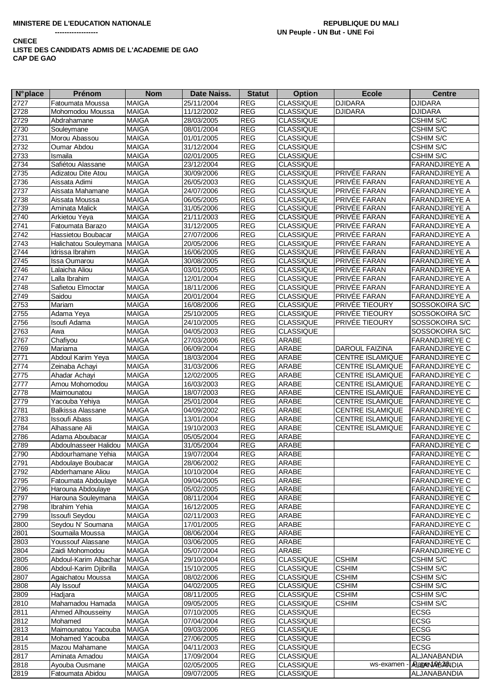| <b>N°</b> place | Prénom                              | <b>Nom</b>   | Date Naiss.              | <b>Statut</b>            | <b>Option</b>                        | <b>Ecole</b>                 | <b>Centre</b>          |
|-----------------|-------------------------------------|--------------|--------------------------|--------------------------|--------------------------------------|------------------------------|------------------------|
| 2727            | Fatoumata Moussa                    | <b>MAIGA</b> | 25/11/2004               | <b>REG</b>               | <b>CLASSIQUE</b>                     | <b>DJIDARA</b>               | <b>DJIDARA</b>         |
| 2728            | Mohomodou Moussa                    | <b>MAIGA</b> | 11/12/2002               | <b>REG</b>               | <b>CLASSIQUE</b>                     | DJIDARA                      | <b>DJIDARA</b>         |
| 2729            | Abdrahamane                         | <b>MAIGA</b> | 28/03/2005               | <b>REG</b>               | <b>CLASSIQUE</b>                     |                              | CSHIM S/C              |
| 2730            | Souleymane                          | <b>MAIGA</b> | 08/01/2004               | <b>REG</b>               | <b>CLASSIQUE</b>                     |                              | CSHIM S/C              |
| 2731            | Morou Abassou                       | <b>MAIGA</b> | 01/01/2005               | <b>REG</b>               | <b>CLASSIQUE</b>                     |                              | CSHIM S/C              |
| 2732            | Oumar Abdou                         | <b>MAIGA</b> | 31/12/2004               | <b>REG</b>               | <b>CLASSIQUE</b>                     |                              | CSHIM S/C              |
| 2733            | Ismaila                             | <b>MAIGA</b> | 02/01/2005               | REG                      | <b>CLASSIQUE</b>                     |                              | CSHIM S/C              |
| 2734            | Safiétou Alassane                   | <b>MAIGA</b> | 23/12/2004               | <b>REG</b>               | <b>CLASSIQUE</b>                     |                              | FARANDJIREYE A         |
| 2735            | Adizatou Dite Atou                  | <b>MAIGA</b> | 30/09/2006               | <b>REG</b>               | <b>CLASSIQUE</b>                     | PRIVÉE FARAN                 | <b>FARANDJIREYE A</b>  |
| 2736            | Aissata Adimi                       | <b>MAIGA</b> | 26/05/2003               | <b>REG</b>               | <b>CLASSIQUE</b>                     | PRIVÉE FARAN                 | FARANDJIREYE A         |
| 2737            | Aissata Mahamane                    | <b>MAIGA</b> | 24/07/2006               | <b>REG</b>               | <b>CLASSIQUE</b>                     | PRIVÉE FARAN                 | FARANDJIREYE A         |
| 2738            | Aissata Moussa                      | <b>MAIGA</b> | 06/05/2005               | <b>REG</b>               | <b>CLASSIQUE</b>                     | PRIVÉE FARAN                 | FARANDJIREYE A         |
| 2739            | Aminata Malick                      | <b>MAIGA</b> | 31/05/2006               | <b>REG</b>               | <b>CLASSIQUE</b>                     | PRIVÉE FARAN                 | FARANDJIREYE A         |
| 2740            | Arkietou Yeya                       | <b>MAIGA</b> | 21/11/2003               | <b>REG</b>               | <b>CLASSIQUE</b>                     | PRIVÉE FARAN                 | FARANDJIREYE A         |
| 2741            | Fatoumata Barazo                    | <b>MAIGA</b> | 31/12/2005               | <b>REG</b>               | <b>CLASSIQUE</b>                     | PRIVÉE FARAN                 | <b>FARANDJIREYE A</b>  |
| 2742            | Hassietou Boubacar                  | <b>MAIGA</b> | 27/07/2006               | <b>REG</b>               | <b>CLASSIQUE</b>                     | PRIVÉE FARAN                 | FARANDJIREYE A         |
| 2743            | Halichatou Souleymana               | <b>MAIGA</b> | 20/05/2006               | <b>REG</b>               | <b>CLASSIQUE</b>                     | PRIVÉE FARAN                 | FARANDJIREYE A         |
| 2744            | Idrissa Ibrahim                     | <b>MAIGA</b> | 16/06/2005               | <b>REG</b>               | <b>CLASSIQUE</b>                     | PRIVÉE FARAN                 | FARANDJIREYE A         |
| 2745            | Issa Oumarou                        | <b>MAIGA</b> | 30/08/2005               | <b>REG</b>               | <b>CLASSIQUE</b>                     | PRIVÉE FARAN                 | <b>FARANDJIREYE A</b>  |
| 2746            | Lalaicha Aliou                      | <b>MAIGA</b> | 03/01/2005               | REG                      | <b>CLASSIQUE</b>                     | PRIVÉE FARAN                 | FARANDJIREYE A         |
| 2747            | Lalla Ibrahim                       | <b>MAIGA</b> | 12/01/2004               | <b>REG</b>               | <b>CLASSIQUE</b>                     | PRIVÉE FARAN                 | FARANDJIREYE A         |
| 2748            | Safietou Elmoctar                   | <b>MAIGA</b> | 18/11/2006               | <b>REG</b>               | <b>CLASSIQUE</b>                     | PRIVÉE FARAN                 | FARANDJIREYE A         |
| 2749            | Saidou                              | <b>MAIGA</b> | 20/01/2004               | <b>REG</b>               | <b>CLASSIQUE</b>                     | PRIVÉE FARAN                 | <b>FARANDJIREYE A</b>  |
| 2753            | Mariam                              | <b>MAIGA</b> | 16/08/2006               | <b>REG</b>               | <b>CLASSIQUE</b>                     | PRIVÉE TIEOURY               | SOSSOKOIRA S/C         |
| 2755            | Adama Yeya                          | <b>MAIGA</b> | 25/10/2005               | <b>REG</b>               | <b>CLASSIQUE</b>                     | PRIVÉE TIEOURY               | SOSSOKOIRA S/C         |
| 2756            | Isoufi Adama                        | <b>MAIGA</b> | 24/10/2005               | <b>REG</b>               | <b>CLASSIQUE</b>                     | PRIVÉE TIEOURY               | SOSSOKOIRA S/C         |
| 2763            | Awa                                 | <b>MAIGA</b> | 04/05/2003               | <b>REG</b>               | <b>CLASSIQUE</b>                     |                              | SOSSOKOIRA S/C         |
| 2767            | Chafiyou                            | <b>MAIGA</b> | 27/03/2006               | <b>REG</b>               | ARABE                                |                              | FARANDJIREYE C         |
| 2769            | Mariama                             | <b>MAIGA</b> | 06/09/2004               | <b>REG</b>               | ARABE                                | DAROUL FAIZINA               | FARANDJIREYE C         |
| 2771            | Abdoul Karim Yeya                   | <b>MAIGA</b> | 18/03/2004               | <b>REG</b>               | <b>ARABE</b>                         | <b>CENTRE ISLAMIQUE</b>      | <b>FARANDJIREYE C</b>  |
| 2774            | Zeinaba Achayi                      | <b>MAIGA</b> | 31/03/2006               | <b>REG</b>               | ARABE                                | CENTRE ISLAMIQUE             | <b>FARANDJIREYE C</b>  |
| 2775            | Ahadar Achayi                       | <b>MAIGA</b> | 12/02/2005               | <b>REG</b>               | ARABE                                | CENTRE ISLAMIQUE             | <b>FARANDJIREYE C</b>  |
| 2777            | Amou Mohomodou                      | <b>MAIGA</b> | 16/03/2003               | <b>REG</b>               | ARABE                                | <b>CENTRE ISLAMIQUE</b>      | <b>FARANDJIREYE C</b>  |
| 2778            | Maimounatou                         | <b>MAIGA</b> | 18/07/2003               | <b>REG</b>               | ARABE                                | <b>CENTRE ISLAMIQUE</b>      | <b>FARANDJIREYE C</b>  |
| 2779            | Yacouba Yehiya                      | <b>MAIGA</b> | 25/01/2004               | <b>REG</b>               | ARABE                                | CENTRE ISLAMIQUE             | <b>FARANDJIREYE C</b>  |
| 2781            | Balkissa Alassane                   | <b>MAIGA</b> | 04/09/2002               | <b>REG</b>               | ARABE                                | CENTRE ISLAMIQUE             | <b>FARANDJIREYE C</b>  |
| 2783            | <b>Issoufi Abass</b>                | <b>MAIGA</b> | 13/01/2004               | <b>REG</b>               | ARABE                                | CENTRE ISLAMIQUE             | <b>FARANDJIREYE C</b>  |
| 2784            | Alhassane Ali                       | <b>MAIGA</b> | 19/10/2003               | <b>REG</b>               | ARABE                                | <b>CENTRE ISLAMIQUE</b>      | <b>FARANDJIREYE C</b>  |
| 2786            | Adama Aboubacar                     | <b>MAIGA</b> | 05/05/2004               | <b>REG</b>               | ARABE                                |                              | FARANDJIREYE C         |
| 2789            | Abdoulnasseer Halidou               | <b>MAIGA</b> | 31/05/2004               | <b>REG</b>               | ARABE                                |                              | <b>FARANDJIREYE C</b>  |
| 2790            | Abdourhamane Yehia                  | <b>MAIGA</b> | 19/07/2004               | <b>REG</b>               | ARABE                                |                              | <b>FARANDJIREYE C</b>  |
| 2791            | Abdoulaye Boubacar                  | <b>MAIGA</b> | 28/06/2002               | $\mathsf{REG}\xspace$    | ARABE                                |                              | FARANDJIREYE C         |
| 2792            | Abderhamane Aliou                   | <b>MAIGA</b> | 10/10/2004               | <b>REG</b>               | ARABE                                |                              | <b>FARANDJIREYE C</b>  |
| 2795            | Fatoumata Abdoulaye                 | <b>MAIGA</b> | 09/04/2005               | <b>REG</b>               | ARABE                                |                              | <b>FARANDJIREYE C</b>  |
| 2796            |                                     | <b>MAIGA</b> | 05/02/2005               | <b>REG</b>               | ARABE                                |                              | <b>FARANDJIREYE C</b>  |
| 2797            | Harouna Abdoulaye                   | <b>MAIGA</b> | 08/11/2004               | <b>REG</b>               | ARABE                                |                              | <b>FARANDJIREYE C</b>  |
| 2798            | Harouna Souleymana<br>Ibrahim Yehia | <b>MAIGA</b> | 16/12/2005               | <b>REG</b>               | ARABE                                |                              | FARANDJIREYE C         |
| 2799            | <b>Issoufi Seydou</b>               | <b>MAIGA</b> | 02/11/2003               | <b>REG</b>               | <b>ARABE</b>                         |                              | FARANDJIREYE C         |
| 2800            | Seydou N' Soumana                   | <b>MAIGA</b> | 17/01/2005               | <b>REG</b>               | ARABE                                |                              | FARANDJIREYE C         |
|                 | Soumaila Moussa                     | <b>MAIGA</b> |                          |                          | <b>ARABE</b>                         |                              | <b>FARANDJIREYE C</b>  |
| 2801<br>2803    | Youssouf Alassane                   | <b>MAIGA</b> | 08/06/2004<br>03/06/2005 | <b>REG</b><br><b>REG</b> | <b>ARABE</b>                         |                              | FARANDJIREYE C         |
|                 | Zaidi Mohomodou                     | <b>MAIGA</b> | 05/07/2004               | <b>REG</b>               | ARABE                                |                              | FARANDJIREYE C         |
| 2804<br>2805    |                                     | <b>MAIGA</b> | 29/10/2004               | <b>REG</b>               | <b>CLASSIQUE</b>                     | <b>CSHIM</b>                 | CSHIM S/C              |
|                 | Abdoul-Karim Albachar               |              |                          | <b>REG</b>               |                                      | <b>CSHIM</b>                 |                        |
| 2806            | Abdoul-Karim Djibrilla              | <b>MAIGA</b> | 15/10/2005               |                          | <b>CLASSIQUE</b><br><b>CLASSIQUE</b> |                              | <b>CSHIM S/C</b>       |
| 2807            | Agaichatou Moussa                   | <b>MAIGA</b> | 08/02/2006               | <b>REG</b>               |                                      | <b>CSHIM</b><br><b>CSHIM</b> | CSHIM S/C              |
| 2808            | Aly Issouf                          | <b>MAIGA</b> | 04/02/2005               | <b>REG</b>               | <b>CLASSIQUE</b>                     |                              | CSHIM S/C              |
| 2809            | Hadjara                             | MAIGA        | 08/11/2005               | <b>REG</b>               | <b>CLASSIQUE</b>                     | <b>CSHIM</b>                 | CSHIM S/C              |
| 2810            | Mahamadou Hamada                    | <b>MAIGA</b> | 09/05/2005               | <b>REG</b>               | <b>CLASSIQUE</b>                     | <b>CSHIM</b>                 | CSHIM S/C              |
| 2811            | Ahmed Alhousseiny                   | <b>MAIGA</b> | 07/10/2005               | <b>REG</b>               | <b>CLASSIQUE</b>                     |                              | <b>ECSG</b>            |
| 2812            | Mohamed                             | <b>MAIGA</b> | 07/04/2004               | <b>REG</b>               | <b>CLASSIQUE</b>                     |                              | <b>ECSG</b>            |
| 2813            | Maimounatou Yacouba                 | <b>MAIGA</b> | 09/03/2006               | <b>REG</b>               | <b>CLASSIQUE</b>                     |                              | <b>ECSG</b>            |
| 2814            | Mohamed Yacouba                     | <b>MAIGA</b> | 27/06/2005               | <b>REG</b>               | <b>CLASSIQUE</b>                     |                              | <b>ECSG</b>            |
| 2815            | Mazou Mahamane                      | <b>MAIGA</b> | 04/11/2003               | <b>REG</b>               | <b>CLASSIQUE</b>                     |                              | <b>ECSG</b>            |
| 2817            | Aminata Amadou                      | <b>MAIGA</b> | 17/09/2004               | <b>REG</b>               | <b>CLASSIQUE</b>                     |                              | ALJANABANDIA           |
| 2818            | Ayouba Ousmane                      | <b>MAIGA</b> | 02/05/2005               | <b>REG</b>               | <b>CLASSIQUE</b>                     | ws-examen                    | <b>ARageNABBAONDIA</b> |
| 2819            | Fatoumata Abidou                    | <b>MAIGA</b> | 09/07/2005               | <b>REG</b>               | <b>CLASSIQUE</b>                     |                              | ALJANABANDIA           |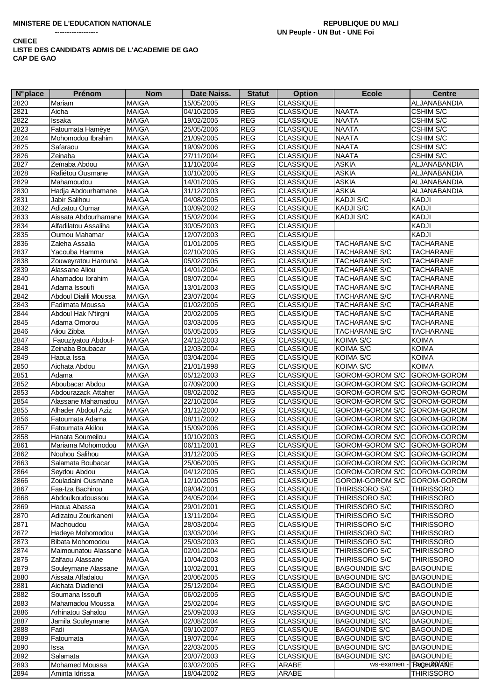| <b>N°</b> place | <b>Prénom</b>         | <b>Nom</b>   | Date Naiss. | <b>Statut</b>         | <b>Option</b>    | <b>Ecole</b>                | <b>Centre</b>              |
|-----------------|-----------------------|--------------|-------------|-----------------------|------------------|-----------------------------|----------------------------|
| 2820            | Mariam                | <b>MAIGA</b> | 15/05/2005  | <b>REG</b>            | <b>CLASSIQUE</b> |                             | ALJANABANDIA               |
| 2821            | Aicha                 | <b>MAIGA</b> | 04/10/2005  | <b>REG</b>            | <b>CLASSIQUE</b> | <b>NAATA</b>                | <b>CSHIM S/C</b>           |
| 2822            | Issaka                | <b>MAIGA</b> | 19/02/2005  | <b>REG</b>            | <b>CLASSIQUE</b> | <b>NAATA</b>                | CSHIM S/C                  |
| 2823            | Fatoumata Hamèye      | <b>MAIGA</b> | 25/05/2006  | <b>REG</b>            | <b>CLASSIQUE</b> | <b>NAATA</b>                | CSHIM S/C                  |
| 2824            | Mohomodou Ibrahim     | <b>MAIGA</b> | 21/09/2005  | <b>REG</b>            | <b>CLASSIQUE</b> | <b>NAATA</b>                | CSHIM S/C                  |
| 2825            | Safaraou              | <b>MAIGA</b> | 19/09/2006  | <b>REG</b>            | <b>CLASSIQUE</b> | <b>NAATA</b>                | CSHIM S/C                  |
| 2826            | Zeinaba               | <b>MAIGA</b> | 27/11/2004  | <b>REG</b>            | CLASSIQUE        | <b>NAATA</b>                | CSHIM S/C                  |
| 2827            | Zeïnaba Abdou         | <b>MAIGA</b> | 11/10/2004  | <b>REG</b>            | <b>CLASSIQUE</b> | <b>ASKIA</b>                | ALJANABANDIA               |
| 2828            | Rafiétou Ousmane      | <b>MAIGA</b> | 10/10/2005  | <b>REG</b>            | <b>CLASSIQUE</b> | <b>ASKIA</b>                | ALJANABANDIA               |
| 2829            | Mahamoudou            | <b>MAIGA</b> | 14/01/2005  | <b>REG</b>            | <b>CLASSIQUE</b> | <b>ASKIA</b>                | ALJANABANDIA               |
| 2830            | Hadja Abdourhamane    | <b>MAIGA</b> | 31/12/2003  | <b>REG</b>            | <b>CLASSIQUE</b> | <b>ASKIA</b>                | ALJANABANDIA               |
| 2831            | Jabir Salihou         | <b>MAIGA</b> | 04/08/2005  | <b>REG</b>            | <b>CLASSIQUE</b> | KADJI S/C                   | <b>KADJI</b>               |
| 2832            | Adizatou Oumar        | <b>MAIGA</b> | 10/09/2002  | <b>REG</b>            | <b>CLASSIQUE</b> | <b>KADJI S/C</b>            | KADJI                      |
| 2833            | Aissata Abdourhamane  | <b>MAIGA</b> | 15/02/2004  | <b>REG</b>            | <b>CLASSIQUE</b> | KADJI S/C                   | KADJI                      |
| 2834            | Alfadilatou Assaliha  | <b>MAIGA</b> | 30/05/2003  | <b>REG</b>            | <b>CLASSIQUE</b> |                             | KADJI                      |
| 2835            | Oumou Mahamar         | <b>MAIGA</b> | 12/07/2003  | <b>REG</b>            | <b>CLASSIQUE</b> |                             | KADJI                      |
| 2836            | Zaleha Assalia        | <b>MAIGA</b> | 01/01/2005  | <b>REG</b>            | <b>CLASSIQUE</b> | TACHARANE S/C               | <b>TACHARANE</b>           |
| 2837            | Yacouba Hamma         | <b>MAIGA</b> | 02/10/2005  | <b>REG</b>            | <b>CLASSIQUE</b> | TACHARANE S/C               | <b>TACHARANE</b>           |
| 2838            | Zouweyratou Harouna   | <b>MAIGA</b> | 05/02/2005  | <b>REG</b>            | <b>CLASSIQUE</b> | <b>TACHARANE S/C</b>        | <b>TACHARANE</b>           |
| 2839            | Alassane Aliou        | <b>MAIGA</b> | 14/01/2004  | <b>REG</b>            | <b>CLASSIQUE</b> | <b>TACHARANE S/C</b>        | <b>TACHARANE</b>           |
| 2840            | Ahamadou Ibrahim      | <b>MAIGA</b> | 08/07/2004  | <b>REG</b>            | <b>CLASSIQUE</b> | <b>TACHARANE S/C</b>        | <b>TACHARANE</b>           |
| 2841            | Adama Issoufi         | <b>MAIGA</b> | 13/01/2003  | <b>REG</b>            | <b>CLASSIQUE</b> | <b>TACHARANE S/C</b>        | <b>TACHARANE</b>           |
| 2842            | Abdoul Dialili Moussa | <b>MAIGA</b> | 23/07/2004  | <b>REG</b>            | <b>CLASSIQUE</b> | TACHARANE S/C               | <b>TACHARANE</b>           |
| 2843            | Fadimata Moussa       | <b>MAIGA</b> | 01/02/2005  | <b>REG</b>            | <b>CLASSIQUE</b> | <b>TACHARANE S/C</b>        | <b>TACHARANE</b>           |
| 2844            | Abdoul Hak N'tirgni   | <b>MAIGA</b> | 20/02/2005  | <b>REG</b>            | <b>CLASSIQUE</b> | <b>TACHARANE S/C</b>        | <b>TACHARANE</b>           |
| 2845            | Adama Omorou          | <b>MAIGA</b> | 03/03/2005  | <b>REG</b>            | <b>CLASSIQUE</b> | <b>TACHARANE S/C</b>        | <b>TACHARANE</b>           |
| 2846            | Aliou Zibba           | <b>MAIGA</b> | 05/05/2005  | <b>REG</b>            | <b>CLASSIQUE</b> | <b>TACHARANE S/C</b>        | TACHARANE                  |
| 2847            | Faouziyatou Abdoul-   | <b>MAIGA</b> | 24/12/2003  | <b>REG</b>            | <b>CLASSIQUE</b> | KOIMA S/C                   | <b>KOIMA</b>               |
| 2848            | Zeinaba Boubacar      | <b>MAIGA</b> | 12/03/2004  | <b>REG</b>            | <b>CLASSIQUE</b> | KOIMA S/C                   | <b>KOIMA</b>               |
| 2849            | Haoua Issa            | <b>MAIGA</b> | 03/04/2004  | <b>REG</b>            | <b>CLASSIQUE</b> | KOIMA S/C                   | <b>KOIMA</b>               |
| 2850            | Aichata Abdou         | <b>MAIGA</b> | 21/01/1998  | <b>REG</b>            | <b>CLASSIQUE</b> | KOIMA S/C                   | <b>KOIMA</b>               |
| 2851            | Adama                 | <b>MAIGA</b> | 05/12/2003  | <b>REG</b>            | <b>CLASSIQUE</b> | GOROM-GOROM S/C             | GOROM-GOROM                |
| 2852            | Aboubacar Abdou       | <b>MAIGA</b> | 07/09/2000  | <b>REG</b>            | <b>CLASSIQUE</b> | GOROM-GOROM S/C             | GOROM-GOROM                |
| 2853            | Abdourazack Attaher   | <b>MAIGA</b> | 08/02/2002  | <b>REG</b>            | <b>CLASSIQUE</b> | GOROM-GOROM S/C             | GOROM-GOROM                |
| 2854            | Alassane Mahamadou    | <b>MAIGA</b> | 22/10/2004  | <b>REG</b>            | <b>CLASSIQUE</b> | GOROM-GOROM S/C             | GOROM-GOROM                |
| 2855            | Alhader Abdoul Aziz   | <b>MAIGA</b> | 31/12/2000  | <b>REG</b>            | <b>CLASSIQUE</b> | GOROM-GOROM S/C             | GOROM-GOROM                |
| 2856            | Fatoumata Adama       | <b>MAIGA</b> | 08/11/2002  | <b>REG</b>            | <b>CLASSIQUE</b> | GOROM-GOROM S/C             | GOROM-GOROM                |
| 2857            | Fatoumata Akilou      | <b>MAIGA</b> | 15/09/2006  | <b>REG</b>            | <b>CLASSIQUE</b> | GOROM-GOROM S/C             | GOROM-GOROM                |
| 2858            | Hanata Soumeilou      | <b>MAIGA</b> | 10/10/2003  | <b>REG</b>            | <b>CLASSIQUE</b> | GOROM-GOROM S/C             | GOROM-GOROM                |
| 2861            | Mariama Mohomodou     | <b>MAIGA</b> | 06/11/2001  | <b>REG</b>            | <b>CLASSIQUE</b> | GOROM-GOROM S/C             | GOROM-GOROM                |
| 2862            | Nouhou Salihou        | <b>MAIGA</b> | 31/12/2005  | <b>REG</b>            | <b>CLASSIQUE</b> | GOROM-GOROM S/C             | <b>GOROM-GOROM</b>         |
| 2863            | Salamata Boubacar     | <b>MAIGA</b> | 25/06/2005  | $\mathsf{REG}\xspace$ | <b>CLASSIQUE</b> | GOROM-GOROM S/C GOROM-GOROM |                            |
| 2864            | Seydou Abdou          | <b>MAIGA</b> | 04/12/2005  | <b>REG</b>            | <b>CLASSIQUE</b> | GOROM-GOROM S/C GOROM-GOROM |                            |
| 2866            | Zouladaini Ousmane    | <b>MAIGA</b> | 12/10/2005  | <b>REG</b>            | <b>CLASSIQUE</b> | GOROM-GOROM S/C             | GOROM-GOROM                |
| 2867            | Faa-Iza Bachirou      | <b>MAIGA</b> | 09/04/2001  | <b>REG</b>            | <b>CLASSIQUE</b> | THIRISSORO S/C              | <b>THIRISSORO</b>          |
| 2868            | Abdoulkoudoussou      | <b>MAIGA</b> | 24/05/2004  | <b>REG</b>            | <b>CLASSIQUE</b> | THIRISSORO S/C              | <b>THIRISSORO</b>          |
| 2869            | Haoua Abassa          | <b>MAIGA</b> | 29/01/2001  | <b>REG</b>            | <b>CLASSIQUE</b> | THIRISSORO S/C              | <b>THIRISSORO</b>          |
| 2870            | Adizatou Zourkaneni   | <b>MAIGA</b> | 13/11/2004  | <b>REG</b>            | <b>CLASSIQUE</b> | THIRISSORO S/C              | <b>THIRISSORO</b>          |
| 2871            | Machoudou             | <b>MAIGA</b> | 28/03/2004  | <b>REG</b>            | <b>CLASSIQUE</b> | THIRISSORO S/C              | <b>THIRISSORO</b>          |
| 2872            | Hadeye Mohomodou      | <b>MAIGA</b> | 03/03/2004  | <b>REG</b>            | <b>CLASSIQUE</b> | THIRISSORO S/C              | <b>THIRISSORO</b>          |
| 2873            | Bibata Mohomodou      | <b>MAIGA</b> | 25/03/2003  | <b>REG</b>            | <b>CLASSIQUE</b> | THIRISSORO S/C              | <b>THIRISSORO</b>          |
| 2874            | Maimounatou Alassane  | <b>MAIGA</b> | 02/01/2004  | <b>REG</b>            | <b>CLASSIQUE</b> | THIRISSORO S/C              | <b>THIRISSORO</b>          |
| 2875            | Zalfaou Alassane      | <b>MAIGA</b> | 10/04/2003  | <b>REG</b>            | <b>CLASSIQUE</b> | THIRISSORO S/C              | <b>THIRISSORO</b>          |
| 2879            | Souleymane Alassane   | <b>MAIGA</b> | 10/02/2001  | <b>REG</b>            | <b>CLASSIQUE</b> | <b>BAGOUNDIE S/C</b>        | <b>BAGOUNDIE</b>           |
| 2880            | Aissata Alfadalou     | <b>MAIGA</b> | 20/06/2005  | <b>REG</b>            | <b>CLASSIQUE</b> | <b>BAGOUNDIE S/C</b>        | <b>BAGOUNDIE</b>           |
| 2881            | Aichata Diadiendi     | <b>MAIGA</b> | 25/12/2004  | <b>REG</b>            | <b>CLASSIQUE</b> | <b>BAGOUNDIE S/C</b>        | <b>BAGOUNDIE</b>           |
| 2882            | Soumana Issoufi       | MAIGA        | 06/02/2005  | <b>REG</b>            | <b>CLASSIQUE</b> | <b>BAGOUNDIE S/C</b>        | <b>BAGOUNDIE</b>           |
| 2883            | Mahamadou Moussa      | <b>MAIGA</b> | 25/02/2004  | <b>REG</b>            | <b>CLASSIQUE</b> | <b>BAGOUNDIE S/C</b>        | <b>BAGOUNDIE</b>           |
| 2886            | Arhinatou Sahalou     | <b>MAIGA</b> | 25/09/2003  | <b>REG</b>            | <b>CLASSIQUE</b> | <b>BAGOUNDIE S/C</b>        | <b>BAGOUNDIE</b>           |
| 2887            | Jamila Souleymane     | <b>MAIGA</b> | 02/08/2004  | <b>REG</b>            | <b>CLASSIQUE</b> | <b>BAGOUNDIE S/C</b>        | <b>BAGOUNDIE</b>           |
| 2888            | Fadi                  | <b>MAIGA</b> | 09/10/2007  | <b>REG</b>            | <b>CLASSIQUE</b> | <b>BAGOUNDIE S/C</b>        | <b>BAGOUNDIE</b>           |
| 2889            | Fatoumata             | <b>MAIGA</b> | 19/07/2004  | <b>REG</b>            | <b>CLASSIQUE</b> | <b>BAGOUNDIE S/C</b>        | <b>BAGOUNDIE</b>           |
| 2890            | Issa                  | <b>MAIGA</b> | 22/03/2005  | <b>REG</b>            | <b>CLASSIQUE</b> | <b>BAGOUNDIE S/C</b>        | <b>BAGOUNDIE</b>           |
| 2892            | Salamata              | <b>MAIGA</b> | 20/07/2003  | <b>REG</b>            | <b>CLASSIQUE</b> | <b>BAGOUNDIE S/C</b>        | <b>BAGOUNDIE</b>           |
| 2893            | Mohamed Moussa        | <b>MAIGA</b> | 03/02/2005  | <b>REG</b>            | ARABE            | ws-examen                   | T <sub>ra</sub> gel AR/ANE |
| 2894            | Aminta Idrissa        | <b>MAIGA</b> | 18/04/2002  | <b>REG</b>            | ARABE            |                             | <b>THIRISSORO</b>          |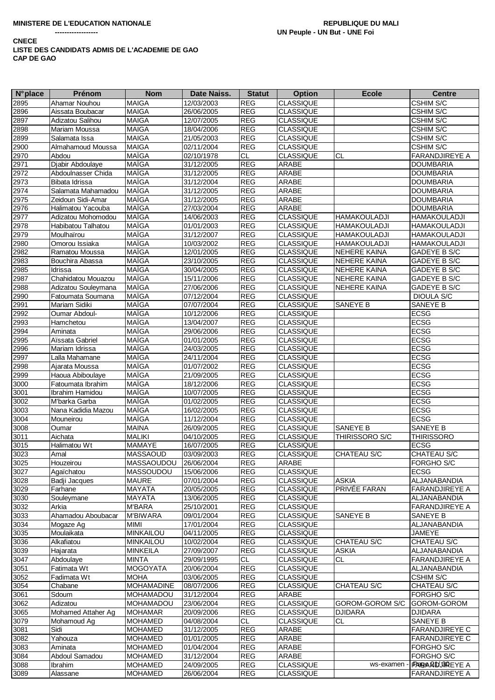| <b>N°</b> place   | Prénom                  | <b>Nom</b>            | Date Naiss. | <b>Statut</b> | <b>Option</b>    | <b>Ecole</b>        | <b>Centre</b>             |
|-------------------|-------------------------|-----------------------|-------------|---------------|------------------|---------------------|---------------------------|
| 2895              | Ahamar Nouhou           | <b>MAIGA</b>          | 12/03/2003  | <b>REG</b>    | <b>CLASSIQUE</b> |                     | CSHIM S/C                 |
| 2896              | Aissata Boubacar        | <b>MAIGA</b>          | 26/06/2005  | <b>REG</b>    | <b>CLASSIQUE</b> |                     | <b>CSHIM S/C</b>          |
| 2897              | Adizatou Salihou        | <b>MAIGA</b>          | 12/07/2005  | <b>REG</b>    | <b>CLASSIQUE</b> |                     | <b>CSHIM S/C</b>          |
| 2898              | Mariam Moussa           | <b>MAIGA</b>          | 18/04/2006  | <b>REG</b>    | <b>CLASSIQUE</b> |                     | <b>CSHIM S/C</b>          |
| 2899              | Salamata Issa           | <b>MAIGA</b>          | 21/05/2003  | <b>REG</b>    | <b>CLASSIQUE</b> |                     | <b>CSHIM S/C</b>          |
| 2900              | Almahamoud Moussa       | <b>MAIGA</b>          | 02/11/2004  | <b>REG</b>    | <b>CLASSIQUE</b> |                     | <b>CSHIM S/C</b>          |
| 2970              | Abdou                   | <b>MAÏGA</b>          | 02/10/1978  | <b>CL</b>     | <b>CLASSIQUE</b> | <b>CL</b>           | FARANDJIREYE A            |
| 2971              | Djabir Abdoulaye        | <b>MAÏGA</b>          | 31/12/2005  | REG           | ARABE            |                     | <b>DOUMBARIA</b>          |
| 2972              | Abdoulnasser Chida      | <b>MAÏGA</b>          | 31/12/2005  | <b>REG</b>    | <b>ARABE</b>     |                     | <b>DOUMBARIA</b>          |
| 2973              | Bibata Idrissa          | <b>MAÏGA</b>          | 31/12/2004  | <b>REG</b>    | ARABE            |                     | <b>DOUMBARIA</b>          |
| 2974              | Salamata Mahamadou      | <b>MAÏGA</b>          | 31/12/2005  | <b>REG</b>    | ARABE            |                     | <b>DOUMBARIA</b>          |
| 2975              | Zeidoun Sidi-Amar       | MAÏGA                 | 31/12/2005  | <b>REG</b>    | ARABE            |                     | <b>DOUMBARIA</b>          |
| 2976              | Halimatou Yacouba       | <b>MAÏGA</b>          | 27/03/2004  | <b>REG</b>    | ARABE            |                     | <b>DOUMBARIA</b>          |
| 2977              | Adizatou Mohomodou      | <b>MAÏGA</b>          | 14/06/2003  | <b>REG</b>    | <b>CLASSIQUE</b> | <b>HAMAKOULADJI</b> | <b>HAMAKOULADJI</b>       |
| 2978              | Habibatou Talhatou      | MAÏGA                 | 01/01/2003  | <b>REG</b>    | <b>CLASSIQUE</b> | <b>HAMAKOULADJI</b> | <b>HAMAKOULADJI</b>       |
| 2979              | Moulhaïrou              | <b>MAÏGA</b>          | 31/12/2007  | <b>REG</b>    | <b>CLASSIQUE</b> | <b>HAMAKOULADJI</b> | <b>HAMAKOULADJI</b>       |
| 2980              | Omorou Issiaka          | <b>MAÏGA</b>          | 10/03/2002  | <b>REG</b>    | <b>CLASSIQUE</b> | <b>HAMAKOULADJI</b> | <b>HAMAKOULADJI</b>       |
| 2982              | Ramatou Moussa          | <b>MAÏGA</b>          | 12/01/2005  | <b>REG</b>    | <b>CLASSIQUE</b> | NEHERE KAINA        | GADEYE B S/C              |
| 2983              | Bouchira Abassa         | <b>MAÏGA</b>          | 23/10/2005  | <b>REG</b>    | <b>CLASSIQUE</b> | NEHERE KAINA        | GADEYE B S/C              |
| 2985              | Idrissa                 | <b>MAÏGA</b>          | 30/04/2005  | REG           | <b>CLASSIQUE</b> | NEHERE KAINA        | GADEYE B S/C              |
| 2987              | Chahidatou Mouazou      | <b>MAÏGA</b>          | 15/11/2006  | <b>REG</b>    | <b>CLASSIQUE</b> | <b>NEHERE KAINA</b> | GADEYE B S/C              |
| 2988              | Adizatou Souleymana     | <b>MAÏGA</b>          | 27/06/2006  | <b>REG</b>    | <b>CLASSIQUE</b> | NEHERE KAINA        | GADEYE B S/C              |
| 2990              | Fatoumata Soumana       | <b>MAÏGA</b>          | 07/12/2004  | <b>REG</b>    | <b>CLASSIQUE</b> |                     | DIOULA S/C                |
| 2991              | Mariam Sidiki           | <b>MAÏGA</b>          | 07/07/2004  | <b>REG</b>    | <b>CLASSIQUE</b> | <b>SANEYE B</b>     | SANEYE B                  |
| 2992              | Oumar Abdoul-           | <b>MAÏGA</b>          | 10/12/2006  | <b>REG</b>    | <b>CLASSIQUE</b> |                     | <b>ECSG</b>               |
| 2993              | Hamchetou               | MAÏGA                 | 13/04/2007  | <b>REG</b>    | <b>CLASSIQUE</b> |                     | <b>ECSG</b>               |
| 2994              | Aminata                 | MAÏGA                 | 29/06/2006  | <b>REG</b>    | <b>CLASSIQUE</b> |                     | <b>ECSG</b>               |
| 2995              | Aïssata Gabriel         | <b>MAÏGA</b>          | 01/01/2005  | <b>REG</b>    | <b>CLASSIQUE</b> |                     | <b>ECSG</b>               |
| 2996              | Mariam Idrissa          | MAÏGA                 | 24/03/2005  | <b>REG</b>    | <b>CLASSIQUE</b> |                     | <b>ECSG</b>               |
| 2997              | Lalla Mahamane          | MAÏGA                 | 24/11/2004  | <b>REG</b>    | <b>CLASSIQUE</b> |                     | <b>ECSG</b>               |
| 2998              | Ajarata Moussa          | <b>MAÏGA</b>          | 01/07/2002  | <b>REG</b>    | <b>CLASSIQUE</b> |                     | <b>ECSG</b>               |
| 2999              | Haoua Abiboulaye        | <b>MAÏGA</b>          | 21/09/2005  | <b>REG</b>    | <b>CLASSIQUE</b> |                     | <b>ECSG</b>               |
| 3000              | Fatoumata Ibrahim       | <b>MAÏGA</b>          | 18/12/2006  | <b>REG</b>    | <b>CLASSIQUE</b> |                     | <b>ECSG</b>               |
| 3001              | Ibrahim Hamidou         | MAÏGA                 | 10/07/2005  | <b>REG</b>    | <b>CLASSIQUE</b> |                     | <b>ECSG</b>               |
| 3002              | M'barka Garba           | <b>MAÏGA</b>          | 01/02/2005  | <b>REG</b>    | <b>CLASSIQUE</b> |                     | <b>ECSG</b>               |
| 3003              | Nana Kadidia Mazou      | <b>MAÏGA</b>          | 16/02/2005  | <b>REG</b>    | <b>CLASSIQUE</b> |                     | ECSG                      |
| 3004              | Mouneirou               | <b>MAÏGA</b>          | 11/12/2004  | <b>REG</b>    | <b>CLASSIQUE</b> |                     | <b>ECSG</b>               |
| 3008              | Oumar                   | <b>MAINA</b>          | 26/09/2005  | <b>REG</b>    | <b>CLASSIQUE</b> | SANEYE B            | SANEYE B                  |
| 3011              | Aichata                 | <b>MALIKI</b>         | 04/10/2005  | <b>REG</b>    | <b>CLASSIQUE</b> | THIRISSORO S/C      | <b>THIRISSORO</b>         |
| 3015              | Halimatou Wt            | MAMAYE                | 16/07/2005  | <b>REG</b>    | <b>CLASSIQUE</b> |                     | <b>ECSG</b>               |
| 3023              | Amal                    | <b>MASSAOUD</b>       | 03/09/2003  | <b>REG</b>    | <b>CLASSIQUE</b> | CHATEAU S/C         | <b>CHATEAU S/C</b>        |
| 3025              | Houzeirou               | MASSAOUDOU 26/06/2004 |             | REG           | ARABE            |                     | FORGHO S/C                |
| $\overline{3027}$ | Agaïchatou              | MASSOUDOU             | 15/06/2006  | <b>REG</b>    | <b>CLASSIQUE</b> |                     | <b>ECSG</b>               |
| 3028              | Badji Jacques           | <b>MAURE</b>          | 07/01/2004  | <b>REG</b>    | <b>CLASSIQUE</b> | <b>ASKIA</b>        | ALJANABANDIA              |
| 3029              | Farhane                 | MAYATA                | 20/05/2005  | <b>REG</b>    | <b>CLASSIQUE</b> | PRIVÉE FARAN        | FARANDJIREYE A            |
| 3030              | Souleymane              | <b>MAYATA</b>         | 13/06/2005  | <b>REG</b>    | <b>CLASSIQUE</b> |                     | ALJANABANDIA              |
| 3032              | Arkia                   | <b>M'BARA</b>         | 25/10/2001  | <b>REG</b>    | <b>CLASSIQUE</b> |                     | FARANDJIREYE A            |
| 3033              | Ahamadou Aboubacar      | <b>M'BIWARA</b>       | 09/01/2004  | <b>REG</b>    | <b>CLASSIQUE</b> | SANEYE B            | SANEYE B                  |
| 3034              |                         | MIMI                  | 17/01/2004  | <b>REG</b>    | <b>CLASSIQUE</b> |                     | ALJANABANDIA              |
| 3035              | Mogaze Ag<br>Moulaikata | MINKAILOU             | 04/11/2005  | <b>REG</b>    | <b>CLASSIQUE</b> |                     | JAMEYE                    |
| 3036              | Alkafiatou              | <b>MINKAILOU</b>      | 10/02/2004  | <b>REG</b>    | <b>CLASSIQUE</b> | CHATEAU S/C         | CHATEAU S/C               |
|                   | Hajarata                | <b>MINKEILA</b>       | 27/09/2007  | <b>REG</b>    | <b>CLASSIQUE</b> | <b>ASKIA</b>        | ALJANABANDIA              |
| 3039              |                         |                       |             |               |                  |                     |                           |
| 3047              | Abdoulaye               | <b>MINTA</b>          | 29/09/1995  | CL            | <b>CLASSIQUE</b> | CL                  | <b>FARANDJIREYE A</b>     |
| 3051              | Fatimata Wt             | <b>MOGOYATA</b>       | 20/06/2004  | <b>REG</b>    | <b>CLASSIQUE</b> |                     | ALJANABANDIA              |
| 3052              | Fadimata Wt             | <b>MOHA</b>           | 03/06/2005  | <b>REG</b>    | <b>CLASSIQUE</b> |                     | <b>CSHIM S/C</b>          |
| 3054              | Chabane                 | <b>MOHAMADINE</b>     | 08/07/2006  | <b>REG</b>    | <b>CLASSIQUE</b> | CHATEAU S/C         | CHATEAU S/C               |
| 3061              | Sdoum                   | MOHAMADOU             | 31/12/2004  | <b>REG</b>    | ARABE            |                     | FORGHO S/C                |
| 3062              | Adizatou                | MOHAMADOU             | 23/06/2004  | <b>REG</b>    | <b>CLASSIQUE</b> | GOROM-GOROM S/C     | GOROM-GOROM               |
| 3065              | Mohamed Attaher Ag      | <b>MOHAMAR</b>        | 20/09/2006  | <b>REG</b>    | <b>CLASSIQUE</b> | <b>DJIDARA</b>      | <b>DJIDARA</b>            |
| 3079              | Mohamoud Ag             | <b>MOHAMED</b>        | 04/08/2004  | CL            | <b>CLASSIQUE</b> | CL                  | SANEYE B                  |
| 3081              | Sidi                    | <b>MOHAMED</b>        | 31/12/2005  | <b>REG</b>    | ARABE            |                     | FARANDJIREYE C            |
| 3082              | Yahouza                 | <b>MOHAMED</b>        | 01/01/2005  | <b>REG</b>    | ARABE            |                     | <b>FARANDJIREYE C</b>     |
| 3083              | Aminata                 | <b>MOHAMED</b>        | 01/04/2004  | <b>REG</b>    | ARABE            |                     | FORGHO S/C                |
| 3084              | Abdoul Samadou          | <b>MOHAMED</b>        | 31/12/2004  | <b>REG</b>    | ARABE            |                     | FORGHO S/C                |
| 3088              | Ibrahim                 | <b>MOHAMED</b>        | 24/09/2005  | <b>REG</b>    | <b>CLASSIQUE</b> | ws-examen           | <b>FRAGA BID JBREYE A</b> |
| 3089              | Alassane                | <b>MOHAMED</b>        | 26/06/2004  | <b>REG</b>    | CLASSIQUE        |                     | FARANDJIREYE A            |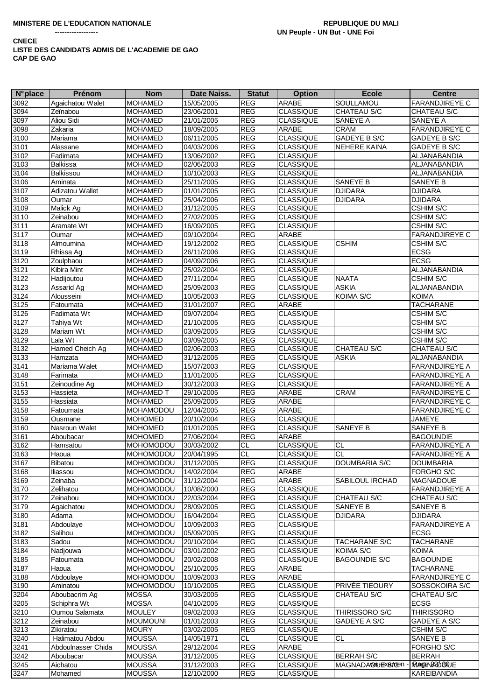| $N^{\circ}$ place | Prénom             | <b>Nom</b>       | Date Naiss. | <b>Statut</b>  | <b>Option</b>    | <b>Ecole</b>           | <b>Centre</b>             |
|-------------------|--------------------|------------------|-------------|----------------|------------------|------------------------|---------------------------|
| 3092              | Agaichatou Walet   | <b>MOHAMED</b>   | 15/05/2005  | <b>REG</b>     | ARABE            | SOULLAMOU              | FARANDJIREYE C            |
| 3094              | Zeïnabou           | <b>MOHAMED</b>   | 23/06/2001  | <b>REG</b>     | <b>CLASSIQUE</b> | CHATEAU S/C            | CHATEAU S/C               |
| 3097              | Aliou Sidi         | <b>MOHAMED</b>   | 21/01/2005  | <b>REG</b>     | <b>CLASSIQUE</b> | SANEYE A               | SANEYE A                  |
| 3098              | Zakaria            | <b>MOHAMED</b>   | 18/09/2005  | <b>REG</b>     | ARABE            | <b>CRAM</b>            | <b>FARANDJIREYE C</b>     |
| 3100              | Mariama            | <b>MOHAMED</b>   | 06/11/2005  | <b>REG</b>     | <b>CLASSIQUE</b> | <b>GADEYE B S/C</b>    | GADEYE B S/C              |
| 3101              | Alassane           | <b>MOHAMED</b>   | 04/03/2006  | <b>REG</b>     | <b>CLASSIQUE</b> | <b>NEHERE KAINA</b>    | GADEYE B S/C              |
| 3102              | Fadimata           | <b>MOHAMED</b>   | 13/06/2002  | <b>REG</b>     | <b>CLASSIQUE</b> |                        | ALJANABANDIA              |
| 3103              | <b>Balkissa</b>    | <b>MOHAMED</b>   | 02/06/2003  | <b>REG</b>     | <b>CLASSIQUE</b> |                        | ALJANABANDIA              |
| 3104              | Balkissou          | <b>MOHAMED</b>   | 10/10/2003  | <b>REG</b>     | <b>CLASSIQUE</b> |                        | ALJANABANDIA              |
| 3106              | Aminata            |                  | 25/11/2005  | <b>REG</b>     | <b>CLASSIQUE</b> | <b>SANEYE B</b>        |                           |
|                   |                    | <b>MOHAMED</b>   |             |                |                  |                        | SANEYE B                  |
| 3107              | Adizatou Wallet    | <b>MOHAMED</b>   | 01/01/2005  | <b>REG</b>     | <b>CLASSIQUE</b> | <b>DJIDARA</b>         | <b>DJIDARA</b>            |
| 3108              | Oumar              | <b>MOHAMED</b>   | 25/04/2006  | <b>REG</b>     | <b>CLASSIQUE</b> | <b>DJIDARA</b>         | <b>DJIDARA</b>            |
| 3109              | Malick Ag          | <b>MOHAMED</b>   | 31/12/2005  | <b>REG</b>     | <b>CLASSIQUE</b> |                        | CSHIM S/C                 |
| 3110              | Zeinabou           | <b>MOHAMED</b>   | 27/02/2005  | <b>REG</b>     | <b>CLASSIQUE</b> |                        | <b>CSHIM S/C</b>          |
| 3111              | Aramate Wt         | <b>MOHAMED</b>   | 16/09/2005  | <b>REG</b>     | <b>CLASSIQUE</b> |                        | CSHIM S/C                 |
| $311\overline{7}$ | Oumar              | <b>MOHAMED</b>   | 09/10/2004  | <b>REG</b>     | ARABE            |                        | FARANDJIREYE C            |
| 3118              | Almoumina          | <b>MOHAMED</b>   | 19/12/2002  | <b>REG</b>     | <b>CLASSIQUE</b> | <b>CSHIM</b>           | CSHIM S/C                 |
| 3119              | Rhissa Ag          | <b>MOHAMED</b>   | 26/11/2006  | <b>REG</b>     | <b>CLASSIQUE</b> |                        | <b>ECSG</b>               |
| 3120              | Zoulphaou          | <b>MOHAMED</b>   | 04/09/2006  | <b>REG</b>     | <b>CLASSIQUE</b> |                        | <b>ECSG</b>               |
| 3121              | Kibira Mint        | <b>MOHAMED</b>   | 25/02/2004  | <b>REG</b>     | <b>CLASSIQUE</b> |                        | ALJANABANDIA              |
| 3122              | Hadijoutou         | <b>MOHAMED</b>   | 27/11/2004  | <b>REG</b>     | <b>CLASSIQUE</b> | <b>NAATA</b>           | <b>CSHIM S/C</b>          |
| 3123              | Assarid Ag         | <b>MOHAMED</b>   | 25/09/2003  | <b>REG</b>     | <b>CLASSIQUE</b> | <b>ASKIA</b>           | ALJANABANDIA              |
| 3124              | Alousseini         | <b>MOHAMED</b>   | 10/05/2003  | <b>REG</b>     | <b>CLASSIQUE</b> | KOIMA S/C              | <b>KOIMA</b>              |
| 3125              | Fatoumata          | <b>MOHAMED</b>   | 31/01/2007  | <b>REG</b>     | ARABE            |                        | <b>TACHARANE</b>          |
| 3126              | Fadimata Wt        | <b>MOHAMED</b>   | 09/07/2004  | <b>REG</b>     | <b>CLASSIQUE</b> |                        | CSHIM S/C                 |
| 3127              | Tahiya Wt          | <b>MOHAMED</b>   | 21/10/2005  | <b>REG</b>     | <b>CLASSIQUE</b> |                        | CSHIM S/C                 |
| 3128              | Mariam Wt          | <b>MOHAMED</b>   | 03/09/2005  | <b>REG</b>     | <b>CLASSIQUE</b> |                        | CSHIM S/C                 |
| 3129              | Lala Wt            | <b>MOHAMED</b>   | 03/09/2005  | <b>REG</b>     | <b>CLASSIQUE</b> |                        | CSHIM S/C                 |
| 3132              | Hamed Cheich Ag    | <b>MOHAMED</b>   | 02/06/2003  | <b>REG</b>     | <b>CLASSIQUE</b> | CHATEAU S/C            | CHATEAU S/C               |
| 3133              | Hamzata            | <b>MOHAMED</b>   | 31/12/2005  | <b>REG</b>     | <b>CLASSIQUE</b> | <b>ASKIA</b>           | ALJANABANDIA              |
| 3141              | Mariama Walet      | <b>MOHAMED</b>   | 15/07/2003  | <b>REG</b>     | <b>CLASSIQUE</b> |                        | FARANDJIREYE A            |
|                   |                    |                  |             | <b>REG</b>     | <b>CLASSIQUE</b> |                        |                           |
| 3148<br>$3151$    | Farimata           | <b>MOHAMED</b>   | 11/01/2005  | REG            |                  |                        | FARANDJIREYE A            |
|                   | Zeinoudine Ag      | <b>MOHAMED</b>   | 30/12/2003  |                | <b>CLASSIQUE</b> |                        | <b>FARANDJIREYE A</b>     |
| 3153              | Hassieta           | <b>MOHAMED T</b> | 29/10/2005  | <b>REG</b>     | ARABE            | <b>CRAM</b>            | <b>FARANDJIREYE C</b>     |
| 3155              | Hassiata           | <b>MOHAMED</b>   | 25/09/2005  | <b>REG</b>     | ARABE            |                        | <b>FARANDJIREYE C</b>     |
| 3158              | Fatoumata          | <b>MOHAMODOU</b> | 12/04/2005  | <b>REG</b>     | ARABE            |                        | <b>FARANDJIREYE C</b>     |
| 3159              | Ousmane            | <b>MOHOMED</b>   | 20/10/2004  | <b>REG</b>     | <b>CLASSIQUE</b> |                        | JAMEYE                    |
| 3160              | Nasroun Walet      | <b>MOHOMED</b>   | 01/01/2005  | <b>REG</b>     | <b>CLASSIQUE</b> | <b>SANEYE B</b>        | SANEYE B                  |
| 3161              | Aboubacar          | <b>MOHOMED</b>   | 27/06/2004  | <b>REG</b>     | ARABE            |                        | <b>BAGOUNDIE</b>          |
| 3162              | Hamsatou           | <b>MOHOMODOU</b> | 30/03/2002  | <b>CL</b>      | <b>CLASSIQUE</b> | <b>CL</b>              | <b>FARANDJIREYE A</b>     |
| 3163              | Haoua              | <b>MOHOMODOU</b> | 20/04/1995  | $\overline{c}$ | <b>CLASSIQUE</b> | <b>CL</b>              | <b>FARANDJIREYE A</b>     |
| $\frac{1}{3167}$  | Bibatou            | <b>MOHOMODOU</b> | 31/12/2005  | <b>REG</b>     | <b>CLASSIQUE</b> | DOUMBARIA S/C          | DOUMBARIA                 |
| 3168              | Iliassou           | <b>MOHOMODOU</b> | 14/02/2004  | <b>REG</b>     | ARABE            |                        | <b>FORGHO S/C</b>         |
| 3169              | Zeinaba            | <b>MOHOMODOU</b> | 31/12/2004  | <b>REG</b>     | ARABE            | <b>SABILOUL IRCHAD</b> | <b>MAGNADOUE</b>          |
| 3170              | Zelihatou          | <b>MOHOMODOU</b> | 10/08/2000  | <b>REG</b>     | <b>CLASSIQUE</b> |                        | <b>FARANDJIREYE A</b>     |
| 3172              | Zeinabou           | MOHOMODOU        | 22/03/2004  | <b>REG</b>     | <b>CLASSIQUE</b> | <b>CHATEAU S/C</b>     | CHATEAU S/C               |
| 3179              | Agaichatou         | <b>MOHOMODOU</b> | 28/09/2005  | REG            | <b>CLASSIQUE</b> | <b>SANEYE B</b>        | SANEYE B                  |
| 3180              | Adama              | <b>MOHOMODOU</b> | 16/04/2004  | <b>REG</b>     | <b>CLASSIQUE</b> | <b>DJIDARA</b>         | <b>DJIDARA</b>            |
| 3181              | Abdoulaye          | MOHOMODOU        | 10/09/2003  | <b>REG</b>     | <b>CLASSIQUE</b> |                        | <b>FARANDJIREYE A</b>     |
| 3182              | Salihou            | MOHOMODOU        | 05/09/2005  | <b>REG</b>     | <b>CLASSIQUE</b> |                        | <b>ECSG</b>               |
| 3183              | Sadou              | <b>MOHOMODOU</b> | 20/10/2004  | REG            | <b>CLASSIQUE</b> | <b>TACHARANE S/C</b>   | <b>TACHARANE</b>          |
| 3184              | Nadjouwa           | <b>MOHOMODOU</b> | 03/01/2002  | REG            | <b>CLASSIQUE</b> | KOIMA S/C              | <b>KOIMA</b>              |
| 3185              | Fatoumata          | MOHOMODOU        | 20/02/2008  | <b>REG</b>     | <b>CLASSIQUE</b> | <b>BAGOUNDIE S/C</b>   | <b>BAGOUNDIE</b>          |
| 3187              | Haoua              | MOHOMODOU        | 25/10/2005  | <b>REG</b>     | ARABE            |                        | <b>TACHARANE</b>          |
| 3188              | Abdoulaye          | MOHOMODOU        | 10/09/2003  | <b>REG</b>     | ARABE            |                        | <b>FARANDJIREYE C</b>     |
| 3190              | Aminatou           | <b>MOHOMODOU</b> | 10/10/2005  | <b>REG</b>     | <b>CLASSIQUE</b> | PRIVÉE TIEOURY         | SOSSOKOIRA S/C            |
| 3204              | Aboubacrim Ag      | <b>MOSSA</b>     | 30/03/2005  | <b>REG</b>     | <b>CLASSIQUE</b> | CHATEAU S/C            | CHATEAU S/C               |
| 3205              | Schiphra Wt        | <b>MOSSA</b>     | 04/10/2005  | <b>REG</b>     | <b>CLASSIQUE</b> |                        | <b>ECSG</b>               |
| 3210              | Oumou Salamata     | <b>MOULEY</b>    | 09/02/2003  | <b>REG</b>     | <b>CLASSIQUE</b> | THIRISSORO S/C         | <b>THIRISSORO</b>         |
|                   | Zeinabou           |                  |             |                |                  |                        |                           |
| 3212              |                    | <b>MOUMOUNI</b>  | 01/01/2003  | <b>REG</b>     | <b>CLASSIQUE</b> | GADEYE A S/C           | GADEYE A S/C<br>CSHIM S/C |
| 3213              | Zikiratou          | <b>MOURY</b>     | 03/02/2005  | <b>REG</b>     | <b>CLASSIQUE</b> |                        |                           |
| 3240              | Halimatou Abdou    | <b>MOUSSA</b>    | 14/05/1971  | CL             | <b>CLASSIQUE</b> | <b>CL</b>              | SANEYE B                  |
| 3241              | Abdoulnasser Chida | <b>MOUSSA</b>    | 29/12/2004  | <b>REG</b>     | ARABE            |                        | FORGHO S/C                |
| 3242              | Aboubacar          | <b>MOUSSA</b>    | 31/12/2005  | <b>REG</b>     | <b>CLASSIQUE</b> | <b>BERRAH S/C</b>      | <b>BERRAH</b>             |
| 3245              | Aichatou           | <b>MOUSSA</b>    | 31/12/2003  | <b>REG</b>     | <b>CLASSIQUE</b> | MAGNADA@&JExSmOen      | <b>MAGEN ARD GOUE</b>     |
| 3247              | Mohamed            | <b>MOUSSA</b>    | 12/10/2000  | <b>REG</b>     | <b>CLASSIQUE</b> |                        | <b>KAREIBANDIA</b>        |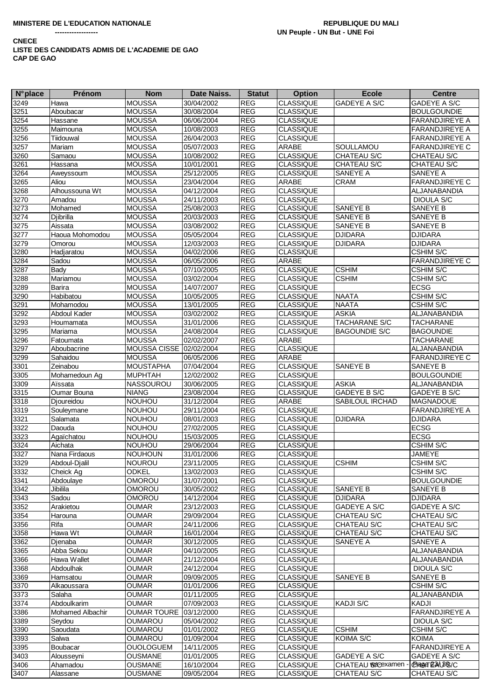| <b>N°</b> place | Prénom           | <b>Nom</b>              | Date Naiss. | <b>Statut</b> | <b>Option</b>    | <b>Ecole</b>         | <b>Centre</b>         |
|-----------------|------------------|-------------------------|-------------|---------------|------------------|----------------------|-----------------------|
| 3249            | Hawa             | <b>MOUSSA</b>           | 30/04/2002  | <b>REG</b>    | <b>CLASSIQUE</b> | GADEYE A S/C         | <b>GADEYE A S/C</b>   |
| 3251            | Aboubacar        | <b>MOUSSA</b>           | 30/08/2004  | <b>REG</b>    | <b>CLASSIQUE</b> |                      | <b>BOULGOUNDIE</b>    |
| 3254            | Hassane          | <b>MOUSSA</b>           | 06/06/2004  | REG           | <b>CLASSIQUE</b> |                      | FARANDJIREYE A        |
| 3255            | Maimouna         | <b>MOUSSA</b>           | 10/08/2003  | <b>REG</b>    | <b>CLASSIQUE</b> |                      | <b>FARANDJIREYE A</b> |
| 3256            | Tiidouwal        | <b>MOUSSA</b>           | 26/04/2003  | <b>REG</b>    | <b>CLASSIQUE</b> |                      | FARANDJIREYE A        |
|                 |                  |                         |             |               |                  |                      |                       |
| 3257            | Mariam           | <b>MOUSSA</b>           | 05/07/2003  | <b>REG</b>    | <b>ARABE</b>     | SOULLAMOU            | <b>FARANDJIREYE C</b> |
| 3260            | Samaou           | <b>MOUSSA</b>           | 10/08/2002  | <b>REG</b>    | <b>CLASSIQUE</b> | CHATEAU S/C          | CHATEAU S/C           |
| 3261            | Hassana          | <b>MOUSSA</b>           | 10/01/2001  | <b>REG</b>    | <b>CLASSIQUE</b> | CHATEAU S/C          | CHATEAU S/C           |
| 3264            | Aweyssoum        | <b>MOUSSA</b>           | 25/12/2005  | <b>REG</b>    | <b>CLASSIQUE</b> | SANEYE A             | SANEYE A              |
| 3265            | Aliou            | <b>MOUSSA</b>           | 23/04/2004  | <b>REG</b>    | ARABE            | <b>CRAM</b>          | <b>FARANDJIREYE C</b> |
| 3268            | Alhoussouna Wt   | <b>MOUSSA</b>           | 04/12/2004  | <b>REG</b>    | <b>CLASSIQUE</b> |                      | ALJANABANDIA          |
| 3270            | Amadou           | <b>MOUSSA</b>           | 24/11/2003  | <b>REG</b>    | <b>CLASSIQUE</b> |                      | <b>DIOULA S/C</b>     |
| 3273            | Mohamed          | <b>MOUSSA</b>           | 25/08/2003  | <b>REG</b>    | <b>CLASSIQUE</b> | SANEYE B             | SANEYE B              |
| 3274            | Djibrilla        | <b>MOUSSA</b>           | 20/03/2003  | <b>REG</b>    | <b>CLASSIQUE</b> | SANEYE B             | SANEYE B              |
| 3275            | Aissata          | <b>MOUSSA</b>           | 03/08/2002  | <b>REG</b>    | <b>CLASSIQUE</b> | SANEYE B             | SANEYE B              |
| 3277            | Haoua Mohomodou  | <b>MOUSSA</b>           | 05/05/2004  | REG           | <b>CLASSIQUE</b> | <b>DJIDARA</b>       | <b>DJIDARA</b>        |
| 3279            | Omorou           | <b>MOUSSA</b>           | 12/03/2003  | <b>REG</b>    | <b>CLASSIQUE</b> | <b>DJIDARA</b>       | <b>DJIDARA</b>        |
| 3280            | Hadjaratou       | <b>MOUSSA</b>           | 04/02/2006  | <b>REG</b>    | <b>CLASSIQUE</b> |                      | CSHIM S/C             |
|                 | Sadou            | <b>MOUSSA</b>           |             | <b>REG</b>    |                  |                      | <b>FARANDJIREYE C</b> |
| 3284            |                  |                         | 06/05/2006  |               | ARABE            |                      |                       |
| 3287            | Bady             | <b>MOUSSA</b>           | 07/10/2005  | <b>REG</b>    | <b>CLASSIQUE</b> | <b>CSHIM</b>         | <b>CSHIM S/C</b>      |
| 3288            | Mariamou         | <b>MOUSSA</b>           | 03/02/2004  | <b>REG</b>    | <b>CLASSIQUE</b> | <b>CSHIM</b>         | CSHIM S/C             |
| 3289            | Barira           | <b>MOUSSA</b>           | 14/07/2007  | <b>REG</b>    | <b>CLASSIQUE</b> |                      | <b>ECSG</b>           |
| 3290            | Habibatou        | <b>MOUSSA</b>           | 10/05/2005  | <b>REG</b>    | <b>CLASSIQUE</b> | <b>NAATA</b>         | CSHIM S/C             |
| 3291            | Mohamodou        | <b>MOUSSA</b>           | 13/01/2005  | <b>REG</b>    | <b>CLASSIQUE</b> | <b>NAATA</b>         | CSHIM S/C             |
| 3292            | Abdoul Kader     | <b>MOUSSA</b>           | 03/02/2002  | <b>REG</b>    | <b>CLASSIQUE</b> | <b>ASKIA</b>         | ALJANABANDIA          |
| 3293            | Houmamata        | <b>MOUSSA</b>           | 31/01/2006  | <b>REG</b>    | <b>CLASSIQUE</b> | TACHARANE S/C        | <b>TACHARANE</b>      |
| 3295            | Mariama          | <b>MOUSSA</b>           | 24/08/2004  | <b>REG</b>    | <b>CLASSIQUE</b> | <b>BAGOUNDIE S/C</b> | <b>BAGOUNDIE</b>      |
| 3296            | Fatoumata        | <b>MOUSSA</b>           | 02/02/2007  | REG           | ARABE            |                      | <b>TACHARANE</b>      |
| 3297            | Aboubacrine      | MOUSSA CISSE 02/02/2004 |             | <b>REG</b>    | <b>CLASSIQUE</b> |                      | ALJANABANDIA          |
| 3299            | Sahaidou         | <b>MOUSSA</b>           | 06/05/2006  | <b>REG</b>    | ARABE            |                      | <b>FARANDJIREYE C</b> |
|                 |                  |                         |             |               |                  |                      |                       |
| 3301            | Zeinabou         | <b>MOUSTAPHA</b>        | 07/04/2004  | <b>REG</b>    | <b>CLASSIQUE</b> | SANEYE B             | SANEYE B              |
| 3305            | Mohamedoun Ag    | <b>MUPHTAH</b>          | 12/02/2002  | <b>REG</b>    | <b>CLASSIQUE</b> |                      | <b>BOULGOUNDIE</b>    |
| 3309            | Aïssata          | <b>NASSOUROU</b>        | 30/06/2005  | <b>REG</b>    | <b>CLASSIQUE</b> | <b>ASKIA</b>         | ALJANABANDIA          |
| 3315            | Oumar Bouna      | <b>NIANG</b>            | 23/08/2004  | <b>REG</b>    | <b>CLASSIQUE</b> | <b>GADEYE B S/C</b>  | GADEYE B S/C          |
| 3318            | Dioureidou       | <b>NOUHOU</b>           | 31/12/2004  | <b>REG</b>    | ARABE            | SABILOUL IRCHAD      | MAGNADOUE             |
| 3319            | Souleymane       | NOUHOU                  | 29/11/2004  | <b>REG</b>    | <b>CLASSIQUE</b> |                      | FARANDJIREYE A        |
| 3321            | Salamata         | <b>NOUHOU</b>           | 08/01/2003  | REG           | <b>CLASSIQUE</b> | <b>DJIDARA</b>       | <b>DJIDARA</b>        |
| 3322            | Daouda           | NOUHOU                  | 27/02/2005  | <b>REG</b>    | <b>CLASSIQUE</b> |                      | <b>ECSG</b>           |
| 3323            | Agaïchatou       | <b>NOUHOU</b>           | 15/03/2005  | <b>REG</b>    | <b>CLASSIQUE</b> |                      | <b>ECSG</b>           |
| 3324            | Aichata          | <b>NOUHOU</b>           | 29/06/2004  | <b>REG</b>    | <b>CLASSIQUE</b> |                      | CSHIM S/C             |
| 3327            | Nana Firdaous    | <b>NOUHOUN</b>          | 31/01/2006  | <b>REG</b>    | <b>CLASSIQUE</b> |                      | <b>JAMEYE</b>         |
| 3329            | Abdoul-Djalil    | <b>NOUROU</b>           | 23/11/2005  | <b>REG</b>    | <b>CLASSIQUE</b> | <b>CSHIM</b>         | <b>CSHIM S/C</b>      |
| 3332            | Cheick Ag        | <b>ODKEL</b>            | 13/02/2003  | <b>REG</b>    | <b>CLASSIQUE</b> |                      | <b>CSHIM S/C</b>      |
|                 |                  |                         |             |               |                  |                      |                       |
| 3341            | Abdoulaye        | <b>OMOROU</b>           | 31/07/2001  | <b>REG</b>    | <b>CLASSIQUE</b> |                      | <b>BOULGOUNDIE</b>    |
| 3342            | Jibilila         | <b>OMOROU</b>           | 30/05/2002  | <b>REG</b>    | <b>CLASSIQUE</b> | SANEYE B             | SANEYE B              |
| 3343            | Sadou            | OMOROU                  | 14/12/2004  | <b>REG</b>    | <b>CLASSIQUE</b> | <b>DJIDARA</b>       | <b>DJIDARA</b>        |
| 3352            | Arakietou        | <b>OUMAR</b>            | 23/12/2003  | <b>REG</b>    | <b>CLASSIQUE</b> | GADEYE A S/C         | GADEYE A S/C          |
| 3354            | Harouna          | <b>OUMAR</b>            | 29/09/2004  | <b>REG</b>    | <b>CLASSIQUE</b> | CHATEAU S/C          | CHATEAU S/C           |
| 3356            | Rifa             | <b>OUMAR</b>            | 24/11/2006  | <b>REG</b>    | <b>CLASSIQUE</b> | CHATEAU S/C          | CHATEAU S/C           |
| 3358            | Hawa Wt          | <b>OUMAR</b>            | 16/01/2004  | <b>REG</b>    | <b>CLASSIQUE</b> | CHATEAU S/C          | CHATEAU S/C           |
| 3362            | Djenaba          | <b>OUMAR</b>            | 30/12/2005  | <b>REG</b>    | <b>CLASSIQUE</b> | SANEYE A             | SANEYE A              |
| 3365            | Abba Sekou       | <b>OUMAR</b>            | 04/10/2005  | <b>REG</b>    | <b>CLASSIQUE</b> |                      | ALJANABANDIA          |
| 3366            | Hawa Wallet      | <b>OUMAR</b>            | 21/12/2004  | <b>REG</b>    | <b>CLASSIQUE</b> |                      | ALJANABANDIA          |
| 3368            | Abdoulhak        | <b>OUMAR</b>            | 24/12/2004  | <b>REG</b>    | <b>CLASSIQUE</b> |                      | <b>DIOULA S/C</b>     |
| 3369            | Hamsatou         | <b>OUMAR</b>            | 09/09/2005  | <b>REG</b>    | <b>CLASSIQUE</b> | <b>SANEYE B</b>      | SANEYE B              |
|                 | Alkaoussara      | <b>OUMAR</b>            | 01/01/2006  | <b>REG</b>    | <b>CLASSIQUE</b> |                      | CSHIM S/C             |
| 3370            |                  |                         |             |               |                  |                      |                       |
| 3373            | Salaha           | <b>OUMAR</b>            | 01/11/2005  | <b>REG</b>    | <b>CLASSIQUE</b> |                      | ALJANABANDIA          |
| 3374            | Abdoulkarim      | <b>OUMAR</b>            | 07/09/2003  | <b>REG</b>    | <b>CLASSIQUE</b> | <b>KADJI S/C</b>     | KADJI                 |
| 3386            | Mohamed Albachir | <b>OUMAR TOURE</b>      | 03/12/2000  | <b>REG</b>    | <b>CLASSIQUE</b> |                      | FARANDJIREYE A        |
| 3389            | Seydou           | OUMAROU                 | 05/04/2002  | <b>REG</b>    | <b>CLASSIQUE</b> |                      | <b>DIOULA S/C</b>     |
| 3390            | Saoudata         | OUMAROU                 | 01/01/2002  | <b>REG</b>    | <b>CLASSIQUE</b> | <b>CSHIM</b>         | <b>CSHIM S/C</b>      |
| 3393            | Salwa            | OUMAROU                 | 01/09/2004  | <b>REG</b>    | <b>CLASSIQUE</b> | KOIMA S/C            | <b>KOIMA</b>          |
| 3395            | Boubacar         | <b>OUOLOGUEM</b>        | 14/11/2005  | <b>REG</b>    | <b>CLASSIQUE</b> |                      | <b>FARANDJIREYE A</b> |
| 3403            | Alousseyni       | <b>OUSMANE</b>          | 01/01/2005  | <b>REG</b>    | <b>CLASSIQUE</b> | GADEYE A S/C         | GADEYE A S/C          |
| 3406            | Ahamadou         | <b>OUSMANE</b>          | 16/10/2004  | <b>REG</b>    | <b>CLASSIQUE</b> | CHATEAU ® sGexamen   | CHegeTE2ALBG/C        |
| 3407            | Alassane         | <b>OUSMANE</b>          | 09/05/2004  | <b>REG</b>    | <b>CLASSIQUE</b> | CHATEAU S/C          | CHATEAU S/C           |
|                 |                  |                         |             |               |                  |                      |                       |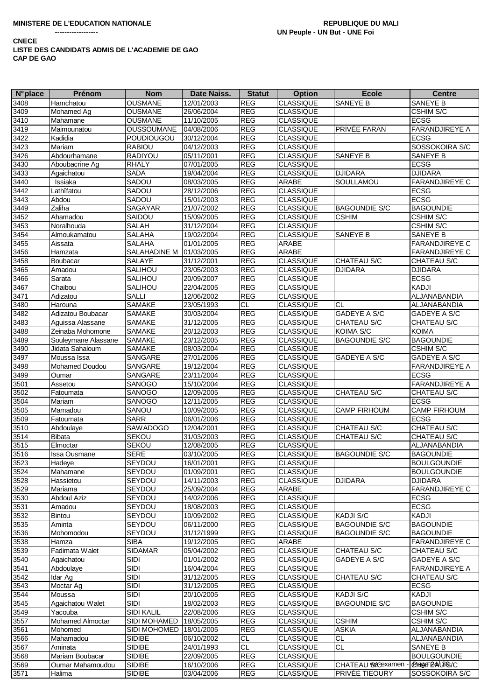| <b>N°</b> place | Prénom                                 | <b>Nom</b>        | Date Naiss.              | <b>Statut</b> | <b>Option</b>                        | <b>Ecole</b>         | <b>Centre</b>               |
|-----------------|----------------------------------------|-------------------|--------------------------|---------------|--------------------------------------|----------------------|-----------------------------|
| 3408            | Hamchatou                              | <b>OUSMANE</b>    | 12/01/2003               | <b>REG</b>    | <b>CLASSIQUE</b>                     | <b>SANEYE B</b>      | SANEYE B                    |
| 3409            | Mohamed Ag                             | <b>OUSMANE</b>    | 26/06/2004               | <b>REG</b>    | <b>CLASSIQUE</b>                     |                      | CSHIM S/C                   |
| 3410            | Mahamane                               | OUSMANE           | 11/10/2005               | <b>REG</b>    | <b>CLASSIQUE</b>                     |                      | <b>ECSG</b>                 |
| 3419            | Maimounatou                            | <b>OUSSOUMANE</b> | 04/08/2006               | <b>REG</b>    | <b>CLASSIQUE</b>                     | PRIVÉE FARAN         | <b>FARANDJIREYE A</b>       |
| 3422            | Kadidia                                | <b>POUDIOUGOU</b> | 30/12/2004               | <b>REG</b>    | <b>CLASSIQUE</b>                     |                      | <b>ECSG</b>                 |
| 3423            | Mariam                                 | <b>RABIOU</b>     | 04/12/2003               | <b>REG</b>    | <b>CLASSIQUE</b>                     |                      | SOSSOKOIRA S/C              |
| 3426            | Abdourhamane                           | RADIYOU           | 05/11/2001               | <b>REG</b>    | <b>CLASSIQUE</b>                     | SANEYE B             | SANEYE B                    |
| 3430            | Aboubacrine Ag                         | <b>RHALY</b>      | 07/01/2005               | <b>REG</b>    | <b>CLASSIQUE</b>                     |                      | <b>ECSG</b>                 |
| 3433            | Agaichatou                             | <b>SADA</b>       | 19/04/2004               | <b>REG</b>    | <b>CLASSIQUE</b>                     | <b>DJIDARA</b>       | <b>DJIDARA</b>              |
| 3440            | Issiaka                                | SADOU             | 08/03/2005               | <b>REG</b>    | <b>ARABE</b>                         | SOULLAMOU            | FARANDJIREYE C              |
| 3442            | Lathîfatou                             | SADOU             | 28/12/2006               | <b>REG</b>    | <b>CLASSIQUE</b>                     |                      | <b>ECSG</b>                 |
| 3443            | Abdou                                  | SADOU             | 15/01/2003               | <b>REG</b>    | <b>CLASSIQUE</b>                     |                      | <b>ECSG</b>                 |
| 3449            | Zaliha                                 | SAGAYAR           | 21/07/2002               | REG           | <b>CLASSIQUE</b>                     | <b>BAGOUNDIE S/C</b> | <b>BAGOUNDIE</b>            |
| 3452            | Ahamadou                               | SAIDOU            | 15/09/2005               | <b>REG</b>    | <b>CLASSIQUE</b>                     | <b>CSHIM</b>         | CSHIM S/C                   |
| 3453            | Noralhouda                             | SALAH             | 31/12/2004               | <b>REG</b>    | <b>CLASSIQUE</b>                     |                      | CSHIM S/C                   |
| 3454            | Almoukamatou                           | <b>SALAHA</b>     | 19/02/2004               | REG           | <b>CLASSIQUE</b>                     | SANEYE B             | SANEYE B                    |
| 3455            | Aissata                                | <b>SALAHA</b>     | 01/01/2005               | <b>REG</b>    | <b>ARABE</b>                         |                      | FARANDJIREYE C              |
| 3456            | Hamzata                                | SALAHADINE M      | 01/03/2005               | <b>REG</b>    | ARABE                                |                      | <b>FARANDJIREYE C</b>       |
| 3458            | Boubacar                               | <b>SALAYE</b>     | 31/12/2001               | <b>REG</b>    | <b>CLASSIQUE</b>                     | CHATEAU S/C          | CHATEAU S/C                 |
| 3465            | Amadou                                 | SALIHOU           | 23/05/2003               | <b>REG</b>    | <b>CLASSIQUE</b>                     | <b>DJIDARA</b>       | <b>DJIDARA</b>              |
| 3466            | Sarata                                 | SALIHOU           | 20/09/2007               | <b>REG</b>    | <b>CLASSIQUE</b>                     |                      | <b>ECSG</b>                 |
| 3467            | Chaibou                                | SALIHOU           | 22/04/2005               | <b>REG</b>    | <b>CLASSIQUE</b>                     |                      | <b>KADJI</b>                |
| 3471            | Adizatou                               | <b>SALLI</b>      | 12/06/2002               | <b>REG</b>    | <b>CLASSIQUE</b>                     |                      | ALJANABANDIA                |
|                 |                                        | SAMAKE            |                          | <b>CL</b>     |                                      | <b>CL</b>            |                             |
| 3480            | Harouna                                | <b>SAMAKE</b>     | 23/05/1993               | <b>REG</b>    | <b>CLASSIQUE</b><br><b>CLASSIQUE</b> | <b>GADEYE A S/C</b>  | ALJANABANDIA                |
| 3482<br>3483    | Adizatou Boubacar                      | <b>SAMAKE</b>     | 30/03/2004<br>31/12/2005 | <b>REG</b>    | <b>CLASSIQUE</b>                     | <b>CHATEAU S/C</b>   | GADEYE A S/C                |
| 3488            | Aguissa Alassane<br>Zeinaba Mohomone   | SAMAKE            | 20/12/2003               | <b>REG</b>    | <b>CLASSIQUE</b>                     | KOIMA S/C            | CHATEAU S/C<br><b>KOIMA</b> |
| 3489            |                                        | <b>SAMAKE</b>     | 23/12/2005               | <b>REG</b>    | <b>CLASSIQUE</b>                     | <b>BAGOUNDIE S/C</b> | <b>BAGOUNDIE</b>            |
| 3490            | Souleymane Alassane<br>Jidata Sahaloum | SAMAKE            | 08/03/2004               | REG           | <b>CLASSIQUE</b>                     |                      | CSHIM S/C                   |
| 3497            | Moussa Issa                            | SANGARE           | 27/01/2006               | <b>REG</b>    | <b>CLASSIQUE</b>                     | <b>GADEYE A S/C</b>  | GADEYE A S/C                |
| 3498            | Mohamed Doudou                         | SANGARE           | 19/12/2004               | <b>REG</b>    | <b>CLASSIQUE</b>                     |                      | FARANDJIREYE A              |
| 3499            | Oumar                                  | SANGARE           | 23/11/2004               | <b>REG</b>    | <b>CLASSIQUE</b>                     |                      | <b>ECSG</b>                 |
| 3501            | Assetou                                | SANOGO            | 15/10/2004               | <b>REG</b>    | <b>CLASSIQUE</b>                     |                      | FARANDJIREYE A              |
| 3502            | Fatoumata                              | SANOGO            | 12/09/2005               | <b>REG</b>    | <b>CLASSIQUE</b>                     | CHATEAU S/C          | CHATEAU S/C                 |
| 3504            | Mariam                                 | SANOGO            | 12/11/2005               | <b>REG</b>    | <b>CLASSIQUE</b>                     |                      | <b>ECSG</b>                 |
| 3505            | Mamadou                                | SANOU             | 10/09/2005               | <b>REG</b>    | <b>CLASSIQUE</b>                     | <b>CAMP FIRHOUM</b>  | <b>CAMP FIRHOUM</b>         |
| 3509            | Fatoumata                              | <b>SARR</b>       | 06/01/2006               | REG           | <b>CLASSIQUE</b>                     |                      | <b>ECSG</b>                 |
| 3510            | Abdoulaye                              | SAW ADOGO         | 12/04/2001               | <b>REG</b>    | <b>CLASSIQUE</b>                     | CHATEAU S/C          | CHATEAU S/C                 |
| 3514            | <b>Bibata</b>                          | SEKOU             | 31/03/2003               | <b>REG</b>    | <b>CLASSIQUE</b>                     | CHATEAU S/C          | CHATEAU S/C                 |
| 3515            | Elmoctar                               | <b>SEKOU</b>      | 12/08/2005               | <b>REG</b>    | <b>CLASSIQUE</b>                     |                      | ALJANABANDIA                |
| 3516            | Issa Ousmane                           | <b>SERE</b>       | 03/10/2005               | <b>REG</b>    | <b>CLASSIQUE</b>                     | <b>BAGOUNDIE S/C</b> | <b>BAGOUNDIE</b>            |
| 3523            | Hadeye                                 | SEYDOU            | 16/01/2001               | <b>REG</b>    | <b>CLASSIQUE</b>                     |                      | <b>BOULGOUNDIE</b>          |
| 3524            | Mahamane                               | SEYDOU            | 01/09/2001               | <b>REG</b>    | <b>CLASSIQUE</b>                     |                      | <b>BOULGOUNDIE</b>          |
| 3528            | Hassietou                              | SEYDOU            | 14/11/2003               | <b>REG</b>    | <b>CLASSIQUE</b>                     | <b>DJIDARA</b>       | <b>DJIDARA</b>              |
| 3529            | Mariama                                | SEYDOU            | 25/09/2004               | <b>REG</b>    | ARABE                                |                      | FARANDJIREYE C              |
| 3530            | <b>Abdoul Aziz</b>                     | SEYDOU            | 14/02/2006               | <b>REG</b>    | <b>CLASSIQUE</b>                     |                      | <b>ECSG</b>                 |
| 3531            | Amadou                                 | SEYDOU            | 18/08/2003               | <b>REG</b>    | <b>CLASSIQUE</b>                     |                      | <b>ECSG</b>                 |
| 3532            | Bintou                                 | SEYDOU            | 10/09/2002               | <b>REG</b>    | <b>CLASSIQUE</b>                     | <b>KADJI S/C</b>     | KADJI                       |
| 3535            | Aminta                                 | SEYDOU            | 06/11/2000               | <b>REG</b>    | <b>CLASSIQUE</b>                     | <b>BAGOUNDIE S/C</b> | <b>BAGOUNDIE</b>            |
| 3536            | Mohomodou                              | SEYDOU            | 31/12/1999               | <b>REG</b>    | <b>CLASSIQUE</b>                     | <b>BAGOUNDIE S/C</b> | <b>BAGOUNDIE</b>            |
| 3538            | Hamza                                  | <b>SIBA</b>       | 19/12/2005               | <b>REG</b>    | <b>ARABE</b>                         |                      | <b>FARANDJIREYE C</b>       |
| 3539            | Fadimata Walet                         | <b>SIDAMAR</b>    | 05/04/2002               | <b>REG</b>    | <b>CLASSIQUE</b>                     | CHATEAU S/C          | CHATEAU S/C                 |
| 3540            | Agaichatou                             | <b>SIDI</b>       | 01/01/2002               | <b>REG</b>    | <b>CLASSIQUE</b>                     | GADEYE A S/C         | GADEYE A S/C                |
| 3541            | Abdoulaye                              | <b>SIDI</b>       | 16/04/2004               | <b>REG</b>    | <b>CLASSIQUE</b>                     |                      | <b>FARANDJIREYE A</b>       |
| 3542            | Idar Ag                                | <b>SIDI</b>       | 31/12/2005               | <b>REG</b>    | <b>CLASSIQUE</b>                     | CHATEAU S/C          | CHATEAU S/C                 |
| 3543            | Moctar Ag                              | <b>SIDI</b>       | 31/12/2005               | <b>REG</b>    | <b>CLASSIQUE</b>                     |                      | <b>ECSG</b>                 |
| 3544            | Moussa                                 | <b>SIDI</b>       | 20/10/2005               | <b>REG</b>    | <b>CLASSIQUE</b>                     | KADJI S/C            | KADJI                       |
| 3545            | Agaichatou Walet                       | <b>SIDI</b>       | 18/02/2003               | <b>REG</b>    | <b>CLASSIQUE</b>                     | <b>BAGOUNDIE S/C</b> | <b>BAGOUNDIE</b>            |
| 3549            | Yacouba                                | SIDI KALIL        | 22/08/2006               | <b>REG</b>    | <b>CLASSIQUE</b>                     |                      | CSHIM S/C                   |
| 3557            | Mohamed Almoctar                       | SIDI MOHAMED      | 18/05/2005               | <b>REG</b>    | <b>CLASSIQUE</b>                     | <b>CSHIM</b>         | CSHIM S/C                   |
| 3561            | Mohomed                                | SIDI MOHOMED      | 18/01/2005               | <b>REG</b>    | <b>CLASSIQUE</b>                     | <b>ASKIA</b>         | ALJANABANDIA                |
| 3566            | Mahamadou                              | <b>SIDIBE</b>     | 06/10/2002               | <b>CL</b>     | <b>CLASSIQUE</b>                     | CL.                  | ALJANABANDIA                |
| 3567            | Aminata                                | <b>SIDIBE</b>     | 24/01/1993               | CL.           | <b>CLASSIQUE</b>                     | CL.                  | SANEYE B                    |
| 3568            | Mariam Boubacar                        | <b>SIDIBE</b>     | 22/09/2005               | <b>REG</b>    | <b>CLASSIQUE</b>                     |                      | <b>BOULGOUNDIE</b>          |
| 3569            | Oumar Mahamoudou                       | <b>SIDIBE</b>     | 16/10/2006               | <b>REG</b>    | <b>CLASSIQUE</b>                     | CHATEAU ®&Gexamen    | CHEGET EAALBOS/C            |
| 3571            | Halima                                 | <b>SIDIBE</b>     | 03/04/2006               | <b>REG</b>    | <b>CLASSIQUE</b>                     | PRIVÉE TIEOURY       | SOSSOKOIRA S/C              |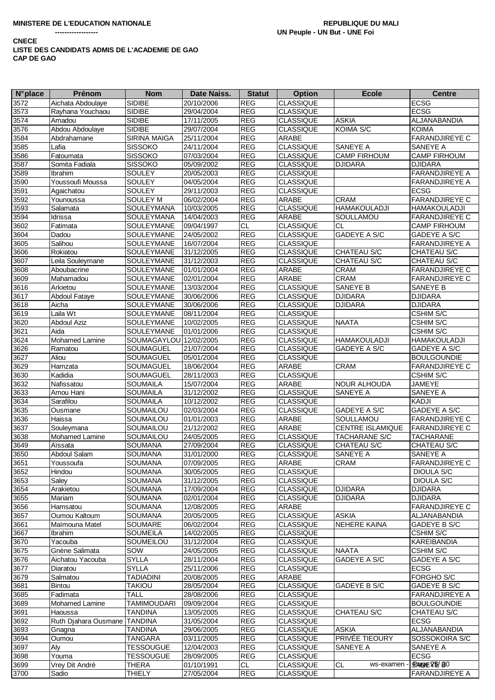| $N^{\circ}$ place | <b>Prénom</b>                  | <b>Nom</b>             | Date Naiss. | <b>Statut</b> | <b>Option</b>    | <b>Ecole</b>             | <b>Centre</b>         |
|-------------------|--------------------------------|------------------------|-------------|---------------|------------------|--------------------------|-----------------------|
| 3572              | Aichata Abdoulaye              | <b>SIDIBE</b>          | 20/10/2006  | <b>REG</b>    | <b>CLASSIQUE</b> |                          | <b>ECSG</b>           |
| 3573              | Rayhana Youchaou               | <b>SIDIBE</b>          | 29/04/2004  | <b>REG</b>    | <b>CLASSIQUE</b> |                          | <b>ECSG</b>           |
| 3574              | Amadou                         | <b>SIDIBE</b>          | 17/11/2005  | <b>REG</b>    | <b>CLASSIQUE</b> | <b>ASKIA</b>             | ALJANABANDIA          |
|                   | Abdou Abdoulaye                | <b>SIDIBE</b>          |             |               |                  | <b>KOIMA S/C</b>         | <b>KOIMA</b>          |
| 3576              |                                |                        | 29/07/2004  | <b>REG</b>    | <b>CLASSIQUE</b> |                          |                       |
| 3584              | Abdrahamane                    | <b>SIRINA MAIGA</b>    | 25/11/2004  | <b>REG</b>    | ARABE            |                          | <b>FARANDJIREYE C</b> |
| 3585              | Lafia                          | <b>SISSOKO</b>         | 24/11/2004  | <b>REG</b>    | CLASSIQUE        | SANEYE A                 | SANEYE A              |
| 3586              | Fatoumata                      | <b>SISSOKO</b>         | 07/03/2004  | REG           | <b>CLASSIQUE</b> | <b>CAMP FIRHOUM</b>      | <b>CAMP FIRHOUM</b>   |
| 3587              | Somita Fadiala                 | <b>SISSOKO</b>         | 05/09/2002  | <b>REG</b>    | <b>CLASSIQUE</b> | <b>DJIDARA</b>           | <b>DJIDARA</b>        |
| 3589              | <b>Ibrahim</b>                 | <b>SOULEY</b>          | 20/05/2003  | <b>REG</b>    | <b>CLASSIQUE</b> |                          | FARANDJIREYE A        |
| 3590              | Youssoufi Moussa               | SOULEY                 | 04/05/2004  | <b>REG</b>    | <b>CLASSIQUE</b> |                          | <b>FARANDJIREYE A</b> |
|                   |                                | <b>SOULEY</b>          |             | <b>REG</b>    | <b>CLASSIQUE</b> |                          | <b>ECSG</b>           |
| 3591              | Agaichatou                     |                        | 29/11/2003  |               |                  |                          |                       |
| 3592              | Younoussa                      | <b>SOULEY M</b>        | 06/02/2004  | <b>REG</b>    | <b>ARABE</b>     | <b>CRAM</b>              | <b>FARANDJIREYE C</b> |
| 3593              | Salamata                       | SOULEYMANA             | 10/03/2005  | <b>REG</b>    | <b>CLASSIQUE</b> | <b>HAMAKOULADJI</b>      | <b>HAMAKOULADJI</b>   |
| 3594              | Idrissa                        | SOULEYMANA             | 14/04/2003  | <b>REG</b>    | ARABE            | SOULLAMOU                | <b>FARANDJIREYE C</b> |
| 3602              | Fatimata                       | SOULEYMANE             | 09/04/1997  | CL            | <b>CLASSIQUE</b> | <b>CL</b>                | <b>CAMP FIRHOUM</b>   |
| 3604              | Dadou                          | SOULEYMANE             | 24/05/2002  | <b>REG</b>    | <b>CLASSIQUE</b> | <b>GADEYE A S/C</b>      | GADEYE A S/C          |
| 3605              | Salihou                        | <b>SOULEYMANE</b>      | 16/07/2004  | <b>REG</b>    | <b>CLASSIQUE</b> |                          | <b>FARANDJIREYE A</b> |
|                   |                                |                        |             |               |                  |                          |                       |
| 3606              | Rokiatou                       | SOULEYMANE             | 31/12/2005  | <b>REG</b>    | <b>CLASSIQUE</b> | CHATEAU S/C              | <b>CHATEAU S/C</b>    |
| 3607              | Leila Souleymane               | SOULEYMANE             | 31/12/2003  | <b>REG</b>    | <b>CLASSIQUE</b> | CHATEAU S/C              | CHATEAU S/C           |
| 3608              | Aboubacrine                    | SOULEYMANE             | 01/01/2004  | <b>REG</b>    | <b>ARABE</b>     | <b>CRAM</b>              | <b>FARANDJIREYE C</b> |
| 3609              | Mahamadou                      | <b>SOULEYMANE</b>      | 02/01/2004  | <b>REG</b>    | ARABE            | <b>CRAM</b>              | <b>FARANDJIREYE C</b> |
| 3616              | Arkietou                       | SOULEYMANE             | 13/03/2004  | <b>REG</b>    | <b>CLASSIQUE</b> | SANEYE B                 | <b>SANEYE B</b>       |
| 3617              | <b>Abdoul Fataye</b>           | SOULEYMANE             | 30/06/2006  | REG           | <b>CLASSIQUE</b> | <b>DJIDARA</b>           | <b>DJIDARA</b>        |
|                   | Aicha                          | SOULEYMANE             | 30/06/2006  | <b>REG</b>    | <b>CLASSIQUE</b> | <b>DJIDARA</b>           | <b>DJIDARA</b>        |
| 3618              |                                |                        |             |               |                  |                          |                       |
| 3619              | Laila Wt                       | <b>SOULEYMANE</b>      | 08/11/2004  | <b>REG</b>    | <b>CLASSIQUE</b> |                          | <b>CSHIM S/C</b>      |
| 3620              | <b>Abdoul Aziz</b>             | <b>SOULEYMANE</b>      | 10/02/2005  | <b>REG</b>    | <b>CLASSIQUE</b> | <b>NAATA</b>             | CSHIM S/C             |
| 3621              | Aida                           | <b>SOULEYMANE</b>      | 01/01/2006  | <b>REG</b>    | <b>CLASSIQUE</b> |                          | CSHIM S/C             |
| 3624              | Mohamed Lamine                 | SOUMAGAYLOU 12/02/2005 |             | <b>REG</b>    | <b>CLASSIQUE</b> | <b>HAMAKOULADJI</b>      | <b>HAMAKOULADJI</b>   |
| 3626              | Ramatou                        | <b>SOUMAGUEL</b>       | 21/07/2004  | <b>REG</b>    | <b>CLASSIQUE</b> | GADEYE A S/C             | GADEYE A S/C          |
| 3627              | Aliou                          | SOUMAGUEL              | 05/01/2004  | <b>REG</b>    | <b>CLASSIQUE</b> |                          | <b>BOULGOUNDIE</b>    |
| 3629              | Hamzata                        |                        |             | <b>REG</b>    | ARABE            | <b>CRAM</b>              | <b>FARANDJIREYE C</b> |
|                   |                                | SOUMAGUEL              | 18/06/2004  |               |                  |                          |                       |
| 3630              | Kadidia                        | SOUMAGUEL              | 28/11/2003  | REG           | <b>CLASSIQUE</b> |                          | CSHIM S/C             |
| 3632              | Nafissatou                     | <b>SOUMAILA</b>        | 15/07/2004  | <b>REG</b>    | ARABE            | NOUR ALHOUDA             | <b>JAMEYE</b>         |
| 3633              | Amou Hani                      | <b>SOUMAILA</b>        | 31/12/2002  | <b>REG</b>    | <b>CLASSIQUE</b> | SANEYE A                 | SANEYE A              |
| 3634              | Sarafilou                      | <b>SOUMAILA</b>        | 10/12/2002  | REG           | <b>CLASSIQUE</b> |                          | <b>KADJI</b>          |
| 3635              | Ousmane                        | SOUMAILOU              | 02/03/2004  | <b>REG</b>    | <b>CLASSIQUE</b> | GADEYE A S/C             | GADEYE A S/C          |
| 3636              | Haissa                         | <b>SOUMAILOU</b>       | 01/01/2003  | <b>REG</b>    | <b>ARABE</b>     | <b>SOULLAMOU</b>         | <b>FARANDJIREYE C</b> |
| 3637              | Souleymana                     | SOUMAILOU              | 21/12/2002  | <b>REG</b>    | ARABE            | <b>CENTRE ISLAMIQUE</b>  | <b>FARANDJIREYE C</b> |
|                   |                                |                        |             |               |                  |                          |                       |
| 3638              | Mohamed Lamine                 | SOUMAILOU              | 24/05/2005  | <b>REG</b>    | <b>CLASSIQUE</b> | TACHARANE S/C            | <b>TACHARANE</b>      |
| 3649              | Aïssata                        | <b>SOUMANA</b>         | 27/09/2004  | <b>REG</b>    | <b>CLASSIQUE</b> | CHATEAU S/C              | CHATEAU S/C           |
| 3650              | Abdoul Salam                   | <b>SOUMANA</b>         | 31/01/2000  | <b>REG</b>    | <b>CLASSIQUE</b> | SANEYE A                 | <b>SANEYE A</b>       |
| 3651              | Youssoufa                      | <b>SOUMANA</b>         | 07/09/2005  | <b>REG</b>    | <b>ARABE</b>     | <b>CRAM</b>              | <b>FARANDJIREYE C</b> |
| 3652              | Hindou                         | SOUMANA                | 30/05/2005  | <b>REG</b>    | <b>CLASSIQUE</b> |                          | <b>DIOULA S/C</b>     |
| 3653              | Saley                          | SOUMANA                | 31/12/2005  | <b>REG</b>    | <b>CLASSIQUE</b> |                          | <b>DIOULA S/C</b>     |
| 3654              | Arakietou                      | <b>SOUMANA</b>         | 17/09/2004  | <b>REG</b>    | <b>CLASSIQUE</b> | <b>DJIDARA</b>           | <b>DJIDARA</b>        |
|                   |                                |                        |             |               |                  | <b>DJIDARA</b>           |                       |
| 3655              | Mariam                         | SOUMANA                | 02/01/2004  | <b>REG</b>    | <b>CLASSIQUE</b> |                          | <b>DJIDARA</b>        |
| 3656              | Hamsatou                       | SOUMANA                | 12/08/2005  | <b>REG</b>    | ARABE            |                          | <b>FARANDJIREYE C</b> |
| 3657              | Oumou Kaltoum                  | SOUMANA                | 20/05/2005  | <b>REG</b>    | <b>CLASSIQUE</b> | <b>ASKIA</b>             | ALJANABANDIA          |
| 3661              | Maïmouna Matel                 | SOUMARE                | 06/02/2004  | <b>REG</b>    | <b>CLASSIQUE</b> | NEHERE KAINA             | GADEYE B S/C          |
| 3667              | Ibrahim                        | <b>SOUMEILA</b>        | 14/02/2005  | REG           | <b>CLASSIQUE</b> |                          | <b>CSHIM S/C</b>      |
| 3670              | Yacouba                        | SOUMEILOU              | 31/12/2004  | REG           | <b>CLASSIQUE</b> |                          | <b>KAREIBANDIA</b>    |
| 3675              | Gnène Salimata                 | SOW                    | 24/05/2005  | <b>REG</b>    | <b>CLASSIQUE</b> | <b>NAATA</b>             | CSHIM S/C             |
|                   | Aichatou Yacouba               | <b>SYLLA</b>           |             | <b>REG</b>    |                  | <b>GADEYE A S/C</b>      | <b>GADEYE A S/C</b>   |
| 3676              |                                |                        | 28/11/2004  |               | <b>CLASSIQUE</b> |                          |                       |
| 3677              | Diaratou                       | <b>SYLLA</b>           | 25/11/2006  | <b>REG</b>    | <b>CLASSIQUE</b> |                          | <b>ECSG</b>           |
| 3679              | Salmatou                       | <b>TADIADINI</b>       | 20/08/2005  | <b>REG</b>    | ARABE            |                          | FORGHO S/C            |
| 3681              | Bintou                         | <b>TAKIOU</b>          | 28/05/2004  | REG           | <b>CLASSIQUE</b> | GADEYE B S/C             | GADEYE B S/C          |
| 3685              | Fadimata                       | <b>TALL</b>            | 28/08/2006  | <b>REG</b>    | <b>CLASSIQUE</b> |                          | <b>FARANDJIREYE A</b> |
| 3689              | Mohamed Lamine                 | <b>TAMIMOUDARI</b>     | 09/09/2004  | <b>REG</b>    | <b>CLASSIQUE</b> |                          | <b>BOULGOUNDIE</b>    |
| 3691              | Haoussa                        | <b>TANDINA</b>         | 13/05/2005  | REG           | <b>CLASSIQUE</b> | CHATEAU S/C              | CHATEAU S/C           |
|                   |                                |                        |             |               |                  |                          |                       |
| 3692              | Ruth Djahara Ousmane   TANDINA |                        | 31/05/2004  | REG           | CLASSIQUE        |                          | <b>ECSG</b>           |
| 3693              | Gnagna                         | <b>TANDINA</b>         | 29/06/2005  | <b>REG</b>    | <b>CLASSIQUE</b> | <b>ASKIA</b>             | ALJANABANDIA          |
| 3694              | Oumou                          | <b>TANGARA</b>         | 03/11/2005  | <b>REG</b>    | <b>CLASSIQUE</b> | PRIVÉE TIEOURY           | SOSSOKOIRA S/C        |
| 3697              | Aly                            | <b>TESSOUGUE</b>       | 12/04/2003  | REG           | <b>CLASSIQUE</b> | SANEYE A                 | <b>SANEYE A</b>       |
| 3698              | Youma                          | <b>TESSOUGUE</b>       | 28/09/2005  | <b>REG</b>    | <b>CLASSIQUE</b> |                          | <b>ECSG</b>           |
| 3699              | Vrey Dit Andrè                 | THERA                  | 01/10/1991  | <b>CL</b>     | CLASSIQUE        | <b>CL</b><br>ws-examen - | SPANGE 25/BO          |
| 3700              | Sadio                          | <b>THIELY</b>          | 27/05/2004  | <b>REG</b>    | <b>CLASSIQUE</b> |                          | <b>FARANDJIREYE A</b> |
|                   |                                |                        |             |               |                  |                          |                       |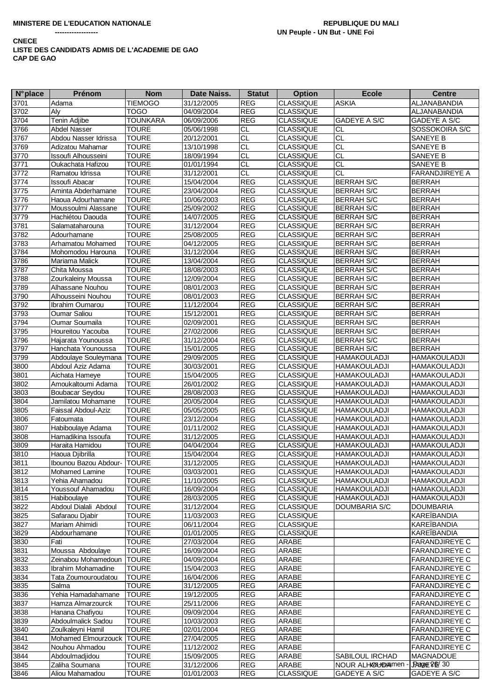| <b>N°</b> place | Prénom                        | <b>Nom</b>      | Date Naiss. | <b>Statut</b>         | <b>Option</b>    | <b>Ecole</b>         | <b>Centre</b>         |
|-----------------|-------------------------------|-----------------|-------------|-----------------------|------------------|----------------------|-----------------------|
| 3701            | Adama                         | <b>TIEMOGO</b>  | 31/12/2005  | <b>REG</b>            | <b>CLASSIQUE</b> | <b>ASKIA</b>         | ALJANABANDIA          |
| 3702            | Aly                           | <b>TOGO</b>     | 04/09/2004  | <b>REG</b>            | <b>CLASSIQUE</b> |                      | ALJANABANDIA          |
| 3704            | Tenin Adjibe                  | <b>TOUNKARA</b> | 06/09/2006  | <b>REG</b>            | <b>CLASSIQUE</b> | <b>GADEYE A S/C</b>  | GADEYE A S/C          |
| 3766            | <b>Abdel Nasser</b>           | <b>TOURE</b>    | 05/06/1998  | <b>CL</b>             | <b>CLASSIQUE</b> | СL                   | SOSSOKOIRA S/C        |
| 3767            | Abdou Nasser Idrissa          | <b>TOURE</b>    | 20/12/2001  | <b>CL</b>             | <b>CLASSIQUE</b> | <b>CL</b>            | SANEYE B              |
| 3769            | Adizatou Mahamar              | <b>TOURE</b>    | 13/10/1998  | <b>CL</b>             | <b>CLASSIQUE</b> | <b>CL</b>            | SANEYE B              |
| 3770            | Issoufi Alhousseini           | <b>TOURE</b>    | 18/09/1994  | $\overline{CL}$       | CLASSIQUE        | <b>CL</b>            | SANEYE B              |
| 3771            | Oukachata Hafizou             | <b>TOURE</b>    | 01/01/1994  | CL                    | <b>CLASSIQUE</b> | $\overline{CL}$      | SANEYE B              |
| 3772            | Ramatou Idrissa               | <b>TOURE</b>    | 31/12/2001  | $\overline{CL}$       | <b>CLASSIQUE</b> | <b>CL</b>            | <b>FARANDJIREYE A</b> |
| 3774            | <b>Issoufi Abacar</b>         | <b>TOURE</b>    | 15/04/2004  | <b>REG</b>            | <b>CLASSIQUE</b> | <b>BERRAH S/C</b>    | <b>BERRAH</b>         |
| 3775            | Aminta Abderhamane            | <b>TOURE</b>    | 23/04/2004  | <b>REG</b>            | <b>CLASSIQUE</b> | <b>BERRAH S/C</b>    | <b>BERRAH</b>         |
| 3776            | Haoua Adourhamane             | <b>TOURE</b>    | 10/06/2003  | <b>REG</b>            | <b>CLASSIQUE</b> | <b>BERRAH S/C</b>    | <b>BERRAH</b>         |
| 3777            | Moussoulmi Alassane           | <b>TOURE</b>    | 25/09/2002  | <b>REG</b>            | <b>CLASSIQUE</b> | <b>BERRAH S/C</b>    | <b>BERRAH</b>         |
| 3779            | Hachiétou Daouda              | <b>TOURE</b>    | 14/07/2005  | <b>REG</b>            | <b>CLASSIQUE</b> | <b>BERRAH S/C</b>    | <b>BERRAH</b>         |
| 3781            | Salamataharouna               | <b>TOURE</b>    | 31/12/2004  | <b>REG</b>            | <b>CLASSIQUE</b> | <b>BERRAH S/C</b>    | <b>BERRAH</b>         |
| 3782            | Adourhamane                   | <b>TOURE</b>    | 25/08/2005  | <b>REG</b>            | <b>CLASSIQUE</b> | <b>BERRAH S/C</b>    | <b>BERRAH</b>         |
| 3783            | Arhamatou Mohamed             | <b>TOURE</b>    | 04/12/2005  | <b>REG</b>            | <b>CLASSIQUE</b> | <b>BERRAH S/C</b>    | <b>BERRAH</b>         |
| 3784            | Mohomodou Harouna             | <b>TOURE</b>    | 31/12/2004  | <b>REG</b>            | <b>CLASSIQUE</b> | <b>BERRAH S/C</b>    | <b>BERRAH</b>         |
| 3786            | Mariama Malick                | <b>TOURE</b>    | 13/04/2004  | <b>REG</b>            | <b>CLASSIQUE</b> | <b>BERRAH S/C</b>    | <b>BERRAH</b>         |
| 3787            | Chita Moussa                  | <b>TOURE</b>    | 18/08/2003  | <b>REG</b>            | <b>CLASSIQUE</b> | <b>BERRAH S/C</b>    | <b>BERRAH</b>         |
| 3788            | Zourkaleiny Moussa            | <b>TOURE</b>    | 12/09/2004  | <b>REG</b>            | <b>CLASSIQUE</b> | <b>BERRAH S/C</b>    | <b>BERRAH</b>         |
| 3789            | Alhassane Nouhou              | <b>TOURE</b>    | 08/01/2003  | <b>REG</b>            | <b>CLASSIQUE</b> | <b>BERRAH S/C</b>    | <b>BERRAH</b>         |
| 3790            | Alhousseini Nouhou            | <b>TOURE</b>    | 08/01/2003  | <b>REG</b>            | <b>CLASSIQUE</b> | <b>BERRAH S/C</b>    | <b>BERRAH</b>         |
| 3792            | Ibrahim Oumarou               | <b>TOURE</b>    | 11/12/2004  | <b>REG</b>            | <b>CLASSIQUE</b> | <b>BERRAH S/C</b>    | <b>BERRAH</b>         |
| 3793            | <b>Oumar Saliou</b>           | <b>TOURE</b>    | 15/12/2001  | <b>REG</b>            | <b>CLASSIQUE</b> | <b>BERRAH S/C</b>    | <b>BERRAH</b>         |
| 3794            | Oumar Soumaila                | <b>TOURE</b>    | 02/09/2001  | <b>REG</b>            | <b>CLASSIQUE</b> | <b>BERRAH S/C</b>    | <b>BERRAH</b>         |
| 3795            | Houreitou Yacouba             | <b>TOURE</b>    | 27/02/2006  | <b>REG</b>            | <b>CLASSIQUE</b> | <b>BERRAH S/C</b>    | <b>BERRAH</b>         |
| 3796            | Hajarata Younoussa            | <b>TOURE</b>    | 31/12/2004  | <b>REG</b>            | <b>CLASSIQUE</b> | <b>BERRAH S/C</b>    | <b>BERRAH</b>         |
| 3797            | Hanchata Younoussa            | <b>TOURE</b>    | 15/01/2005  | <b>REG</b>            | <b>CLASSIQUE</b> | <b>BERRAH S/C</b>    | <b>BERRAH</b>         |
| 3799            | Abdoulaye Souleymana          | <b>TOURE</b>    | 29/09/2005  | <b>REG</b>            | <b>CLASSIQUE</b> | HAMAKOULADJI         | <b>HAMAKOULADJI</b>   |
| 3800            | Abdoul Aziz Adama             | <b>TOURE</b>    | 30/03/2001  | <b>REG</b>            | <b>CLASSIQUE</b> | <b>HAMAKOULADJI</b>  | <b>HAMAKOULADJI</b>   |
| 3801            | Aichata Hameye                | <b>TOURE</b>    | 15/04/2005  | <b>REG</b>            | <b>CLASSIQUE</b> | <b>HAMAKOULADJI</b>  | <b>HAMAKOULADJI</b>   |
| 3802            | Amoukaltoumi Adama            | <b>TOURE</b>    | 26/01/2002  | <b>REG</b>            | <b>CLASSIQUE</b> | <b>HAMAKOULADJI</b>  | <b>HAMAKOULADJI</b>   |
| 3803            | Boubacar Seydou               | <b>TOURE</b>    | 28/08/2003  | <b>REG</b>            | <b>CLASSIQUE</b> | HAMAKOULADJI         | <b>HAMAKOULADJI</b>   |
| 3804            | Jamilatou Mohamane            | <b>TOURE</b>    | 20/05/2004  | <b>REG</b>            | <b>CLASSIQUE</b> | <b>HAMAKOULADJI</b>  | <b>HAMAKOULADJI</b>   |
| 3805            | Faissal Abdoul-Aziz           | <b>TOURE</b>    | 05/05/2005  | <b>REG</b>            | <b>CLASSIQUE</b> | <b>HAMAKOULADJI</b>  | <b>HAMAKOULADJI</b>   |
| 3806            | Fatoumata                     | <b>TOURE</b>    | 23/12/2004  | <b>REG</b>            | <b>CLASSIQUE</b> | <b>HAMAKOULADJI</b>  | <b>HAMAKOULADJI</b>   |
| 3807            | Habiboulaye Adama             | <b>TOURE</b>    | 01/11/2002  | <b>REG</b>            | <b>CLASSIQUE</b> | <b>HAMAKOULADJI</b>  | <b>HAMAKOULADJI</b>   |
| 3808            | Hamadikina Issoufa            | <b>TOURE</b>    | 31/12/2005  | <b>REG</b>            | <b>CLASSIQUE</b> | <b>HAMAKOULADJI</b>  | HAMAKOULADJI          |
| 3809            | Haraita Hamidou               | <b>TOURE</b>    | 04/04/2004  | <b>REG</b>            | <b>CLASSIQUE</b> | HAMAKOULADJI         | HAMAKOULADJI          |
| 3810            | Haoua Djibrilla               | <b>TOURE</b>    | 15/04/2004  | <b>REG</b>            | <b>CLASSIQUE</b> | <b>HAMAKOULADJI</b>  | <b>HAMAKOULADJI</b>   |
| 3811            | Ibounou Bazou Abdour-   TOURE |                 | 31/12/2005  | $\mathsf{REG}\xspace$ | <b>CLASSIQUE</b> | <b>HAMAKOULADJI</b>  | <b>HAMAKOULADJI</b>   |
| 3812            | <b>Mohamed Lamine</b>         | <b>TOURE</b>    | 03/03/2001  | <b>REG</b>            | <b>CLASSIQUE</b> | <b>HAMAKOULADJI</b>  | <b>HAMAKOULADJI</b>   |
| 3813            | Yehia Ahamadou                | <b>TOURE</b>    | 11/10/2005  | <b>REG</b>            | <b>CLASSIQUE</b> | <b>HAMAKOULADJI</b>  | <b>HAMAKOULADJI</b>   |
| 3814            | Youssouf Ahamadou             | <b>TOURE</b>    | 16/09/2004  | <b>REG</b>            | <b>CLASSIQUE</b> | HAMAKOULADJI         | <b>HAMAKOULADJI</b>   |
| 3815            | Habiboulaye                   | <b>TOURE</b>    | 28/03/2005  | <b>REG</b>            | <b>CLASSIQUE</b> | HAMAKOULADJI         | <b>HAMAKOULADJI</b>   |
| 3822            | Abdoul Dialali Abdoul         | <b>TOURE</b>    | 31/12/2004  | <b>REG</b>            | <b>CLASSIQUE</b> | <b>DOUMBARIA S/C</b> | DOUMBARIA             |
| 3825            | Safaraou Djabir               | <b>TOURE</b>    | 11/03/2003  | <b>REG</b>            | <b>CLASSIQUE</b> |                      | KAREÏBANDIA           |
| 3827            | Mariam Ahimidi                | <b>TOURE</b>    | 06/11/2004  | <b>REG</b>            | <b>CLASSIQUE</b> |                      | KAREÏBANDIA           |
| 3829            | Abdourhamane                  | <b>TOURE</b>    | 01/01/2005  | <b>REG</b>            | <b>CLASSIQUE</b> |                      | KAREÏBANDIA           |
| 3830            | Fati                          | <b>TOURE</b>    | 27/03/2004  | <b>REG</b>            | <b>ARABE</b>     |                      | FARANDJIREYE C        |
| 3831            | Moussa Abdoulaye              | <b>TOURE</b>    | 16/09/2004  | <b>REG</b>            | ARABE            |                      | <b>FARANDJIREYE C</b> |
| 3832            | Zeinabou Mohamedoun           | <b>TOURE</b>    | 04/09/2004  | <b>REG</b>            | ARABE            |                      | FARANDJIREYE C        |
| 3833            | Ibrahim Mohamadine            | <b>TOURE</b>    | 15/04/2003  | <b>REG</b>            | ARABE            |                      | <b>FARANDJIREYE C</b> |
| 3834            | Tata Zoumouroudatou           | <b>TOURE</b>    | 16/04/2006  | <b>REG</b>            | ARABE            |                      | <b>FARANDJIREYE C</b> |
| 3835            | Salma                         | <b>TOURE</b>    | 31/12/2005  | <b>REG</b>            | ARABE            |                      | FARANDJIREYE C        |
| 3836            | Yehia Hamadahamane            | <b>TOURE</b>    | 19/12/2005  | <b>REG</b>            | ARABE            |                      | <b>FARANDJIREYE C</b> |
| 3837            | Hamza Almarzourck             | <b>TOURE</b>    | 25/11/2006  | <b>REG</b>            | ARABE            |                      | <b>FARANDJIREYE C</b> |
| 3838            | Hanana Chafiyou               | <b>TOURE</b>    | 09/09/2004  | <b>REG</b>            | ARABE            |                      | <b>FARANDJIREYE C</b> |
| 3839            | Abdoulmalick Sadou            | <b>TOURE</b>    | 10/03/2003  | <b>REG</b>            | ARABE            |                      | FARANDJIREYE C        |
| 3840            | Zoulkaleyni Hamil             | <b>TOURE</b>    | 02/01/2004  | <b>REG</b>            | ARABE            |                      | <b>FARANDJIREYE C</b> |
| 3841            | Mohamed Elmourzouck           | <b>TOURE</b>    | 27/04/2005  | <b>REG</b>            | ARABE            |                      | FARANDJIREYE C        |
| 3842            | Nouhou Ahmadou                | <b>TOURE</b>    | 11/12/2002  | <b>REG</b>            | ARABE            |                      | <b>FARANDJIREYE C</b> |
| 3844            | Abdoulmadjidou                | <b>TOURE</b>    | 15/09/2005  | <b>REG</b>            | ARABE            | SABILOUL IRCHAD      | <b>MAGNADOUE</b>      |
| 3845            | Zaliha Soumana                | <b>TOURE</b>    | 31/12/2006  | <b>REG</b>            | ARABE            | NOUR ALHOL-DAMmen    | <b>JPage 26/30</b>    |
| 3846            | Aliou Mahamadou               | <b>TOURE</b>    | 01/01/2003  | <b>REG</b>            | <b>CLASSIQUE</b> | GADEYE A S/C         | GADEYE A S/C          |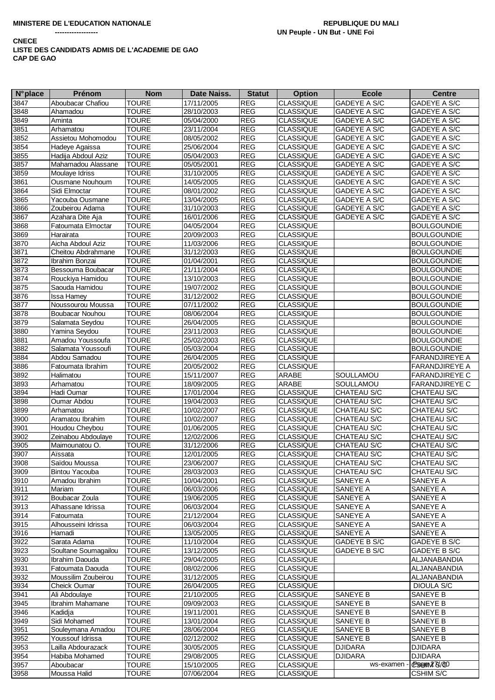| $N^{\circ}$ place | Prénom                | <b>Nom</b>   | Date Naiss. | <b>Statut</b> | <b>Option</b>    | <b>Ecole</b>   | <b>Centre</b>       |
|-------------------|-----------------------|--------------|-------------|---------------|------------------|----------------|---------------------|
| 3847              | Aboubacar Chafiou     | <b>TOURE</b> | 17/11/2005  | <b>REG</b>    | <b>CLASSIQUE</b> | GADEYE A S/C   | <b>GADEYE A S/C</b> |
| 3848              | Ahamadou              | <b>TOURE</b> | 28/10/2003  | <b>REG</b>    | <b>CLASSIQUE</b> | GADEYE A S/C   | GADEYE A S/C        |
| 3849              | Aminta                | <b>TOURE</b> | 05/04/2000  | <b>REG</b>    | <b>CLASSIQUE</b> | GADEYE A S/C   | GADEYE A S/C        |
| 3851              | Arhamatou             | <b>TOURE</b> | 23/11/2004  | <b>REG</b>    | <b>CLASSIQUE</b> | GADEYE A S/C   | GADEYE A S/C        |
| 3852              | Assietou Mohomodou    | <b>TOURE</b> | 08/05/2002  | <b>REG</b>    | <b>CLASSIQUE</b> | GADEYE A S/C   | GADEYE A S/C        |
| 3854              | Hadeye Agaissa        | <b>TOURE</b> | 25/06/2004  | <b>REG</b>    | <b>CLASSIQUE</b> | GADEYE A S/C   | GADEYE A S/C        |
| 3855              | Hadija Abdoul Aziz    | <b>TOURE</b> | 05/04/2003  | <b>REG</b>    | <b>CLASSIQUE</b> | GADEYE A S/C   | GADEYE A S/C        |
| 3857              | Mahamadou Alassane    | <b>TOURE</b> | 05/05/2001  | REG           | <b>CLASSIQUE</b> | GADEYE A S/C   | GADEYE A S/C        |
| 3859              | <b>Moulaye Idriss</b> | <b>TOURE</b> | 31/10/2005  | <b>REG</b>    | <b>CLASSIQUE</b> | GADEYE A S/C   | GADEYE A S/C        |
| 3861              | Ousmane Nouhoum       | <b>TOURE</b> | 14/05/2005  | <b>REG</b>    | <b>CLASSIQUE</b> | GADEYE A S/C   | GADEYE A S/C        |
| 3864              | Sidi Elmoctar         | <b>TOURE</b> | 08/01/2002  | <b>REG</b>    | <b>CLASSIQUE</b> | GADEYE A S/C   | GADEYE A S/C        |
| 3865              | Yacouba Ousmane       | <b>TOURE</b> | 13/04/2005  | <b>REG</b>    | <b>CLASSIQUE</b> | GADEYE A S/C   | GADEYE A S/C        |
| 3866              | Zoubeirou Adama       | <b>TOURE</b> | 31/10/2003  | <b>REG</b>    | <b>CLASSIQUE</b> | GADEYE A S/C   | GADEYE A S/C        |
| 3867              | Azahara Dite Aja      | <b>TOURE</b> | 16/01/2006  | <b>REG</b>    | <b>CLASSIQUE</b> | GADEYE A S/C   | GADEYE A S/C        |
| 3868              | Fatoumata Elmoctar    | <b>TOURE</b> | 04/05/2004  | <b>REG</b>    | <b>CLASSIQUE</b> |                | <b>BOULGOUNDIE</b>  |
| 3869              | Harairata             | <b>TOURE</b> | 20/09/2003  | <b>REG</b>    | <b>CLASSIQUE</b> |                | <b>BOULGOUNDIE</b>  |
| 3870              | Aicha Abdoul Aziz     | <b>TOURE</b> | 11/03/2006  | <b>REG</b>    | <b>CLASSIQUE</b> |                | <b>BOULGOUNDIE</b>  |
| 3871              | Cheitou Abdrahmane    | <b>TOURE</b> | 31/12/2003  | <b>REG</b>    | <b>CLASSIQUE</b> |                | <b>BOULGOUNDIE</b>  |
| 3872              | Ibrahim Bonzai        | <b>TOURE</b> | 01/04/2001  | <b>REG</b>    | <b>CLASSIQUE</b> |                | <b>BOULGOUNDIE</b>  |
| 3873              | Bessouma Boubacar     | <b>TOURE</b> | 21/11/2004  | <b>REG</b>    | <b>CLASSIQUE</b> |                | <b>BOULGOUNDIE</b>  |
| 3874              | Rouckiya Hamidou      | <b>TOURE</b> | 13/10/2003  | <b>REG</b>    | <b>CLASSIQUE</b> |                | <b>BOULGOUNDIE</b>  |
| 3875              | Saouda Hamidou        | <b>TOURE</b> | 19/07/2002  | <b>REG</b>    | <b>CLASSIQUE</b> |                | <b>BOULGOUNDIE</b>  |
| 3876              | <b>Issa Hamey</b>     | <b>TOURE</b> | 31/12/2002  | <b>REG</b>    | <b>CLASSIQUE</b> |                | <b>BOULGOUNDIE</b>  |
| 3877              | Noussourou Moussa     | <b>TOURE</b> | 07/11/2002  | <b>REG</b>    | <b>CLASSIQUE</b> |                | <b>BOULGOUNDIE</b>  |
| 3878              | Boubacar Nouhou       | <b>TOURE</b> | 08/06/2004  | <b>REG</b>    | <b>CLASSIQUE</b> |                | <b>BOULGOUNDIE</b>  |
| 3879              | Salamata Seydou       | <b>TOURE</b> | 26/04/2005  | <b>REG</b>    | <b>CLASSIQUE</b> |                | <b>BOULGOUNDIE</b>  |
| 3880              | Yamina Seydou         | <b>TOURE</b> | 23/11/2003  | <b>REG</b>    | <b>CLASSIQUE</b> |                | <b>BOULGOUNDIE</b>  |
| 3881              | Amadou Youssoufa      | <b>TOURE</b> | 25/02/2003  | <b>REG</b>    | <b>CLASSIQUE</b> |                | Boulgoundie         |
| 3882              | Salamata Youssoufi    | <b>TOURE</b> | 05/03/2004  | <b>REG</b>    | <b>CLASSIQUE</b> |                | <b>BOULGOUNDIE</b>  |
| 3884              | Abdou Samadou         | <b>TOURE</b> | 26/04/2005  | <b>REG</b>    | <b>CLASSIQUE</b> |                | FARANDJIREYE A      |
| 3886              | Fatoumata Ibrahim     | <b>TOURE</b> | 20/05/2002  | <b>REG</b>    | <b>CLASSIQUE</b> |                | FARANDJIREYE A      |
| 3892              | Halimatou             | <b>TOURE</b> | 15/11/2007  | <b>REG</b>    | ARABE            | SOULLAMOU      | FARANDJIREYE C      |
| 3893              | Arhamatou             | <b>TOURE</b> | 18/09/2005  | REG           | <b>ARABE</b>     | SOULLAMOU      | FARANDJIREYE C      |
| 3894              | Hadi Oumar            | <b>TOURE</b> | 17/01/2004  | <b>REG</b>    | <b>CLASSIQUE</b> | CHATEAU S/C    | <b>CHATEAU S/C</b>  |
| 3898              | Oumar Abdou           | <b>TOURE</b> | 19/04/2003  | <b>REG</b>    | <b>CLASSIQUE</b> | CHATEAU S/C    | CHATEAU S/C         |
| 3899              | Arhamatou             | <b>TOURE</b> | 10/02/2007  | <b>REG</b>    | <b>CLASSIQUE</b> | CHATEAU S/C    | CHATEAU S/C         |
| 3900              | Aramatou Ibrahim      | <b>TOURE</b> | 10/02/2007  | <b>REG</b>    | <b>CLASSIQUE</b> | CHATEAU S/C    | CHATEAU S/C         |
| 3901              | Houdou Cheybou        | <b>TOURE</b> | 01/06/2005  | <b>REG</b>    | <b>CLASSIQUE</b> | CHATEAU S/C    | CHATEAU S/C         |
| 3902              | Zeinabou Abdoulaye    | <b>TOURE</b> | 12/02/2006  | <b>REG</b>    | <b>CLASSIQUE</b> | CHATEAU S/C    | CHATEAU S/C         |
| 3905              | Maimounatou O.        | <b>TOURE</b> | 31/12/2006  | <b>REG</b>    | <b>CLASSIQUE</b> | CHATEAU S/C    | CHATEAU S/C         |
| 3907              | Aïssata               | <b>TOURE</b> | 12/01/2005  | <b>REG</b>    | <b>CLASSIQUE</b> | CHATEAU S/C    | CHATEAU S/C         |
| 3908              | Saïdou Moussa         | <b>TOURE</b> | 23/06/2007  | <b>REG</b>    | <b>CLASSIQUE</b> | CHATEAU S/C    | CHATEAU S/C         |
| 3909              | <b>Bintou Yacouba</b> | <b>TOURE</b> | 28/03/2003  | <b>REG</b>    | <b>CLASSIQUE</b> | CHATEAU S/C    | CHATEAU S/C         |
| 3910              | Amadou Ibrahim        | <b>TOURE</b> | 10/04/2001  | <b>REG</b>    | <b>CLASSIQUE</b> | SANEYE A       | SANEYE A            |
| 3911              | Mariam                | <b>TOURE</b> | 06/03/2006  | <b>REG</b>    | <b>CLASSIQUE</b> | SANEYE A       | SANEYE A            |
| 3912              | Boubacar Zoula        | <b>TOURE</b> | 19/06/2005  | <b>REG</b>    | <b>CLASSIQUE</b> | SANEYE A       | SANEYE A            |
| 3913              | Alhassane Idrissa     | <b>TOURE</b> | 06/03/2004  | <b>REG</b>    | <b>CLASSIQUE</b> | SANEYE A       | SANEYE A            |
| 3914              | Fatoumata             | <b>TOURE</b> | 21/12/2004  | <b>REG</b>    | <b>CLASSIQUE</b> | SANEYE A       | SANEYE A            |
| 3915              | Alhousseini Idrissa   | <b>TOURE</b> | 06/03/2004  | <b>REG</b>    | <b>CLASSIQUE</b> | SANEYE A       | SANEYE A            |
| 3916              | Hamadi                | <b>TOURE</b> | 13/05/2005  | <b>REG</b>    | <b>CLASSIQUE</b> | SANEYE A       | SANEYE A            |
| 3922              | Sarata Adama          | <b>TOURE</b> | 11/10/2004  | <b>REG</b>    | <b>CLASSIQUE</b> | GADEYE B S/C   | GADEYE B S/C        |
| 3923              | Soultane Soumagailou  | <b>TOURE</b> | 13/12/2005  | <b>REG</b>    | <b>CLASSIQUE</b> | GADEYE B S/C   | GADEYE B S/C        |
| 3930              | Ibrahim Daouda        | <b>TOURE</b> | 29/04/2005  | <b>REG</b>    | <b>CLASSIQUE</b> |                | ALJANABANDIA        |
| 3931              | Fatoumata Daouda      | <b>TOURE</b> | 08/02/2006  | <b>REG</b>    | <b>CLASSIQUE</b> |                | ALJANABANDIA        |
| 3932              | Moussilim Zoubeirou   | <b>TOURE</b> | 31/12/2005  | <b>REG</b>    | <b>CLASSIQUE</b> |                | ALJANABANDIA        |
| 3934              | Cheick Oumar          | <b>TOURE</b> | 26/04/2005  | <b>REG</b>    | <b>CLASSIQUE</b> |                | DIOULA S/C          |
| 3941              | Ali Abdoulaye         | <b>TOURE</b> | 21/10/2005  | <b>REG</b>    | <b>CLASSIQUE</b> | SANEYE B       | SANEYE B            |
| 3945              | Ibrahim Mahamane      | <b>TOURE</b> | 09/09/2003  | <b>REG</b>    | <b>CLASSIQUE</b> | SANEYE B       | SANEYE B            |
| 3946              | Kadidja               | <b>TOURE</b> | 19/11/2001  | <b>REG</b>    | <b>CLASSIQUE</b> | SANEYE B       | <b>SANEYE B</b>     |
| 3949              | Sidi Mohamed          | <b>TOURE</b> | 13/01/2004  | <b>REG</b>    | <b>CLASSIQUE</b> | SANEYE B       | SANEYE B            |
| 3951              | Souleymana Amadou     | <b>TOURE</b> | 28/06/2004  | <b>REG</b>    | <b>CLASSIQUE</b> | SANEYE B       | SANEYE B            |
| 3952              | Youssouf Idrissa      | <b>TOURE</b> | 02/12/2002  | <b>REG</b>    | <b>CLASSIQUE</b> | SANEYE B       | SANEYE B            |
| 3953              | Lailla Abdourazack    | <b>TOURE</b> | 30/05/2005  | <b>REG</b>    | <b>CLASSIQUE</b> | <b>DJIDARA</b> | <b>DJIDARA</b>      |
| 3954              | Habiba Mohamed        | <b>TOURE</b> | 29/08/2005  | <b>REG</b>    | <b>CLASSIQUE</b> | <b>DJIDARA</b> | <b>DJIDARA</b>      |
| 3957              | Aboubacar             | <b>TOURE</b> | 15/10/2005  | <b>REG</b>    | <b>CLASSIQUE</b> | ws-examen      | CBBHANZ 75/60       |
| 3958              | Moussa Halid          | <b>TOURE</b> | 07/06/2004  | <b>REG</b>    | <b>CLASSIQUE</b> |                | <b>CSHIM S/C</b>    |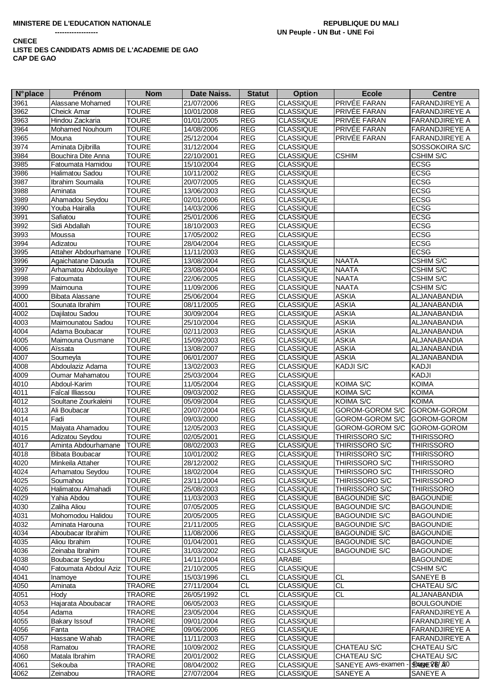| <b>N°</b> place | Prénom                 | <b>Nom</b>    | Date Naiss. | <b>Statut</b> | <b>Option</b>    | <b>Ecole</b>         | <b>Centre</b>         |
|-----------------|------------------------|---------------|-------------|---------------|------------------|----------------------|-----------------------|
| 3961            | Alassane Mohamed       | <b>TOURE</b>  | 21/07/2006  | <b>REG</b>    | <b>CLASSIQUE</b> | <b>PRIVÉE FARAN</b>  | <b>FARANDJIREYE A</b> |
| 3962            | Cheick Amar            | <b>TOURE</b>  | 10/01/2008  | REG           | <b>CLASSIQUE</b> | PRIVÉE FARAN         | FARANDJIREYE A        |
| 3963            | Hindou Zackaria        | <b>TOURE</b>  | 01/01/2005  | REG           | <b>CLASSIQUE</b> | PRIVÉE FARAN         | <b>FARANDJIREYE A</b> |
| 3964            | Mohamed Nouhoum        | <b>TOURE</b>  | 14/08/2006  | REG           | <b>CLASSIQUE</b> | PRIVÉE FARAN         | FARANDJIREYE A        |
| 3965            | Mouna                  | <b>TOURE</b>  | 25/12/2004  | REG           | <b>CLASSIQUE</b> | <b>PRIVÉE FARAN</b>  | FARANDJIREYE A        |
| 3974            | Aminata Djibrilla      | <b>TOURE</b>  | 31/12/2004  | <b>REG</b>    | <b>CLASSIQUE</b> |                      | SOSSOKOIRA S/C        |
| 3984            | Bouchira Dite Anna     | <b>TOURE</b>  | 22/10/2001  | <b>REG</b>    | <b>CLASSIQUE</b> | <b>CSHIM</b>         | <b>CSHIM S/C</b>      |
| 3985            | Fatoumata Hamidou      | <b>TOURE</b>  | 15/10/2004  | REG           | <b>CLASSIQUE</b> |                      | <b>ECSG</b>           |
| 3986            | Halimatou Sadou        | <b>TOURE</b>  | 10/11/2002  | <b>REG</b>    | <b>CLASSIQUE</b> |                      | <b>ECSG</b>           |
| 3987            | Ibrahim Soumaila       | <b>TOURE</b>  | 20/07/2005  | REG           | <b>CLASSIQUE</b> |                      | <b>ECSG</b>           |
| 3988            | Aminata                | <b>TOURE</b>  | 13/06/2003  | REG           | <b>CLASSIQUE</b> |                      | <b>ECSG</b>           |
| 3989            | Ahamadou Seydou        | <b>TOURE</b>  | 02/01/2006  | <b>REG</b>    | <b>CLASSIQUE</b> |                      | <b>ECSG</b>           |
| 3990            | Youba Hairalla         | <b>TOURE</b>  | 14/03/2006  | REG           | <b>CLASSIQUE</b> |                      | <b>ECSG</b>           |
| 3991            | Safiatou               | <b>TOURE</b>  | 25/01/2006  | REG           | <b>CLASSIQUE</b> |                      | <b>ECSG</b>           |
| 3992            | Sidi Abdallah          | TOURE         | 18/10/2003  | <b>REG</b>    | <b>CLASSIQUE</b> |                      | <b>ECSG</b>           |
| 3993            | Moussa                 | <b>TOURE</b>  | 17/05/2002  | <b>REG</b>    | <b>CLASSIQUE</b> |                      | <b>ECSG</b>           |
| 3994            | Adizatou               | <b>TOURE</b>  | 28/04/2004  | REG           | <b>CLASSIQUE</b> |                      | <b>ECSG</b>           |
| 3995            | Attaher Abdourhamane   | <b>TOURE</b>  | 11/11/2003  | <b>REG</b>    | CLASSIQUE        |                      | <b>ECSG</b>           |
| 3996            | Agaichatane Daouda     | <b>TOURE</b>  | 13/08/2004  | <b>REG</b>    | <b>CLASSIQUE</b> | <b>NAATA</b>         | <b>CSHIM S/C</b>      |
| 3997            | Arhamatou Abdoulaye    | <b>TOURE</b>  | 23/08/2004  | <b>REG</b>    | <b>CLASSIQUE</b> | <b>NAATA</b>         | CSHIM S/C             |
| 3998            | Fatoumata              | <b>TOURE</b>  | 22/06/2005  | <b>REG</b>    | <b>CLASSIQUE</b> | <b>NAATA</b>         | CSHIM S/C             |
| 3999            | Maimouna               | <b>TOURE</b>  | 11/09/2006  | REG           | <b>CLASSIQUE</b> | <b>NAATA</b>         | CSHIM S/C             |
| 4000            | <b>Bibata Alassane</b> | <b>TOURE</b>  | 25/06/2004  | REG           | <b>CLASSIQUE</b> | <b>ASKIA</b>         | ALJANABANDIA          |
| 4001            | Sounata Ibrahim        | <b>TOURE</b>  | 08/11/2005  | <b>REG</b>    | <b>CLASSIQUE</b> | <b>ASKIA</b>         | ALJANABANDIA          |
| 4002            | Dajilatou Sadou        | <b>TOURE</b>  | 30/09/2004  | <b>REG</b>    | <b>CLASSIQUE</b> | <b>ASKIA</b>         | <b>ALJANABANDIA</b>   |
| 4003            | Maimounatou Sadou      | <b>TOURE</b>  | 25/10/2004  | <b>REG</b>    | <b>CLASSIQUE</b> | <b>ASKIA</b>         | ALJANABANDIA          |
| 4004            | Adama Boubacar         | <b>TOURE</b>  | 02/11/2003  | <b>REG</b>    | <b>CLASSIQUE</b> | <b>ASKIA</b>         | ALJANABANDIA          |
| 4005            | Maimouna Ousmane       | <b>TOURE</b>  | 15/09/2003  | <b>REG</b>    | <b>CLASSIQUE</b> | <b>ASKIA</b>         | ALJANABANDIA          |
| 4006            | Aïssata                | <b>TOURE</b>  | 13/08/2007  | <b>REG</b>    | <b>CLASSIQUE</b> | <b>ASKIA</b>         | ALJANABANDIA          |
| 4007            | Soumeyla               | <b>TOURE</b>  | 06/01/2007  | <b>REG</b>    | <b>CLASSIQUE</b> | <b>ASKIA</b>         | ALJANABANDIA          |
| 4008            | Abdoulaziz Adama       | <b>TOURE</b>  | 13/02/2003  | <b>REG</b>    | <b>CLASSIQUE</b> | <b>KADJI S/C</b>     | <b>KADJI</b>          |
| 4009            | Oumar Mahamatou        | <b>TOURE</b>  | 25/03/2004  | <b>REG</b>    | <b>CLASSIQUE</b> |                      | KADJI                 |
| 4010            | Abdoul-Karim           | <b>TOURE</b>  | 11/05/2004  | <b>REG</b>    | <b>CLASSIQUE</b> | KOIMA S/C            | <b>KOIMA</b>          |
| 4011            | Faîcal Illiassou       | <b>TOURE</b>  | 09/03/2002  | <b>REG</b>    | <b>CLASSIQUE</b> | KOIMA S/C            | <b>KOIMA</b>          |
| 4012            | Soultane Zourkaleini   | <b>TOURE</b>  | 05/09/2004  | <b>REG</b>    | <b>CLASSIQUE</b> | KOIMA S/C            | <b>KOIMA</b>          |
| 4013            | Ali Boubacar           | <b>TOURE</b>  | 20/07/2004  | <b>REG</b>    | <b>CLASSIQUE</b> | GOROM-GOROM S/C      | GOROM-GOROM           |
| 4014            | Fadi                   | <b>TOURE</b>  | 09/03/2000  | <b>REG</b>    | <b>CLASSIQUE</b> | GOROM-GOROM S/C      | GOROM-GOROM           |
| 4015            | Maiyata Ahamadou       | <b>TOURE</b>  | 12/05/2003  | REG           | <b>CLASSIQUE</b> | GOROM-GOROM S/C      | <b>GOROM-GOROM</b>    |
| 4016            | Adizatou Seydou        | <b>TOURE</b>  | 02/05/2001  | REG           | <b>CLASSIQUE</b> | THIRISSORO S/C       | <b>THIRISSORO</b>     |
| 4017            | Aminta Abdourhamane    | <b>TOURE</b>  | 08/02/2003  | <b>REG</b>    | <b>CLASSIQUE</b> | THIRISSORO S/C       | <b>THIRISSORO</b>     |
| 4018            | <b>Bibata Boubacar</b> | <b>TOURE</b>  | 10/01/2002  | REG           | <b>CLASSIQUE</b> | THIRISSORO S/C       | <b>THIRISSORO</b>     |
| 4020            | Minkeila Attaher       | <b>TOURE</b>  | 28/12/2002  | <b>REG</b>    | CLASSIQUE        | THIRISSORO S/C       | <b>THIRISSORO</b>     |
| 4024            | Arhamatou Seydou       | <b>TOURE</b>  | 18/02/2004  | <b>REG</b>    | <b>CLASSIQUE</b> | THIRISSORO S/C       | <b>THIRISSORO</b>     |
| 4025            | Soumahou               | <b>TOURE</b>  | 23/11/2004  | <b>REG</b>    | <b>CLASSIQUE</b> | THIRISSORO S/C       | <b>THIRISSORO</b>     |
| 4026            | Halimatou Almahadi     | <b>TOURE</b>  | 25/08/2003  | <b>REG</b>    | <b>CLASSIQUE</b> | THIRISSORO S/C       | <b>THIRISSORO</b>     |
| 4029            | Yahia Abdou            | <b>TOURE</b>  | 11/03/2003  | <b>REG</b>    | <b>CLASSIQUE</b> | <b>BAGOUNDIE S/C</b> | <b>BAGOUNDIE</b>      |
| 4030            | Zaliha Aliou           | <b>TOURE</b>  | 07/05/2005  | <b>REG</b>    | <b>CLASSIQUE</b> | <b>BAGOUNDIE S/C</b> | <b>BAGOUNDIE</b>      |
| 4031            | Mohomodou Halidou      | <b>TOURE</b>  | 20/05/2005  | <b>REG</b>    | <b>CLASSIQUE</b> | <b>BAGOUNDIE S/C</b> | <b>BAGOUNDIE</b>      |
| 4032            | Aminata Harouna        | <b>TOURE</b>  | 21/11/2005  | <b>REG</b>    | <b>CLASSIQUE</b> | <b>BAGOUNDIE S/C</b> | <b>BAGOUNDIE</b>      |
| 4034            | Aboubacar Ibrahim      | <b>TOURE</b>  | 11/08/2006  | <b>REG</b>    | <b>CLASSIQUE</b> | <b>BAGOUNDIE S/C</b> | <b>BAGOUNDIE</b>      |
| 4035            | Aliou Ibrahim          | <b>TOURE</b>  | 01/04/2001  | <b>REG</b>    | <b>CLASSIQUE</b> | <b>BAGOUNDIE S/C</b> | <b>BAGOUNDIE</b>      |
| 4036            | Zeinaba Ibrahim        | <b>TOURE</b>  | 31/03/2002  | <b>REG</b>    | <b>CLASSIQUE</b> | <b>BAGOUNDIE S/C</b> | <b>BAGOUNDIE</b>      |
| 4038            | Boubacar Seydou        | <b>TOURE</b>  | 14/11/2004  | <b>REG</b>    | ARABE            |                      | <b>BAGOUNDIE</b>      |
| 4040            | Fatoumata Abdoul Aziz  | <b>TOURE</b>  | 21/10/2005  | <b>REG</b>    | <b>CLASSIQUE</b> |                      | <b>CSHIM S/C</b>      |
| 4041            | Inamoye                | <b>TOURE</b>  | 15/03/1996  | <b>CL</b>     | <b>CLASSIQUE</b> | <b>CL</b>            | SANEYE B              |
| 4050            | Aminata                | <b>TRAORE</b> | 27/11/2004  | CL            | <b>CLASSIQUE</b> | <b>CL</b>            | CHATEAU S/C           |
|                 | Hody                   | <b>TRAORE</b> | 26/05/1992  | <b>CL</b>     | <b>CLASSIQUE</b> | <b>CL</b>            | ALJANABANDIA          |
| 4051<br>4053    | Hajarata Aboubacar     | <b>TRAORE</b> | 06/05/2003  | REG           | <b>CLASSIQUE</b> |                      | <b>BOULGOUNDIE</b>    |
|                 |                        | <b>TRAORE</b> |             | REG           |                  |                      | <b>FARANDJIREYE A</b> |
| 4054            | Adama                  |               | 23/05/2004  |               | <b>CLASSIQUE</b> |                      |                       |
| 4055            | <b>Bakary Issouf</b>   | <b>TRAORE</b> | 09/01/2004  | <b>REG</b>    | <b>CLASSIQUE</b> |                      | <b>FARANDJIREYE A</b> |
| 4056            | Fanta                  | <b>TRAORE</b> | 09/06/2006  | <b>REG</b>    | <b>CLASSIQUE</b> |                      | <b>FARANDJIREYE A</b> |
| 4057            | Hassane Wahab          | <b>TRAORE</b> | 11/11/2003  | REG           | <b>CLASSIQUE</b> |                      | <b>FARANDJIREYE A</b> |
| 4058            | Ramatou                | <b>TRAORE</b> | 10/09/2002  | <b>REG</b>    | <b>CLASSIQUE</b> | <b>CHATEAU S/C</b>   | CHATEAU S/C           |
| 4060            | Matala Ibrahim         | <b>TRAORE</b> | 20/01/2002  | <b>REG</b>    | <b>CLASSIQUE</b> | CHATEAU S/C          | CHATEAU S/C           |
| 4061            | Sekouba                | <b>TRAORE</b> | 08/04/2002  | <b>REG</b>    | <b>CLASSIQUE</b> | SANEYE Aws-examen -  | SPANE YE/ AO          |
| 4062            | Zeinabou               | TRAORE        | 27/07/2004  | <b>REG</b>    | <b>CLASSIQUE</b> | SANEYE A             | SANEYE A              |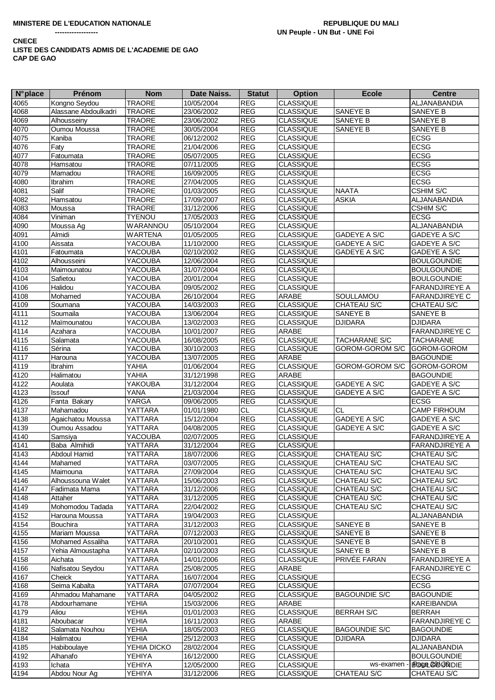| <b>N°</b> place | <b>Prénom</b>        | <b>Nom</b>     | Date Naiss. | <b>Statut</b> | <b>Option</b>    | <b>Ecole</b>         | <b>Centre</b>           |
|-----------------|----------------------|----------------|-------------|---------------|------------------|----------------------|-------------------------|
| 4065            | Kongno Seydou        | <b>TRAORE</b>  | 10/05/2004  | <b>REG</b>    | <b>CLASSIQUE</b> |                      | ALJANABANDIA            |
| 4068            | Alassane Abdoulkadri | <b>TRAORE</b>  | 23/06/2002  | <b>REG</b>    | <b>CLASSIQUE</b> | SANEYE B             | SANEYE B                |
| 4069            | Alhousseiny          | <b>TRAORE</b>  | 23/06/2002  | <b>REG</b>    | <b>CLASSIQUE</b> | SANEYE B             | SANEYE B                |
| 4070            | Oumou Moussa         | <b>TRAORE</b>  | 30/05/2004  | <b>REG</b>    | <b>CLASSIQUE</b> | SANEYE B             | SANEYE B                |
| 4075            | Kaniba               | <b>TRAORE</b>  | 06/12/2002  | <b>REG</b>    | <b>CLASSIQUE</b> |                      | <b>ECSG</b>             |
| 4076            | Faty                 | <b>TRAORE</b>  | 21/04/2006  | <b>REG</b>    | <b>CLASSIQUE</b> |                      | <b>ECSG</b>             |
| 4077            | Fatoumata            | <b>TRAORE</b>  | 05/07/2005  | <b>REG</b>    | <b>CLASSIQUE</b> |                      | <b>ECSG</b>             |
| 4078            | Hamsatou             | <b>TRAORE</b>  | 07/11/2005  | <b>REG</b>    | <b>CLASSIQUE</b> |                      | <b>ECSG</b>             |
| 4079            | Mamadou              | <b>TRAORE</b>  | 16/09/2005  | <b>REG</b>    | <b>CLASSIQUE</b> |                      | <b>ECSG</b>             |
| 4080            | Ibrahim              | <b>TRAORE</b>  | 27/04/2005  | <b>REG</b>    | <b>CLASSIQUE</b> |                      | <b>ECSG</b>             |
| 4081            | Salif                | <b>TRAORE</b>  | 01/03/2005  | <b>REG</b>    | <b>CLASSIQUE</b> | <b>NAATA</b>         | CSHIM S/C               |
| 4082            | Hamsatou             | <b>TRAORE</b>  | 17/09/2007  | <b>REG</b>    | <b>CLASSIQUE</b> | <b>ASKIA</b>         | ALJANABANDIA            |
| 4083            | Moussa               | <b>TRAORE</b>  | 31/12/2006  | REG           | <b>CLASSIQUE</b> |                      | CSHIM S/C               |
| 4084            | Viniman              | <b>TYENOU</b>  | 17/05/2003  | <b>REG</b>    | <b>CLASSIQUE</b> |                      | <b>ECSG</b>             |
| 4090            | Moussa Ag            | WARANNOU       | 05/10/2004  | <b>REG</b>    | <b>CLASSIQUE</b> |                      | ALJANABANDIA            |
| 4091            | Almidi               | <b>WARTENA</b> | 01/05/2005  | REG           | <b>CLASSIQUE</b> | GADEYE A S/C         | GADEYE A S/C            |
| 4100            | Aissata              | YACOUBA        | 11/10/2000  | <b>REG</b>    | <b>CLASSIQUE</b> | <b>GADEYE A S/C</b>  | GADEYE A S/C            |
| 4101            | Fatoumata            | YACOUBA        | 02/10/2002  | <b>REG</b>    | <b>CLASSIQUE</b> | GADEYE A S/C         | GADEYE A S/C            |
| 4102            | Alhousseini          | <b>YACOUBA</b> | 12/06/2004  | <b>REG</b>    | <b>CLASSIQUE</b> |                      | <b>BOULGOUNDIE</b>      |
| 4103            | Maimounatou          | YACOUBA        | 31/07/2004  | <b>REG</b>    | <b>CLASSIQUE</b> |                      | <b>BOULGOUNDIE</b>      |
| 4104            | Safietou             | <b>YACOUBA</b> | 20/01/2004  | <b>REG</b>    | <b>CLASSIQUE</b> |                      | <b>BOULGOUNDIE</b>      |
| 4106            | Halidou              | <b>YACOUBA</b> | 09/05/2002  | <b>REG</b>    | <b>CLASSIQUE</b> |                      | <b>FARANDJIREYE A</b>   |
| 4108            | Mohamed              | <b>YACOUBA</b> | 26/10/2004  | <b>REG</b>    | <b>ARABE</b>     | SOULLAMOU            | <b>FARANDJIREYE C</b>   |
| 4109            | Soumana              | YACOUBA        | 14/03/2003  | <b>REG</b>    | <b>CLASSIQUE</b> | CHATEAU S/C          | CHATEAU S/C             |
| 4111            | Soumaila             | YACOUBA        | 13/06/2004  | REG           | <b>CLASSIQUE</b> | SANEYE B             | SANEYE B                |
| 4112            | Maïmounatou          | YACOUBA        | 13/02/2003  | <b>REG</b>    | <b>CLASSIQUE</b> | <b>DJIDARA</b>       | <b>DJIDARA</b>          |
| 4114            | Azahara              | <b>YACOUBA</b> | 10/01/2007  | <b>REG</b>    | ARABE            |                      | <b>FARANDJIREYE C</b>   |
| 4115            | Salamata             | YACOUBA        | 16/08/2005  | <b>REG</b>    | <b>CLASSIQUE</b> | TACHARANE S/C        | <b>TACHARANE</b>        |
| 4116            | Sérina               | YACOUBA        | 30/10/2003  | <b>REG</b>    | <b>CLASSIQUE</b> | GOROM-GOROM S/C      | GOROM-GOROM             |
| 4117            | Harouna              | YACOUBA        | 13/07/2005  | <b>REG</b>    | <b>ARABE</b>     |                      | <b>BAGOUNDIE</b>        |
| 4119            | Ibrahim              | YAHIA          | 01/06/2004  | <b>REG</b>    | <b>CLASSIQUE</b> | GOROM-GOROM S/C      | GOROM-GOROM             |
| 4120            | Halimatou            | YAHIA          | 31/12/1998  | <b>REG</b>    | ARABE            |                      | <b>BAGOUNDIE</b>        |
| 4122            | Aoulata              | YAKOUBA        | 31/12/2004  | <b>REG</b>    | <b>CLASSIQUE</b> | GADEYE A S/C         | GADEYE A S/C            |
| 4123            | <b>Issouf</b>        | <b>YANA</b>    | 21/03/2004  | <b>REG</b>    | <b>CLASSIQUE</b> | <b>GADEYE A S/C</b>  | GADEYE A S/C            |
| 4126            | Fanta Bakary         | YARGA          | 09/06/2005  | <b>REG</b>    | <b>CLASSIQUE</b> |                      | <b>ECSG</b>             |
| 4137            | Mahamadou            | YATTARA        | 01/01/1980  | CL            | <b>CLASSIQUE</b> | CL                   | <b>CAMP FIRHOUM</b>     |
| 4138            | Agaichatou Moussa    | YATTARA        | 15/12/2004  | REG           | <b>CLASSIQUE</b> | GADEYE A S/C         | GADEYE A S/C            |
| 4139            | Oumou Assadou        | YATTARA        | 04/08/2005  | <b>REG</b>    | <b>CLASSIQUE</b> | GADEYE A S/C         | <b>GADEYE A S/C</b>     |
| 4140            | Samsiya              | YACOUBA        | 02/07/2005  | <b>REG</b>    | <b>CLASSIQUE</b> |                      | FARANDJIREYE A          |
| 4141            | Baba Almihidi        | YATTARA        | 31/12/2004  | <b>REG</b>    | <b>CLASSIQUE</b> |                      | FARANDJIREYE A          |
| 4143            | Abdoul Hamid         | YATTARA        | 18/07/2006  | <b>REG</b>    | <b>CLASSIQUE</b> | CHATEAU S/C          | CHATEAU S/C             |
| 4144            | Mahamed              | YATTARA        | 03/07/2005  | <b>REG</b>    | <b>CLASSIQUE</b> | CHATEAU S/C          | CHATEAU S/C             |
| 4145            | Maimouna             | YATTARA        | 27/09/2004  | <b>REG</b>    | <b>CLASSIQUE</b> | <b>CHATEAU S/C</b>   | <b>CHATEAU S/C</b>      |
| 4146            | Alhoussouna Walet    | YATTARA        | 15/06/2003  | <b>REG</b>    | <b>CLASSIQUE</b> | CHATEAU S/C          | CHATEAU S/C             |
| 4147            | Fadimata Mama        | YATTARA        | 31/12/2006  | <b>REG</b>    | <b>CLASSIQUE</b> | CHATEAU S/C          | CHATEAU S/C             |
| 4148            | Attaher              | YATTARA        | 31/12/2005  | <b>REG</b>    | <b>CLASSIQUE</b> | CHATEAU S/C          | CHATEAU S/C             |
| 4149            | Mohomodou Tadada     | YATTARA        | 22/04/2002  | <b>REG</b>    | <b>CLASSIQUE</b> | CHATEAU S/C          | CHATEAU S/C             |
| 4152            | Harouna Moussa       | YATTARA        | 19/04/2003  | <b>REG</b>    | <b>CLASSIQUE</b> |                      | ALJANABANDIA            |
| 4154            | <b>Bouchira</b>      | YATTARA        | 31/12/2003  | <b>REG</b>    | <b>CLASSIQUE</b> | SANEYE B             | SANEYE B                |
| 4155            | Mariam Moussa        | YATTARA        | 07/12/2003  | <b>REG</b>    | <b>CLASSIQUE</b> | SANEYE B             | SANEYE B                |
| 4156            | Mohamed Assaliha     | YATTARA        | 20/10/2001  | <b>REG</b>    | <b>CLASSIQUE</b> | SANEYE B             | SANEYE B                |
| 4157            | Yehia Almoustapha    | YATTARA        | 02/10/2003  | <b>REG</b>    | <b>CLASSIQUE</b> | SANEYE B             | SANEYE B                |
| 4158            | Aichata              | YATTARA        | 14/01/2006  | <b>REG</b>    | CLASSIQUE        | PRIVÉE FARAN         | FARANDJIREYE A          |
| 4166            | Nafisatou Seydou     | YATTARA        | 25/08/2005  | <b>REG</b>    | <b>ARABE</b>     |                      | FARANDJIREYE C          |
| 4167            | Cheick               | YATTARA        | 16/07/2004  | <b>REG</b>    | <b>CLASSIQUE</b> |                      | <b>ECSG</b>             |
| 4168            | Seima Kabalta        | YATTARA        | 07/07/2004  | <b>REG</b>    | <b>CLASSIQUE</b> |                      | <b>ECSG</b>             |
| 4169            | Ahmadou Mahamane     | YATTARA        | 04/05/2002  | <b>REG</b>    | <b>CLASSIQUE</b> | <b>BAGOUNDIE S/C</b> | <b>BAGOUNDIE</b>        |
| 4178            | Abdourhamane         | <b>YEHIA</b>   | 15/03/2006  | <b>REG</b>    | ARABE            |                      | <b>KAREIBANDIA</b>      |
| 4179            | Aliou                | <b>YEHIA</b>   | 01/01/2003  | <b>REG</b>    | <b>CLASSIQUE</b> | <b>BERRAH S/C</b>    | <b>BERRAH</b>           |
| 4181            | Aboubacar            | <b>YEHIA</b>   | 16/11/2003  | <b>REG</b>    | <b>ARABE</b>     |                      | <b>FARANDJIREYE C</b>   |
| 4182            | Salamata Nouhou      | YEHIA          | 18/05/2003  | <b>REG</b>    | <b>CLASSIQUE</b> | <b>BAGOUNDIE S/C</b> | <b>BAGOUNDIE</b>        |
| 4184            | Halimatou            | <b>YEHIA</b>   | 25/12/2003  | <b>REG</b>    | <b>CLASSIQUE</b> | <b>DJIDARA</b>       | <b>DJIDARA</b>          |
| 4185            | Habiboulaye          | YEHIA DICKO    | 28/02/2004  | <b>REG</b>    | <b>CLASSIQUE</b> |                      | ALJANABANDIA            |
| 4192            | Alhanafo             | <b>YEHIYA</b>  | 16/12/2000  | <b>REG</b>    | <b>CLASSIQUE</b> |                      | <b>BOULGOUNDIE</b>      |
| 4193            | Ichata               | YEHIYA         | 12/05/2000  | <b>REG</b>    | <b>CLASSIQUE</b> | ws-examen            | <b>BROOKLOGO SONDIE</b> |
| 4194            | Abdou Nour Ag        | YEHIYA         | 31/12/2006  | <b>REG</b>    | <b>CLASSIQUE</b> | CHATEAU S/C          | CHATEAU S/C             |